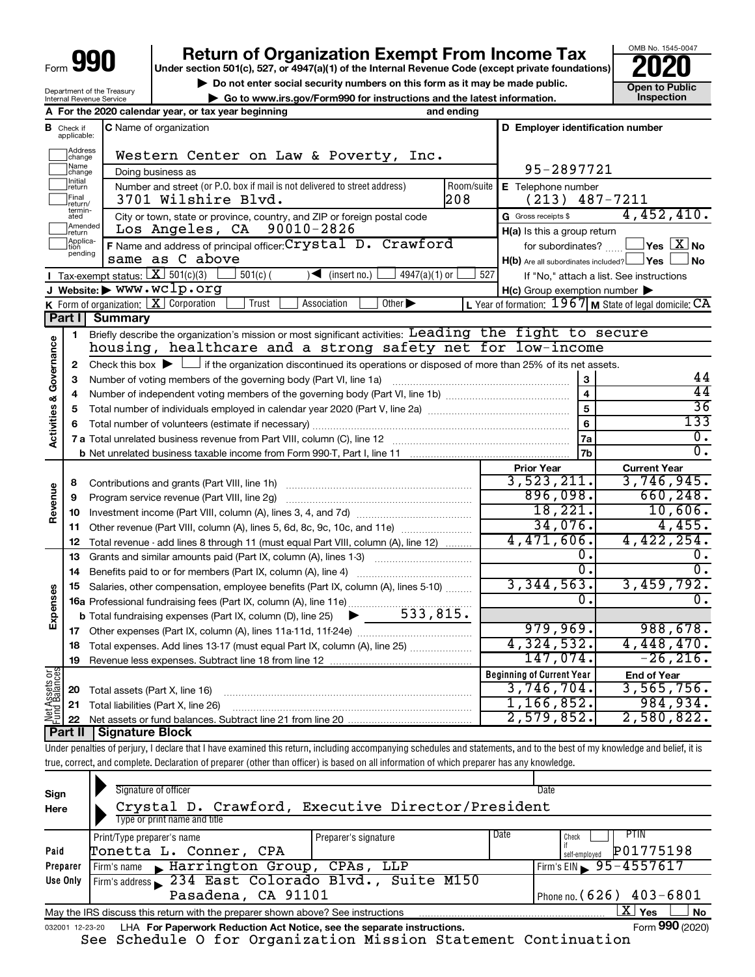| Form | YП |
|------|----|
|      |    |

# **Return of Organization Exempt From Income Tax**<br>r section 501(c), 527, or 4947(a)(1) of the Internal Revenue Code (except private foundations)

**Under section 501(c), 527, or 4947(a)(1) of the Internal Revenue Code (except private foundations)**

**but the Social security numbers on this form as it may be made public.** The only one to Public **Depending to Public and the latest information.** This pection **| Go to www.irs.gov/Form990 for instructions and the latest information. Inspection**

OMB No. 1545-0047

Department of the Treasury Internal Revenue Service

|                         |                               | A For the 2020 calendar year, or tax year beginning                                                                                                                                                          | and ending |                                                     |                                                           |  |  |  |  |  |
|-------------------------|-------------------------------|--------------------------------------------------------------------------------------------------------------------------------------------------------------------------------------------------------------|------------|-----------------------------------------------------|-----------------------------------------------------------|--|--|--|--|--|
|                         | <b>B</b> Check if applicable: | C Name of organization                                                                                                                                                                                       |            | D Employer identification number                    |                                                           |  |  |  |  |  |
|                         | Address<br> change            | Western Center on Law & Poverty, Inc.                                                                                                                                                                        |            |                                                     |                                                           |  |  |  |  |  |
|                         | Name<br> change               | Doing business as                                                                                                                                                                                            |            | 95-2897721                                          |                                                           |  |  |  |  |  |
|                         | Initial<br>return             | Number and street (or P.O. box if mail is not delivered to street address)                                                                                                                                   | Room/suite | E Telephone number                                  |                                                           |  |  |  |  |  |
|                         | Final<br> return/             | 3701 Wilshire Blvd.                                                                                                                                                                                          | 208        | (213)                                               | 487-7211                                                  |  |  |  |  |  |
|                         | termin-<br>ated               | City or town, state or province, country, and ZIP or foreign postal code                                                                                                                                     |            | G Gross receipts \$                                 | 4,452,410.                                                |  |  |  |  |  |
|                         | Amended<br>return             | 90010-2826<br>Los Angeles, CA                                                                                                                                                                                |            | H(a) Is this a group return                         |                                                           |  |  |  |  |  |
|                         | Applica-<br>tion              | F Name and address of principal officer: Crystal D. Crawford                                                                                                                                                 |            | for subordinates?                                   | $\Box$ Yes $\Box X$ No                                    |  |  |  |  |  |
|                         | pending                       | same as C above                                                                                                                                                                                              |            | $H(b)$ Are all subordinates included? $\Box$ Yes    | <b>No</b>                                                 |  |  |  |  |  |
|                         |                               | Tax-exempt status: $X \over 301(c)(3)$<br>$501(c)$ (<br>$\sqrt{\bullet}$ (insert no.)<br>$4947(a)(1)$ or                                                                                                     | 527        |                                                     | If "No," attach a list. See instructions                  |  |  |  |  |  |
|                         |                               | J Website: $\blacktriangleright$ WWW.WClp.org                                                                                                                                                                |            | $H(c)$ Group exemption number $\blacktriangleright$ |                                                           |  |  |  |  |  |
|                         |                               | <b>K</b> Form of organization: $\boxed{\mathbf{X}}$ Corporation<br>Trust<br>Association<br>Other $\blacktriangleright$                                                                                       |            |                                                     | L Year of formation: $1967$ M State of legal domicile: CA |  |  |  |  |  |
|                         | Part I                        | <b>Summary</b>                                                                                                                                                                                               |            |                                                     |                                                           |  |  |  |  |  |
|                         | 1                             | Briefly describe the organization's mission or most significant activities: Leading the fight to secure                                                                                                      |            |                                                     |                                                           |  |  |  |  |  |
|                         |                               | housing, healthcare and a strong safety net for low-income                                                                                                                                                   |            |                                                     |                                                           |  |  |  |  |  |
| Governance              | 2                             | Check this box $\blacktriangleright$ $\Box$ if the organization discontinued its operations or disposed of more than 25% of its net assets.                                                                  |            |                                                     |                                                           |  |  |  |  |  |
|                         | 3                             |                                                                                                                                                                                                              |            | 3                                                   | 44<br>44                                                  |  |  |  |  |  |
|                         | 4                             |                                                                                                                                                                                                              |            | $\overline{\mathbf{4}}$<br>$\overline{5}$           | $\overline{36}$                                           |  |  |  |  |  |
|                         | 5                             |                                                                                                                                                                                                              | 6          | 133                                                 |                                                           |  |  |  |  |  |
| <b>Activities &amp;</b> | 6                             |                                                                                                                                                                                                              |            | <b>7a</b>                                           | $\overline{0}$ .                                          |  |  |  |  |  |
|                         |                               |                                                                                                                                                                                                              |            | <b>7b</b>                                           | $\overline{0}$ .                                          |  |  |  |  |  |
|                         |                               |                                                                                                                                                                                                              |            | <b>Prior Year</b>                                   | <b>Current Year</b>                                       |  |  |  |  |  |
|                         | 8                             |                                                                                                                                                                                                              |            | 3,523,211.                                          | 3,746,945.                                                |  |  |  |  |  |
|                         | 9                             | Program service revenue (Part VIII, line 2g)                                                                                                                                                                 |            | 896,098.                                            | 660, 248.                                                 |  |  |  |  |  |
| Revenue                 | 10                            |                                                                                                                                                                                                              |            | 18,221.                                             | 10,606.                                                   |  |  |  |  |  |
|                         | 11                            | Other revenue (Part VIII, column (A), lines 5, 6d, 8c, 9c, 10c, and 11e)                                                                                                                                     |            | 34,076.                                             | 4,455.                                                    |  |  |  |  |  |
|                         | 12                            | Total revenue - add lines 8 through 11 (must equal Part VIII, column (A), line 12)                                                                                                                           |            | 4,471,606.                                          | 4,422,254.                                                |  |  |  |  |  |
|                         | 13                            | Grants and similar amounts paid (Part IX, column (A), lines 1-3)                                                                                                                                             |            | 0.                                                  | 0.                                                        |  |  |  |  |  |
|                         | 14                            | Benefits paid to or for members (Part IX, column (A), line 4)                                                                                                                                                |            | σ.                                                  | $\overline{0}$ .                                          |  |  |  |  |  |
|                         | 15                            | Salaries, other compensation, employee benefits (Part IX, column (A), lines 5-10)                                                                                                                            |            | 3,344,563.                                          | 3,459,792.                                                |  |  |  |  |  |
| Expenses                |                               | 16a Professional fundraising fees (Part IX, column (A), line 11e)                                                                                                                                            |            | 0.                                                  | $\overline{0}$ .                                          |  |  |  |  |  |
|                         |                               | 533,815.<br><b>b</b> Total fundraising expenses (Part IX, column (D), line 25) $\blacktriangleright$                                                                                                         |            |                                                     |                                                           |  |  |  |  |  |
|                         |                               |                                                                                                                                                                                                              |            | 979,969.                                            | 988,678.                                                  |  |  |  |  |  |
|                         |                               | 18 Total expenses. Add lines 13-17 (must equal Part IX, column (A), line 25)                                                                                                                                 |            | 4,324,532.                                          | 4,448,470.                                                |  |  |  |  |  |
|                         | 19                            |                                                                                                                                                                                                              |            | 147,074.                                            | $-26,216.$                                                |  |  |  |  |  |
| Net Assets or           |                               |                                                                                                                                                                                                              |            | <b>Beginning of Current Year</b>                    | <b>End of Year</b>                                        |  |  |  |  |  |
|                         | 20                            | Total assets (Part X, line 16)                                                                                                                                                                               |            | 3,746,704.                                          | 3,565,756.                                                |  |  |  |  |  |
|                         | 21                            | Total liabilities (Part X, line 26)                                                                                                                                                                          |            | 1, 166, 852.                                        | 984,934.                                                  |  |  |  |  |  |
|                         | 22                            |                                                                                                                                                                                                              |            | 2,579,852.                                          | 2,580,822.                                                |  |  |  |  |  |
|                         |                               | <b>Part II Signature Block</b><br>Under penalties of perjury, I declare that I have examined this return, including accompanying schedules and statements, and to the best of my knowledge and belief, it is |            |                                                     |                                                           |  |  |  |  |  |
|                         |                               |                                                                                                                                                                                                              |            |                                                     |                                                           |  |  |  |  |  |

true, correct, and complete. Declaration of preparer (other than officer) is based on all information of which preparer has any knowledge.

| Sign<br>Here    | Signature of officer<br>Crystal D. Crawford, Executive Director/President<br>Type or print name and title |                      | Date |                              |  |  |  |  |  |
|-----------------|-----------------------------------------------------------------------------------------------------------|----------------------|------|------------------------------|--|--|--|--|--|
|                 | Print/Type preparer's name                                                                                | Preparer's signature | Date | PIIN<br>Check                |  |  |  |  |  |
| Paid            | Tonetta L. Conner, CPA                                                                                    |                      |      | P01775198<br>self-emploved   |  |  |  |  |  |
| Preparer        | Firm's name Marrington Group, CPAs, LLP                                                                   |                      |      | Firm's EIN $\, 95 - 4557617$ |  |  |  |  |  |
| Use Only        | Firm's address 234 East Colorado Blvd., Suite M150                                                        |                      |      |                              |  |  |  |  |  |
|                 | Pasadena, CA 91101<br>Phone no. (626) $403 - 6801$                                                        |                      |      |                              |  |  |  |  |  |
|                 | May the IRS discuss this return with the preparer shown above? See instructions                           |                      |      | x.<br>Yes<br><b>No</b>       |  |  |  |  |  |
| 032001 12-23-20 | LHA For Paperwork Reduction Act Notice, see the separate instructions.                                    |                      |      | Form 990 (2020)              |  |  |  |  |  |

See Schedule O for Organization Mission Statement Continuation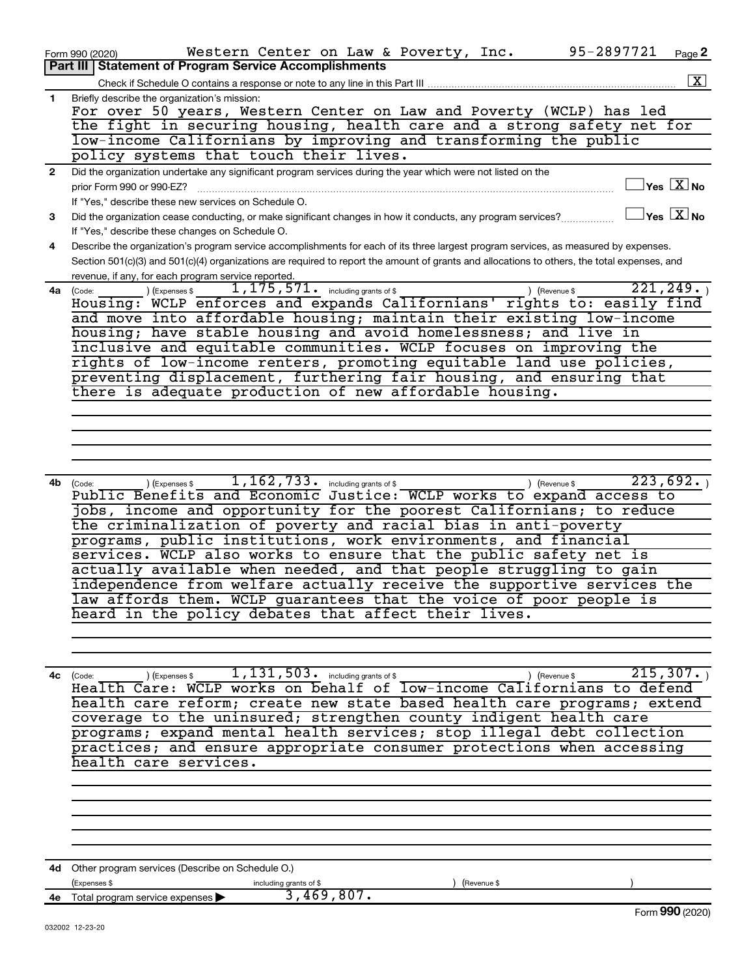|              | 95-2897721<br>Western Center on Law & Poverty, Inc.<br>Form 990 (2020)                                                                           | Page 2               |
|--------------|--------------------------------------------------------------------------------------------------------------------------------------------------|----------------------|
|              | Part III   Statement of Program Service Accomplishments                                                                                          |                      |
|              |                                                                                                                                                  | $\boxed{\mathbf{X}}$ |
| $\mathbf{1}$ | Briefly describe the organization's mission:                                                                                                     |                      |
|              | For over 50 years, Western Center on Law and Poverty (WCLP) has led                                                                              |                      |
|              | the fight in securing housing, health care and a strong safety net for                                                                           |                      |
|              | low-income Californians by improving and transforming the public                                                                                 |                      |
|              | policy systems that touch their lives.                                                                                                           |                      |
| $\mathbf{2}$ | Did the organization undertake any significant program services during the year which were not listed on the                                     |                      |
|              | $\Box$ Yes $~[\overline{\mathrm{X}}]$ No<br>prior Form 990 or 990-EZ?                                                                            |                      |
|              | If "Yes," describe these new services on Schedule O.                                                                                             |                      |
| 3            | $\Box$ Yes $\boxed{\text{X}}$ No<br>Did the organization cease conducting, or make significant changes in how it conducts, any program services? |                      |
|              | If "Yes," describe these changes on Schedule O.                                                                                                  |                      |
| 4            | Describe the organization's program service accomplishments for each of its three largest program services, as measured by expenses.             |                      |
|              | Section 501(c)(3) and 501(c)(4) organizations are required to report the amount of grants and allocations to others, the total expenses, and     |                      |
|              | revenue, if any, for each program service reported.                                                                                              |                      |
| 4a           | 221, 249.<br>$1,175,571$ $\cdot$ including grants of \$<br>) (Expenses \$<br>) (Revenue \$<br>(Code:                                             |                      |
|              | Housing: WCLP enforces and expands Californians' rights to: easily find                                                                          |                      |
|              | and move into affordable housing; maintain their existing low-income                                                                             |                      |
|              | housing; have stable housing and avoid homelessness; and live in                                                                                 |                      |
|              | inclusive and equitable communities. WCLP focuses on improving the                                                                               |                      |
|              | rights of low-income renters, promoting equitable land use policies,                                                                             |                      |
|              | preventing displacement, furthering fair housing, and ensuring that                                                                              |                      |
|              | there is adequate production of new affordable housing.                                                                                          |                      |
|              |                                                                                                                                                  |                      |
|              |                                                                                                                                                  |                      |
|              |                                                                                                                                                  |                      |
|              |                                                                                                                                                  |                      |
|              |                                                                                                                                                  |                      |
| 4b           | 1, $162$ , $733$ . including grants of \$<br>223,692.<br>(Expenses \$<br>) (Revenue \$<br>(Code:                                                 |                      |
|              | Public Benefits and Economic Justice: WCLP works to expand access to                                                                             |                      |
|              | jobs, income and opportunity for the poorest Californians; to reduce                                                                             |                      |
|              | the criminalization of poverty and racial bias in anti-poverty                                                                                   |                      |
|              | programs, public institutions, work environments, and financial                                                                                  |                      |
|              | services. WCLP also works to ensure that the public safety net is                                                                                |                      |
|              | actually available when needed, and that people struggling to gain                                                                               |                      |
|              | independence from welfare actually receive the supportive services the                                                                           |                      |
|              |                                                                                                                                                  |                      |
|              | law affords them. WCLP guarantees that the voice of poor people is<br>heard in the policy debates that affect their lives.                       |                      |
|              |                                                                                                                                                  |                      |
|              |                                                                                                                                                  |                      |
|              |                                                                                                                                                  |                      |
|              |                                                                                                                                                  |                      |
| 4с           | 215, 307.<br>$1,131,503$ $\cdot$ including grants of \$<br>(Expenses \$<br>) (Revenue \$<br>(Code:                                               |                      |
|              | Health Care: WCLP works on behalf of low-income Californians to defend                                                                           |                      |
|              | health care reform; create new state based health care programs; extend                                                                          |                      |
|              | coverage to the uninsured; strengthen county indigent health care                                                                                |                      |
|              | programs; expand mental health services; stop illegal debt collection                                                                            |                      |
|              | practices; and ensure appropriate consumer protections when accessing                                                                            |                      |
|              | health care services.                                                                                                                            |                      |
|              |                                                                                                                                                  |                      |
|              |                                                                                                                                                  |                      |
|              |                                                                                                                                                  |                      |
|              |                                                                                                                                                  |                      |
|              |                                                                                                                                                  |                      |
|              |                                                                                                                                                  |                      |
|              | 4d Other program services (Describe on Schedule O.)                                                                                              |                      |
|              | (Expenses \$<br>including grants of \$<br>(Revenue \$                                                                                            |                      |
|              | 3,469,807.<br>4e Total program service expenses                                                                                                  |                      |
|              | Form 990 (2020)                                                                                                                                  |                      |
|              | 032002 12-23-20                                                                                                                                  |                      |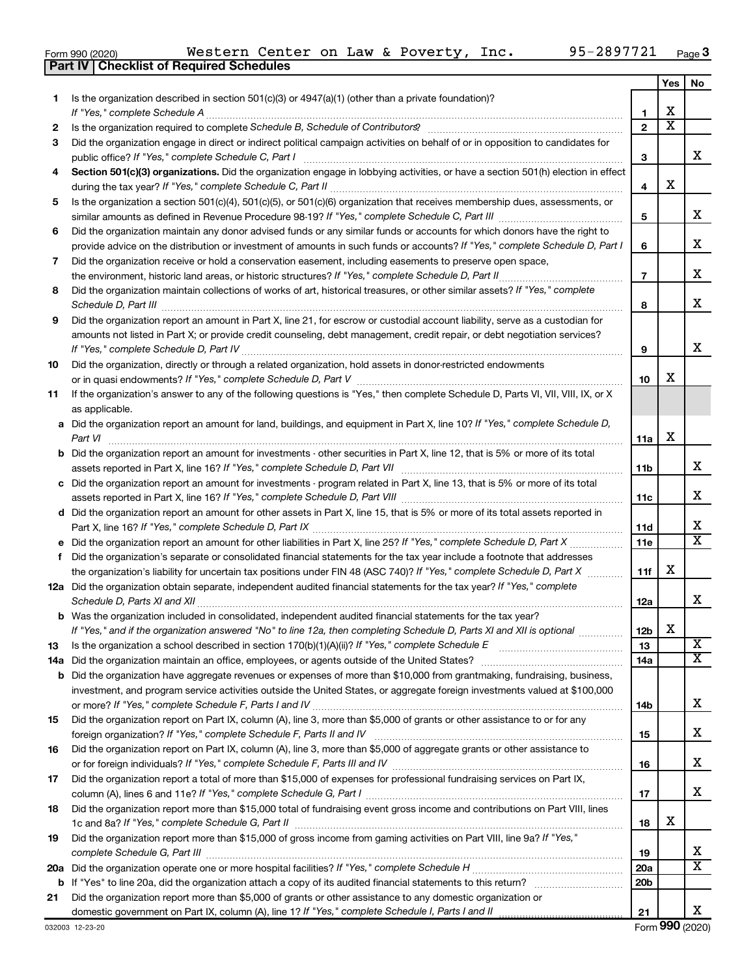|  | Form 990 (2020) |
|--|-----------------|
|  |                 |

**Part IV Checklist of Required Schedules**

|    |                                                                                                                                                                                                                                             |                 | Yes | No                      |
|----|---------------------------------------------------------------------------------------------------------------------------------------------------------------------------------------------------------------------------------------------|-----------------|-----|-------------------------|
| 1. | Is the organization described in section 501(c)(3) or 4947(a)(1) (other than a private foundation)?<br>If "Yes," complete Schedule A                                                                                                        | 1               | х   |                         |
| 2  |                                                                                                                                                                                                                                             | $\mathbf{2}$    | X   |                         |
| 3  | Did the organization engage in direct or indirect political campaign activities on behalf of or in opposition to candidates for                                                                                                             |                 |     |                         |
|    | public office? If "Yes," complete Schedule C, Part I                                                                                                                                                                                        | 3               |     | x.                      |
| 4  | Section 501(c)(3) organizations. Did the organization engage in lobbying activities, or have a section 501(h) election in effect                                                                                                            | 4               | х   |                         |
| 5  | Is the organization a section 501(c)(4), 501(c)(5), or 501(c)(6) organization that receives membership dues, assessments, or                                                                                                                |                 |     |                         |
|    | Did the organization maintain any donor advised funds or any similar funds or accounts for which donors have the right to                                                                                                                   | 5               |     | x.                      |
| 6  | provide advice on the distribution or investment of amounts in such funds or accounts? If "Yes," complete Schedule D, Part I                                                                                                                | 6               |     | х                       |
| 7  | Did the organization receive or hold a conservation easement, including easements to preserve open space,                                                                                                                                   | 7               |     | x                       |
| 8  | Did the organization maintain collections of works of art, historical treasures, or other similar assets? If "Yes," complete                                                                                                                | 8               |     | x                       |
| 9  | Did the organization report an amount in Part X, line 21, for escrow or custodial account liability, serve as a custodian for                                                                                                               |                 |     |                         |
|    | amounts not listed in Part X; or provide credit counseling, debt management, credit repair, or debt negotiation services?                                                                                                                   | 9               |     | x                       |
| 10 | Did the organization, directly or through a related organization, hold assets in donor-restricted endowments                                                                                                                                | 10              | х   |                         |
| 11 | If the organization's answer to any of the following questions is "Yes," then complete Schedule D, Parts VI, VII, VIII, IX, or X<br>as applicable.                                                                                          |                 |     |                         |
|    | a Did the organization report an amount for land, buildings, and equipment in Part X, line 10? If "Yes," complete Schedule D,<br>Part VI                                                                                                    | 11a             | х   |                         |
|    | <b>b</b> Did the organization report an amount for investments - other securities in Part X, line 12, that is 5% or more of its total                                                                                                       | 11b             |     | x                       |
|    | c Did the organization report an amount for investments - program related in Part X, line 13, that is 5% or more of its total                                                                                                               |                 |     |                         |
|    |                                                                                                                                                                                                                                             | 11c             |     | x                       |
|    | d Did the organization report an amount for other assets in Part X, line 15, that is 5% or more of its total assets reported in                                                                                                             |                 |     |                         |
|    |                                                                                                                                                                                                                                             | 11d             |     | х                       |
|    |                                                                                                                                                                                                                                             | 11e             |     | X                       |
| f  | Did the organization's separate or consolidated financial statements for the tax year include a footnote that addresses                                                                                                                     |                 |     |                         |
|    | the organization's liability for uncertain tax positions under FIN 48 (ASC 740)? If "Yes," complete Schedule D, Part X                                                                                                                      | 11f             | х   |                         |
|    | 12a Did the organization obtain separate, independent audited financial statements for the tax year? If "Yes," complete                                                                                                                     | 12a             |     | x                       |
|    | <b>b</b> Was the organization included in consolidated, independent audited financial statements for the tax year?<br>If "Yes," and if the organization answered "No" to line 12a, then completing Schedule D, Parts XI and XII is optional | 12b             | х   |                         |
| 13 |                                                                                                                                                                                                                                             | 13              |     | $\overline{\textbf{x}}$ |
|    |                                                                                                                                                                                                                                             | 14a             |     | X                       |
|    | <b>b</b> Did the organization have aggregate revenues or expenses of more than \$10,000 from grantmaking, fundraising, business,                                                                                                            |                 |     |                         |
|    | investment, and program service activities outside the United States, or aggregate foreign investments valued at \$100,000                                                                                                                  | 14b             |     | x                       |
| 15 | Did the organization report on Part IX, column (A), line 3, more than \$5,000 of grants or other assistance to or for any                                                                                                                   | 15              |     | х                       |
| 16 | Did the organization report on Part IX, column (A), line 3, more than \$5,000 of aggregate grants or other assistance to                                                                                                                    | 16              |     | х                       |
| 17 | Did the organization report a total of more than \$15,000 of expenses for professional fundraising services on Part IX,                                                                                                                     |                 |     |                         |
|    |                                                                                                                                                                                                                                             | 17              |     | x                       |
| 18 | Did the organization report more than \$15,000 total of fundraising event gross income and contributions on Part VIII, lines                                                                                                                | 18              | х   |                         |
| 19 | Did the organization report more than \$15,000 of gross income from gaming activities on Part VIII, line 9a? If "Yes,"                                                                                                                      |                 |     |                         |
|    |                                                                                                                                                                                                                                             | 19              |     | х                       |
|    |                                                                                                                                                                                                                                             | <b>20a</b>      |     | x                       |
|    |                                                                                                                                                                                                                                             | 20 <sub>b</sub> |     |                         |
| 21 | Did the organization report more than \$5,000 of grants or other assistance to any domestic organization or                                                                                                                                 |                 |     |                         |
|    |                                                                                                                                                                                                                                             | 21              |     | x                       |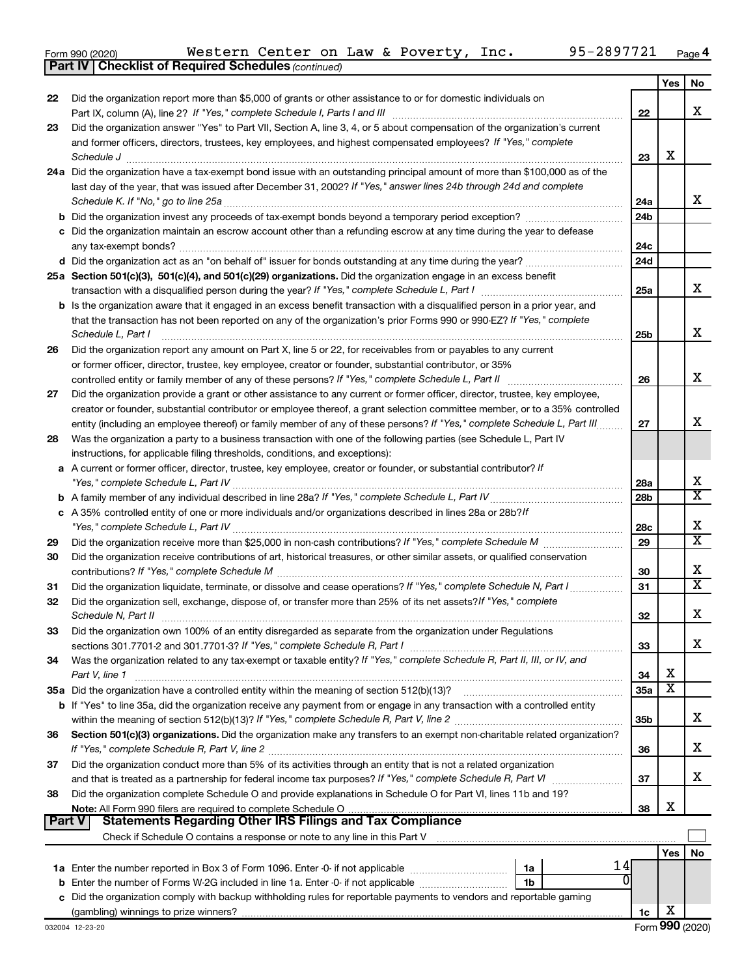| Form 990 (2020) |  |
|-----------------|--|
|-----------------|--|

*(continued)* **Part IV Checklist of Required Schedules**

|               |                                                                                                                                                                                                                                                   |                 | Yes | No                      |
|---------------|---------------------------------------------------------------------------------------------------------------------------------------------------------------------------------------------------------------------------------------------------|-----------------|-----|-------------------------|
| 22            | Did the organization report more than \$5,000 of grants or other assistance to or for domestic individuals on                                                                                                                                     |                 |     |                         |
|               |                                                                                                                                                                                                                                                   | 22              |     | x                       |
| 23            | Did the organization answer "Yes" to Part VII, Section A, line 3, 4, or 5 about compensation of the organization's current                                                                                                                        |                 |     |                         |
|               | and former officers, directors, trustees, key employees, and highest compensated employees? If "Yes," complete                                                                                                                                    |                 | X   |                         |
|               | Schedule J                                                                                                                                                                                                                                        | 23              |     |                         |
|               | 24a Did the organization have a tax-exempt bond issue with an outstanding principal amount of more than \$100,000 as of the<br>last day of the year, that was issued after December 31, 2002? If "Yes," answer lines 24b through 24d and complete |                 |     |                         |
|               | Schedule K. If "No," go to line 25a                                                                                                                                                                                                               | 24a             |     | x                       |
|               |                                                                                                                                                                                                                                                   | 24 <sub>b</sub> |     |                         |
|               | c Did the organization maintain an escrow account other than a refunding escrow at any time during the year to defease                                                                                                                            |                 |     |                         |
|               | any tax-exempt bonds?                                                                                                                                                                                                                             | 24c             |     |                         |
|               |                                                                                                                                                                                                                                                   | 24d             |     |                         |
|               | 25a Section 501(c)(3), 501(c)(4), and 501(c)(29) organizations. Did the organization engage in an excess benefit                                                                                                                                  |                 |     |                         |
|               |                                                                                                                                                                                                                                                   | 25a             |     | x                       |
|               | <b>b</b> Is the organization aware that it engaged in an excess benefit transaction with a disqualified person in a prior year, and                                                                                                               |                 |     |                         |
|               | that the transaction has not been reported on any of the organization's prior Forms 990 or 990-EZ? If "Yes," complete                                                                                                                             |                 |     |                         |
|               | Schedule L, Part I                                                                                                                                                                                                                                | 25b             |     | х                       |
| 26            | Did the organization report any amount on Part X, line 5 or 22, for receivables from or payables to any current                                                                                                                                   |                 |     |                         |
|               | or former officer, director, trustee, key employee, creator or founder, substantial contributor, or 35%                                                                                                                                           |                 |     |                         |
|               | controlled entity or family member of any of these persons? If "Yes," complete Schedule L, Part II                                                                                                                                                | 26              |     | x                       |
| 27            | Did the organization provide a grant or other assistance to any current or former officer, director, trustee, key employee,                                                                                                                       |                 |     |                         |
|               | creator or founder, substantial contributor or employee thereof, a grant selection committee member, or to a 35% controlled                                                                                                                       |                 |     |                         |
|               | entity (including an employee thereof) or family member of any of these persons? If "Yes," complete Schedule L, Part III                                                                                                                          | 27              |     | x                       |
| 28            | Was the organization a party to a business transaction with one of the following parties (see Schedule L, Part IV                                                                                                                                 |                 |     |                         |
|               | instructions, for applicable filing thresholds, conditions, and exceptions):                                                                                                                                                                      |                 |     |                         |
|               | a A current or former officer, director, trustee, key employee, creator or founder, or substantial contributor? If                                                                                                                                |                 |     |                         |
|               |                                                                                                                                                                                                                                                   | 28a             |     | х                       |
|               |                                                                                                                                                                                                                                                   | 28 <sub>b</sub> |     | X                       |
|               | c A 35% controlled entity of one or more individuals and/or organizations described in lines 28a or 28b?If                                                                                                                                        |                 |     |                         |
|               |                                                                                                                                                                                                                                                   | 28c             |     | х                       |
| 29            |                                                                                                                                                                                                                                                   | 29              |     | $\overline{\text{x}}$   |
| 30            | Did the organization receive contributions of art, historical treasures, or other similar assets, or qualified conservation                                                                                                                       |                 |     |                         |
|               |                                                                                                                                                                                                                                                   | 30              |     | х                       |
| 31            | Did the organization liquidate, terminate, or dissolve and cease operations? If "Yes," complete Schedule N, Part I                                                                                                                                | 31              |     | $\overline{\textbf{X}}$ |
| 32            | Did the organization sell, exchange, dispose of, or transfer more than 25% of its net assets? If "Yes," complete                                                                                                                                  |                 |     |                         |
|               | Schedule N, Part II                                                                                                                                                                                                                               | 32              |     | х                       |
| 33            | Did the organization own 100% of an entity disregarded as separate from the organization under Regulations                                                                                                                                        |                 |     | x                       |
|               |                                                                                                                                                                                                                                                   | 33              |     |                         |
| 34            | Was the organization related to any tax-exempt or taxable entity? If "Yes," complete Schedule R, Part II, III, or IV, and<br>Part V, line 1                                                                                                       | 34              | X   |                         |
|               |                                                                                                                                                                                                                                                   | 35a             | X   |                         |
|               | b If "Yes" to line 35a, did the organization receive any payment from or engage in any transaction with a controlled entity                                                                                                                       |                 |     |                         |
|               |                                                                                                                                                                                                                                                   | 35 <sub>b</sub> |     | х                       |
| 36            | Section 501(c)(3) organizations. Did the organization make any transfers to an exempt non-charitable related organization?                                                                                                                        |                 |     |                         |
|               |                                                                                                                                                                                                                                                   | 36              |     | х                       |
| 37            | Did the organization conduct more than 5% of its activities through an entity that is not a related organization                                                                                                                                  |                 |     |                         |
|               | and that is treated as a partnership for federal income tax purposes? If "Yes," complete Schedule R, Part VI                                                                                                                                      | 37              |     | x                       |
| 38            | Did the organization complete Schedule O and provide explanations in Schedule O for Part VI, lines 11b and 19?                                                                                                                                    |                 |     |                         |
|               |                                                                                                                                                                                                                                                   | 38              | X   |                         |
| <b>Part V</b> | <b>Statements Regarding Other IRS Filings and Tax Compliance</b>                                                                                                                                                                                  |                 |     |                         |
|               |                                                                                                                                                                                                                                                   |                 |     |                         |
|               |                                                                                                                                                                                                                                                   |                 | Yes | No                      |
|               | 14<br>1a                                                                                                                                                                                                                                          |                 |     |                         |
|               | <b>b</b> Enter the number of Forms W-2G included in line 1a. Enter -0- if not applicable<br>1b                                                                                                                                                    |                 |     |                         |
|               | c Did the organization comply with backup withholding rules for reportable payments to vendors and reportable gaming                                                                                                                              |                 |     |                         |
|               |                                                                                                                                                                                                                                                   | 1c              | X   |                         |

Form (2020) **990**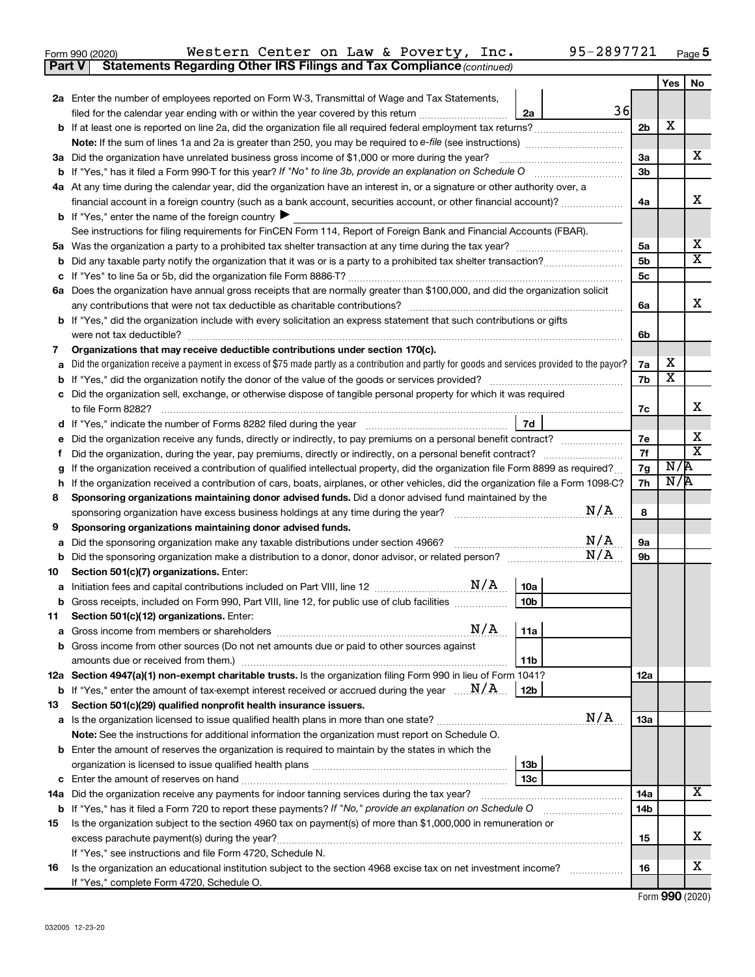| Form 990 (2020) |                                                                                     |  |  | Western Center on Law & Poverty, Inc. | 95-2897721 | Page |
|-----------------|-------------------------------------------------------------------------------------|--|--|---------------------------------------|------------|------|
|                 | <b>Part V</b> Statements Regarding Other IRS Filings and Tax Compliance (continued) |  |  |                                       |            |      |

|        |                                                                                                                                                                                                                                                                        |                | Yes                     | No                      |  |
|--------|------------------------------------------------------------------------------------------------------------------------------------------------------------------------------------------------------------------------------------------------------------------------|----------------|-------------------------|-------------------------|--|
|        | 2a Enter the number of employees reported on Form W-3, Transmittal of Wage and Tax Statements,                                                                                                                                                                         |                |                         |                         |  |
|        | 36<br>filed for the calendar year ending with or within the year covered by this return<br>2a                                                                                                                                                                          |                |                         |                         |  |
|        |                                                                                                                                                                                                                                                                        | 2 <sub>b</sub> | X                       |                         |  |
|        |                                                                                                                                                                                                                                                                        |                |                         |                         |  |
|        | 3a Did the organization have unrelated business gross income of \$1,000 or more during the year?                                                                                                                                                                       | За             |                         | x                       |  |
|        |                                                                                                                                                                                                                                                                        | 3 <sub>b</sub> |                         |                         |  |
|        | 4a At any time during the calendar year, did the organization have an interest in, or a signature or other authority over, a                                                                                                                                           |                |                         |                         |  |
|        | financial account in a foreign country (such as a bank account, securities account, or other financial account)?                                                                                                                                                       | 4a             |                         | X                       |  |
|        | <b>b</b> If "Yes," enter the name of the foreign country $\blacktriangleright$                                                                                                                                                                                         |                |                         |                         |  |
|        | See instructions for filing requirements for FinCEN Form 114, Report of Foreign Bank and Financial Accounts (FBAR).                                                                                                                                                    |                |                         |                         |  |
| 5а     |                                                                                                                                                                                                                                                                        | 5a             |                         | х                       |  |
| b      |                                                                                                                                                                                                                                                                        | 5 <sub>b</sub> |                         | $\overline{\texttt{X}}$ |  |
|        |                                                                                                                                                                                                                                                                        | 5c             |                         |                         |  |
|        | 6a Does the organization have annual gross receipts that are normally greater than \$100,000, and did the organization solicit                                                                                                                                         |                |                         |                         |  |
|        | any contributions that were not tax deductible as charitable contributions?                                                                                                                                                                                            | 6a             |                         | x                       |  |
|        | <b>b</b> If "Yes," did the organization include with every solicitation an express statement that such contributions or gifts                                                                                                                                          |                |                         |                         |  |
|        | were not tax deductible?                                                                                                                                                                                                                                               | 6b             |                         |                         |  |
| 7      | Organizations that may receive deductible contributions under section 170(c).                                                                                                                                                                                          |                |                         |                         |  |
| a      | Did the organization receive a payment in excess of \$75 made partly as a contribution and partly for goods and services provided to the payor?                                                                                                                        | 7a             | х                       |                         |  |
| b      |                                                                                                                                                                                                                                                                        | 7b             | $\overline{\textbf{x}}$ |                         |  |
|        | Did the organization sell, exchange, or otherwise dispose of tangible personal property for which it was required                                                                                                                                                      |                |                         | х                       |  |
|        |                                                                                                                                                                                                                                                                        | 7c             |                         |                         |  |
| d      | 7d                                                                                                                                                                                                                                                                     |                |                         | x                       |  |
| е      | Did the organization receive any funds, directly or indirectly, to pay premiums on a personal benefit contract?                                                                                                                                                        | 7е             |                         | $\overline{\texttt{x}}$ |  |
|        | Did the organization, during the year, pay premiums, directly or indirectly, on a personal benefit contract?                                                                                                                                                           | 7f<br>7g       | N/R                     |                         |  |
| g      | If the organization received a contribution of qualified intellectual property, did the organization file Form 8899 as required?<br>If the organization received a contribution of cars, boats, airplanes, or other vehicles, did the organization file a Form 1098-C? |                |                         |                         |  |
| h<br>8 | Sponsoring organizations maintaining donor advised funds. Did a donor advised fund maintained by the                                                                                                                                                                   | 7h             | N/R                     |                         |  |
|        | N/A<br>sponsoring organization have excess business holdings at any time during the year?                                                                                                                                                                              | 8              |                         |                         |  |
| 9      | Sponsoring organizations maintaining donor advised funds.                                                                                                                                                                                                              |                |                         |                         |  |
| а      | N/A<br>Did the sponsoring organization make any taxable distributions under section 4966?                                                                                                                                                                              | 9а             |                         |                         |  |
| b      | N/A                                                                                                                                                                                                                                                                    | 9b             |                         |                         |  |
| 10     | Section 501(c)(7) organizations. Enter:                                                                                                                                                                                                                                |                |                         |                         |  |
| а      | 10a                                                                                                                                                                                                                                                                    |                |                         |                         |  |
| b      | 10 <sub>b</sub><br>Gross receipts, included on Form 990, Part VIII, line 12, for public use of club facilities                                                                                                                                                         |                |                         |                         |  |
| 11     | Section 501(c)(12) organizations. Enter:                                                                                                                                                                                                                               |                |                         |                         |  |
|        | $N/A$   11a                                                                                                                                                                                                                                                            |                |                         |                         |  |
|        | <b>b</b> Gross income from other sources (Do not net amounts due or paid to other sources against                                                                                                                                                                      |                |                         |                         |  |
|        | 11b                                                                                                                                                                                                                                                                    |                |                         |                         |  |
|        | 12a Section 4947(a)(1) non-exempt charitable trusts. Is the organization filing Form 990 in lieu of Form 1041?                                                                                                                                                         | 12a            |                         |                         |  |
|        | <b>b</b> If "Yes," enter the amount of tax-exempt interest received or accrued during the year $\ldots \mathbf{N}/\mathbf{A}$ .<br>12b                                                                                                                                 |                |                         |                         |  |
| 13     | Section 501(c)(29) qualified nonprofit health insurance issuers.                                                                                                                                                                                                       |                |                         |                         |  |
|        | N/A<br><b>a</b> Is the organization licensed to issue qualified health plans in more than one state?                                                                                                                                                                   | 13a            |                         |                         |  |
|        | Note: See the instructions for additional information the organization must report on Schedule O.                                                                                                                                                                      |                |                         |                         |  |
|        | <b>b</b> Enter the amount of reserves the organization is required to maintain by the states in which the                                                                                                                                                              |                |                         |                         |  |
|        | 13b                                                                                                                                                                                                                                                                    |                |                         |                         |  |
|        | 13 <sub>c</sub>                                                                                                                                                                                                                                                        |                |                         |                         |  |
|        | 14a Did the organization receive any payments for indoor tanning services during the tax year?                                                                                                                                                                         | 14a            |                         | x                       |  |
|        | <b>b</b> If "Yes," has it filed a Form 720 to report these payments? If "No," provide an explanation on Schedule O                                                                                                                                                     | 14b            |                         |                         |  |
| 15     | Is the organization subject to the section 4960 tax on payment(s) of more than \$1,000,000 in remuneration or                                                                                                                                                          |                |                         |                         |  |
|        | excess parachute payment(s) during the year?                                                                                                                                                                                                                           | 15             |                         | x                       |  |
|        | If "Yes," see instructions and file Form 4720, Schedule N.                                                                                                                                                                                                             |                |                         |                         |  |
| 16     | Is the organization an educational institution subject to the section 4968 excise tax on net investment income?                                                                                                                                                        | 16             |                         | х                       |  |
|        | If "Yes," complete Form 4720, Schedule O.                                                                                                                                                                                                                              |                |                         |                         |  |

Form (2020) **990**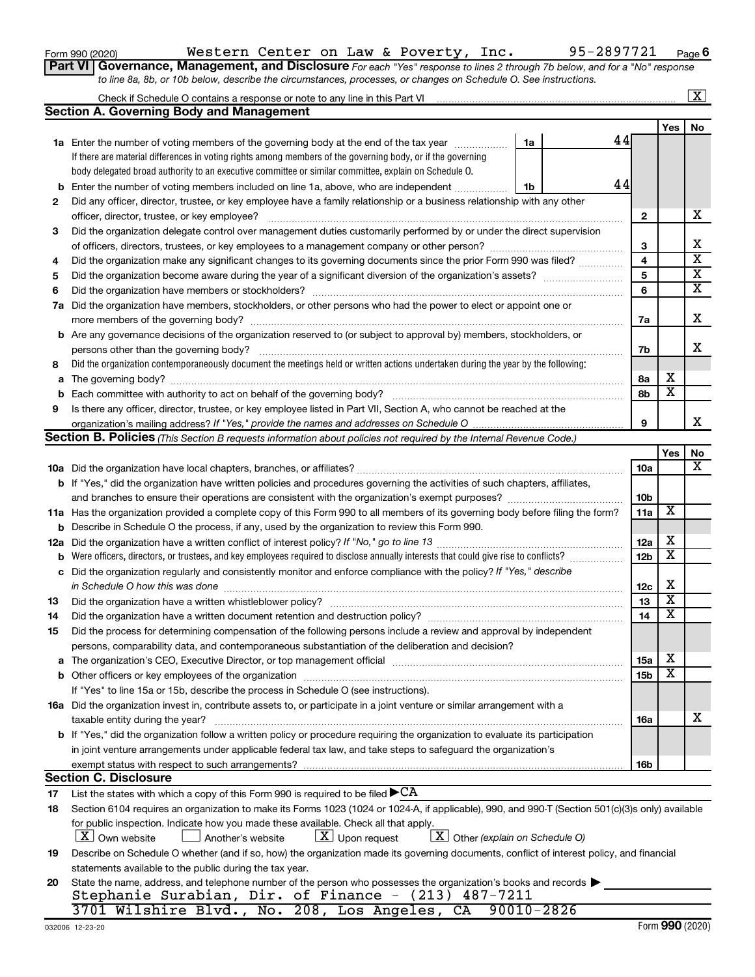|  |  | Form 990 (2020) |
|--|--|-----------------|
|--|--|-----------------|

# Form 990 (2020) Page Western Center on Law & Poverty, Inc. 95-2897721

**Part VI** Governance, Management, and Disclosure For each "Yes" response to lines 2 through 7b below, and for a "No" response *to line 8a, 8b, or 10b below, describe the circumstances, processes, or changes on Schedule O. See instructions.*

| <b>Section A. Governing Body and Management</b><br>44<br><b>1a</b> Enter the number of voting members of the governing body at the end of the tax year<br>1a<br>If there are material differences in voting rights among members of the governing body, or if the governing<br>body delegated broad authority to an executive committee or similar committee, explain on Schedule O.<br>44<br>Enter the number of voting members included on line 1a, above, who are independent<br>1b<br>b<br>Did any officer, director, trustee, or key employee have a family relationship or a business relationship with any other<br>2<br>officer, director, trustee, or key employee?<br>2<br>Did the organization delegate control over management duties customarily performed by or under the direct supervision<br>3<br>З<br>4<br>Did the organization make any significant changes to its governing documents since the prior Form 990 was filed?<br>4<br>5<br>5<br>6<br>6<br>7a Did the organization have members, stockholders, or other persons who had the power to elect or appoint one or<br>7a<br><b>b</b> Are any governance decisions of the organization reserved to (or subject to approval by) members, stockholders, or<br>persons other than the governing body?<br>7b<br>Did the organization contemporaneously document the meetings held or written actions undertaken during the year by the following:<br>8<br>The governing body? [[11] notice is a construction of the construction of the construction of the construction of the construction of the construction of the construction of the construction of the construction of the cons<br>8а<br>a<br>Each committee with authority to act on behalf of the governing body?<br>8b<br>b<br>Is there any officer, director, trustee, or key employee listed in Part VII, Section A, who cannot be reached at the<br>9<br>9<br><b>Section B. Policies</b> (This Section B requests information about policies not required by the Internal Revenue Code.)<br><b>10a</b><br><b>b</b> If "Yes," did the organization have written policies and procedures governing the activities of such chapters, affiliates,<br>10 <sub>b</sub><br>11a<br>11a Has the organization provided a complete copy of this Form 990 to all members of its governing body before filing the form?<br><b>b</b> Describe in Schedule O the process, if any, used by the organization to review this Form 990.<br>12a<br>12a<br>Were officers, directors, or trustees, and key employees required to disclose annually interests that could give rise to conflicts?<br>12 <sub>b</sub><br>b<br>Did the organization regularly and consistently monitor and enforce compliance with the policy? If "Yes," describe<br>с<br>in Schedule O how this was done<br>12c<br>13<br>Did the organization have a written whistleblower policy?<br>13<br>14<br>14<br>Did the process for determining compensation of the following persons include a review and approval by independent<br>15<br>persons, comparability data, and contemporaneous substantiation of the deliberation and decision?<br><b>15a</b><br>The organization's CEO, Executive Director, or top management official manufactured content content of the organization's CEO, Executive Director, or top management official manufactured content of the original manufacture<br>15 <sub>b</sub><br>If "Yes" to line 15a or 15b, describe the process in Schedule O (see instructions).<br>16a Did the organization invest in, contribute assets to, or participate in a joint venture or similar arrangement with a<br>taxable entity during the year?<br>16a<br>b If "Yes," did the organization follow a written policy or procedure requiring the organization to evaluate its participation<br>in joint venture arrangements under applicable federal tax law, and take steps to safeguard the organization's | Yes                     |                         |
|----------------------------------------------------------------------------------------------------------------------------------------------------------------------------------------------------------------------------------------------------------------------------------------------------------------------------------------------------------------------------------------------------------------------------------------------------------------------------------------------------------------------------------------------------------------------------------------------------------------------------------------------------------------------------------------------------------------------------------------------------------------------------------------------------------------------------------------------------------------------------------------------------------------------------------------------------------------------------------------------------------------------------------------------------------------------------------------------------------------------------------------------------------------------------------------------------------------------------------------------------------------------------------------------------------------------------------------------------------------------------------------------------------------------------------------------------------------------------------------------------------------------------------------------------------------------------------------------------------------------------------------------------------------------------------------------------------------------------------------------------------------------------------------------------------------------------------------------------------------------------------------------------------------------------------------------------------------------------------------------------------------------------------------------------------------------------------------------------------------------------------------------------------------------------------------------------------------------------------------------------------------------------------------------------------------------------------------------------------------------------------------------------------------------------------------------------------------------------------------------------------------------------------------------------------------------------------------------------------------------------------------------------------------------------------------------------------------------------------------------------------------------------------------------------------------------------------------------------------------------------------------------------------------------------------------------------------------------------------------------------------------------------------------------------------------------------------------------------------------------------------------------------------------------------------------------------------------------------------------------------------------------------------------------------------------------------------------------------------------------------------------------------------------------------------------------------------------------------------------------------------------------------------------------------------------------------------------------------------------------------------------------------------------------------------------------------------------------------------------------------------------------------------------------------------------------------------------------------------------------------------------------------------------------|-------------------------|-------------------------|
|                                                                                                                                                                                                                                                                                                                                                                                                                                                                                                                                                                                                                                                                                                                                                                                                                                                                                                                                                                                                                                                                                                                                                                                                                                                                                                                                                                                                                                                                                                                                                                                                                                                                                                                                                                                                                                                                                                                                                                                                                                                                                                                                                                                                                                                                                                                                                                                                                                                                                                                                                                                                                                                                                                                                                                                                                                                                                                                                                                                                                                                                                                                                                                                                                                                                                                                                                                                                                                                                                                                                                                                                                                                                                                                                                                                                                                                                                                                      |                         |                         |
|                                                                                                                                                                                                                                                                                                                                                                                                                                                                                                                                                                                                                                                                                                                                                                                                                                                                                                                                                                                                                                                                                                                                                                                                                                                                                                                                                                                                                                                                                                                                                                                                                                                                                                                                                                                                                                                                                                                                                                                                                                                                                                                                                                                                                                                                                                                                                                                                                                                                                                                                                                                                                                                                                                                                                                                                                                                                                                                                                                                                                                                                                                                                                                                                                                                                                                                                                                                                                                                                                                                                                                                                                                                                                                                                                                                                                                                                                                                      |                         | No                      |
|                                                                                                                                                                                                                                                                                                                                                                                                                                                                                                                                                                                                                                                                                                                                                                                                                                                                                                                                                                                                                                                                                                                                                                                                                                                                                                                                                                                                                                                                                                                                                                                                                                                                                                                                                                                                                                                                                                                                                                                                                                                                                                                                                                                                                                                                                                                                                                                                                                                                                                                                                                                                                                                                                                                                                                                                                                                                                                                                                                                                                                                                                                                                                                                                                                                                                                                                                                                                                                                                                                                                                                                                                                                                                                                                                                                                                                                                                                                      |                         |                         |
|                                                                                                                                                                                                                                                                                                                                                                                                                                                                                                                                                                                                                                                                                                                                                                                                                                                                                                                                                                                                                                                                                                                                                                                                                                                                                                                                                                                                                                                                                                                                                                                                                                                                                                                                                                                                                                                                                                                                                                                                                                                                                                                                                                                                                                                                                                                                                                                                                                                                                                                                                                                                                                                                                                                                                                                                                                                                                                                                                                                                                                                                                                                                                                                                                                                                                                                                                                                                                                                                                                                                                                                                                                                                                                                                                                                                                                                                                                                      |                         |                         |
|                                                                                                                                                                                                                                                                                                                                                                                                                                                                                                                                                                                                                                                                                                                                                                                                                                                                                                                                                                                                                                                                                                                                                                                                                                                                                                                                                                                                                                                                                                                                                                                                                                                                                                                                                                                                                                                                                                                                                                                                                                                                                                                                                                                                                                                                                                                                                                                                                                                                                                                                                                                                                                                                                                                                                                                                                                                                                                                                                                                                                                                                                                                                                                                                                                                                                                                                                                                                                                                                                                                                                                                                                                                                                                                                                                                                                                                                                                                      |                         |                         |
|                                                                                                                                                                                                                                                                                                                                                                                                                                                                                                                                                                                                                                                                                                                                                                                                                                                                                                                                                                                                                                                                                                                                                                                                                                                                                                                                                                                                                                                                                                                                                                                                                                                                                                                                                                                                                                                                                                                                                                                                                                                                                                                                                                                                                                                                                                                                                                                                                                                                                                                                                                                                                                                                                                                                                                                                                                                                                                                                                                                                                                                                                                                                                                                                                                                                                                                                                                                                                                                                                                                                                                                                                                                                                                                                                                                                                                                                                                                      |                         |                         |
|                                                                                                                                                                                                                                                                                                                                                                                                                                                                                                                                                                                                                                                                                                                                                                                                                                                                                                                                                                                                                                                                                                                                                                                                                                                                                                                                                                                                                                                                                                                                                                                                                                                                                                                                                                                                                                                                                                                                                                                                                                                                                                                                                                                                                                                                                                                                                                                                                                                                                                                                                                                                                                                                                                                                                                                                                                                                                                                                                                                                                                                                                                                                                                                                                                                                                                                                                                                                                                                                                                                                                                                                                                                                                                                                                                                                                                                                                                                      |                         |                         |
|                                                                                                                                                                                                                                                                                                                                                                                                                                                                                                                                                                                                                                                                                                                                                                                                                                                                                                                                                                                                                                                                                                                                                                                                                                                                                                                                                                                                                                                                                                                                                                                                                                                                                                                                                                                                                                                                                                                                                                                                                                                                                                                                                                                                                                                                                                                                                                                                                                                                                                                                                                                                                                                                                                                                                                                                                                                                                                                                                                                                                                                                                                                                                                                                                                                                                                                                                                                                                                                                                                                                                                                                                                                                                                                                                                                                                                                                                                                      |                         | х                       |
|                                                                                                                                                                                                                                                                                                                                                                                                                                                                                                                                                                                                                                                                                                                                                                                                                                                                                                                                                                                                                                                                                                                                                                                                                                                                                                                                                                                                                                                                                                                                                                                                                                                                                                                                                                                                                                                                                                                                                                                                                                                                                                                                                                                                                                                                                                                                                                                                                                                                                                                                                                                                                                                                                                                                                                                                                                                                                                                                                                                                                                                                                                                                                                                                                                                                                                                                                                                                                                                                                                                                                                                                                                                                                                                                                                                                                                                                                                                      |                         |                         |
|                                                                                                                                                                                                                                                                                                                                                                                                                                                                                                                                                                                                                                                                                                                                                                                                                                                                                                                                                                                                                                                                                                                                                                                                                                                                                                                                                                                                                                                                                                                                                                                                                                                                                                                                                                                                                                                                                                                                                                                                                                                                                                                                                                                                                                                                                                                                                                                                                                                                                                                                                                                                                                                                                                                                                                                                                                                                                                                                                                                                                                                                                                                                                                                                                                                                                                                                                                                                                                                                                                                                                                                                                                                                                                                                                                                                                                                                                                                      |                         | х                       |
|                                                                                                                                                                                                                                                                                                                                                                                                                                                                                                                                                                                                                                                                                                                                                                                                                                                                                                                                                                                                                                                                                                                                                                                                                                                                                                                                                                                                                                                                                                                                                                                                                                                                                                                                                                                                                                                                                                                                                                                                                                                                                                                                                                                                                                                                                                                                                                                                                                                                                                                                                                                                                                                                                                                                                                                                                                                                                                                                                                                                                                                                                                                                                                                                                                                                                                                                                                                                                                                                                                                                                                                                                                                                                                                                                                                                                                                                                                                      |                         | $\overline{\mathbf{x}}$ |
|                                                                                                                                                                                                                                                                                                                                                                                                                                                                                                                                                                                                                                                                                                                                                                                                                                                                                                                                                                                                                                                                                                                                                                                                                                                                                                                                                                                                                                                                                                                                                                                                                                                                                                                                                                                                                                                                                                                                                                                                                                                                                                                                                                                                                                                                                                                                                                                                                                                                                                                                                                                                                                                                                                                                                                                                                                                                                                                                                                                                                                                                                                                                                                                                                                                                                                                                                                                                                                                                                                                                                                                                                                                                                                                                                                                                                                                                                                                      |                         | $\overline{\mathbf{x}}$ |
|                                                                                                                                                                                                                                                                                                                                                                                                                                                                                                                                                                                                                                                                                                                                                                                                                                                                                                                                                                                                                                                                                                                                                                                                                                                                                                                                                                                                                                                                                                                                                                                                                                                                                                                                                                                                                                                                                                                                                                                                                                                                                                                                                                                                                                                                                                                                                                                                                                                                                                                                                                                                                                                                                                                                                                                                                                                                                                                                                                                                                                                                                                                                                                                                                                                                                                                                                                                                                                                                                                                                                                                                                                                                                                                                                                                                                                                                                                                      |                         | $\overline{\textbf{X}}$ |
|                                                                                                                                                                                                                                                                                                                                                                                                                                                                                                                                                                                                                                                                                                                                                                                                                                                                                                                                                                                                                                                                                                                                                                                                                                                                                                                                                                                                                                                                                                                                                                                                                                                                                                                                                                                                                                                                                                                                                                                                                                                                                                                                                                                                                                                                                                                                                                                                                                                                                                                                                                                                                                                                                                                                                                                                                                                                                                                                                                                                                                                                                                                                                                                                                                                                                                                                                                                                                                                                                                                                                                                                                                                                                                                                                                                                                                                                                                                      |                         |                         |
|                                                                                                                                                                                                                                                                                                                                                                                                                                                                                                                                                                                                                                                                                                                                                                                                                                                                                                                                                                                                                                                                                                                                                                                                                                                                                                                                                                                                                                                                                                                                                                                                                                                                                                                                                                                                                                                                                                                                                                                                                                                                                                                                                                                                                                                                                                                                                                                                                                                                                                                                                                                                                                                                                                                                                                                                                                                                                                                                                                                                                                                                                                                                                                                                                                                                                                                                                                                                                                                                                                                                                                                                                                                                                                                                                                                                                                                                                                                      |                         | х                       |
|                                                                                                                                                                                                                                                                                                                                                                                                                                                                                                                                                                                                                                                                                                                                                                                                                                                                                                                                                                                                                                                                                                                                                                                                                                                                                                                                                                                                                                                                                                                                                                                                                                                                                                                                                                                                                                                                                                                                                                                                                                                                                                                                                                                                                                                                                                                                                                                                                                                                                                                                                                                                                                                                                                                                                                                                                                                                                                                                                                                                                                                                                                                                                                                                                                                                                                                                                                                                                                                                                                                                                                                                                                                                                                                                                                                                                                                                                                                      |                         |                         |
|                                                                                                                                                                                                                                                                                                                                                                                                                                                                                                                                                                                                                                                                                                                                                                                                                                                                                                                                                                                                                                                                                                                                                                                                                                                                                                                                                                                                                                                                                                                                                                                                                                                                                                                                                                                                                                                                                                                                                                                                                                                                                                                                                                                                                                                                                                                                                                                                                                                                                                                                                                                                                                                                                                                                                                                                                                                                                                                                                                                                                                                                                                                                                                                                                                                                                                                                                                                                                                                                                                                                                                                                                                                                                                                                                                                                                                                                                                                      |                         | x                       |
|                                                                                                                                                                                                                                                                                                                                                                                                                                                                                                                                                                                                                                                                                                                                                                                                                                                                                                                                                                                                                                                                                                                                                                                                                                                                                                                                                                                                                                                                                                                                                                                                                                                                                                                                                                                                                                                                                                                                                                                                                                                                                                                                                                                                                                                                                                                                                                                                                                                                                                                                                                                                                                                                                                                                                                                                                                                                                                                                                                                                                                                                                                                                                                                                                                                                                                                                                                                                                                                                                                                                                                                                                                                                                                                                                                                                                                                                                                                      |                         |                         |
|                                                                                                                                                                                                                                                                                                                                                                                                                                                                                                                                                                                                                                                                                                                                                                                                                                                                                                                                                                                                                                                                                                                                                                                                                                                                                                                                                                                                                                                                                                                                                                                                                                                                                                                                                                                                                                                                                                                                                                                                                                                                                                                                                                                                                                                                                                                                                                                                                                                                                                                                                                                                                                                                                                                                                                                                                                                                                                                                                                                                                                                                                                                                                                                                                                                                                                                                                                                                                                                                                                                                                                                                                                                                                                                                                                                                                                                                                                                      | х                       |                         |
|                                                                                                                                                                                                                                                                                                                                                                                                                                                                                                                                                                                                                                                                                                                                                                                                                                                                                                                                                                                                                                                                                                                                                                                                                                                                                                                                                                                                                                                                                                                                                                                                                                                                                                                                                                                                                                                                                                                                                                                                                                                                                                                                                                                                                                                                                                                                                                                                                                                                                                                                                                                                                                                                                                                                                                                                                                                                                                                                                                                                                                                                                                                                                                                                                                                                                                                                                                                                                                                                                                                                                                                                                                                                                                                                                                                                                                                                                                                      | $\overline{\textbf{x}}$ |                         |
|                                                                                                                                                                                                                                                                                                                                                                                                                                                                                                                                                                                                                                                                                                                                                                                                                                                                                                                                                                                                                                                                                                                                                                                                                                                                                                                                                                                                                                                                                                                                                                                                                                                                                                                                                                                                                                                                                                                                                                                                                                                                                                                                                                                                                                                                                                                                                                                                                                                                                                                                                                                                                                                                                                                                                                                                                                                                                                                                                                                                                                                                                                                                                                                                                                                                                                                                                                                                                                                                                                                                                                                                                                                                                                                                                                                                                                                                                                                      |                         |                         |
|                                                                                                                                                                                                                                                                                                                                                                                                                                                                                                                                                                                                                                                                                                                                                                                                                                                                                                                                                                                                                                                                                                                                                                                                                                                                                                                                                                                                                                                                                                                                                                                                                                                                                                                                                                                                                                                                                                                                                                                                                                                                                                                                                                                                                                                                                                                                                                                                                                                                                                                                                                                                                                                                                                                                                                                                                                                                                                                                                                                                                                                                                                                                                                                                                                                                                                                                                                                                                                                                                                                                                                                                                                                                                                                                                                                                                                                                                                                      |                         | x                       |
|                                                                                                                                                                                                                                                                                                                                                                                                                                                                                                                                                                                                                                                                                                                                                                                                                                                                                                                                                                                                                                                                                                                                                                                                                                                                                                                                                                                                                                                                                                                                                                                                                                                                                                                                                                                                                                                                                                                                                                                                                                                                                                                                                                                                                                                                                                                                                                                                                                                                                                                                                                                                                                                                                                                                                                                                                                                                                                                                                                                                                                                                                                                                                                                                                                                                                                                                                                                                                                                                                                                                                                                                                                                                                                                                                                                                                                                                                                                      |                         |                         |
|                                                                                                                                                                                                                                                                                                                                                                                                                                                                                                                                                                                                                                                                                                                                                                                                                                                                                                                                                                                                                                                                                                                                                                                                                                                                                                                                                                                                                                                                                                                                                                                                                                                                                                                                                                                                                                                                                                                                                                                                                                                                                                                                                                                                                                                                                                                                                                                                                                                                                                                                                                                                                                                                                                                                                                                                                                                                                                                                                                                                                                                                                                                                                                                                                                                                                                                                                                                                                                                                                                                                                                                                                                                                                                                                                                                                                                                                                                                      | Yes                     | No                      |
|                                                                                                                                                                                                                                                                                                                                                                                                                                                                                                                                                                                                                                                                                                                                                                                                                                                                                                                                                                                                                                                                                                                                                                                                                                                                                                                                                                                                                                                                                                                                                                                                                                                                                                                                                                                                                                                                                                                                                                                                                                                                                                                                                                                                                                                                                                                                                                                                                                                                                                                                                                                                                                                                                                                                                                                                                                                                                                                                                                                                                                                                                                                                                                                                                                                                                                                                                                                                                                                                                                                                                                                                                                                                                                                                                                                                                                                                                                                      |                         | х                       |
|                                                                                                                                                                                                                                                                                                                                                                                                                                                                                                                                                                                                                                                                                                                                                                                                                                                                                                                                                                                                                                                                                                                                                                                                                                                                                                                                                                                                                                                                                                                                                                                                                                                                                                                                                                                                                                                                                                                                                                                                                                                                                                                                                                                                                                                                                                                                                                                                                                                                                                                                                                                                                                                                                                                                                                                                                                                                                                                                                                                                                                                                                                                                                                                                                                                                                                                                                                                                                                                                                                                                                                                                                                                                                                                                                                                                                                                                                                                      |                         |                         |
|                                                                                                                                                                                                                                                                                                                                                                                                                                                                                                                                                                                                                                                                                                                                                                                                                                                                                                                                                                                                                                                                                                                                                                                                                                                                                                                                                                                                                                                                                                                                                                                                                                                                                                                                                                                                                                                                                                                                                                                                                                                                                                                                                                                                                                                                                                                                                                                                                                                                                                                                                                                                                                                                                                                                                                                                                                                                                                                                                                                                                                                                                                                                                                                                                                                                                                                                                                                                                                                                                                                                                                                                                                                                                                                                                                                                                                                                                                                      |                         |                         |
|                                                                                                                                                                                                                                                                                                                                                                                                                                                                                                                                                                                                                                                                                                                                                                                                                                                                                                                                                                                                                                                                                                                                                                                                                                                                                                                                                                                                                                                                                                                                                                                                                                                                                                                                                                                                                                                                                                                                                                                                                                                                                                                                                                                                                                                                                                                                                                                                                                                                                                                                                                                                                                                                                                                                                                                                                                                                                                                                                                                                                                                                                                                                                                                                                                                                                                                                                                                                                                                                                                                                                                                                                                                                                                                                                                                                                                                                                                                      | x                       |                         |
|                                                                                                                                                                                                                                                                                                                                                                                                                                                                                                                                                                                                                                                                                                                                                                                                                                                                                                                                                                                                                                                                                                                                                                                                                                                                                                                                                                                                                                                                                                                                                                                                                                                                                                                                                                                                                                                                                                                                                                                                                                                                                                                                                                                                                                                                                                                                                                                                                                                                                                                                                                                                                                                                                                                                                                                                                                                                                                                                                                                                                                                                                                                                                                                                                                                                                                                                                                                                                                                                                                                                                                                                                                                                                                                                                                                                                                                                                                                      |                         |                         |
|                                                                                                                                                                                                                                                                                                                                                                                                                                                                                                                                                                                                                                                                                                                                                                                                                                                                                                                                                                                                                                                                                                                                                                                                                                                                                                                                                                                                                                                                                                                                                                                                                                                                                                                                                                                                                                                                                                                                                                                                                                                                                                                                                                                                                                                                                                                                                                                                                                                                                                                                                                                                                                                                                                                                                                                                                                                                                                                                                                                                                                                                                                                                                                                                                                                                                                                                                                                                                                                                                                                                                                                                                                                                                                                                                                                                                                                                                                                      | х                       |                         |
|                                                                                                                                                                                                                                                                                                                                                                                                                                                                                                                                                                                                                                                                                                                                                                                                                                                                                                                                                                                                                                                                                                                                                                                                                                                                                                                                                                                                                                                                                                                                                                                                                                                                                                                                                                                                                                                                                                                                                                                                                                                                                                                                                                                                                                                                                                                                                                                                                                                                                                                                                                                                                                                                                                                                                                                                                                                                                                                                                                                                                                                                                                                                                                                                                                                                                                                                                                                                                                                                                                                                                                                                                                                                                                                                                                                                                                                                                                                      | $\overline{\textbf{x}}$ |                         |
|                                                                                                                                                                                                                                                                                                                                                                                                                                                                                                                                                                                                                                                                                                                                                                                                                                                                                                                                                                                                                                                                                                                                                                                                                                                                                                                                                                                                                                                                                                                                                                                                                                                                                                                                                                                                                                                                                                                                                                                                                                                                                                                                                                                                                                                                                                                                                                                                                                                                                                                                                                                                                                                                                                                                                                                                                                                                                                                                                                                                                                                                                                                                                                                                                                                                                                                                                                                                                                                                                                                                                                                                                                                                                                                                                                                                                                                                                                                      |                         |                         |
|                                                                                                                                                                                                                                                                                                                                                                                                                                                                                                                                                                                                                                                                                                                                                                                                                                                                                                                                                                                                                                                                                                                                                                                                                                                                                                                                                                                                                                                                                                                                                                                                                                                                                                                                                                                                                                                                                                                                                                                                                                                                                                                                                                                                                                                                                                                                                                                                                                                                                                                                                                                                                                                                                                                                                                                                                                                                                                                                                                                                                                                                                                                                                                                                                                                                                                                                                                                                                                                                                                                                                                                                                                                                                                                                                                                                                                                                                                                      | х                       |                         |
|                                                                                                                                                                                                                                                                                                                                                                                                                                                                                                                                                                                                                                                                                                                                                                                                                                                                                                                                                                                                                                                                                                                                                                                                                                                                                                                                                                                                                                                                                                                                                                                                                                                                                                                                                                                                                                                                                                                                                                                                                                                                                                                                                                                                                                                                                                                                                                                                                                                                                                                                                                                                                                                                                                                                                                                                                                                                                                                                                                                                                                                                                                                                                                                                                                                                                                                                                                                                                                                                                                                                                                                                                                                                                                                                                                                                                                                                                                                      | $\overline{\textbf{x}}$ |                         |
|                                                                                                                                                                                                                                                                                                                                                                                                                                                                                                                                                                                                                                                                                                                                                                                                                                                                                                                                                                                                                                                                                                                                                                                                                                                                                                                                                                                                                                                                                                                                                                                                                                                                                                                                                                                                                                                                                                                                                                                                                                                                                                                                                                                                                                                                                                                                                                                                                                                                                                                                                                                                                                                                                                                                                                                                                                                                                                                                                                                                                                                                                                                                                                                                                                                                                                                                                                                                                                                                                                                                                                                                                                                                                                                                                                                                                                                                                                                      | $\overline{\textbf{x}}$ |                         |
|                                                                                                                                                                                                                                                                                                                                                                                                                                                                                                                                                                                                                                                                                                                                                                                                                                                                                                                                                                                                                                                                                                                                                                                                                                                                                                                                                                                                                                                                                                                                                                                                                                                                                                                                                                                                                                                                                                                                                                                                                                                                                                                                                                                                                                                                                                                                                                                                                                                                                                                                                                                                                                                                                                                                                                                                                                                                                                                                                                                                                                                                                                                                                                                                                                                                                                                                                                                                                                                                                                                                                                                                                                                                                                                                                                                                                                                                                                                      |                         |                         |
|                                                                                                                                                                                                                                                                                                                                                                                                                                                                                                                                                                                                                                                                                                                                                                                                                                                                                                                                                                                                                                                                                                                                                                                                                                                                                                                                                                                                                                                                                                                                                                                                                                                                                                                                                                                                                                                                                                                                                                                                                                                                                                                                                                                                                                                                                                                                                                                                                                                                                                                                                                                                                                                                                                                                                                                                                                                                                                                                                                                                                                                                                                                                                                                                                                                                                                                                                                                                                                                                                                                                                                                                                                                                                                                                                                                                                                                                                                                      |                         |                         |
|                                                                                                                                                                                                                                                                                                                                                                                                                                                                                                                                                                                                                                                                                                                                                                                                                                                                                                                                                                                                                                                                                                                                                                                                                                                                                                                                                                                                                                                                                                                                                                                                                                                                                                                                                                                                                                                                                                                                                                                                                                                                                                                                                                                                                                                                                                                                                                                                                                                                                                                                                                                                                                                                                                                                                                                                                                                                                                                                                                                                                                                                                                                                                                                                                                                                                                                                                                                                                                                                                                                                                                                                                                                                                                                                                                                                                                                                                                                      | х                       |                         |
|                                                                                                                                                                                                                                                                                                                                                                                                                                                                                                                                                                                                                                                                                                                                                                                                                                                                                                                                                                                                                                                                                                                                                                                                                                                                                                                                                                                                                                                                                                                                                                                                                                                                                                                                                                                                                                                                                                                                                                                                                                                                                                                                                                                                                                                                                                                                                                                                                                                                                                                                                                                                                                                                                                                                                                                                                                                                                                                                                                                                                                                                                                                                                                                                                                                                                                                                                                                                                                                                                                                                                                                                                                                                                                                                                                                                                                                                                                                      | X                       |                         |
|                                                                                                                                                                                                                                                                                                                                                                                                                                                                                                                                                                                                                                                                                                                                                                                                                                                                                                                                                                                                                                                                                                                                                                                                                                                                                                                                                                                                                                                                                                                                                                                                                                                                                                                                                                                                                                                                                                                                                                                                                                                                                                                                                                                                                                                                                                                                                                                                                                                                                                                                                                                                                                                                                                                                                                                                                                                                                                                                                                                                                                                                                                                                                                                                                                                                                                                                                                                                                                                                                                                                                                                                                                                                                                                                                                                                                                                                                                                      |                         |                         |
|                                                                                                                                                                                                                                                                                                                                                                                                                                                                                                                                                                                                                                                                                                                                                                                                                                                                                                                                                                                                                                                                                                                                                                                                                                                                                                                                                                                                                                                                                                                                                                                                                                                                                                                                                                                                                                                                                                                                                                                                                                                                                                                                                                                                                                                                                                                                                                                                                                                                                                                                                                                                                                                                                                                                                                                                                                                                                                                                                                                                                                                                                                                                                                                                                                                                                                                                                                                                                                                                                                                                                                                                                                                                                                                                                                                                                                                                                                                      |                         |                         |
|                                                                                                                                                                                                                                                                                                                                                                                                                                                                                                                                                                                                                                                                                                                                                                                                                                                                                                                                                                                                                                                                                                                                                                                                                                                                                                                                                                                                                                                                                                                                                                                                                                                                                                                                                                                                                                                                                                                                                                                                                                                                                                                                                                                                                                                                                                                                                                                                                                                                                                                                                                                                                                                                                                                                                                                                                                                                                                                                                                                                                                                                                                                                                                                                                                                                                                                                                                                                                                                                                                                                                                                                                                                                                                                                                                                                                                                                                                                      |                         | х                       |
|                                                                                                                                                                                                                                                                                                                                                                                                                                                                                                                                                                                                                                                                                                                                                                                                                                                                                                                                                                                                                                                                                                                                                                                                                                                                                                                                                                                                                                                                                                                                                                                                                                                                                                                                                                                                                                                                                                                                                                                                                                                                                                                                                                                                                                                                                                                                                                                                                                                                                                                                                                                                                                                                                                                                                                                                                                                                                                                                                                                                                                                                                                                                                                                                                                                                                                                                                                                                                                                                                                                                                                                                                                                                                                                                                                                                                                                                                                                      |                         |                         |
|                                                                                                                                                                                                                                                                                                                                                                                                                                                                                                                                                                                                                                                                                                                                                                                                                                                                                                                                                                                                                                                                                                                                                                                                                                                                                                                                                                                                                                                                                                                                                                                                                                                                                                                                                                                                                                                                                                                                                                                                                                                                                                                                                                                                                                                                                                                                                                                                                                                                                                                                                                                                                                                                                                                                                                                                                                                                                                                                                                                                                                                                                                                                                                                                                                                                                                                                                                                                                                                                                                                                                                                                                                                                                                                                                                                                                                                                                                                      |                         |                         |
| exempt status with respect to such arrangements?<br><b>16b</b>                                                                                                                                                                                                                                                                                                                                                                                                                                                                                                                                                                                                                                                                                                                                                                                                                                                                                                                                                                                                                                                                                                                                                                                                                                                                                                                                                                                                                                                                                                                                                                                                                                                                                                                                                                                                                                                                                                                                                                                                                                                                                                                                                                                                                                                                                                                                                                                                                                                                                                                                                                                                                                                                                                                                                                                                                                                                                                                                                                                                                                                                                                                                                                                                                                                                                                                                                                                                                                                                                                                                                                                                                                                                                                                                                                                                                                                       |                         |                         |
| <b>Section C. Disclosure</b>                                                                                                                                                                                                                                                                                                                                                                                                                                                                                                                                                                                                                                                                                                                                                                                                                                                                                                                                                                                                                                                                                                                                                                                                                                                                                                                                                                                                                                                                                                                                                                                                                                                                                                                                                                                                                                                                                                                                                                                                                                                                                                                                                                                                                                                                                                                                                                                                                                                                                                                                                                                                                                                                                                                                                                                                                                                                                                                                                                                                                                                                                                                                                                                                                                                                                                                                                                                                                                                                                                                                                                                                                                                                                                                                                                                                                                                                                         |                         |                         |
| List the states with which a copy of this Form 990 is required to be filed $\blacktriangleright$ CA<br>17                                                                                                                                                                                                                                                                                                                                                                                                                                                                                                                                                                                                                                                                                                                                                                                                                                                                                                                                                                                                                                                                                                                                                                                                                                                                                                                                                                                                                                                                                                                                                                                                                                                                                                                                                                                                                                                                                                                                                                                                                                                                                                                                                                                                                                                                                                                                                                                                                                                                                                                                                                                                                                                                                                                                                                                                                                                                                                                                                                                                                                                                                                                                                                                                                                                                                                                                                                                                                                                                                                                                                                                                                                                                                                                                                                                                            |                         |                         |
| Section 6104 requires an organization to make its Forms 1023 (1024 or 1024-A, if applicable), 990, and 990-T (Section 501(c)(3)s only) available<br>18                                                                                                                                                                                                                                                                                                                                                                                                                                                                                                                                                                                                                                                                                                                                                                                                                                                                                                                                                                                                                                                                                                                                                                                                                                                                                                                                                                                                                                                                                                                                                                                                                                                                                                                                                                                                                                                                                                                                                                                                                                                                                                                                                                                                                                                                                                                                                                                                                                                                                                                                                                                                                                                                                                                                                                                                                                                                                                                                                                                                                                                                                                                                                                                                                                                                                                                                                                                                                                                                                                                                                                                                                                                                                                                                                               |                         |                         |
| for public inspection. Indicate how you made these available. Check all that apply.<br>$\lfloor x \rfloor$ Upon request<br>$X$ Other (explain on Schedule O)<br><b>X</b> Own website<br>Another's website                                                                                                                                                                                                                                                                                                                                                                                                                                                                                                                                                                                                                                                                                                                                                                                                                                                                                                                                                                                                                                                                                                                                                                                                                                                                                                                                                                                                                                                                                                                                                                                                                                                                                                                                                                                                                                                                                                                                                                                                                                                                                                                                                                                                                                                                                                                                                                                                                                                                                                                                                                                                                                                                                                                                                                                                                                                                                                                                                                                                                                                                                                                                                                                                                                                                                                                                                                                                                                                                                                                                                                                                                                                                                                            |                         |                         |
| Describe on Schedule O whether (and if so, how) the organization made its governing documents, conflict of interest policy, and financial                                                                                                                                                                                                                                                                                                                                                                                                                                                                                                                                                                                                                                                                                                                                                                                                                                                                                                                                                                                                                                                                                                                                                                                                                                                                                                                                                                                                                                                                                                                                                                                                                                                                                                                                                                                                                                                                                                                                                                                                                                                                                                                                                                                                                                                                                                                                                                                                                                                                                                                                                                                                                                                                                                                                                                                                                                                                                                                                                                                                                                                                                                                                                                                                                                                                                                                                                                                                                                                                                                                                                                                                                                                                                                                                                                            |                         |                         |
| 19<br>statements available to the public during the tax year.                                                                                                                                                                                                                                                                                                                                                                                                                                                                                                                                                                                                                                                                                                                                                                                                                                                                                                                                                                                                                                                                                                                                                                                                                                                                                                                                                                                                                                                                                                                                                                                                                                                                                                                                                                                                                                                                                                                                                                                                                                                                                                                                                                                                                                                                                                                                                                                                                                                                                                                                                                                                                                                                                                                                                                                                                                                                                                                                                                                                                                                                                                                                                                                                                                                                                                                                                                                                                                                                                                                                                                                                                                                                                                                                                                                                                                                        |                         |                         |
| State the name, address, and telephone number of the person who possesses the organization's books and records<br>20                                                                                                                                                                                                                                                                                                                                                                                                                                                                                                                                                                                                                                                                                                                                                                                                                                                                                                                                                                                                                                                                                                                                                                                                                                                                                                                                                                                                                                                                                                                                                                                                                                                                                                                                                                                                                                                                                                                                                                                                                                                                                                                                                                                                                                                                                                                                                                                                                                                                                                                                                                                                                                                                                                                                                                                                                                                                                                                                                                                                                                                                                                                                                                                                                                                                                                                                                                                                                                                                                                                                                                                                                                                                                                                                                                                                 |                         |                         |
| Stephanie Surabian, Dir. of Finance - (213) 487-7211                                                                                                                                                                                                                                                                                                                                                                                                                                                                                                                                                                                                                                                                                                                                                                                                                                                                                                                                                                                                                                                                                                                                                                                                                                                                                                                                                                                                                                                                                                                                                                                                                                                                                                                                                                                                                                                                                                                                                                                                                                                                                                                                                                                                                                                                                                                                                                                                                                                                                                                                                                                                                                                                                                                                                                                                                                                                                                                                                                                                                                                                                                                                                                                                                                                                                                                                                                                                                                                                                                                                                                                                                                                                                                                                                                                                                                                                 |                         |                         |
|                                                                                                                                                                                                                                                                                                                                                                                                                                                                                                                                                                                                                                                                                                                                                                                                                                                                                                                                                                                                                                                                                                                                                                                                                                                                                                                                                                                                                                                                                                                                                                                                                                                                                                                                                                                                                                                                                                                                                                                                                                                                                                                                                                                                                                                                                                                                                                                                                                                                                                                                                                                                                                                                                                                                                                                                                                                                                                                                                                                                                                                                                                                                                                                                                                                                                                                                                                                                                                                                                                                                                                                                                                                                                                                                                                                                                                                                                                                      |                         |                         |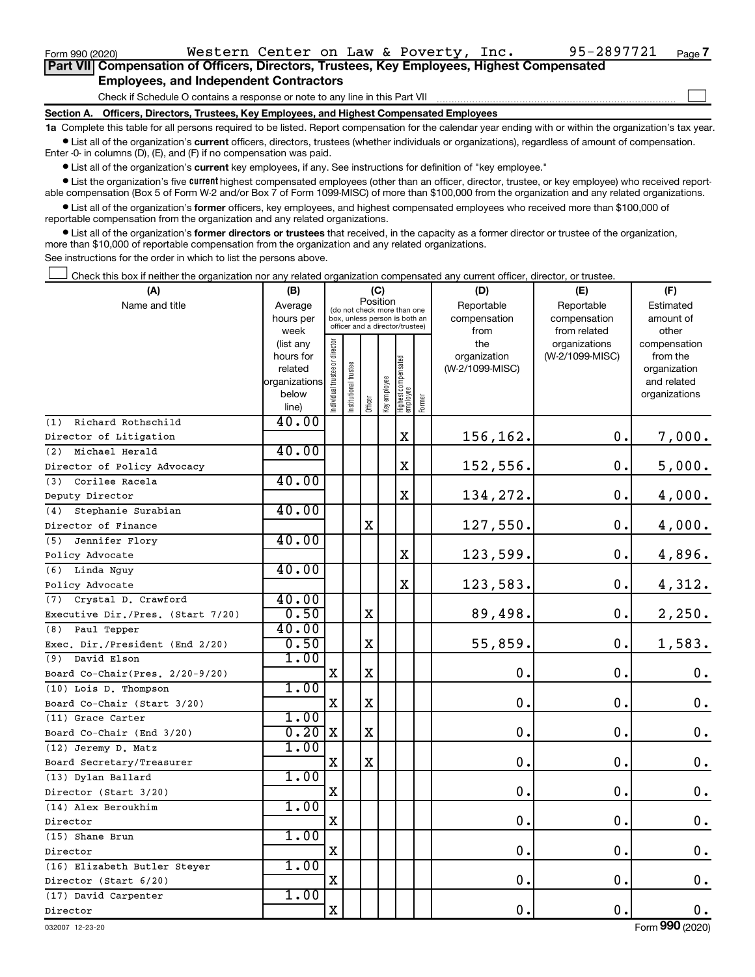| Form 990 (2020)                                                                            | Western Center on Law & Poverty, Inc.         |  |  |  |  |  | 95-2897721 | Page 7 |  |  |  |  |
|--------------------------------------------------------------------------------------------|-----------------------------------------------|--|--|--|--|--|------------|--------|--|--|--|--|
| Part VII Compensation of Officers, Directors, Trustees, Key Employees, Highest Compensated |                                               |  |  |  |  |  |            |        |  |  |  |  |
|                                                                                            | <b>Employees, and Independent Contractors</b> |  |  |  |  |  |            |        |  |  |  |  |
| Check if Schedule O contains a response or note to any line in this Part VII               |                                               |  |  |  |  |  |            |        |  |  |  |  |
| Section A. Officers, Directors, Trustees, Key Employees, and Highest Compensated Employees |                                               |  |  |  |  |  |            |        |  |  |  |  |
|                                                                                            |                                               |  |  |  |  |  |            |        |  |  |  |  |

**1a**  Complete this table for all persons required to be listed. Report compensation for the calendar year ending with or within the organization's tax year.  $\bullet$  List all of the organization's current officers, directors, trustees (whether individuals or organizations), regardless of amount of compensation.

Enter -0- in columns (D), (E), and (F) if no compensation was paid.

**•** List all of the organization's current key employees, if any. See instructions for definition of "key employee."

• List the organization's five *current* highest compensated employees (other than an officer, director, trustee, or key employee) who received reportable compensation (Box 5 of Form W-2 and/or Box 7 of Form 1099-MISC) of more than \$100,000 from the organization and any related organizations.

 $\bullet$  List all of the organization's former officers, key employees, and highest compensated employees who received more than \$100,000 of reportable compensation from the organization and any related organizations.

**•** List all of the organization's former directors or trustees that received, in the capacity as a former director or trustee of the organization, more than \$10,000 of reportable compensation from the organization and any related organizations.

See instructions for the order in which to list the persons above.

Check this box if neither the organization nor any related organization compensated any current officer, director, or trustee.  $\Box$ 

| (A)                               | (B)                    |                               |                                                                  | (C)         |              |                                   |        | (D)             | (E)                              | (F)                      |
|-----------------------------------|------------------------|-------------------------------|------------------------------------------------------------------|-------------|--------------|-----------------------------------|--------|-----------------|----------------------------------|--------------------------|
| Name and title                    | Average                |                               | (do not check more than one                                      | Position    |              |                                   |        | Reportable      | Reportable                       | Estimated                |
|                                   | hours per              |                               | box, unless person is both an<br>officer and a director/trustee) |             |              |                                   |        | compensation    | compensation                     | amount of                |
|                                   | week                   |                               |                                                                  |             |              |                                   |        | from<br>the     | from related                     | other                    |
|                                   | (list any<br>hours for |                               |                                                                  |             |              |                                   |        | organization    | organizations<br>(W-2/1099-MISC) | compensation<br>from the |
|                                   | related                |                               |                                                                  |             |              |                                   |        | (W-2/1099-MISC) |                                  | organization             |
|                                   | organizations          |                               |                                                                  |             |              |                                   |        |                 |                                  | and related              |
|                                   | below                  | ndividual trustee or director | Institutional trustee                                            |             | Key employee |                                   |        |                 |                                  | organizations            |
|                                   | line)                  |                               |                                                                  | Officer     |              | Highest compensated<br>  employee | Former |                 |                                  |                          |
| Richard Rothschild<br>(1)         | 40.00                  |                               |                                                                  |             |              |                                   |        |                 |                                  |                          |
| Director of Litigation            |                        |                               |                                                                  |             |              | $\mathbf X$                       |        | 156,162.        | $\mathbf 0$ .                    | 7,000.                   |
| Michael Herald<br>(2)             | 40.00                  |                               |                                                                  |             |              |                                   |        |                 |                                  |                          |
| Director of Policy Advocacy       |                        |                               |                                                                  |             |              | X                                 |        | 152,556.        | $\mathbf 0$ .                    | 5,000.                   |
| Corilee Racela<br>(3)             | 40.00                  |                               |                                                                  |             |              |                                   |        |                 |                                  |                          |
| Deputy Director                   |                        |                               |                                                                  |             |              | $\mathbf X$                       |        | 134,272.        | 0.                               | 4,000.                   |
| Stephanie Surabian<br>(4)         | 40.00                  |                               |                                                                  |             |              |                                   |        |                 |                                  |                          |
| Director of Finance               |                        |                               |                                                                  | $\mathbf X$ |              |                                   |        | 127,550.        | $\mathbf 0$ .                    | 4,000.                   |
| Jennifer Flory<br>(5)             | 40.00                  |                               |                                                                  |             |              |                                   |        |                 |                                  |                          |
| Policy Advocate                   |                        |                               |                                                                  |             |              | X                                 |        | 123,599.        | $\mathbf 0$ .                    | 4,896.                   |
| (6) Linda Nguy                    | 40.00                  |                               |                                                                  |             |              |                                   |        |                 |                                  |                          |
| Policy Advocate                   |                        |                               |                                                                  |             |              | X                                 |        | 123,583.        | $\mathbf 0$ .                    | 4,312.                   |
| Crystal D. Crawford<br>(7)        | 40.00                  |                               |                                                                  |             |              |                                   |        |                 |                                  |                          |
| Executive Dir./Pres. (Start 7/20) | 0.50                   |                               |                                                                  | $\mathbf X$ |              |                                   |        | 89,498.         | $\mathbf 0$ .                    | 2,250.                   |
| (8) Paul Tepper                   | 40.00                  |                               |                                                                  |             |              |                                   |        |                 |                                  |                          |
| Exec. Dir./President (End 2/20)   | 0.50                   |                               |                                                                  | $\mathbf x$ |              |                                   |        | 55,859.         | $\mathbf 0$ .                    | 1,583.                   |
| (9) David Elson                   | 1.00                   |                               |                                                                  |             |              |                                   |        |                 |                                  |                          |
| Board Co-Chair(Pres. 2/20-9/20)   |                        | Х                             |                                                                  | X           |              |                                   |        | $\mathbf 0$ .   | О.                               | 0.                       |
| (10) Lois D. Thompson             | 1.00                   |                               |                                                                  |             |              |                                   |        |                 |                                  |                          |
| Board Co-Chair (Start 3/20)       |                        | $\mathbf X$                   |                                                                  | $\mathbf X$ |              |                                   |        | $\mathbf 0$     | О.                               | 0.                       |
| (11) Grace Carter                 | 1.00                   |                               |                                                                  |             |              |                                   |        |                 |                                  |                          |
| Board Co-Chair (End 3/20)         | $0.20$ X               |                               |                                                                  | $\mathbf X$ |              |                                   |        | 0.              | 0.                               | 0.                       |
| (12) Jeremy D. Matz               | 1.00                   |                               |                                                                  |             |              |                                   |        |                 |                                  |                          |
| Board Secretary/Treasurer         |                        | X                             |                                                                  | $\mathbf X$ |              |                                   |        | $\mathbf 0$ .   | $\mathbf 0$ .                    | $\mathbf 0$ .            |
| (13) Dylan Ballard                | 1.00                   |                               |                                                                  |             |              |                                   |        |                 |                                  |                          |
| Director (Start 3/20)             |                        | $\mathbf X$                   |                                                                  |             |              |                                   |        | $\mathbf 0$     | $\mathbf 0$ .                    | $\mathbf 0$ .            |
| (14) Alex Beroukhim               | 1.00                   |                               |                                                                  |             |              |                                   |        |                 |                                  |                          |
| Director                          |                        | $\mathbf X$                   |                                                                  |             |              |                                   |        | $\mathbf 0$ .   | $\mathbf 0$ .                    | 0.                       |
| (15) Shane Brun                   | 1.00                   |                               |                                                                  |             |              |                                   |        |                 |                                  |                          |
| Director                          |                        | $\mathbf X$                   |                                                                  |             |              |                                   |        | 0.              | $\mathbf 0$ .                    | $\mathbf 0$ .            |
| (16) Elizabeth Butler Steyer      | 1.00                   |                               |                                                                  |             |              |                                   |        |                 |                                  |                          |
| Director (Start 6/20)             |                        | $\mathbf X$                   |                                                                  |             |              |                                   |        | 0.              | $\mathbf 0$ .                    | $\mathbf 0$ .            |
| (17) David Carpenter              | 1.00                   |                               |                                                                  |             |              |                                   |        |                 |                                  |                          |
| Director                          |                        | X                             |                                                                  |             |              |                                   |        | 0.              | 0.                               | $0$ .                    |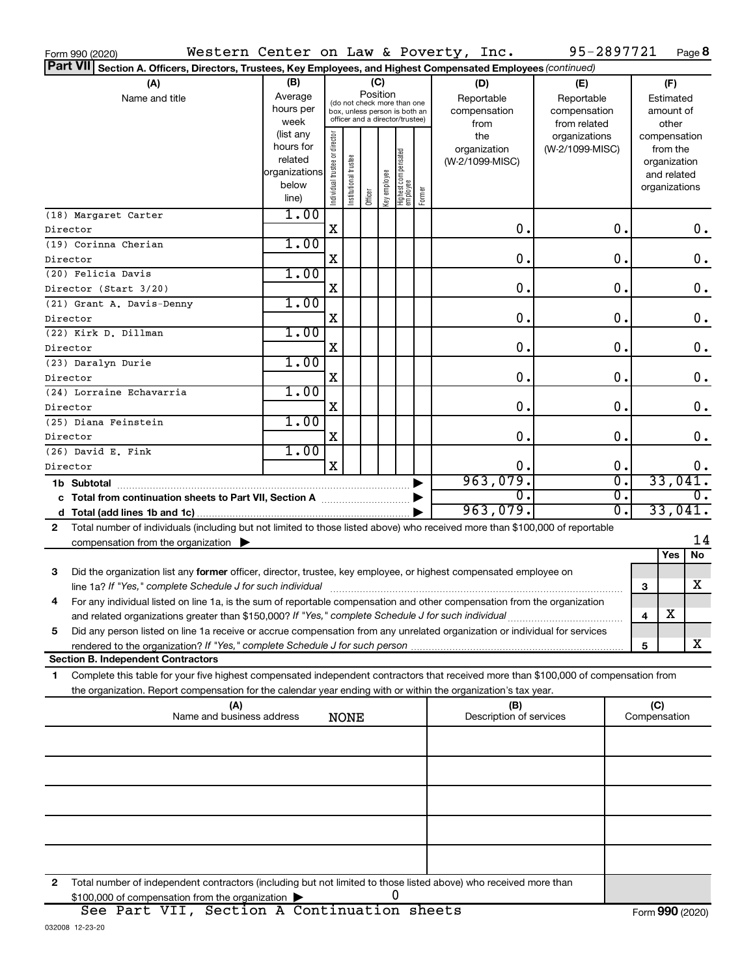| Section A. Officers, Directors, Trustees, Key Employees, and Highest Compensated Employees (continued)<br>(B)<br>(A)<br>(C)<br>(F)<br>(D)<br>(E)<br>Position<br>Average<br>Name and title<br>Reportable<br>Reportable<br>Estimated<br>(do not check more than one<br>hours per<br>compensation<br>compensation<br>amount of<br>box, unless person is both an<br>officer and a director/trustee)<br>week<br>from<br>from related<br>other<br>(list any<br>Individual trustee or director<br>the<br>organizations<br>compensation<br>hours for<br>organization<br>(W-2/1099-MISC)<br>from the<br>Highest compensated<br> employee<br>Institutional trustee<br>related<br>(W-2/1099-MISC)<br>organization<br>organizations<br>Officer<br>Key employee<br>and related<br>below<br>organizations<br>Former<br>line)<br>1.00<br>(18) Margaret Carter<br>$\mathbf X$<br>0.<br>0.<br>$0$ .<br>Director<br>1.00<br>(19) Corinna Cherian<br>X<br>0.<br>0.<br>0.<br>Director<br>1.00<br>(20) Felicia Davis<br>X<br>0.<br>0.<br>0.<br>Director (Start 3/20)<br>1.00<br>(21) Grant A. Davis-Denny<br>X<br>0.<br>0.<br>0.<br>Director<br>1.00<br>(22) Kirk D. Dillman<br>$\mathbf 0$ .<br>X<br>0.<br>0.<br>Director<br>1.00<br>(23) Daralyn Durie<br>X<br>0.<br>0.<br>0.<br>Director<br>1.00<br>(24) Lorraine Echavarria<br>X<br>0.<br>0.<br>0.<br>Director<br>1.00<br>(25) Diana Feinstein<br>$\mathbf 0$ .<br>X<br>0.<br>0.<br>Director<br>1.00<br>(26) David E. Fink<br>X<br>0.<br>0.<br>$0$ .<br>Director<br>963,079.<br>33,041.<br>σ.<br>1b Subtotal<br>$\overline{0}$ .<br>$\overline{0}$ .<br>$\overline{0}$ .<br>c Total from continuation sheets to Part VII, Section A manuscription<br>33,041.<br>963,079.<br>$\overline{0}$ .<br>Total number of individuals (including but not limited to those listed above) who received more than \$100,000 of reportable<br>2<br>14<br>compensation from the organization $\blacktriangleright$<br>Yes<br>No<br>3<br>Did the organization list any former officer, director, trustee, key employee, or highest compensated employee on<br>X<br>line 1a? If "Yes," complete Schedule J for such individual manufacture content to the set of the set of the such re<br>3<br>For any individual listed on line 1a, is the sum of reportable compensation and other compensation from the organization<br>х<br>and related organizations greater than \$150,000? If "Yes," complete Schedule J for such individual<br>4<br>Did any person listed on line 1a receive or accrue compensation from any unrelated organization or individual for services<br>5<br>X<br>5<br><b>Section B. Independent Contractors</b><br>Complete this table for your five highest compensated independent contractors that received more than \$100,000 of compensation from<br>1<br>the organization. Report compensation for the calendar year ending with or within the organization's tax year.<br>(C)<br>(A)<br>(B)<br>Name and business address<br>Description of services<br>Compensation<br><b>NONE</b><br>Total number of independent contractors (including but not limited to those listed above) who received more than<br>2<br>0<br>\$100,000 of compensation from the organization | Form 990 (2020) | Western Center on Law & Poverty, Inc. |  |  |  |  |  |  |  | 95-2897721 |  | Page 8 |
|---------------------------------------------------------------------------------------------------------------------------------------------------------------------------------------------------------------------------------------------------------------------------------------------------------------------------------------------------------------------------------------------------------------------------------------------------------------------------------------------------------------------------------------------------------------------------------------------------------------------------------------------------------------------------------------------------------------------------------------------------------------------------------------------------------------------------------------------------------------------------------------------------------------------------------------------------------------------------------------------------------------------------------------------------------------------------------------------------------------------------------------------------------------------------------------------------------------------------------------------------------------------------------------------------------------------------------------------------------------------------------------------------------------------------------------------------------------------------------------------------------------------------------------------------------------------------------------------------------------------------------------------------------------------------------------------------------------------------------------------------------------------------------------------------------------------------------------------------------------------------------------------------------------------------------------------------------------------------------------------------------------------------------------------------------------------------------------------------------------------------------------------------------------------------------------------------------------------------------------------------------------------------------------------------------------------------------------------------------------------------------------------------------------------------------------------------------------------------------------------------------------------------------------------------------------------------------------------------------------------------------------------------------------------------------------------------------------------------------------------------------------------------------------------------------------------------------------------------------------------------------------------------------------------------------------------------------------------------------------------------------------------------------------------------------------------------------------------------------------------------------------------------------------------------------------------------------------|-----------------|---------------------------------------|--|--|--|--|--|--|--|------------|--|--------|
|                                                                                                                                                                                                                                                                                                                                                                                                                                                                                                                                                                                                                                                                                                                                                                                                                                                                                                                                                                                                                                                                                                                                                                                                                                                                                                                                                                                                                                                                                                                                                                                                                                                                                                                                                                                                                                                                                                                                                                                                                                                                                                                                                                                                                                                                                                                                                                                                                                                                                                                                                                                                                                                                                                                                                                                                                                                                                                                                                                                                                                                                                                                                                                                                               | <b>Part VII</b> |                                       |  |  |  |  |  |  |  |            |  |        |
|                                                                                                                                                                                                                                                                                                                                                                                                                                                                                                                                                                                                                                                                                                                                                                                                                                                                                                                                                                                                                                                                                                                                                                                                                                                                                                                                                                                                                                                                                                                                                                                                                                                                                                                                                                                                                                                                                                                                                                                                                                                                                                                                                                                                                                                                                                                                                                                                                                                                                                                                                                                                                                                                                                                                                                                                                                                                                                                                                                                                                                                                                                                                                                                                               |                 |                                       |  |  |  |  |  |  |  |            |  |        |
|                                                                                                                                                                                                                                                                                                                                                                                                                                                                                                                                                                                                                                                                                                                                                                                                                                                                                                                                                                                                                                                                                                                                                                                                                                                                                                                                                                                                                                                                                                                                                                                                                                                                                                                                                                                                                                                                                                                                                                                                                                                                                                                                                                                                                                                                                                                                                                                                                                                                                                                                                                                                                                                                                                                                                                                                                                                                                                                                                                                                                                                                                                                                                                                                               |                 |                                       |  |  |  |  |  |  |  |            |  |        |
|                                                                                                                                                                                                                                                                                                                                                                                                                                                                                                                                                                                                                                                                                                                                                                                                                                                                                                                                                                                                                                                                                                                                                                                                                                                                                                                                                                                                                                                                                                                                                                                                                                                                                                                                                                                                                                                                                                                                                                                                                                                                                                                                                                                                                                                                                                                                                                                                                                                                                                                                                                                                                                                                                                                                                                                                                                                                                                                                                                                                                                                                                                                                                                                                               |                 |                                       |  |  |  |  |  |  |  |            |  |        |
|                                                                                                                                                                                                                                                                                                                                                                                                                                                                                                                                                                                                                                                                                                                                                                                                                                                                                                                                                                                                                                                                                                                                                                                                                                                                                                                                                                                                                                                                                                                                                                                                                                                                                                                                                                                                                                                                                                                                                                                                                                                                                                                                                                                                                                                                                                                                                                                                                                                                                                                                                                                                                                                                                                                                                                                                                                                                                                                                                                                                                                                                                                                                                                                                               |                 |                                       |  |  |  |  |  |  |  |            |  |        |
|                                                                                                                                                                                                                                                                                                                                                                                                                                                                                                                                                                                                                                                                                                                                                                                                                                                                                                                                                                                                                                                                                                                                                                                                                                                                                                                                                                                                                                                                                                                                                                                                                                                                                                                                                                                                                                                                                                                                                                                                                                                                                                                                                                                                                                                                                                                                                                                                                                                                                                                                                                                                                                                                                                                                                                                                                                                                                                                                                                                                                                                                                                                                                                                                               |                 |                                       |  |  |  |  |  |  |  |            |  |        |
|                                                                                                                                                                                                                                                                                                                                                                                                                                                                                                                                                                                                                                                                                                                                                                                                                                                                                                                                                                                                                                                                                                                                                                                                                                                                                                                                                                                                                                                                                                                                                                                                                                                                                                                                                                                                                                                                                                                                                                                                                                                                                                                                                                                                                                                                                                                                                                                                                                                                                                                                                                                                                                                                                                                                                                                                                                                                                                                                                                                                                                                                                                                                                                                                               |                 |                                       |  |  |  |  |  |  |  |            |  |        |
|                                                                                                                                                                                                                                                                                                                                                                                                                                                                                                                                                                                                                                                                                                                                                                                                                                                                                                                                                                                                                                                                                                                                                                                                                                                                                                                                                                                                                                                                                                                                                                                                                                                                                                                                                                                                                                                                                                                                                                                                                                                                                                                                                                                                                                                                                                                                                                                                                                                                                                                                                                                                                                                                                                                                                                                                                                                                                                                                                                                                                                                                                                                                                                                                               |                 |                                       |  |  |  |  |  |  |  |            |  |        |
|                                                                                                                                                                                                                                                                                                                                                                                                                                                                                                                                                                                                                                                                                                                                                                                                                                                                                                                                                                                                                                                                                                                                                                                                                                                                                                                                                                                                                                                                                                                                                                                                                                                                                                                                                                                                                                                                                                                                                                                                                                                                                                                                                                                                                                                                                                                                                                                                                                                                                                                                                                                                                                                                                                                                                                                                                                                                                                                                                                                                                                                                                                                                                                                                               |                 |                                       |  |  |  |  |  |  |  |            |  |        |
|                                                                                                                                                                                                                                                                                                                                                                                                                                                                                                                                                                                                                                                                                                                                                                                                                                                                                                                                                                                                                                                                                                                                                                                                                                                                                                                                                                                                                                                                                                                                                                                                                                                                                                                                                                                                                                                                                                                                                                                                                                                                                                                                                                                                                                                                                                                                                                                                                                                                                                                                                                                                                                                                                                                                                                                                                                                                                                                                                                                                                                                                                                                                                                                                               |                 |                                       |  |  |  |  |  |  |  |            |  |        |
|                                                                                                                                                                                                                                                                                                                                                                                                                                                                                                                                                                                                                                                                                                                                                                                                                                                                                                                                                                                                                                                                                                                                                                                                                                                                                                                                                                                                                                                                                                                                                                                                                                                                                                                                                                                                                                                                                                                                                                                                                                                                                                                                                                                                                                                                                                                                                                                                                                                                                                                                                                                                                                                                                                                                                                                                                                                                                                                                                                                                                                                                                                                                                                                                               |                 |                                       |  |  |  |  |  |  |  |            |  |        |
|                                                                                                                                                                                                                                                                                                                                                                                                                                                                                                                                                                                                                                                                                                                                                                                                                                                                                                                                                                                                                                                                                                                                                                                                                                                                                                                                                                                                                                                                                                                                                                                                                                                                                                                                                                                                                                                                                                                                                                                                                                                                                                                                                                                                                                                                                                                                                                                                                                                                                                                                                                                                                                                                                                                                                                                                                                                                                                                                                                                                                                                                                                                                                                                                               |                 |                                       |  |  |  |  |  |  |  |            |  |        |
|                                                                                                                                                                                                                                                                                                                                                                                                                                                                                                                                                                                                                                                                                                                                                                                                                                                                                                                                                                                                                                                                                                                                                                                                                                                                                                                                                                                                                                                                                                                                                                                                                                                                                                                                                                                                                                                                                                                                                                                                                                                                                                                                                                                                                                                                                                                                                                                                                                                                                                                                                                                                                                                                                                                                                                                                                                                                                                                                                                                                                                                                                                                                                                                                               |                 |                                       |  |  |  |  |  |  |  |            |  |        |
|                                                                                                                                                                                                                                                                                                                                                                                                                                                                                                                                                                                                                                                                                                                                                                                                                                                                                                                                                                                                                                                                                                                                                                                                                                                                                                                                                                                                                                                                                                                                                                                                                                                                                                                                                                                                                                                                                                                                                                                                                                                                                                                                                                                                                                                                                                                                                                                                                                                                                                                                                                                                                                                                                                                                                                                                                                                                                                                                                                                                                                                                                                                                                                                                               |                 |                                       |  |  |  |  |  |  |  |            |  |        |
|                                                                                                                                                                                                                                                                                                                                                                                                                                                                                                                                                                                                                                                                                                                                                                                                                                                                                                                                                                                                                                                                                                                                                                                                                                                                                                                                                                                                                                                                                                                                                                                                                                                                                                                                                                                                                                                                                                                                                                                                                                                                                                                                                                                                                                                                                                                                                                                                                                                                                                                                                                                                                                                                                                                                                                                                                                                                                                                                                                                                                                                                                                                                                                                                               |                 |                                       |  |  |  |  |  |  |  |            |  |        |
|                                                                                                                                                                                                                                                                                                                                                                                                                                                                                                                                                                                                                                                                                                                                                                                                                                                                                                                                                                                                                                                                                                                                                                                                                                                                                                                                                                                                                                                                                                                                                                                                                                                                                                                                                                                                                                                                                                                                                                                                                                                                                                                                                                                                                                                                                                                                                                                                                                                                                                                                                                                                                                                                                                                                                                                                                                                                                                                                                                                                                                                                                                                                                                                                               |                 |                                       |  |  |  |  |  |  |  |            |  |        |
|                                                                                                                                                                                                                                                                                                                                                                                                                                                                                                                                                                                                                                                                                                                                                                                                                                                                                                                                                                                                                                                                                                                                                                                                                                                                                                                                                                                                                                                                                                                                                                                                                                                                                                                                                                                                                                                                                                                                                                                                                                                                                                                                                                                                                                                                                                                                                                                                                                                                                                                                                                                                                                                                                                                                                                                                                                                                                                                                                                                                                                                                                                                                                                                                               |                 |                                       |  |  |  |  |  |  |  |            |  |        |
|                                                                                                                                                                                                                                                                                                                                                                                                                                                                                                                                                                                                                                                                                                                                                                                                                                                                                                                                                                                                                                                                                                                                                                                                                                                                                                                                                                                                                                                                                                                                                                                                                                                                                                                                                                                                                                                                                                                                                                                                                                                                                                                                                                                                                                                                                                                                                                                                                                                                                                                                                                                                                                                                                                                                                                                                                                                                                                                                                                                                                                                                                                                                                                                                               |                 |                                       |  |  |  |  |  |  |  |            |  |        |
|                                                                                                                                                                                                                                                                                                                                                                                                                                                                                                                                                                                                                                                                                                                                                                                                                                                                                                                                                                                                                                                                                                                                                                                                                                                                                                                                                                                                                                                                                                                                                                                                                                                                                                                                                                                                                                                                                                                                                                                                                                                                                                                                                                                                                                                                                                                                                                                                                                                                                                                                                                                                                                                                                                                                                                                                                                                                                                                                                                                                                                                                                                                                                                                                               |                 |                                       |  |  |  |  |  |  |  |            |  |        |
|                                                                                                                                                                                                                                                                                                                                                                                                                                                                                                                                                                                                                                                                                                                                                                                                                                                                                                                                                                                                                                                                                                                                                                                                                                                                                                                                                                                                                                                                                                                                                                                                                                                                                                                                                                                                                                                                                                                                                                                                                                                                                                                                                                                                                                                                                                                                                                                                                                                                                                                                                                                                                                                                                                                                                                                                                                                                                                                                                                                                                                                                                                                                                                                                               |                 |                                       |  |  |  |  |  |  |  |            |  |        |
|                                                                                                                                                                                                                                                                                                                                                                                                                                                                                                                                                                                                                                                                                                                                                                                                                                                                                                                                                                                                                                                                                                                                                                                                                                                                                                                                                                                                                                                                                                                                                                                                                                                                                                                                                                                                                                                                                                                                                                                                                                                                                                                                                                                                                                                                                                                                                                                                                                                                                                                                                                                                                                                                                                                                                                                                                                                                                                                                                                                                                                                                                                                                                                                                               |                 |                                       |  |  |  |  |  |  |  |            |  |        |
|                                                                                                                                                                                                                                                                                                                                                                                                                                                                                                                                                                                                                                                                                                                                                                                                                                                                                                                                                                                                                                                                                                                                                                                                                                                                                                                                                                                                                                                                                                                                                                                                                                                                                                                                                                                                                                                                                                                                                                                                                                                                                                                                                                                                                                                                                                                                                                                                                                                                                                                                                                                                                                                                                                                                                                                                                                                                                                                                                                                                                                                                                                                                                                                                               |                 |                                       |  |  |  |  |  |  |  |            |  |        |
|                                                                                                                                                                                                                                                                                                                                                                                                                                                                                                                                                                                                                                                                                                                                                                                                                                                                                                                                                                                                                                                                                                                                                                                                                                                                                                                                                                                                                                                                                                                                                                                                                                                                                                                                                                                                                                                                                                                                                                                                                                                                                                                                                                                                                                                                                                                                                                                                                                                                                                                                                                                                                                                                                                                                                                                                                                                                                                                                                                                                                                                                                                                                                                                                               |                 |                                       |  |  |  |  |  |  |  |            |  |        |
|                                                                                                                                                                                                                                                                                                                                                                                                                                                                                                                                                                                                                                                                                                                                                                                                                                                                                                                                                                                                                                                                                                                                                                                                                                                                                                                                                                                                                                                                                                                                                                                                                                                                                                                                                                                                                                                                                                                                                                                                                                                                                                                                                                                                                                                                                                                                                                                                                                                                                                                                                                                                                                                                                                                                                                                                                                                                                                                                                                                                                                                                                                                                                                                                               |                 |                                       |  |  |  |  |  |  |  |            |  |        |
|                                                                                                                                                                                                                                                                                                                                                                                                                                                                                                                                                                                                                                                                                                                                                                                                                                                                                                                                                                                                                                                                                                                                                                                                                                                                                                                                                                                                                                                                                                                                                                                                                                                                                                                                                                                                                                                                                                                                                                                                                                                                                                                                                                                                                                                                                                                                                                                                                                                                                                                                                                                                                                                                                                                                                                                                                                                                                                                                                                                                                                                                                                                                                                                                               |                 |                                       |  |  |  |  |  |  |  |            |  |        |
|                                                                                                                                                                                                                                                                                                                                                                                                                                                                                                                                                                                                                                                                                                                                                                                                                                                                                                                                                                                                                                                                                                                                                                                                                                                                                                                                                                                                                                                                                                                                                                                                                                                                                                                                                                                                                                                                                                                                                                                                                                                                                                                                                                                                                                                                                                                                                                                                                                                                                                                                                                                                                                                                                                                                                                                                                                                                                                                                                                                                                                                                                                                                                                                                               |                 |                                       |  |  |  |  |  |  |  |            |  |        |
|                                                                                                                                                                                                                                                                                                                                                                                                                                                                                                                                                                                                                                                                                                                                                                                                                                                                                                                                                                                                                                                                                                                                                                                                                                                                                                                                                                                                                                                                                                                                                                                                                                                                                                                                                                                                                                                                                                                                                                                                                                                                                                                                                                                                                                                                                                                                                                                                                                                                                                                                                                                                                                                                                                                                                                                                                                                                                                                                                                                                                                                                                                                                                                                                               |                 |                                       |  |  |  |  |  |  |  |            |  |        |
|                                                                                                                                                                                                                                                                                                                                                                                                                                                                                                                                                                                                                                                                                                                                                                                                                                                                                                                                                                                                                                                                                                                                                                                                                                                                                                                                                                                                                                                                                                                                                                                                                                                                                                                                                                                                                                                                                                                                                                                                                                                                                                                                                                                                                                                                                                                                                                                                                                                                                                                                                                                                                                                                                                                                                                                                                                                                                                                                                                                                                                                                                                                                                                                                               |                 |                                       |  |  |  |  |  |  |  |            |  |        |
|                                                                                                                                                                                                                                                                                                                                                                                                                                                                                                                                                                                                                                                                                                                                                                                                                                                                                                                                                                                                                                                                                                                                                                                                                                                                                                                                                                                                                                                                                                                                                                                                                                                                                                                                                                                                                                                                                                                                                                                                                                                                                                                                                                                                                                                                                                                                                                                                                                                                                                                                                                                                                                                                                                                                                                                                                                                                                                                                                                                                                                                                                                                                                                                                               |                 |                                       |  |  |  |  |  |  |  |            |  |        |
|                                                                                                                                                                                                                                                                                                                                                                                                                                                                                                                                                                                                                                                                                                                                                                                                                                                                                                                                                                                                                                                                                                                                                                                                                                                                                                                                                                                                                                                                                                                                                                                                                                                                                                                                                                                                                                                                                                                                                                                                                                                                                                                                                                                                                                                                                                                                                                                                                                                                                                                                                                                                                                                                                                                                                                                                                                                                                                                                                                                                                                                                                                                                                                                                               |                 |                                       |  |  |  |  |  |  |  |            |  |        |
|                                                                                                                                                                                                                                                                                                                                                                                                                                                                                                                                                                                                                                                                                                                                                                                                                                                                                                                                                                                                                                                                                                                                                                                                                                                                                                                                                                                                                                                                                                                                                                                                                                                                                                                                                                                                                                                                                                                                                                                                                                                                                                                                                                                                                                                                                                                                                                                                                                                                                                                                                                                                                                                                                                                                                                                                                                                                                                                                                                                                                                                                                                                                                                                                               |                 |                                       |  |  |  |  |  |  |  |            |  |        |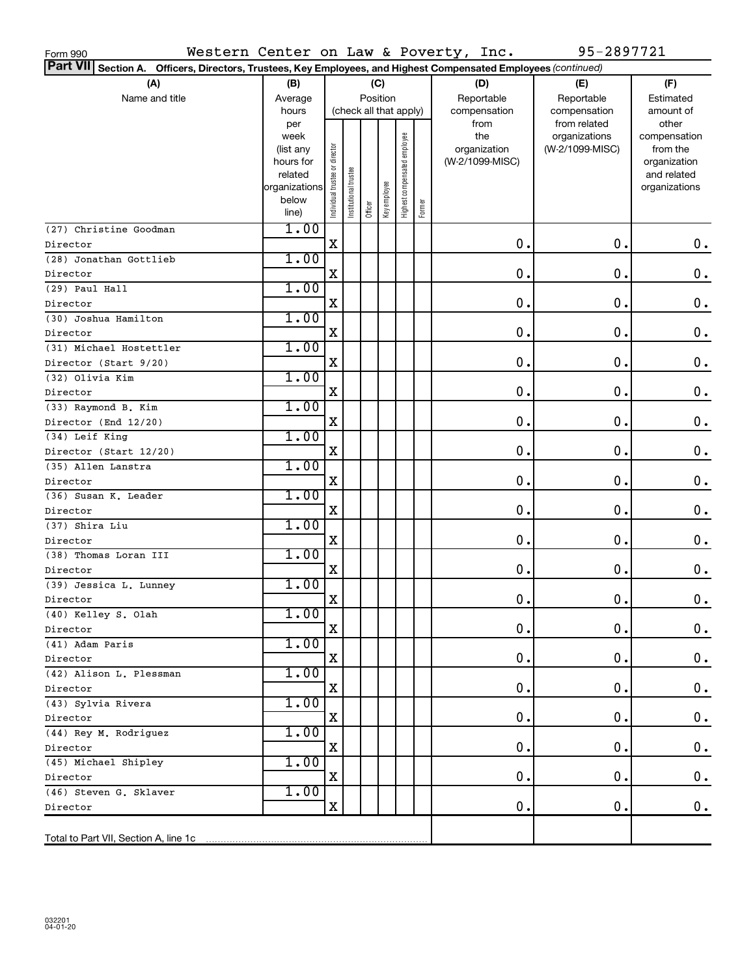| Western Center on Law & Poverty, Inc.<br>Form 990                                                               |                                                                            |                               |                        |          |              |                              |        |                                                | 95-2897721                                       |                                                                                   |
|-----------------------------------------------------------------------------------------------------------------|----------------------------------------------------------------------------|-------------------------------|------------------------|----------|--------------|------------------------------|--------|------------------------------------------------|--------------------------------------------------|-----------------------------------------------------------------------------------|
| Part VII Section A. Officers, Directors, Trustees, Key Employees, and Highest Compensated Employees (continued) |                                                                            |                               |                        |          |              |                              |        |                                                |                                                  |                                                                                   |
| (A)                                                                                                             | (B)                                                                        |                               |                        |          | (C)          |                              |        | (D)                                            | (E)                                              | (F)                                                                               |
| Name and title                                                                                                  | Average                                                                    |                               |                        | Position |              |                              |        | Reportable                                     | Reportable                                       | Estimated                                                                         |
|                                                                                                                 | hours                                                                      |                               | (check all that apply) |          |              |                              |        | compensation                                   | compensation                                     | amount of                                                                         |
|                                                                                                                 | per<br>week<br>(list any<br>hours for<br>related<br>organizations<br>below | ndividual trustee or director | nstitutional trustee   |          | Key employee | Highest compensated employee |        | from<br>the<br>organization<br>(W-2/1099-MISC) | from related<br>organizations<br>(W-2/1099-MISC) | other<br>compensation<br>from the<br>organization<br>and related<br>organizations |
|                                                                                                                 | line)                                                                      |                               |                        | Officer  |              |                              | Former |                                                |                                                  |                                                                                   |
| (27) Christine Goodman                                                                                          | 1.00                                                                       |                               |                        |          |              |                              |        |                                                |                                                  |                                                                                   |
| Director                                                                                                        |                                                                            | X                             |                        |          |              |                              |        | 0.                                             | 0.                                               | 0.                                                                                |
| (28) Jonathan Gottlieb                                                                                          | 1.00                                                                       |                               |                        |          |              |                              |        |                                                |                                                  |                                                                                   |
| Director                                                                                                        |                                                                            | X                             |                        |          |              |                              |        | 0.                                             | 0.                                               | $\mathbf 0$ .                                                                     |
| (29) Paul Hall                                                                                                  | 1.00                                                                       |                               |                        |          |              |                              |        |                                                |                                                  |                                                                                   |
| Director                                                                                                        |                                                                            | X                             |                        |          |              |                              |        | 0.                                             | 0.                                               | $\mathbf 0$ .                                                                     |
| (30) Joshua Hamilton                                                                                            | 1.00                                                                       |                               |                        |          |              |                              |        |                                                |                                                  |                                                                                   |
| Director                                                                                                        |                                                                            | X                             |                        |          |              |                              |        | 0.                                             | 0.                                               | $\mathbf 0$ .                                                                     |
| (31) Michael Hostettler                                                                                         | 1.00                                                                       |                               |                        |          |              |                              |        |                                                |                                                  |                                                                                   |
| Director (Start 9/20)                                                                                           |                                                                            | X                             |                        |          |              |                              |        | 0.                                             | 0.                                               | 0.                                                                                |
| (32) Olivia Kim                                                                                                 | 1.00                                                                       |                               |                        |          |              |                              |        |                                                |                                                  |                                                                                   |
| Director                                                                                                        |                                                                            | X                             |                        |          |              |                              |        | 0.                                             | 0.                                               | 0.                                                                                |
| (33) Raymond B. Kim                                                                                             | 1.00                                                                       |                               |                        |          |              |                              |        |                                                |                                                  |                                                                                   |
| Director (End 12/20)                                                                                            |                                                                            | X                             |                        |          |              |                              |        | 0.                                             | 0.                                               | 0.                                                                                |
| (34) Leif King                                                                                                  | 1.00                                                                       |                               |                        |          |              |                              |        |                                                |                                                  |                                                                                   |
| Director (Start 12/20)                                                                                          |                                                                            | X                             |                        |          |              |                              |        | 0.                                             | 0.                                               | $\mathbf 0$ .                                                                     |
| (35) Allen Lanstra                                                                                              | 1.00                                                                       |                               |                        |          |              |                              |        |                                                |                                                  |                                                                                   |
| Director                                                                                                        |                                                                            | X                             |                        |          |              |                              |        | 0.                                             | 0.                                               | $\mathbf 0$ .                                                                     |
| (36) Susan K. Leader                                                                                            | 1.00                                                                       |                               |                        |          |              |                              |        |                                                |                                                  |                                                                                   |
| Director                                                                                                        |                                                                            | X                             |                        |          |              |                              |        | 0.                                             | 0.                                               | $\mathbf 0$ .                                                                     |
| (37) Shira Liu                                                                                                  | 1.00                                                                       |                               |                        |          |              |                              |        |                                                |                                                  |                                                                                   |
| Director                                                                                                        |                                                                            | X                             |                        |          |              |                              |        | 0.                                             | 0.                                               | 0.                                                                                |
| (38) Thomas Loran III                                                                                           | 1.00                                                                       |                               |                        |          |              |                              |        |                                                |                                                  |                                                                                   |
| Director                                                                                                        |                                                                            | X                             |                        |          |              |                              |        | 0.                                             | 0.                                               | 0.                                                                                |
| (39) Jessica L. Lunney                                                                                          | 1.00                                                                       |                               |                        |          |              |                              |        |                                                |                                                  |                                                                                   |
| Director                                                                                                        |                                                                            | X                             |                        |          |              |                              |        | $\mathbf 0$ .                                  | $\mathbf 0$ .                                    | $0$ .                                                                             |
| (40) Kelley S. Olah                                                                                             | 1.00                                                                       |                               |                        |          |              |                              |        |                                                |                                                  |                                                                                   |
| Director                                                                                                        |                                                                            | х                             |                        |          |              |                              |        | 0.                                             | 0.                                               | $0$ .                                                                             |
| (41) Adam Paris                                                                                                 | 1.00                                                                       |                               |                        |          |              |                              |        |                                                |                                                  |                                                                                   |
| Director                                                                                                        |                                                                            | X                             |                        |          |              |                              |        | 0.                                             | 0.                                               | $0\cdot$                                                                          |
| (42) Alison L. Plessman                                                                                         | 1.00                                                                       |                               |                        |          |              |                              |        |                                                |                                                  |                                                                                   |
| Director                                                                                                        |                                                                            | х                             |                        |          |              |                              |        | 0.                                             | 0.                                               | $0\cdot$                                                                          |
| (43) Sylvia Rivera                                                                                              | 1.00                                                                       |                               |                        |          |              |                              |        |                                                |                                                  |                                                                                   |
| Director                                                                                                        |                                                                            | х                             |                        |          |              |                              |        | 0.                                             | 0.                                               | $0\cdot$                                                                          |
| (44) Rey M. Rodriguez                                                                                           | 1.00                                                                       |                               |                        |          |              |                              |        |                                                |                                                  |                                                                                   |
| Director                                                                                                        |                                                                            | х                             |                        |          |              |                              |        | 0.                                             | 0.                                               | $0\cdot$                                                                          |
| (45) Michael Shipley                                                                                            | 1.00                                                                       |                               |                        |          |              |                              |        |                                                |                                                  |                                                                                   |
| Director                                                                                                        |                                                                            | X                             |                        |          |              |                              |        | 0.                                             | 0.                                               | $0\cdot$                                                                          |
| (46) Steven G. Sklaver                                                                                          | 1.00                                                                       |                               |                        |          |              |                              |        |                                                |                                                  |                                                                                   |
| Director                                                                                                        |                                                                            | X                             |                        |          |              |                              |        | 0.                                             | 0.                                               | $0$ .                                                                             |
|                                                                                                                 |                                                                            |                               |                        |          |              |                              |        |                                                |                                                  |                                                                                   |
|                                                                                                                 |                                                                            |                               |                        |          |              |                              |        |                                                |                                                  |                                                                                   |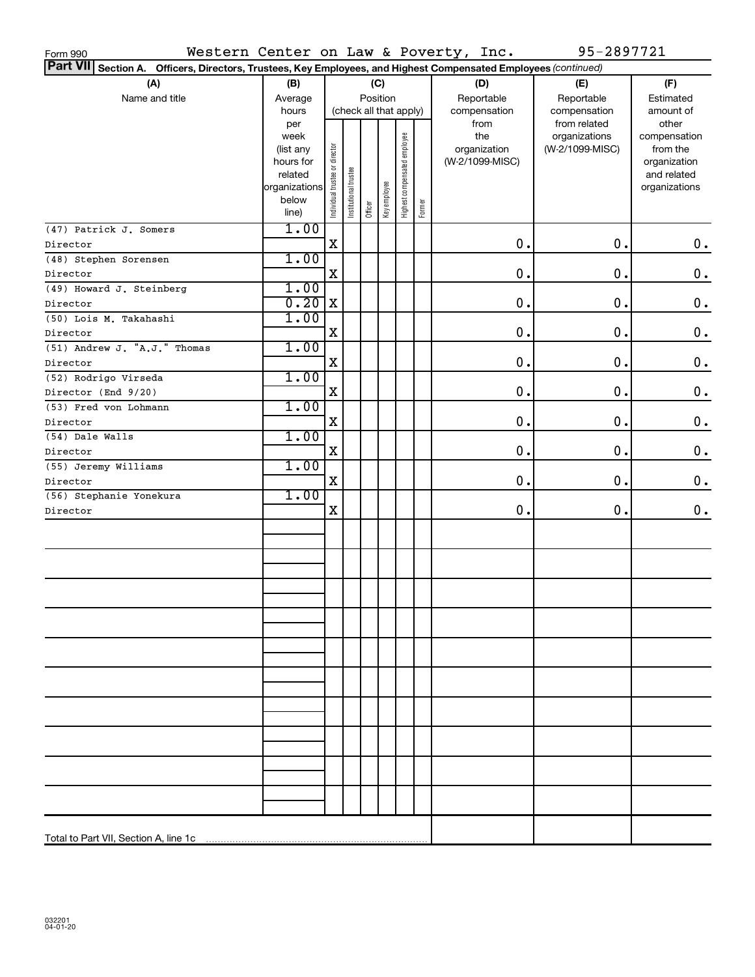| Form 990                                                                                                        |                                                                                     |                                |                        |         |              |                              |        | Western Center on Law & Poverty, Inc.          | 95-2897721                                       |                                                                                   |
|-----------------------------------------------------------------------------------------------------------------|-------------------------------------------------------------------------------------|--------------------------------|------------------------|---------|--------------|------------------------------|--------|------------------------------------------------|--------------------------------------------------|-----------------------------------------------------------------------------------|
| Part VII Section A. Officers, Directors, Trustees, Key Employees, and Highest Compensated Employees (continued) |                                                                                     |                                |                        |         |              |                              |        |                                                |                                                  |                                                                                   |
| (A)                                                                                                             | (B)                                                                                 |                                |                        |         | (C)          |                              |        | (D)                                            | (E)                                              | (F)                                                                               |
| Name and title                                                                                                  | Average                                                                             |                                |                        |         | Position     |                              |        | Reportable                                     | Reportable                                       | Estimated                                                                         |
|                                                                                                                 | hours                                                                               |                                | (check all that apply) |         |              |                              |        | compensation                                   | compensation                                     | amount of                                                                         |
|                                                                                                                 | per<br>week<br>(list any<br>hours for<br>related<br>organizations<br>below<br>line) | Individual trustee or director | Institutional trustee  | Officer | Key employee | Highest compensated employee | Former | from<br>the<br>organization<br>(W-2/1099-MISC) | from related<br>organizations<br>(W-2/1099-MISC) | other<br>compensation<br>from the<br>organization<br>and related<br>organizations |
| (47) Patrick J. Somers                                                                                          | 1.00                                                                                |                                |                        |         |              |                              |        |                                                |                                                  |                                                                                   |
| Director                                                                                                        |                                                                                     | $\mathbf X$                    |                        |         |              |                              |        | 0.                                             | 0.                                               | 0.                                                                                |
| (48) Stephen Sorensen                                                                                           | 1.00                                                                                |                                |                        |         |              |                              |        |                                                |                                                  |                                                                                   |
| Director                                                                                                        |                                                                                     | X                              |                        |         |              |                              |        | 0.                                             | 0.                                               | $\mathbf 0$ .                                                                     |
|                                                                                                                 | 1.00                                                                                |                                |                        |         |              |                              |        |                                                |                                                  |                                                                                   |
| (49) Howard J. Steinberg                                                                                        | 0.20                                                                                | X                              |                        |         |              |                              |        | 0.                                             | 0.                                               | $\mathbf 0$ .                                                                     |
| Director                                                                                                        |                                                                                     |                                |                        |         |              |                              |        |                                                |                                                  |                                                                                   |
| (50) Lois M. Takahashi                                                                                          | 1.00                                                                                |                                |                        |         |              |                              |        |                                                |                                                  |                                                                                   |
| Director                                                                                                        |                                                                                     | х                              |                        |         |              |                              |        | 0.                                             | 0.                                               | $\mathbf 0$ .                                                                     |
| (51) Andrew J. "A.J." Thomas                                                                                    | 1.00                                                                                |                                |                        |         |              |                              |        |                                                |                                                  |                                                                                   |
| Director                                                                                                        |                                                                                     | X                              |                        |         |              |                              |        | 0.                                             | 0.                                               | $\mathbf 0$ .                                                                     |
| (52) Rodrigo Virseda                                                                                            | 1.00                                                                                |                                |                        |         |              |                              |        |                                                |                                                  |                                                                                   |
| Director (End 9/20)                                                                                             |                                                                                     | X                              |                        |         |              |                              |        | 0.                                             | 0.                                               | $\mathbf 0$ .                                                                     |
| (53) Fred von Lohmann                                                                                           | 1.00                                                                                |                                |                        |         |              |                              |        |                                                |                                                  |                                                                                   |
| Director                                                                                                        |                                                                                     | X                              |                        |         |              |                              |        | 0.                                             | 0.                                               | $\mathbf 0$ .                                                                     |
| (54) Dale Walls                                                                                                 | 1.00                                                                                |                                |                        |         |              |                              |        |                                                |                                                  |                                                                                   |
| Director                                                                                                        |                                                                                     | X                              |                        |         |              |                              |        | 0.                                             | 0.                                               | $\boldsymbol{0}$ .                                                                |
| (55) Jeremy Williams                                                                                            | 1.00                                                                                |                                |                        |         |              |                              |        |                                                |                                                  |                                                                                   |
| Director                                                                                                        |                                                                                     | X                              |                        |         |              |                              |        | 0.                                             | 0.                                               | 0.                                                                                |
| (56) Stephanie Yonekura                                                                                         | 1.00                                                                                | X                              |                        |         |              |                              |        | 0.                                             | 0.                                               | 0.                                                                                |
| Director                                                                                                        |                                                                                     |                                |                        |         |              |                              |        |                                                |                                                  |                                                                                   |
|                                                                                                                 |                                                                                     |                                |                        |         |              |                              |        |                                                |                                                  |                                                                                   |
|                                                                                                                 |                                                                                     |                                |                        |         |              |                              |        |                                                |                                                  |                                                                                   |
|                                                                                                                 |                                                                                     |                                |                        |         |              |                              |        |                                                |                                                  |                                                                                   |
|                                                                                                                 |                                                                                     |                                |                        |         |              |                              |        |                                                |                                                  |                                                                                   |
|                                                                                                                 |                                                                                     |                                |                        |         |              |                              |        |                                                |                                                  |                                                                                   |
|                                                                                                                 |                                                                                     |                                |                        |         |              |                              |        |                                                |                                                  |                                                                                   |
|                                                                                                                 |                                                                                     |                                |                        |         |              |                              |        |                                                |                                                  |                                                                                   |
|                                                                                                                 |                                                                                     |                                |                        |         |              |                              |        |                                                |                                                  |                                                                                   |
|                                                                                                                 |                                                                                     |                                |                        |         |              |                              |        |                                                |                                                  |                                                                                   |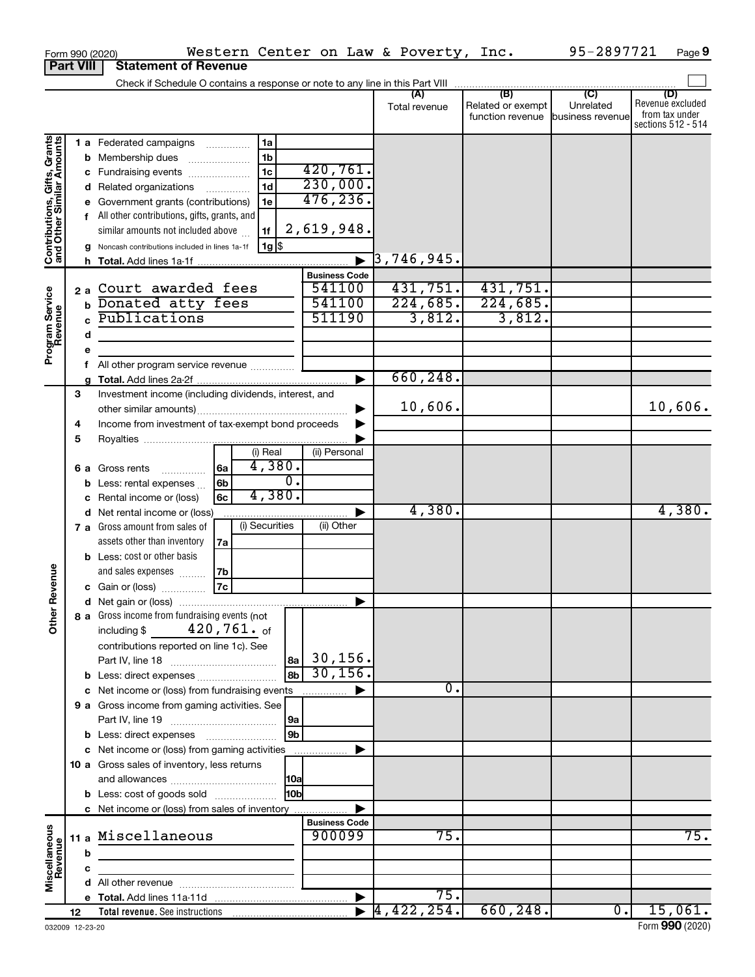|                                                           | Form 990 (2020)  | Western Center on Law & Poverty, Inc.                                         |                       |                                  |                                       | 95-2897721                    | Page 9                  |
|-----------------------------------------------------------|------------------|-------------------------------------------------------------------------------|-----------------------|----------------------------------|---------------------------------------|-------------------------------|-------------------------|
|                                                           | <b>Part VIII</b> | <b>Statement of Revenue</b>                                                   |                       |                                  |                                       |                               |                         |
|                                                           |                  | Check if Schedule O contains a response or note to any line in this Part VIII |                       |                                  |                                       |                               |                         |
|                                                           |                  |                                                                               |                       | (A)                              | (B)                                   | $\overline{C}$                | (D)<br>Revenue excluded |
|                                                           |                  |                                                                               |                       | Total revenue                    | Related or exempt<br>function revenue | Unrelated<br>business revenue | from tax under          |
|                                                           |                  |                                                                               |                       |                                  |                                       |                               | sections 512 - 514      |
|                                                           |                  | 1a<br>1 a Federated campaigns                                                 |                       |                                  |                                       |                               |                         |
|                                                           |                  | 1 <sub>b</sub><br><b>b</b> Membership dues                                    |                       |                                  |                                       |                               |                         |
|                                                           |                  | 1 <sub>c</sub><br>c Fundraising events                                        | 420,761.              |                                  |                                       |                               |                         |
|                                                           |                  | 1 <sub>d</sub><br>d Related organizations                                     | 230,000.              |                                  |                                       |                               |                         |
|                                                           |                  | e Government grants (contributions)<br>1e                                     | 476, 236.             |                                  |                                       |                               |                         |
|                                                           |                  | f All other contributions, gifts, grants, and                                 |                       |                                  |                                       |                               |                         |
| Contributions, Gifts, Grants<br>and Other Similar Amounts |                  | similar amounts not included above<br>1f                                      | 2,619,948.            |                                  |                                       |                               |                         |
|                                                           |                  | 1g   \$<br>g Noncash contributions included in lines 1a-1f                    |                       |                                  |                                       |                               |                         |
|                                                           |                  |                                                                               | $\blacktriangleright$ | $\overline{3}$ ,746,945.         |                                       |                               |                         |
|                                                           |                  |                                                                               | <b>Business Code</b>  |                                  |                                       |                               |                         |
|                                                           |                  | 2a Court awarded fees                                                         | 541100                | 431,751.                         | 431,751.                              |                               |                         |
|                                                           |                  | <b>b</b> Donated atty fees                                                    | 541100                | 224,685.                         | 224,685.                              |                               |                         |
|                                                           |                  | Publications                                                                  | 511190                | 3,812.                           | 3,812.                                |                               |                         |
|                                                           | d                |                                                                               |                       |                                  |                                       |                               |                         |
| Program Service<br>Revenue                                |                  |                                                                               |                       |                                  |                                       |                               |                         |
|                                                           | е<br>f           | All other program service revenue                                             |                       |                                  |                                       |                               |                         |
|                                                           |                  |                                                                               |                       | 660,248.                         |                                       |                               |                         |
|                                                           | 3                | Investment income (including dividends, interest, and                         |                       |                                  |                                       |                               |                         |
|                                                           |                  |                                                                               |                       | 10,606.                          |                                       |                               | 10,606.                 |
|                                                           | 4                | Income from investment of tax-exempt bond proceeds                            |                       |                                  |                                       |                               |                         |
|                                                           | 5                |                                                                               |                       |                                  |                                       |                               |                         |
|                                                           |                  | (i) Real                                                                      | (ii) Personal         |                                  |                                       |                               |                         |
|                                                           |                  | 4,380.<br>  6a<br><b>6 a</b> Gross rents                                      |                       |                                  |                                       |                               |                         |
|                                                           |                  | σ.<br>6b<br><b>b</b> Less: rental expenses $\ldots$                           |                       |                                  |                                       |                               |                         |
|                                                           |                  | 4,380.<br>6c<br>c Rental income or (loss)                                     |                       |                                  |                                       |                               |                         |
|                                                           |                  | d Net rental income or (loss)                                                 |                       | 4,380.                           |                                       |                               | 4,380.                  |
|                                                           |                  | (i) Securities<br>7 a Gross amount from sales of                              | (ii) Other            |                                  |                                       |                               |                         |
|                                                           |                  | assets other than inventory<br>7a                                             |                       |                                  |                                       |                               |                         |
|                                                           |                  | <b>b</b> Less: cost or other basis                                            |                       |                                  |                                       |                               |                         |
|                                                           |                  | and sales expenses<br>7b                                                      |                       |                                  |                                       |                               |                         |
| evenue                                                    |                  | 7c<br>c Gain or (loss)                                                        |                       |                                  |                                       |                               |                         |
|                                                           |                  |                                                                               |                       |                                  |                                       |                               |                         |
| Other F                                                   |                  | 8 a Gross income from fundraising events (not                                 |                       |                                  |                                       |                               |                         |
|                                                           |                  | including \$ $420,761$ . of                                                   |                       |                                  |                                       |                               |                         |
|                                                           |                  | contributions reported on line 1c). See                                       |                       |                                  |                                       |                               |                         |
|                                                           |                  |                                                                               | $ a_2 $ 30, 156.      |                                  |                                       |                               |                         |
|                                                           |                  | 8bl<br><b>b</b> Less: direct expenses                                         | 30, 156.              |                                  |                                       |                               |                         |
|                                                           |                  | c Net income or (loss) from fundraising events                                |                       | $\overline{0}$ .                 |                                       |                               |                         |
|                                                           |                  | 9 a Gross income from gaming activities. See                                  |                       |                                  |                                       |                               |                         |
|                                                           |                  |                                                                               |                       |                                  |                                       |                               |                         |
|                                                           |                  | 9 <sub>b</sub>                                                                |                       |                                  |                                       |                               |                         |
|                                                           |                  | c Net income or (loss) from gaming activities                                 |                       |                                  |                                       |                               |                         |
|                                                           |                  | 10 a Gross sales of inventory, less returns                                   |                       |                                  |                                       |                               |                         |
|                                                           |                  |                                                                               |                       |                                  |                                       |                               |                         |
|                                                           |                  | 10bl<br><b>b</b> Less: cost of goods sold                                     |                       |                                  |                                       |                               |                         |
|                                                           |                  | c Net income or (loss) from sales of inventory                                |                       |                                  |                                       |                               |                         |
|                                                           |                  |                                                                               | <b>Business Code</b>  |                                  |                                       |                               |                         |
| Miscellaneous<br>Revenue                                  |                  | 11 a Miscellaneous                                                            | 900099                | 75.                              |                                       |                               | $\overline{75}$ .       |
|                                                           | b                |                                                                               |                       |                                  |                                       |                               |                         |
|                                                           | c                |                                                                               |                       |                                  |                                       |                               |                         |
|                                                           |                  |                                                                               |                       |                                  |                                       |                               |                         |
|                                                           |                  |                                                                               |                       | 75.                              |                                       |                               |                         |
|                                                           | 12               |                                                                               |                       | $\blacktriangleright$ 4,422,254. | 660, 248.                             | $\overline{0}$ .              | 15,061.                 |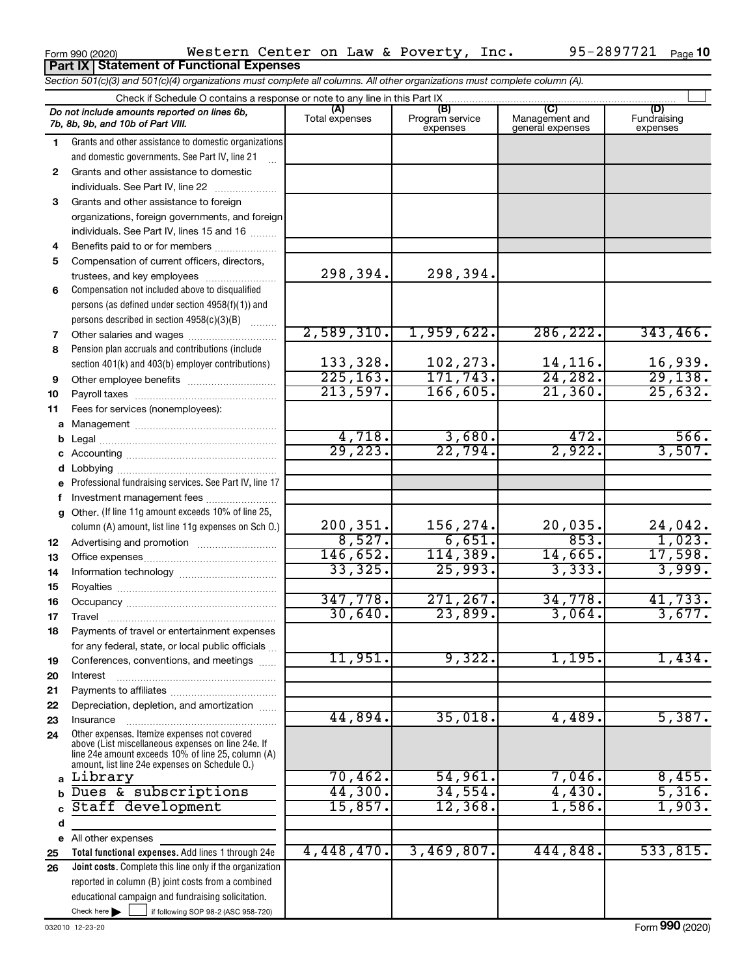|             | <b>Part IX Statement of Functional Expenses</b>                                                                            |                       |                                    |                                           |                                |
|-------------|----------------------------------------------------------------------------------------------------------------------------|-----------------------|------------------------------------|-------------------------------------------|--------------------------------|
|             | Section 501(c)(3) and 501(c)(4) organizations must complete all columns. All other organizations must complete column (A). |                       |                                    |                                           |                                |
|             | Check if Schedule O contains a response or note to any line in this Part IX                                                |                       |                                    |                                           |                                |
|             | Do not include amounts reported on lines 6b,<br>7b, 8b, 9b, and 10b of Part VIII.                                          | (A)<br>Total expenses | (B)<br>Program service<br>expenses | (C)<br>Management and<br>general expenses | (D)<br>Fundraising<br>expenses |
| 1           | Grants and other assistance to domestic organizations                                                                      |                       |                                    |                                           |                                |
|             | and domestic governments. See Part IV, line 21                                                                             |                       |                                    |                                           |                                |
| 2           | Grants and other assistance to domestic                                                                                    |                       |                                    |                                           |                                |
|             | individuals. See Part IV, line 22                                                                                          |                       |                                    |                                           |                                |
| 3           | Grants and other assistance to foreign                                                                                     |                       |                                    |                                           |                                |
|             | organizations, foreign governments, and foreign                                                                            |                       |                                    |                                           |                                |
|             | individuals. See Part IV, lines 15 and 16                                                                                  |                       |                                    |                                           |                                |
| 4           | Benefits paid to or for members                                                                                            |                       |                                    |                                           |                                |
| 5           | Compensation of current officers, directors,                                                                               |                       |                                    |                                           |                                |
|             | trustees, and key employees                                                                                                | 298,394.              | 298,394.                           |                                           |                                |
| 6           | Compensation not included above to disqualified                                                                            |                       |                                    |                                           |                                |
|             | persons (as defined under section 4958(f)(1)) and                                                                          |                       |                                    |                                           |                                |
|             | persons described in section 4958(c)(3)(B)                                                                                 | 2,589,310.            | 1,959,622.                         | 286, 222.                                 | 343, 466.                      |
| 7           | Other salaries and wages                                                                                                   |                       |                                    |                                           |                                |
| 8           | Pension plan accruals and contributions (include                                                                           | 133,328.              | 102,273.                           | 14,116.                                   | 16,939.                        |
|             | section 401(k) and 403(b) employer contributions)                                                                          | 225, 163.             | 171,743.                           | 24, 282.                                  | 29,138.                        |
| 9<br>10     | Other employee benefits                                                                                                    | 213,597.              | 166,605.                           | 21,360.                                   | 25,632.                        |
| 11          | Fees for services (nonemployees):                                                                                          |                       |                                    |                                           |                                |
| а           |                                                                                                                            |                       |                                    |                                           |                                |
| b           |                                                                                                                            | 4,718.                | 3,680.                             | 472.                                      | 566.                           |
| с           |                                                                                                                            | 29,223.               | 22,794.                            | 2,922.                                    | 3,507.                         |
| d           | Lobbying                                                                                                                   |                       |                                    |                                           |                                |
|             | Professional fundraising services. See Part IV, line 17                                                                    |                       |                                    |                                           |                                |
| f           | Investment management fees                                                                                                 |                       |                                    |                                           |                                |
| g           | Other. (If line 11g amount exceeds 10% of line 25,                                                                         |                       |                                    |                                           |                                |
|             | column (A) amount, list line 11g expenses on Sch O.)                                                                       | 200,351.              | 156,274.                           | 20,035.                                   | $\frac{24,042}{1,023}$         |
| 12          |                                                                                                                            | 8,527.                | 6,651.                             | 853.                                      |                                |
| 13          |                                                                                                                            | 146,652.              | 114,389.                           | 14,665.                                   | 17,598.                        |
| 14          |                                                                                                                            | 33,325.               | 25,993.                            | 3,333.                                    | 3,999.                         |
| 15          |                                                                                                                            |                       |                                    |                                           |                                |
| 16          |                                                                                                                            | 347,778.              | 271, 267.                          | 34,778.                                   | 41,733.                        |
| 17          | Travel                                                                                                                     | 30,640.               | 23,899.                            | 3,064.                                    | 3,677.                         |
| 18          | Payments of travel or entertainment expenses                                                                               |                       |                                    |                                           |                                |
|             | for any federal, state, or local public officials                                                                          | 11,951.               | 9,322.                             | 1,195.                                    |                                |
| 19          | Conferences, conventions, and meetings                                                                                     |                       |                                    |                                           | 1,434.                         |
| 20          | Interest                                                                                                                   |                       |                                    |                                           |                                |
| 21          | Depreciation, depletion, and amortization                                                                                  |                       |                                    |                                           |                                |
| 22<br>23    | Insurance                                                                                                                  | 44,894.               | 35,018.                            | 4,489.                                    | 5,387.                         |
| 24          | Other expenses. Itemize expenses not covered                                                                               |                       |                                    |                                           |                                |
|             | above (List miscellaneous expenses on line 24e. If                                                                         |                       |                                    |                                           |                                |
|             | line 24e amount exceeds 10% of line 25, column (A)<br>amount, list line 24e expenses on Schedule O.)                       |                       |                                    |                                           |                                |
| a           | Library                                                                                                                    | 70,462.               | 54,961.                            | 7,046.                                    | 8,455.                         |
| $\mathbf b$ | Dues & subscriptions                                                                                                       | 44,300.               | 34,554.                            | 4,430.                                    | 5,316.                         |
|             | Staff development                                                                                                          | 15,857.               | 12,368.                            | 1,586.                                    | 1,903.                         |
| d           |                                                                                                                            |                       |                                    |                                           |                                |
|             | e All other expenses                                                                                                       |                       |                                    |                                           |                                |
| 25          | Total functional expenses. Add lines 1 through 24e                                                                         | 4,448,470.            | 3,469,807.                         | 444,848                                   | 533,815.                       |
| 26          | Joint costs. Complete this line only if the organization                                                                   |                       |                                    |                                           |                                |
|             | reported in column (B) joint costs from a combined                                                                         |                       |                                    |                                           |                                |
|             | educational campaign and fundraising solicitation.                                                                         |                       |                                    |                                           |                                |
|             | Check here $\blacktriangleright$<br>if following SOP 98-2 (ASC 958-720)                                                    |                       |                                    |                                           |                                |

Form 990 (2020) Page

Western Center on Law & Poverty, Inc. 95-2897721

95-2897721 Page 10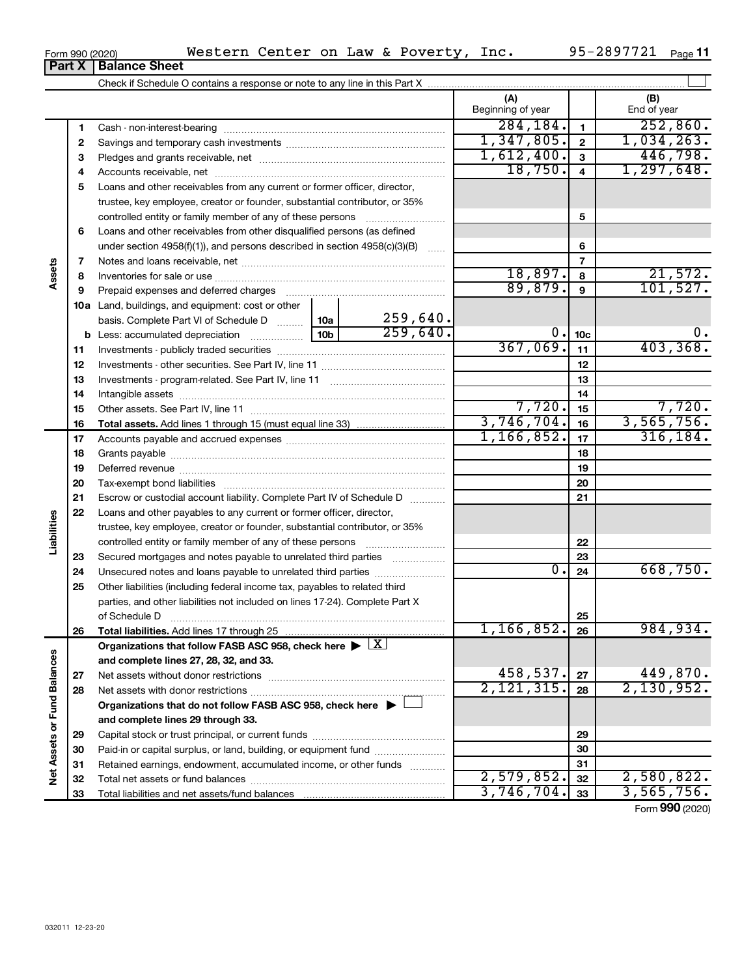| Form 990 (2020) | Western | Center | on | Law | $\alpha$ | Poverty | Inc. | $   -$<br>n L<br>$\lambda$ $\Omega$<br>$\boldsymbol{\mathcal{L}}$ | Page |
|-----------------|---------|--------|----|-----|----------|---------|------|-------------------------------------------------------------------|------|
|                 |         |        |    |     |          |         |      |                                                                   |      |

**10a**

 Investments - publicly traded securities ~~~~~~~~~~~~~~~~~~~ Investments - other securities. See Part IV, line 11 ~~~~~~~~~~~~~~ Investments - program-related. See Part IV, line 11 ~~~~~~~~~~~~~ Intangible assets ~~~~~~~~~~~~~~~~~~~~~~~~~~~~~~

**Total assets.**  Add lines 1 through 15 (must equal line 33)

Accounts payable and accrued expenses ~~~~~~~~~~~~~~~~~~ Grants payable ~~~~~~~~~~~~~~~~~~~~~~~~~~~~~~~ Deferred revenue ~~~~~~~~~~~~~~~~~~~~~~~~~~~~~~ Tax-exempt bond liabilities ~~~~~~~~~~~~~~~~~~~~~~~~~ Escrow or custodial account liability. Complete Part IV of Schedule D ...........

Other assets. See Part IV, line 11 ~~~~~~~~~~~~~~~~~~~~~~

**Total liabilities.**  Add lines 17 through 25

Net assets without donor restrictions ~~~~~~~~~~~~~~~~~~~~ Net assets with donor restrictions ~~~~~~~~~~~~~~~~~~~~~~

Capital stock or trust principal, or current funds ~~~~~~~~~~~~~~~ Paid-in or capital surplus, or land, building, or equipment fund ....................... Retained earnings, endowment, accumulated income, or other funds ............ Total net assets or fund balances ~~~~~~~~~~~~~~~~~~~~~~

**Organizations that do not follow FASB ASC 958, check here** | †

Organizations that follow FASB ASC 958, check here  $\blacktriangleright \boxed{\text{X}}$ 

Loans and other payables to any current or former officer, director, trustee, key employee, creator or founder, substantial contributor, or 35% controlled entity or family member of any of these persons ~~~~~~~~~ Secured mortgages and notes payable to unrelated third parties  $\ldots$ ................. Unsecured notes and loans payable to unrelated third parties  $\ldots$ ............... Other liabilities (including federal income tax, payables to related third parties, and other liabilities not included on lines 17-24). Complete Part X of Schedule D  $~\dots$   $~\dots$   $~\dots$   $~\dots$   $~\dots$   $~\dots$   $~\dots$   $~\dots$   $~\dots$   $~\dots$   $~\dots$ 

**and complete lines 27, 28, 32, and 33.**

**and complete lines 29 through 33.**

Total liabilities and net assets/fund balances ...

**b** Less: accumulated depreciation  $\ldots$  [10b

basis. Complete Part VI of Schedule D .........

 $367,069$ .  $11$   $403,368$ .

7,720. 7,720. 3,746,704. 3,565,756.  $1,166,852.$  17 316,184.

 $0. |24| 668,750.$ 

 $259,640.$  0.  $10c$  0. 0.

**22 23 24**

**25 26**

1,166,852. 984,934.

 $458,537.$   $27$   $449,870.$ 2,121,315. 2,130,952.

**27 28**

 $2,579,852.$   $32$   $2,580,822.$ 3,746,704. 3,565,756.

|        | Part X | <b>Balance Sheet</b>                                                          |                          |                |                    |
|--------|--------|-------------------------------------------------------------------------------|--------------------------|----------------|--------------------|
|        |        | Check if Schedule O contains a response or note to any line in this Part X    |                          |                |                    |
|        |        |                                                                               | (A)<br>Beginning of year |                | (B)<br>End of year |
|        |        | Cash - non-interest-bearing                                                   | 284,184.                 |                | 252,860.           |
|        | 2      |                                                                               | 1,347,805.               | $\mathfrak{p}$ | 1,034,263.         |
|        | з      |                                                                               | 1,612,400.               | 3              | 446,798.           |
|        | 4      |                                                                               | 18,750。                  | 4              | 1,297,648.         |
|        | 5      | Loans and other receivables from any current or former officer, director,     |                          |                |                    |
|        |        | trustee, key employee, creator or founder, substantial contributor, or 35%    |                          |                |                    |
|        |        | controlled entity or family member of any of these persons                    |                          | 5              |                    |
|        | 6      | Loans and other receivables from other disqualified persons (as defined       |                          |                |                    |
|        |        | under section $4958(f)(1)$ , and persons described in section $4958(c)(3)(B)$ |                          | 6              |                    |
|        |        |                                                                               |                          |                |                    |
| Assets | 8      |                                                                               | 18,897.                  | 8              | 21,572.            |
|        | 9      | Prepaid expenses and deferred charges                                         | 89, 879.                 | 9              | 101,527.           |
|        | 10a    | Land, buildings, and equipment: cost or other                                 |                          |                |                    |

259,640.

Form (2020) **990**

| Form 990 (2020) |  |
|-----------------|--|
|-----------------|--|

**Assets**

**23 24 25**

**Liabilities**

**26**

**27 28**

**Net Assets or Fund Balances**

Net Assets or Fund Balances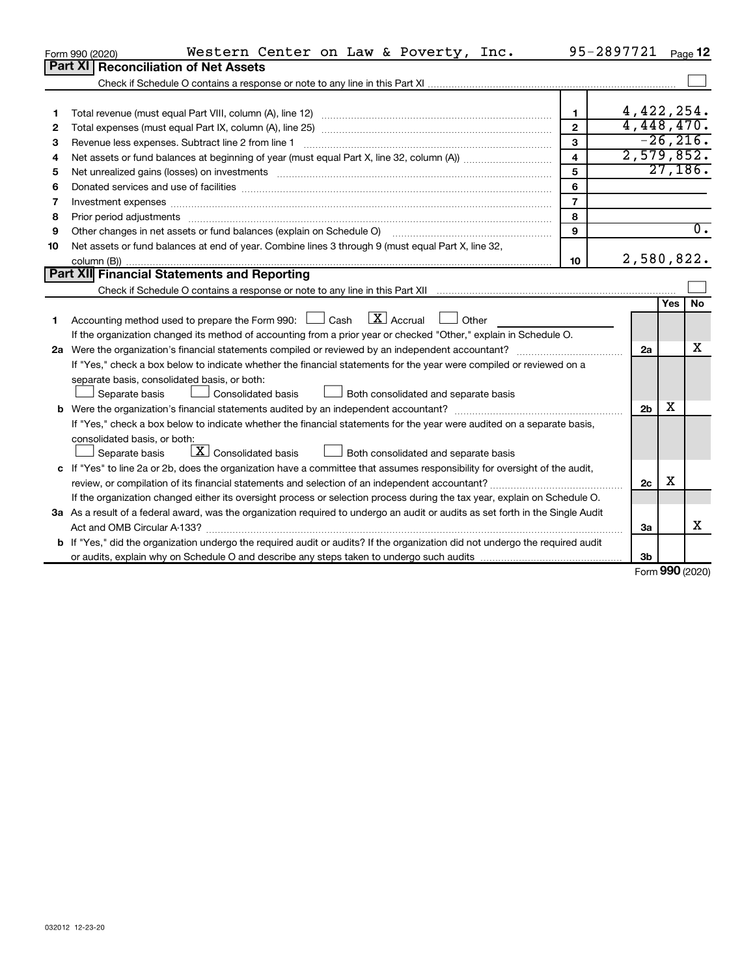|    | Western Center on Law & Poverty, Inc.<br>Form 990 (2020)                                                                        | 95-2897721              |                |     | Page 12          |
|----|---------------------------------------------------------------------------------------------------------------------------------|-------------------------|----------------|-----|------------------|
|    | <b>Reconciliation of Net Assets</b><br>Part XI                                                                                  |                         |                |     |                  |
|    |                                                                                                                                 |                         |                |     |                  |
|    |                                                                                                                                 |                         |                |     |                  |
| 1  |                                                                                                                                 | $\mathbf{1}$            | 4,422,254.     |     |                  |
| 2  |                                                                                                                                 | $\mathbf{2}$            | 4,448,470.     |     |                  |
| 3  | Revenue less expenses. Subtract line 2 from line 1                                                                              | 3                       |                |     | $-26, 216.$      |
| 4  |                                                                                                                                 | $\overline{\mathbf{4}}$ | 2,579,852.     |     |                  |
| 5  |                                                                                                                                 | 5                       |                |     | 27,186.          |
| 6  |                                                                                                                                 | 6                       |                |     |                  |
| 7  |                                                                                                                                 | $\overline{7}$          |                |     |                  |
| 8  | Prior period adjustments www.communication.communication.communication.com/                                                     | 8                       |                |     |                  |
| 9  |                                                                                                                                 | 9                       |                |     | $\overline{0}$ . |
| 10 | Net assets or fund balances at end of year. Combine lines 3 through 9 (must equal Part X, line 32,                              |                         |                |     |                  |
|    |                                                                                                                                 | 10                      | 2,580,822.     |     |                  |
|    | Part XII Financial Statements and Reporting                                                                                     |                         |                |     |                  |
|    |                                                                                                                                 |                         |                |     |                  |
|    |                                                                                                                                 |                         |                | Yes | No               |
| 1. | $\lfloor$ X $\rfloor$ Accrual<br>Accounting method used to prepare the Form 990: [130] Cash<br>$\Box$ Other                     |                         |                |     |                  |
|    | If the organization changed its method of accounting from a prior year or checked "Other," explain in Schedule O.               |                         |                |     |                  |
|    | 2a Were the organization's financial statements compiled or reviewed by an independent accountant?                              |                         | 2a             |     | x                |
|    | If "Yes," check a box below to indicate whether the financial statements for the year were compiled or reviewed on a            |                         |                |     |                  |
|    | separate basis, consolidated basis, or both:                                                                                    |                         |                |     |                  |
|    | Separate basis<br>Consolidated basis<br>Both consolidated and separate basis                                                    |                         |                |     |                  |
|    |                                                                                                                                 |                         | 2 <sub>b</sub> | х   |                  |
|    | If "Yes," check a box below to indicate whether the financial statements for the year were audited on a separate basis,         |                         |                |     |                  |
|    | consolidated basis, or both:                                                                                                    |                         |                |     |                  |
|    | $\lfloor \underline{X} \rfloor$ Consolidated basis<br>Separate basis<br>Both consolidated and separate basis                    |                         |                |     |                  |
|    | c If "Yes" to line 2a or 2b, does the organization have a committee that assumes responsibility for oversight of the audit,     |                         |                |     |                  |
|    | review, or compilation of its financial statements and selection of an independent accountant?                                  |                         | 2c             | х   |                  |
|    | If the organization changed either its oversight process or selection process during the tax year, explain on Schedule O.       |                         |                |     |                  |
|    | 3a As a result of a federal award, was the organization required to undergo an audit or audits as set forth in the Single Audit |                         |                |     |                  |
|    |                                                                                                                                 |                         | 3a             |     | x                |
|    | b If "Yes," did the organization undergo the required audit or audits? If the organization did not undergo the required audit   |                         |                |     |                  |
|    |                                                                                                                                 |                         | 3 <sub>b</sub> |     |                  |

Form (2020) **990**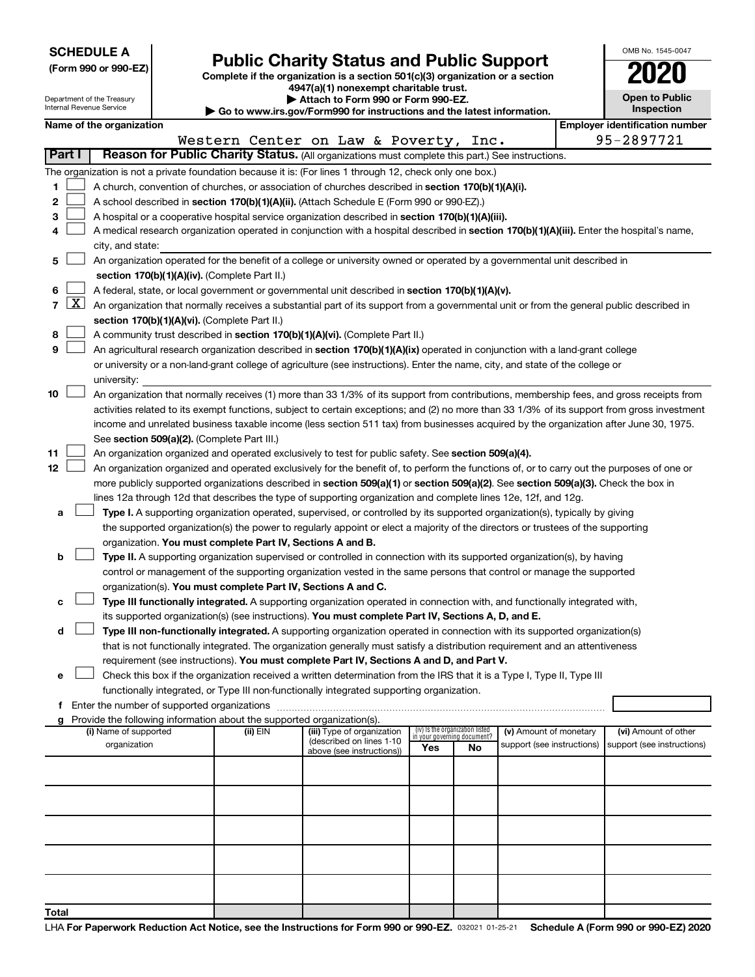|  | <b>SCHEDULE A</b> |  |  |  |  |  |  |  |  |  |
|--|-------------------|--|--|--|--|--|--|--|--|--|
|--|-------------------|--|--|--|--|--|--|--|--|--|

Department of the Treasury

|  |  | (Form 990 or 990-EZ) |
|--|--|----------------------|
|  |  |                      |

Form 990 or 990-EZ) **Public Charity Status and Public Support**<br>
Complete if the organization is a section 501(c)(3) organization or a section<br> **2020 4947(a)(1) nonexempt charitable trust.**

**| Attach to Form 990 or Form 990-EZ.** 

| OMB No. 1545-0047                   |
|-------------------------------------|
| 2020                                |
| <b>Open to Public</b><br>Inspection |

|                | nternal Revenue Service<br>Inspection<br>Go to www.irs.gov/Form990 for instructions and the latest information. |                                                                                                                                                                                                |  |                                                                        |                                                                                                                                              |                                 |    |                                                      |                                                     |
|----------------|-----------------------------------------------------------------------------------------------------------------|------------------------------------------------------------------------------------------------------------------------------------------------------------------------------------------------|--|------------------------------------------------------------------------|----------------------------------------------------------------------------------------------------------------------------------------------|---------------------------------|----|------------------------------------------------------|-----------------------------------------------------|
|                |                                                                                                                 | Name of the organization                                                                                                                                                                       |  |                                                                        |                                                                                                                                              |                                 |    |                                                      | <b>Employer identification number</b><br>95-2897721 |
|                | Part I                                                                                                          |                                                                                                                                                                                                |  |                                                                        | Western Center on Law & Poverty, Inc.<br>Reason for Public Charity Status. (All organizations must complete this part.) See instructions.    |                                 |    |                                                      |                                                     |
|                |                                                                                                                 |                                                                                                                                                                                                |  |                                                                        |                                                                                                                                              |                                 |    |                                                      |                                                     |
|                |                                                                                                                 |                                                                                                                                                                                                |  |                                                                        | The organization is not a private foundation because it is: (For lines 1 through 12, check only one box.)                                    |                                 |    |                                                      |                                                     |
| 1              |                                                                                                                 |                                                                                                                                                                                                |  |                                                                        | A church, convention of churches, or association of churches described in section 170(b)(1)(A)(i).                                           |                                 |    |                                                      |                                                     |
| 2              |                                                                                                                 | A school described in section 170(b)(1)(A)(ii). (Attach Schedule E (Form 990 or 990-EZ).)<br>A hospital or a cooperative hospital service organization described in section 170(b)(1)(A)(iii). |  |                                                                        |                                                                                                                                              |                                 |    |                                                      |                                                     |
| З              |                                                                                                                 |                                                                                                                                                                                                |  |                                                                        |                                                                                                                                              |                                 |    |                                                      |                                                     |
| 4              |                                                                                                                 | A medical research organization operated in conjunction with a hospital described in section 170(b)(1)(A)(iii). Enter the hospital's name,                                                     |  |                                                                        |                                                                                                                                              |                                 |    |                                                      |                                                     |
|                |                                                                                                                 | city, and state:                                                                                                                                                                               |  |                                                                        |                                                                                                                                              |                                 |    |                                                      |                                                     |
| 5              |                                                                                                                 |                                                                                                                                                                                                |  | section 170(b)(1)(A)(iv). (Complete Part II.)                          | An organization operated for the benefit of a college or university owned or operated by a governmental unit described in                    |                                 |    |                                                      |                                                     |
| 6              |                                                                                                                 |                                                                                                                                                                                                |  |                                                                        | A federal, state, or local government or governmental unit described in section 170(b)(1)(A)(v).                                             |                                 |    |                                                      |                                                     |
| $\overline{7}$ | $\lfloor x \rfloor$                                                                                             |                                                                                                                                                                                                |  |                                                                        | An organization that normally receives a substantial part of its support from a governmental unit or from the general public described in    |                                 |    |                                                      |                                                     |
|                |                                                                                                                 |                                                                                                                                                                                                |  |                                                                        |                                                                                                                                              |                                 |    |                                                      |                                                     |
| 8              |                                                                                                                 |                                                                                                                                                                                                |  | section 170(b)(1)(A)(vi). (Complete Part II.)                          | A community trust described in section 170(b)(1)(A)(vi). (Complete Part II.)                                                                 |                                 |    |                                                      |                                                     |
| 9              |                                                                                                                 |                                                                                                                                                                                                |  |                                                                        | An agricultural research organization described in section 170(b)(1)(A)(ix) operated in conjunction with a land-grant college                |                                 |    |                                                      |                                                     |
|                |                                                                                                                 |                                                                                                                                                                                                |  |                                                                        | or university or a non-land-grant college of agriculture (see instructions). Enter the name, city, and state of the college or               |                                 |    |                                                      |                                                     |
|                |                                                                                                                 | university:                                                                                                                                                                                    |  |                                                                        |                                                                                                                                              |                                 |    |                                                      |                                                     |
| 10             |                                                                                                                 |                                                                                                                                                                                                |  |                                                                        | An organization that normally receives (1) more than 33 1/3% of its support from contributions, membership fees, and gross receipts from     |                                 |    |                                                      |                                                     |
|                |                                                                                                                 |                                                                                                                                                                                                |  |                                                                        | activities related to its exempt functions, subject to certain exceptions; and (2) no more than 33 1/3% of its support from gross investment |                                 |    |                                                      |                                                     |
|                |                                                                                                                 |                                                                                                                                                                                                |  |                                                                        | income and unrelated business taxable income (less section 511 tax) from businesses acquired by the organization after June 30, 1975.        |                                 |    |                                                      |                                                     |
|                |                                                                                                                 |                                                                                                                                                                                                |  | See section 509(a)(2). (Complete Part III.)                            |                                                                                                                                              |                                 |    |                                                      |                                                     |
| 11             |                                                                                                                 |                                                                                                                                                                                                |  |                                                                        | An organization organized and operated exclusively to test for public safety. See section 509(a)(4).                                         |                                 |    |                                                      |                                                     |
| 12             |                                                                                                                 |                                                                                                                                                                                                |  |                                                                        | An organization organized and operated exclusively for the benefit of, to perform the functions of, or to carry out the purposes of one or   |                                 |    |                                                      |                                                     |
|                |                                                                                                                 |                                                                                                                                                                                                |  |                                                                        | more publicly supported organizations described in section 509(a)(1) or section 509(a)(2). See section 509(a)(3). Check the box in           |                                 |    |                                                      |                                                     |
|                |                                                                                                                 |                                                                                                                                                                                                |  |                                                                        | lines 12a through 12d that describes the type of supporting organization and complete lines 12e, 12f, and 12g.                               |                                 |    |                                                      |                                                     |
| а              |                                                                                                                 |                                                                                                                                                                                                |  |                                                                        | Type I. A supporting organization operated, supervised, or controlled by its supported organization(s), typically by giving                  |                                 |    |                                                      |                                                     |
|                |                                                                                                                 |                                                                                                                                                                                                |  |                                                                        | the supported organization(s) the power to regularly appoint or elect a majority of the directors or trustees of the supporting              |                                 |    |                                                      |                                                     |
|                |                                                                                                                 |                                                                                                                                                                                                |  | organization. You must complete Part IV, Sections A and B.             |                                                                                                                                              |                                 |    |                                                      |                                                     |
| b              |                                                                                                                 |                                                                                                                                                                                                |  |                                                                        | Type II. A supporting organization supervised or controlled in connection with its supported organization(s), by having                      |                                 |    |                                                      |                                                     |
|                |                                                                                                                 |                                                                                                                                                                                                |  |                                                                        | control or management of the supporting organization vested in the same persons that control or manage the supported                         |                                 |    |                                                      |                                                     |
|                |                                                                                                                 |                                                                                                                                                                                                |  | organization(s). You must complete Part IV, Sections A and C.          |                                                                                                                                              |                                 |    |                                                      |                                                     |
|                |                                                                                                                 |                                                                                                                                                                                                |  |                                                                        | Type III functionally integrated. A supporting organization operated in connection with, and functionally integrated with,                   |                                 |    |                                                      |                                                     |
|                |                                                                                                                 |                                                                                                                                                                                                |  |                                                                        | its supported organization(s) (see instructions). You must complete Part IV, Sections A, D, and E.                                           |                                 |    |                                                      |                                                     |
| d              |                                                                                                                 |                                                                                                                                                                                                |  |                                                                        | Type III non-functionally integrated. A supporting organization operated in connection with its supported organization(s)                    |                                 |    |                                                      |                                                     |
|                |                                                                                                                 |                                                                                                                                                                                                |  |                                                                        | that is not functionally integrated. The organization generally must satisfy a distribution requirement and an attentiveness                 |                                 |    |                                                      |                                                     |
|                |                                                                                                                 |                                                                                                                                                                                                |  |                                                                        | requirement (see instructions). You must complete Part IV, Sections A and D, and Part V.                                                     |                                 |    |                                                      |                                                     |
| е              |                                                                                                                 |                                                                                                                                                                                                |  |                                                                        | Check this box if the organization received a written determination from the IRS that it is a Type I, Type II, Type III                      |                                 |    |                                                      |                                                     |
|                |                                                                                                                 |                                                                                                                                                                                                |  |                                                                        | functionally integrated, or Type III non-functionally integrated supporting organization.                                                    |                                 |    |                                                      |                                                     |
| f              |                                                                                                                 | Enter the number of supported organizations                                                                                                                                                    |  |                                                                        |                                                                                                                                              |                                 |    |                                                      |                                                     |
|                |                                                                                                                 |                                                                                                                                                                                                |  | Provide the following information about the supported organization(s). |                                                                                                                                              | (iv) Is the organization listed |    |                                                      |                                                     |
|                |                                                                                                                 | (i) Name of supported<br>organization                                                                                                                                                          |  | (ii) EIN                                                               | (iii) Type of organization<br>(described on lines 1-10                                                                                       | in your governing document?     |    | (v) Amount of monetary<br>support (see instructions) | (vi) Amount of other<br>support (see instructions)  |
|                |                                                                                                                 |                                                                                                                                                                                                |  |                                                                        | above (see instructions))                                                                                                                    | Yes                             | No |                                                      |                                                     |
|                |                                                                                                                 |                                                                                                                                                                                                |  |                                                                        |                                                                                                                                              |                                 |    |                                                      |                                                     |
|                |                                                                                                                 |                                                                                                                                                                                                |  |                                                                        |                                                                                                                                              |                                 |    |                                                      |                                                     |
|                |                                                                                                                 |                                                                                                                                                                                                |  |                                                                        |                                                                                                                                              |                                 |    |                                                      |                                                     |
|                |                                                                                                                 |                                                                                                                                                                                                |  |                                                                        |                                                                                                                                              |                                 |    |                                                      |                                                     |
|                |                                                                                                                 |                                                                                                                                                                                                |  |                                                                        |                                                                                                                                              |                                 |    |                                                      |                                                     |
|                |                                                                                                                 |                                                                                                                                                                                                |  |                                                                        |                                                                                                                                              |                                 |    |                                                      |                                                     |
|                |                                                                                                                 |                                                                                                                                                                                                |  |                                                                        |                                                                                                                                              |                                 |    |                                                      |                                                     |
|                |                                                                                                                 |                                                                                                                                                                                                |  |                                                                        |                                                                                                                                              |                                 |    |                                                      |                                                     |
|                |                                                                                                                 |                                                                                                                                                                                                |  |                                                                        |                                                                                                                                              |                                 |    |                                                      |                                                     |
| Total          |                                                                                                                 |                                                                                                                                                                                                |  |                                                                        |                                                                                                                                              |                                 |    |                                                      |                                                     |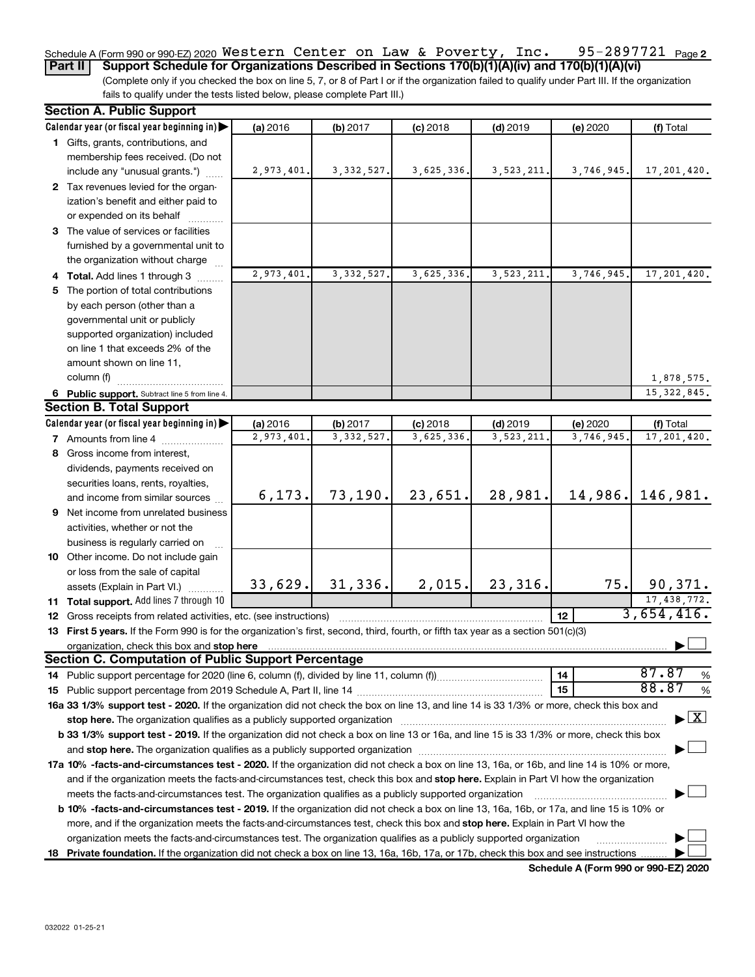#### 95-2897721 Page 2 Schedule A (Form 990 or 990-EZ) 2020  $\,$  <code>Western Center</code> on Law & <code>Poverty</code> , <code>Inc. 95-2897721</code> <code>Page</code>

(Complete only if you checked the box on line 5, 7, or 8 of Part I or if the organization failed to qualify under Part III. If the organization fails to qualify under the tests listed below, please complete Part III.) **Part II Support Schedule for Organizations Described in Sections 170(b)(1)(A)(iv) and 170(b)(1)(A)(vi)**

| <b>Section A. Public Support</b>                                                                                                               |            |              |            |              |            |                                          |
|------------------------------------------------------------------------------------------------------------------------------------------------|------------|--------------|------------|--------------|------------|------------------------------------------|
| Calendar year (or fiscal year beginning in)                                                                                                    | (a) 2016   | (b) 2017     | $(c)$ 2018 | $(d)$ 2019   | (e) 2020   | (f) Total                                |
| 1 Gifts, grants, contributions, and                                                                                                            |            |              |            |              |            |                                          |
| membership fees received. (Do not                                                                                                              |            |              |            |              |            |                                          |
| include any "unusual grants.")                                                                                                                 | 2,973,401. | 3, 332, 527. | 3,625,336. | 3, 523, 211. | 3,746,945. | 17, 201, 420.                            |
| 2 Tax revenues levied for the organ-                                                                                                           |            |              |            |              |            |                                          |
| ization's benefit and either paid to                                                                                                           |            |              |            |              |            |                                          |
| or expended on its behalf                                                                                                                      |            |              |            |              |            |                                          |
| 3 The value of services or facilities                                                                                                          |            |              |            |              |            |                                          |
| furnished by a governmental unit to                                                                                                            |            |              |            |              |            |                                          |
| the organization without charge                                                                                                                |            |              |            |              |            |                                          |
| 4 Total. Add lines 1 through 3                                                                                                                 | 2,973,401. | 3, 332, 527. | 3,625,336. | 3,523,211.   | 3,746,945  | 17,201,420.                              |
| 5 The portion of total contributions                                                                                                           |            |              |            |              |            |                                          |
| by each person (other than a                                                                                                                   |            |              |            |              |            |                                          |
| governmental unit or publicly                                                                                                                  |            |              |            |              |            |                                          |
| supported organization) included                                                                                                               |            |              |            |              |            |                                          |
| on line 1 that exceeds 2% of the                                                                                                               |            |              |            |              |            |                                          |
| amount shown on line 11,                                                                                                                       |            |              |            |              |            |                                          |
| column (f)                                                                                                                                     |            |              |            |              |            | 1,878,575.                               |
| 6 Public support. Subtract line 5 from line 4.                                                                                                 |            |              |            |              |            | 15, 322, 845.                            |
| <b>Section B. Total Support</b>                                                                                                                |            |              |            |              |            |                                          |
| Calendar year (or fiscal year beginning in)                                                                                                    | (a) 2016   | (b) 2017     | $(c)$ 2018 | $(d)$ 2019   | (e) 2020   | (f) Total                                |
| <b>7</b> Amounts from line 4                                                                                                                   | 2,973,401  | 3, 332, 527  | 3,625,336  | 3,523,211    | 3,746,945  | 17, 201, 420.                            |
| 8 Gross income from interest,                                                                                                                  |            |              |            |              |            |                                          |
| dividends, payments received on                                                                                                                |            |              |            |              |            |                                          |
| securities loans, rents, royalties,                                                                                                            |            |              |            |              |            |                                          |
| and income from similar sources                                                                                                                | 6, 173.    | 73, 190.     | 23,651.    | 28,981.      | 14,986.    | 146,981.                                 |
| 9 Net income from unrelated business                                                                                                           |            |              |            |              |            |                                          |
| activities, whether or not the                                                                                                                 |            |              |            |              |            |                                          |
| business is regularly carried on                                                                                                               |            |              |            |              |            |                                          |
| 10 Other income. Do not include gain                                                                                                           |            |              |            |              |            |                                          |
| or loss from the sale of capital                                                                                                               |            |              |            |              |            |                                          |
| assets (Explain in Part VI.)                                                                                                                   | 33,629.    | 31, 336.     | 2,015.     | 23,316.      | 75.        | 90,371.                                  |
| 11 Total support. Add lines 7 through 10                                                                                                       |            |              |            |              |            | 17, 438, 772.                            |
| <b>12</b> Gross receipts from related activities, etc. (see instructions)                                                                      |            |              |            |              | 12         | 3,654,416.                               |
| 13 First 5 years. If the Form 990 is for the organization's first, second, third, fourth, or fifth tax year as a section 501(c)(3)             |            |              |            |              |            |                                          |
|                                                                                                                                                |            |              |            |              |            |                                          |
| <b>Section C. Computation of Public Support Percentage</b>                                                                                     |            |              |            |              |            |                                          |
|                                                                                                                                                |            |              |            |              | 14         | 87.87<br>%                               |
|                                                                                                                                                |            |              |            |              | 15         | 88.87<br>%                               |
| 16a 33 1/3% support test - 2020. If the organization did not check the box on line 13, and line 14 is 33 1/3% or more, check this box and      |            |              |            |              |            |                                          |
| stop here. The organization qualifies as a publicly supported organization                                                                     |            |              |            |              |            | $\blacktriangleright$ $\boxed{\text{X}}$ |
| b 33 1/3% support test - 2019. If the organization did not check a box on line 13 or 16a, and line 15 is 33 1/3% or more, check this box       |            |              |            |              |            |                                          |
|                                                                                                                                                |            |              |            |              |            |                                          |
| 17a 10% -facts-and-circumstances test - 2020. If the organization did not check a box on line 13, 16a, or 16b, and line 14 is 10% or more,     |            |              |            |              |            |                                          |
| and if the organization meets the facts-and-circumstances test, check this box and stop here. Explain in Part VI how the organization          |            |              |            |              |            |                                          |
| meets the facts-and-circumstances test. The organization qualifies as a publicly supported organization                                        |            |              |            |              |            |                                          |
| <b>b 10%</b> -facts-and-circumstances test - 2019. If the organization did not check a box on line 13, 16a, 16b, or 17a, and line 15 is 10% or |            |              |            |              |            |                                          |
| more, and if the organization meets the facts-and-circumstances test, check this box and stop here. Explain in Part VI how the                 |            |              |            |              |            |                                          |
| organization meets the facts-and-circumstances test. The organization qualifies as a publicly supported organization                           |            |              |            |              |            |                                          |
|                                                                                                                                                |            |              |            |              |            |                                          |
| 18 Private foundation. If the organization did not check a box on line 13, 16a, 16b, 17a, or 17b, check this box and see instructions          |            |              |            |              |            |                                          |

**Schedule A (Form 990 or 990-EZ) 2020**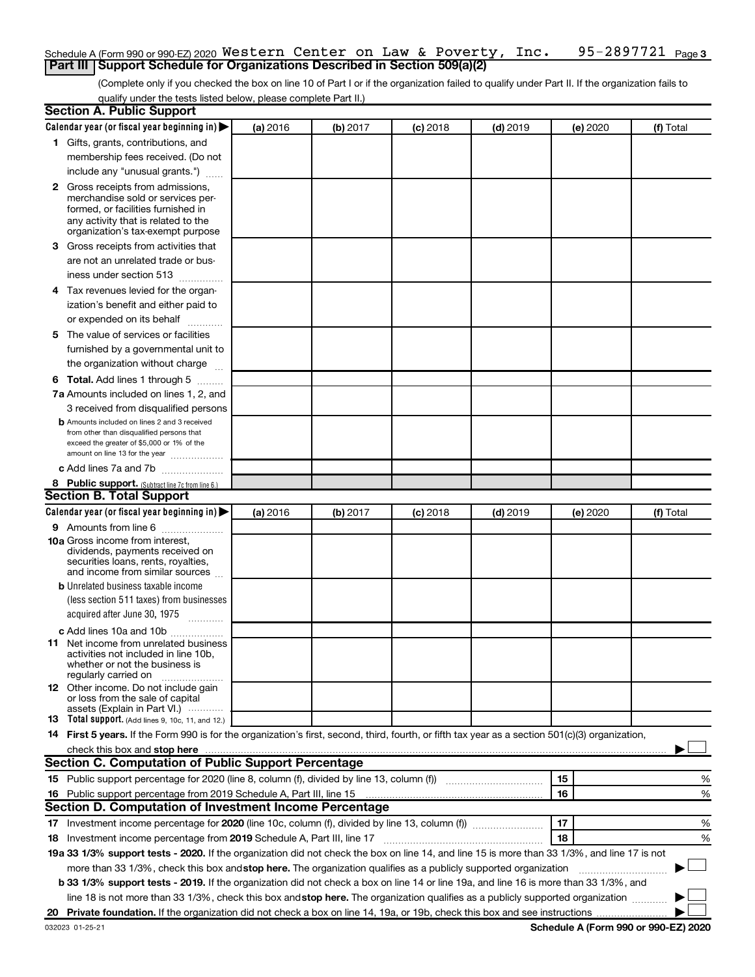#### 95-2897721 Page 3 Schedule A (Form 990 or 990-EZ) 2020  $\,$  <code>Western Center</code> on Law & <code>Poverty</code> , <code>Inc. 95-2897721</code> <code>Page</code> **Part III | Support Schedule for Organizations Described in Section 509(a)(2)**

(Complete only if you checked the box on line 10 of Part I or if the organization failed to qualify under Part II. If the organization fails to qualify under the tests listed below, please complete Part II.)

| <b>Section A. Public Support</b>                                                                                                                                                                                                                                                                |          |          |          |            |          |           |
|-------------------------------------------------------------------------------------------------------------------------------------------------------------------------------------------------------------------------------------------------------------------------------------------------|----------|----------|----------|------------|----------|-----------|
| Calendar year (or fiscal year beginning in)                                                                                                                                                                                                                                                     | (a) 2016 | (b) 2017 | (c) 2018 | $(d)$ 2019 | (e) 2020 | (f) Total |
| 1 Gifts, grants, contributions, and                                                                                                                                                                                                                                                             |          |          |          |            |          |           |
| membership fees received. (Do not                                                                                                                                                                                                                                                               |          |          |          |            |          |           |
| include any "unusual grants.")                                                                                                                                                                                                                                                                  |          |          |          |            |          |           |
| <b>2</b> Gross receipts from admissions,                                                                                                                                                                                                                                                        |          |          |          |            |          |           |
| merchandise sold or services per-                                                                                                                                                                                                                                                               |          |          |          |            |          |           |
| formed, or facilities furnished in                                                                                                                                                                                                                                                              |          |          |          |            |          |           |
| any activity that is related to the<br>organization's tax-exempt purpose                                                                                                                                                                                                                        |          |          |          |            |          |           |
| 3 Gross receipts from activities that                                                                                                                                                                                                                                                           |          |          |          |            |          |           |
| are not an unrelated trade or bus-                                                                                                                                                                                                                                                              |          |          |          |            |          |           |
| iness under section 513                                                                                                                                                                                                                                                                         |          |          |          |            |          |           |
| 4 Tax revenues levied for the organ-                                                                                                                                                                                                                                                            |          |          |          |            |          |           |
| ization's benefit and either paid to                                                                                                                                                                                                                                                            |          |          |          |            |          |           |
| or expended on its behalf                                                                                                                                                                                                                                                                       |          |          |          |            |          |           |
| .<br>5 The value of services or facilities                                                                                                                                                                                                                                                      |          |          |          |            |          |           |
|                                                                                                                                                                                                                                                                                                 |          |          |          |            |          |           |
| furnished by a governmental unit to                                                                                                                                                                                                                                                             |          |          |          |            |          |           |
| the organization without charge                                                                                                                                                                                                                                                                 |          |          |          |            |          |           |
| <b>6 Total.</b> Add lines 1 through 5                                                                                                                                                                                                                                                           |          |          |          |            |          |           |
| 7a Amounts included on lines 1, 2, and                                                                                                                                                                                                                                                          |          |          |          |            |          |           |
| 3 received from disqualified persons                                                                                                                                                                                                                                                            |          |          |          |            |          |           |
| <b>b</b> Amounts included on lines 2 and 3 received<br>from other than disqualified persons that                                                                                                                                                                                                |          |          |          |            |          |           |
| exceed the greater of \$5,000 or 1% of the                                                                                                                                                                                                                                                      |          |          |          |            |          |           |
| amount on line 13 for the year                                                                                                                                                                                                                                                                  |          |          |          |            |          |           |
| c Add lines 7a and 7b                                                                                                                                                                                                                                                                           |          |          |          |            |          |           |
| 8 Public support. (Subtract line 7c from line 6.)                                                                                                                                                                                                                                               |          |          |          |            |          |           |
| <b>Section B. Total Support</b>                                                                                                                                                                                                                                                                 |          |          |          |            |          |           |
| Calendar year (or fiscal year beginning in)                                                                                                                                                                                                                                                     | (a) 2016 | (b) 2017 | (c) 2018 | $(d)$ 2019 | (e) 2020 | (f) Total |
| <b>9</b> Amounts from line 6                                                                                                                                                                                                                                                                    |          |          |          |            |          |           |
| <b>10a</b> Gross income from interest,                                                                                                                                                                                                                                                          |          |          |          |            |          |           |
| dividends, payments received on<br>securities loans, rents, royalties,                                                                                                                                                                                                                          |          |          |          |            |          |           |
| and income from similar sources                                                                                                                                                                                                                                                                 |          |          |          |            |          |           |
| <b>b</b> Unrelated business taxable income                                                                                                                                                                                                                                                      |          |          |          |            |          |           |
| (less section 511 taxes) from businesses                                                                                                                                                                                                                                                        |          |          |          |            |          |           |
| acquired after June 30, 1975                                                                                                                                                                                                                                                                    |          |          |          |            |          |           |
| c Add lines 10a and 10b                                                                                                                                                                                                                                                                         |          |          |          |            |          |           |
| <b>11</b> Net income from unrelated business                                                                                                                                                                                                                                                    |          |          |          |            |          |           |
| activities not included in line 10b.                                                                                                                                                                                                                                                            |          |          |          |            |          |           |
| whether or not the business is<br>regularly carried on                                                                                                                                                                                                                                          |          |          |          |            |          |           |
| 12 Other income. Do not include gain                                                                                                                                                                                                                                                            |          |          |          |            |          |           |
| or loss from the sale of capital                                                                                                                                                                                                                                                                |          |          |          |            |          |           |
| assets (Explain in Part VI.)                                                                                                                                                                                                                                                                    |          |          |          |            |          |           |
| <b>13</b> Total support. (Add lines 9, 10c, 11, and 12.)                                                                                                                                                                                                                                        |          |          |          |            |          |           |
| 14 First 5 years. If the Form 990 is for the organization's first, second, third, fourth, or fifth tax year as a section 501(c)(3) organization,                                                                                                                                                |          |          |          |            |          |           |
| check this box and stop here <b>construction and construction</b> and check this box and stop here <b>construction</b> and construction and construction and construction and construction and construction and construction and constru<br>Section C. Computation of Public Support Percentage |          |          |          |            |          |           |
|                                                                                                                                                                                                                                                                                                 |          |          |          |            |          |           |
| 15 Public support percentage for 2020 (line 8, column (f), divided by line 13, column (f) <i>manumeronominium</i>                                                                                                                                                                               |          |          |          |            | 15       | %         |
| 16 Public support percentage from 2019 Schedule A, Part III, line 15                                                                                                                                                                                                                            |          |          |          |            | 16       | %         |
| Section D. Computation of Investment Income Percentage                                                                                                                                                                                                                                          |          |          |          |            |          |           |
| 17 Investment income percentage for 2020 (line 10c, column (f), divided by line 13, column (f))                                                                                                                                                                                                 |          |          |          |            | 17       | %         |
| 18 Investment income percentage from 2019 Schedule A, Part III, line 17                                                                                                                                                                                                                         |          |          |          |            | 18       | %         |
| 19a 33 1/3% support tests - 2020. If the organization did not check the box on line 14, and line 15 is more than 33 1/3%, and line 17 is not                                                                                                                                                    |          |          |          |            |          |           |
| more than 33 1/3%, check this box and stop here. The organization qualifies as a publicly supported organization                                                                                                                                                                                |          |          |          |            |          |           |
| b 33 1/3% support tests - 2019. If the organization did not check a box on line 14 or line 19a, and line 16 is more than 33 1/3%, and                                                                                                                                                           |          |          |          |            |          |           |
| line 18 is not more than 33 1/3%, check this box and stop here. The organization qualifies as a publicly supported organization                                                                                                                                                                 |          |          |          |            |          |           |
|                                                                                                                                                                                                                                                                                                 |          |          |          |            |          |           |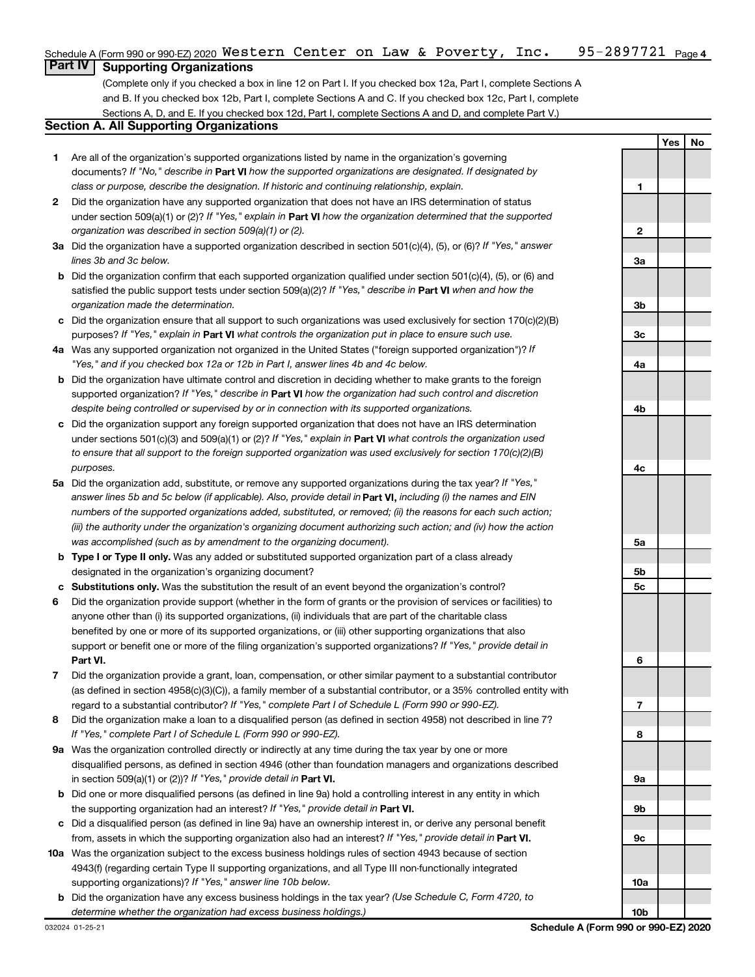#### 95-2897721 <sub>Page 4</sub> Schedule A (Form 990 or 990-EZ) 2020  $\,$  <code>Western Center</code> on Law & <code>Poverty</code> , <code>Inc. 95-2897721</code> <code>Page</code>

# **Part IV Supporting Organizations**

(Complete only if you checked a box in line 12 on Part I. If you checked box 12a, Part I, complete Sections A and B. If you checked box 12b, Part I, complete Sections A and C. If you checked box 12c, Part I, complete Sections A, D, and E. If you checked box 12d, Part I, complete Sections A and D, and complete Part V.)

# **Section A. All Supporting Organizations**

- **1** Are all of the organization's supported organizations listed by name in the organization's governing documents? If "No," describe in Part VI how the supported organizations are designated. If designated by *class or purpose, describe the designation. If historic and continuing relationship, explain.*
- **2** Did the organization have any supported organization that does not have an IRS determination of status under section 509(a)(1) or (2)? If "Yes," explain in Part **VI** how the organization determined that the supported *organization was described in section 509(a)(1) or (2).*
- **3a** Did the organization have a supported organization described in section 501(c)(4), (5), or (6)? If "Yes," answer *lines 3b and 3c below.*
- **b** Did the organization confirm that each supported organization qualified under section 501(c)(4), (5), or (6) and satisfied the public support tests under section 509(a)(2)? If "Yes," describe in Part VI when and how the *organization made the determination.*
- **c** Did the organization ensure that all support to such organizations was used exclusively for section 170(c)(2)(B) purposes? If "Yes," explain in Part VI what controls the organization put in place to ensure such use.
- **4 a** *If* Was any supported organization not organized in the United States ("foreign supported organization")? *"Yes," and if you checked box 12a or 12b in Part I, answer lines 4b and 4c below.*
- **b** Did the organization have ultimate control and discretion in deciding whether to make grants to the foreign supported organization? If "Yes," describe in Part VI how the organization had such control and discretion *despite being controlled or supervised by or in connection with its supported organizations.*
- **c** Did the organization support any foreign supported organization that does not have an IRS determination under sections 501(c)(3) and 509(a)(1) or (2)? If "Yes," explain in Part VI what controls the organization used *to ensure that all support to the foreign supported organization was used exclusively for section 170(c)(2)(B) purposes.*
- **5a** Did the organization add, substitute, or remove any supported organizations during the tax year? If "Yes," answer lines 5b and 5c below (if applicable). Also, provide detail in **Part VI,** including (i) the names and EIN *numbers of the supported organizations added, substituted, or removed; (ii) the reasons for each such action; (iii) the authority under the organization's organizing document authorizing such action; and (iv) how the action was accomplished (such as by amendment to the organizing document).*
- **b** Type I or Type II only. Was any added or substituted supported organization part of a class already designated in the organization's organizing document?
- **c Substitutions only.**  Was the substitution the result of an event beyond the organization's control?
- **6** Did the organization provide support (whether in the form of grants or the provision of services or facilities) to **Part VI.** support or benefit one or more of the filing organization's supported organizations? If "Yes," provide detail in anyone other than (i) its supported organizations, (ii) individuals that are part of the charitable class benefited by one or more of its supported organizations, or (iii) other supporting organizations that also
- **7** Did the organization provide a grant, loan, compensation, or other similar payment to a substantial contributor regard to a substantial contributor? If "Yes," complete Part I of Schedule L (Form 990 or 990-EZ). (as defined in section 4958(c)(3)(C)), a family member of a substantial contributor, or a 35% controlled entity with
- **8** Did the organization make a loan to a disqualified person (as defined in section 4958) not described in line 7? *If "Yes," complete Part I of Schedule L (Form 990 or 990-EZ).*
- **9 a** Was the organization controlled directly or indirectly at any time during the tax year by one or more in section 509(a)(1) or (2))? If "Yes," provide detail in **Part VI.** disqualified persons, as defined in section 4946 (other than foundation managers and organizations described
- **b** Did one or more disqualified persons (as defined in line 9a) hold a controlling interest in any entity in which the supporting organization had an interest? If "Yes," provide detail in Part VI.
- **c** Did a disqualified person (as defined in line 9a) have an ownership interest in, or derive any personal benefit from, assets in which the supporting organization also had an interest? If "Yes," provide detail in Part VI.
- **10 a** Was the organization subject to the excess business holdings rules of section 4943 because of section supporting organizations)? If "Yes," answer line 10b below. 4943(f) (regarding certain Type II supporting organizations, and all Type III non-functionally integrated
	- **b** Did the organization have any excess business holdings in the tax year? (Use Schedule C, Form 4720, to *determine whether the organization had excess business holdings.)*

**Yes No**

**10b**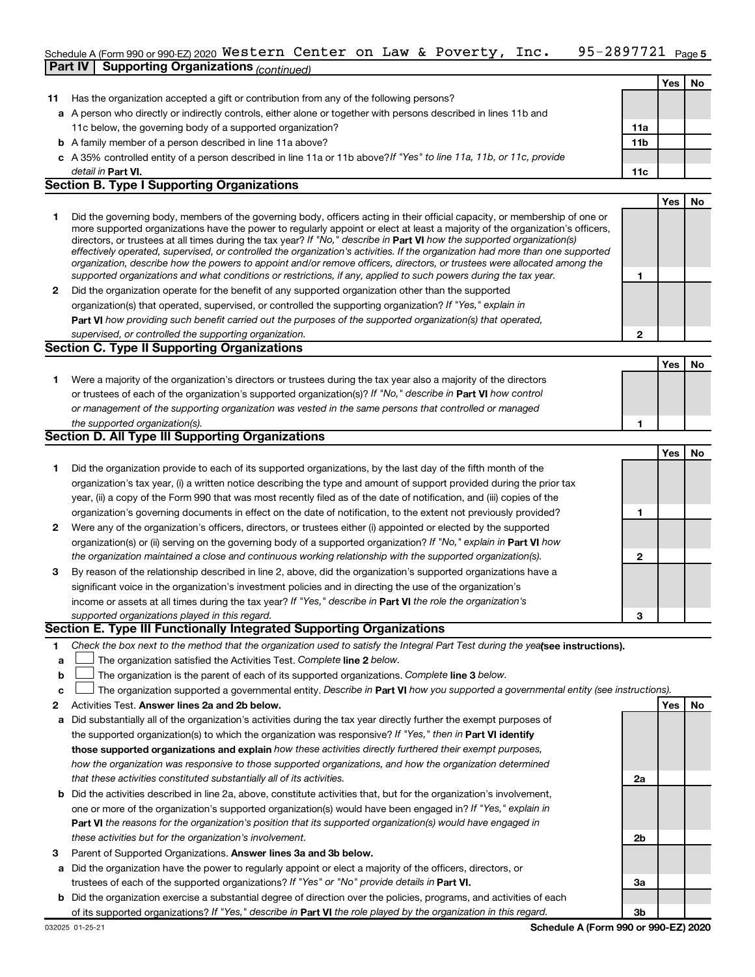#### 95-2897721 <sub>Page 5</sub> Schedule A (Form 990 or 990-EZ) 2020  $\,$  <code>Western Center</code> on Law & <code>Poverty</code> , <code>Inc. 95-2897721</code> <code>Page</code> **Part IV Supporting Organizations** *(continued)*

|    |                                                                                                                                                                                                                                                                                                                                                                                                                                                                                                                                                                                                                                                      |                 | Yes        | No |
|----|------------------------------------------------------------------------------------------------------------------------------------------------------------------------------------------------------------------------------------------------------------------------------------------------------------------------------------------------------------------------------------------------------------------------------------------------------------------------------------------------------------------------------------------------------------------------------------------------------------------------------------------------------|-----------------|------------|----|
| 11 | Has the organization accepted a gift or contribution from any of the following persons?                                                                                                                                                                                                                                                                                                                                                                                                                                                                                                                                                              |                 |            |    |
|    | a A person who directly or indirectly controls, either alone or together with persons described in lines 11b and                                                                                                                                                                                                                                                                                                                                                                                                                                                                                                                                     |                 |            |    |
|    | 11c below, the governing body of a supported organization?                                                                                                                                                                                                                                                                                                                                                                                                                                                                                                                                                                                           | 11a             |            |    |
|    | <b>b</b> A family member of a person described in line 11a above?                                                                                                                                                                                                                                                                                                                                                                                                                                                                                                                                                                                    | 11 <sub>b</sub> |            |    |
|    | c A 35% controlled entity of a person described in line 11a or 11b above? If "Yes" to line 11a, 11b, or 11c, provide                                                                                                                                                                                                                                                                                                                                                                                                                                                                                                                                 |                 |            |    |
|    | detail in Part VI.                                                                                                                                                                                                                                                                                                                                                                                                                                                                                                                                                                                                                                   | 11c             |            |    |
|    | <b>Section B. Type I Supporting Organizations</b>                                                                                                                                                                                                                                                                                                                                                                                                                                                                                                                                                                                                    |                 |            |    |
|    |                                                                                                                                                                                                                                                                                                                                                                                                                                                                                                                                                                                                                                                      |                 | <b>Yes</b> | No |
| 1  | Did the governing body, members of the governing body, officers acting in their official capacity, or membership of one or<br>more supported organizations have the power to regularly appoint or elect at least a majority of the organization's officers,<br>directors, or trustees at all times during the tax year? If "No," describe in Part VI how the supported organization(s)<br>effectively operated, supervised, or controlled the organization's activities. If the organization had more than one supported<br>organization, describe how the powers to appoint and/or remove officers, directors, or trustees were allocated among the |                 |            |    |
|    | supported organizations and what conditions or restrictions, if any, applied to such powers during the tax year.                                                                                                                                                                                                                                                                                                                                                                                                                                                                                                                                     | 1               |            |    |
| 2  | Did the organization operate for the benefit of any supported organization other than the supported                                                                                                                                                                                                                                                                                                                                                                                                                                                                                                                                                  |                 |            |    |
|    | organization(s) that operated, supervised, or controlled the supporting organization? If "Yes," explain in                                                                                                                                                                                                                                                                                                                                                                                                                                                                                                                                           |                 |            |    |
|    | Part VI how providing such benefit carried out the purposes of the supported organization(s) that operated,                                                                                                                                                                                                                                                                                                                                                                                                                                                                                                                                          |                 |            |    |
|    | supervised, or controlled the supporting organization.                                                                                                                                                                                                                                                                                                                                                                                                                                                                                                                                                                                               | $\mathbf{2}$    |            |    |
|    | <b>Section C. Type II Supporting Organizations</b>                                                                                                                                                                                                                                                                                                                                                                                                                                                                                                                                                                                                   |                 |            |    |
|    |                                                                                                                                                                                                                                                                                                                                                                                                                                                                                                                                                                                                                                                      |                 | <b>Yes</b> | No |
| 1. | Were a majority of the organization's directors or trustees during the tax year also a majority of the directors                                                                                                                                                                                                                                                                                                                                                                                                                                                                                                                                     |                 |            |    |
|    | or trustees of each of the organization's supported organization(s)? If "No," describe in Part VI how control                                                                                                                                                                                                                                                                                                                                                                                                                                                                                                                                        |                 |            |    |
|    | or management of the supporting organization was vested in the same persons that controlled or managed                                                                                                                                                                                                                                                                                                                                                                                                                                                                                                                                               |                 |            |    |
|    |                                                                                                                                                                                                                                                                                                                                                                                                                                                                                                                                                                                                                                                      |                 |            |    |
|    | the supported organization(s).                                                                                                                                                                                                                                                                                                                                                                                                                                                                                                                                                                                                                       | 1               |            |    |
|    | Section D. All Type III Supporting Organizations                                                                                                                                                                                                                                                                                                                                                                                                                                                                                                                                                                                                     |                 |            |    |
|    |                                                                                                                                                                                                                                                                                                                                                                                                                                                                                                                                                                                                                                                      |                 | Yes        | No |
| 1  | Did the organization provide to each of its supported organizations, by the last day of the fifth month of the                                                                                                                                                                                                                                                                                                                                                                                                                                                                                                                                       |                 |            |    |
|    | organization's tax year, (i) a written notice describing the type and amount of support provided during the prior tax                                                                                                                                                                                                                                                                                                                                                                                                                                                                                                                                |                 |            |    |
|    | year, (ii) a copy of the Form 990 that was most recently filed as of the date of notification, and (iii) copies of the                                                                                                                                                                                                                                                                                                                                                                                                                                                                                                                               |                 |            |    |
|    | organization's governing documents in effect on the date of notification, to the extent not previously provided?                                                                                                                                                                                                                                                                                                                                                                                                                                                                                                                                     | 1               |            |    |
|    | 2 Were any of the organization's officers, directors, or trustees either (i) appointed or elected by the supported                                                                                                                                                                                                                                                                                                                                                                                                                                                                                                                                   |                 |            |    |
|    | organization(s) or (ii) serving on the governing body of a supported organization? If "No," explain in Part VI how                                                                                                                                                                                                                                                                                                                                                                                                                                                                                                                                   |                 |            |    |
|    | the organization maintained a close and continuous working relationship with the supported organization(s).                                                                                                                                                                                                                                                                                                                                                                                                                                                                                                                                          | $\mathbf{2}$    |            |    |
| 3  | By reason of the relationship described in line 2, above, did the organization's supported organizations have a                                                                                                                                                                                                                                                                                                                                                                                                                                                                                                                                      |                 |            |    |
|    | significant voice in the organization's investment policies and in directing the use of the organization's                                                                                                                                                                                                                                                                                                                                                                                                                                                                                                                                           |                 |            |    |
|    | income or assets at all times during the tax year? If "Yes," describe in Part VI the role the organization's                                                                                                                                                                                                                                                                                                                                                                                                                                                                                                                                         |                 |            |    |
|    | supported organizations played in this regard.<br>Section E. Type III Functionally Integrated Supporting Organizations                                                                                                                                                                                                                                                                                                                                                                                                                                                                                                                               | 3               |            |    |

- **1** Check the box next to the method that the organization used to satisfy the Integral Part Test during the yealsee instructions).
- **a The organization satisfied the Activities Test. Complete line 2 below.**
- **b** The organization is the parent of each of its supported organizations. Complete line 3 below.  $\Box$
- **c** The organization supported a governmental entity. Describe in Part VI how you supported a governmental entity (see instructions).  $\Box$
- **2 Answer lines 2a and 2b below. Yes No** Activities Test.
- **a** Did substantially all of the organization's activities during the tax year directly further the exempt purposes of the supported organization(s) to which the organization was responsive? If "Yes," then in Part VI identify **those supported organizations and explain**  *how these activities directly furthered their exempt purposes, how the organization was responsive to those supported organizations, and how the organization determined that these activities constituted substantially all of its activities.*
- **b** Did the activities described in line 2a, above, constitute activities that, but for the organization's involvement, **Part VI**  *the reasons for the organization's position that its supported organization(s) would have engaged in* one or more of the organization's supported organization(s) would have been engaged in? If "Yes," explain in *these activities but for the organization's involvement.*
- 3 Parent of Supported Organizations. Answer lines 3a and 3b below.
- **a** Did the organization have the power to regularly appoint or elect a majority of the officers, directors, or trustees of each of the supported organizations? If "Yes" or "No" provide details in Part VI.
- **b** Did the organization exercise a substantial degree of direction over the policies, programs, and activities of each of its supported organizations? If "Yes," describe in Part VI the role played by the organization in this regard.

**2a**

**2b**

**3a**

**3b**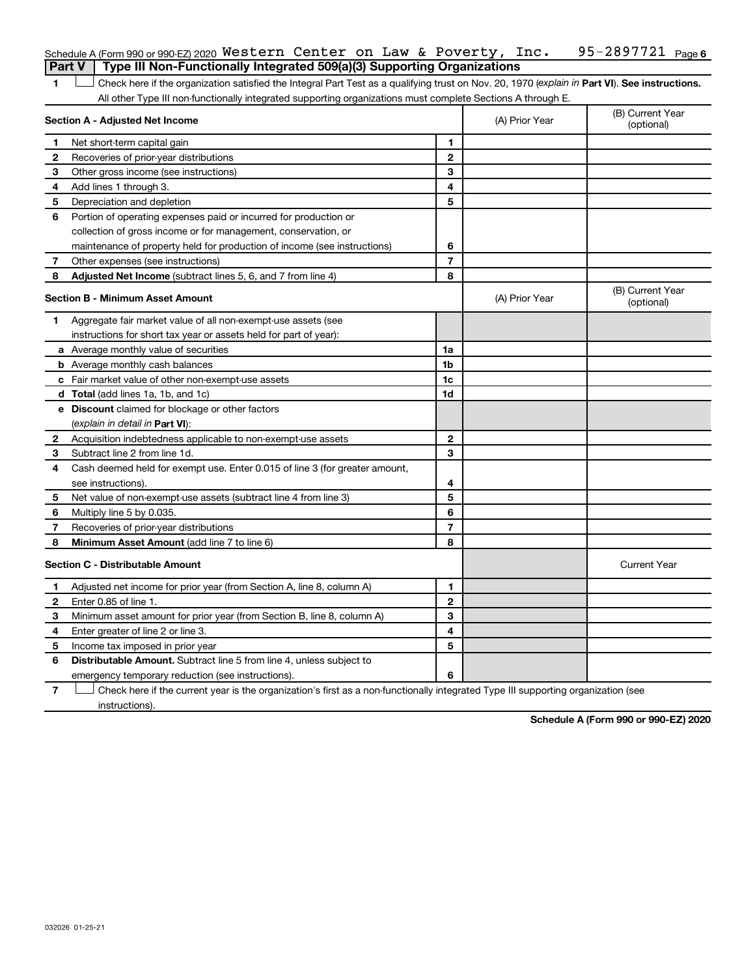|              | Schedule A (Form 990 or 990-EZ) 2020 Western Center on Law & Poverty, $Inc.$                                                                   |                |                | 95-2897721 Page 6              |
|--------------|------------------------------------------------------------------------------------------------------------------------------------------------|----------------|----------------|--------------------------------|
|              | Type III Non-Functionally Integrated 509(a)(3) Supporting Organizations<br><b>Part V</b>                                                       |                |                |                                |
| 1            | Check here if the organization satisfied the Integral Part Test as a qualifying trust on Nov. 20, 1970 (explain in Part VI). See instructions. |                |                |                                |
|              | All other Type III non-functionally integrated supporting organizations must complete Sections A through E.                                    |                |                |                                |
|              | Section A - Adjusted Net Income                                                                                                                |                | (A) Prior Year | (B) Current Year<br>(optional) |
| 1.           | Net short-term capital gain                                                                                                                    | 1              |                |                                |
| 2            | Recoveries of prior-year distributions                                                                                                         | $\mathbf{2}$   |                |                                |
| 3            | Other gross income (see instructions)                                                                                                          | 3              |                |                                |
| 4            | Add lines 1 through 3.                                                                                                                         | 4              |                |                                |
| 5            | Depreciation and depletion                                                                                                                     | 5              |                |                                |
| 6            | Portion of operating expenses paid or incurred for production or                                                                               |                |                |                                |
|              | collection of gross income or for management, conservation, or                                                                                 |                |                |                                |
|              | maintenance of property held for production of income (see instructions)                                                                       | 6              |                |                                |
| 7            | Other expenses (see instructions)                                                                                                              | $\overline{7}$ |                |                                |
| 8            | Adjusted Net Income (subtract lines 5, 6, and 7 from line 4)                                                                                   | 8              |                |                                |
|              | <b>Section B - Minimum Asset Amount</b>                                                                                                        |                | (A) Prior Year | (B) Current Year<br>(optional) |
| 1            | Aggregate fair market value of all non-exempt-use assets (see                                                                                  |                |                |                                |
|              | instructions for short tax year or assets held for part of year):                                                                              |                |                |                                |
|              | <b>a</b> Average monthly value of securities                                                                                                   | 1a             |                |                                |
|              | <b>b</b> Average monthly cash balances                                                                                                         | 1 <sub>b</sub> |                |                                |
|              | c Fair market value of other non-exempt-use assets                                                                                             | 1c             |                |                                |
|              | d Total (add lines 1a, 1b, and 1c)                                                                                                             | 1d             |                |                                |
|              | e Discount claimed for blockage or other factors                                                                                               |                |                |                                |
|              | (explain in detail in <b>Part VI</b> ):                                                                                                        |                |                |                                |
| 2            | Acquisition indebtedness applicable to non-exempt-use assets                                                                                   | $\mathbf{2}$   |                |                                |
| 3            | Subtract line 2 from line 1d.                                                                                                                  | 3              |                |                                |
| 4            | Cash deemed held for exempt use. Enter 0.015 of line 3 (for greater amount,                                                                    |                |                |                                |
|              | see instructions).                                                                                                                             | 4              |                |                                |
| 5            | Net value of non-exempt-use assets (subtract line 4 from line 3)                                                                               | 5              |                |                                |
| 6            | Multiply line 5 by 0.035.                                                                                                                      | 6              |                |                                |
| 7            | Recoveries of prior-year distributions                                                                                                         | $\overline{7}$ |                |                                |
| 8            | Minimum Asset Amount (add line 7 to line 6)                                                                                                    | 8              |                |                                |
|              | <b>Section C - Distributable Amount</b>                                                                                                        |                |                | <b>Current Year</b>            |
| $\mathbf 1$  | Adjusted net income for prior year (from Section A, line 8, column A)                                                                          | 1              |                |                                |
| $\mathbf{2}$ | Enter 0.85 of line 1.                                                                                                                          | $\mathbf{2}$   |                |                                |
| З            | Minimum asset amount for prior year (from Section B, line 8, column A)                                                                         | 3              |                |                                |
| 4            | Enter greater of line 2 or line 3.                                                                                                             | 4              |                |                                |
| 5            | Income tax imposed in prior year                                                                                                               | 5              |                |                                |
| 6            | <b>Distributable Amount.</b> Subtract line 5 from line 4, unless subject to                                                                    |                |                |                                |
|              | emergency temporary reduction (see instructions).                                                                                              | 6              |                |                                |
|              |                                                                                                                                                |                |                |                                |

**7** Let Check here if the current year is the organization's first as a non-functionally integrated Type III supporting organization (see instructions).

**Schedule A (Form 990 or 990-EZ) 2020**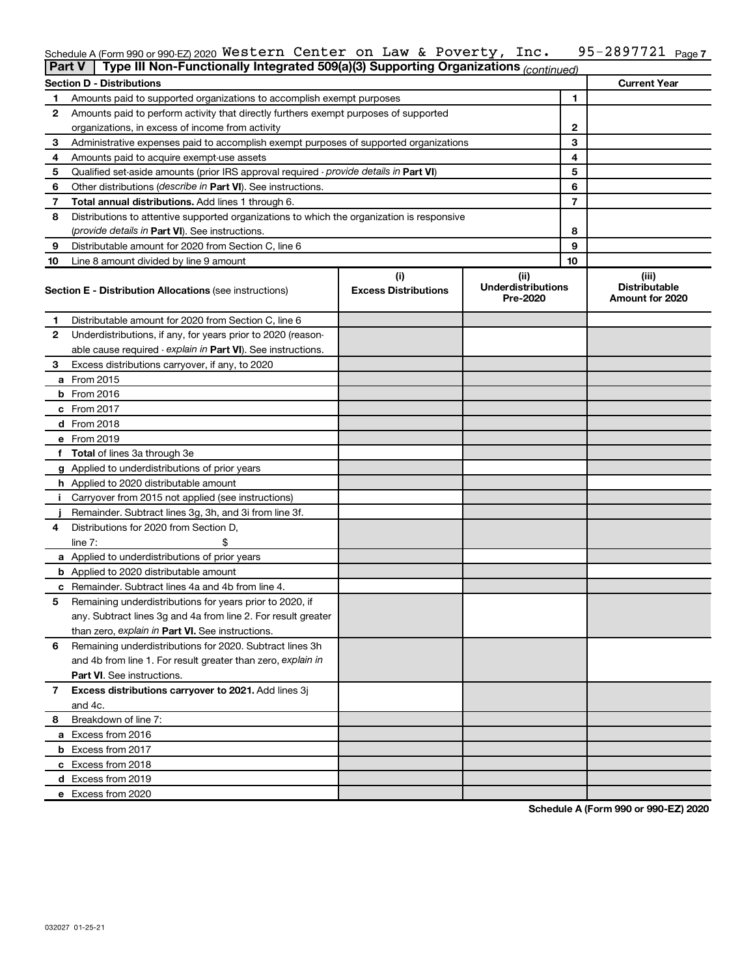#### 95-2897721 Page 7 Schedule A (Form 990 or 990-EZ) 2020 <code>Western Center on Law</code> & <code>Poverty</code> , <code>Inc. 95–2897721 Page</code> Western Center on Law & Poverty, Inc. 95-2897721

| <b>Part V</b> | Type III Non-Functionally Integrated 509(a)(3) Supporting Organizations (continued)        |                             |                                       |    |                                         |
|---------------|--------------------------------------------------------------------------------------------|-----------------------------|---------------------------------------|----|-----------------------------------------|
|               | <b>Section D - Distributions</b>                                                           |                             |                                       |    | <b>Current Year</b>                     |
| 1             | Amounts paid to supported organizations to accomplish exempt purposes                      |                             |                                       | 1  |                                         |
| 2             | Amounts paid to perform activity that directly furthers exempt purposes of supported       |                             |                                       |    |                                         |
|               | organizations, in excess of income from activity                                           |                             | 2                                     |    |                                         |
| 3             | Administrative expenses paid to accomplish exempt purposes of supported organizations      |                             | 3                                     |    |                                         |
| 4             | Amounts paid to acquire exempt-use assets                                                  |                             |                                       | 4  |                                         |
| 5             | Qualified set-aside amounts (prior IRS approval required - provide details in Part VI)     |                             |                                       | 5  |                                         |
| 6             | Other distributions (describe in Part VI). See instructions.                               |                             |                                       | 6  |                                         |
| 7             | Total annual distributions. Add lines 1 through 6.                                         |                             |                                       | 7  |                                         |
| 8             | Distributions to attentive supported organizations to which the organization is responsive |                             |                                       |    |                                         |
|               | <i>(provide details in Part VI). See instructions.</i>                                     |                             |                                       | 8  |                                         |
| 9             | Distributable amount for 2020 from Section C, line 6                                       |                             |                                       | 9  |                                         |
| 10            | Line 8 amount divided by line 9 amount                                                     |                             |                                       | 10 |                                         |
|               |                                                                                            | (i)                         | (ii)                                  |    | (iii)                                   |
|               | <b>Section E - Distribution Allocations (see instructions)</b>                             | <b>Excess Distributions</b> | <b>Underdistributions</b><br>Pre-2020 |    | <b>Distributable</b><br>Amount for 2020 |
| 1             | Distributable amount for 2020 from Section C, line 6                                       |                             |                                       |    |                                         |
| 2             | Underdistributions, if any, for years prior to 2020 (reason-                               |                             |                                       |    |                                         |
|               | able cause required - explain in Part VI). See instructions.                               |                             |                                       |    |                                         |
| 3             | Excess distributions carryover, if any, to 2020                                            |                             |                                       |    |                                         |
|               | a From 2015                                                                                |                             |                                       |    |                                         |
|               | <b>b</b> From 2016                                                                         |                             |                                       |    |                                         |
|               | c From 2017                                                                                |                             |                                       |    |                                         |
|               | d From 2018                                                                                |                             |                                       |    |                                         |
|               | e From 2019                                                                                |                             |                                       |    |                                         |
|               | f Total of lines 3a through 3e                                                             |                             |                                       |    |                                         |
|               | g Applied to underdistributions of prior years                                             |                             |                                       |    |                                         |
|               | <b>h</b> Applied to 2020 distributable amount                                              |                             |                                       |    |                                         |
| Ť.            | Carryover from 2015 not applied (see instructions)                                         |                             |                                       |    |                                         |
|               | Remainder. Subtract lines 3g, 3h, and 3i from line 3f.                                     |                             |                                       |    |                                         |
| 4             | Distributions for 2020 from Section D,                                                     |                             |                                       |    |                                         |
|               | line $7:$                                                                                  |                             |                                       |    |                                         |
|               | a Applied to underdistributions of prior years                                             |                             |                                       |    |                                         |
|               | <b>b</b> Applied to 2020 distributable amount                                              |                             |                                       |    |                                         |
|               | c Remainder. Subtract lines 4a and 4b from line 4.                                         |                             |                                       |    |                                         |
| 5             | Remaining underdistributions for years prior to 2020, if                                   |                             |                                       |    |                                         |
|               | any. Subtract lines 3g and 4a from line 2. For result greater                              |                             |                                       |    |                                         |
|               | than zero, explain in Part VI. See instructions.                                           |                             |                                       |    |                                         |
| 6             | Remaining underdistributions for 2020. Subtract lines 3h                                   |                             |                                       |    |                                         |
|               | and 4b from line 1. For result greater than zero, explain in                               |                             |                                       |    |                                         |
|               | <b>Part VI.</b> See instructions.                                                          |                             |                                       |    |                                         |
| 7             | Excess distributions carryover to 2021. Add lines 3j                                       |                             |                                       |    |                                         |
|               | and 4c.                                                                                    |                             |                                       |    |                                         |
| 8             | Breakdown of line 7:                                                                       |                             |                                       |    |                                         |
|               | a Excess from 2016                                                                         |                             |                                       |    |                                         |
|               | <b>b</b> Excess from 2017                                                                  |                             |                                       |    |                                         |
|               | c Excess from 2018                                                                         |                             |                                       |    |                                         |
|               | d Excess from 2019                                                                         |                             |                                       |    |                                         |
|               | e Excess from 2020                                                                         |                             |                                       |    |                                         |

**Schedule A (Form 990 or 990-EZ) 2020**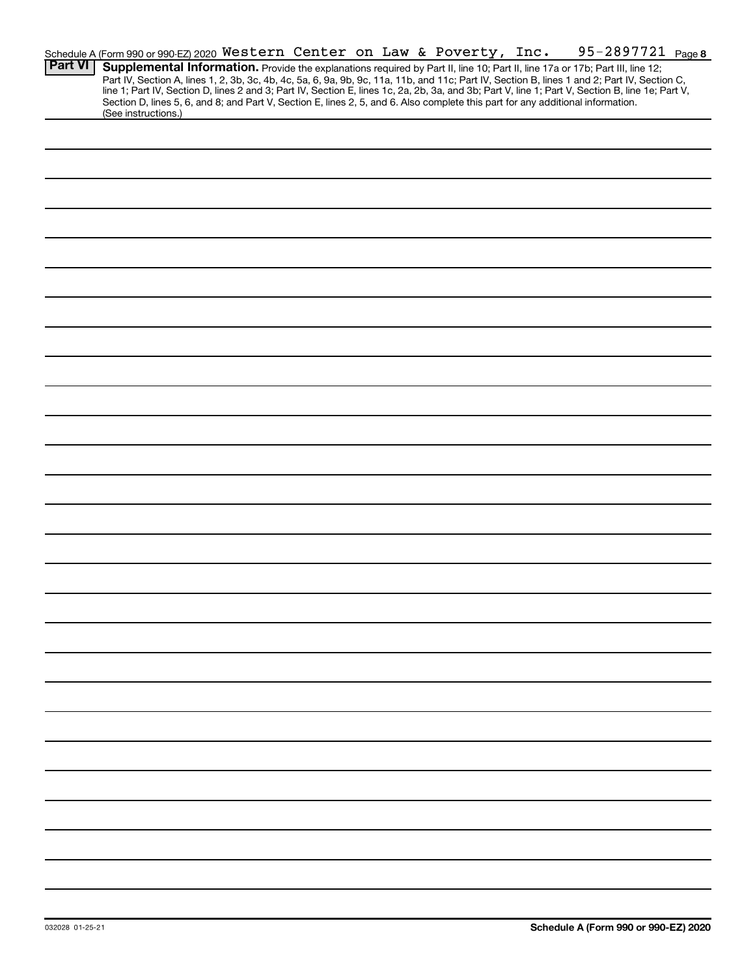|                | Schedule A (Form 990 or 990-EZ) 2020 Western Center on Law & Poverty, Inc.                                                                                                                                                                                                                                                                                                                                                        |  |  |  | 95-2897721 Page 8 |  |
|----------------|-----------------------------------------------------------------------------------------------------------------------------------------------------------------------------------------------------------------------------------------------------------------------------------------------------------------------------------------------------------------------------------------------------------------------------------|--|--|--|-------------------|--|
| <b>Part VI</b> | Supplemental Information. Provide the explanations required by Part II, line 10; Part II, line 17a or 17b; Part III, line 12;<br>Part IV, Section A, lines 1, 2, 3b, 3c, 4b, 4c, 5a, 6, 9a, 9b, 9c, 11a, 11b, and 11c; Part IV, Section B, lines 1 and 2; Part IV, Section C,<br>line 1; Part IV, Section D, lines 2 and 3; Part IV, Section E, lines 1c, 2a, 2b, 3a, and 3b; Part V, line 1; Part V, Section B, line 1e; Part V, |  |  |  |                   |  |
|                | Section D, lines 5, 6, and 8; and Part V, Section E, lines 2, 5, and 6. Also complete this part for any additional information.<br>(See instructions.)                                                                                                                                                                                                                                                                            |  |  |  |                   |  |
|                |                                                                                                                                                                                                                                                                                                                                                                                                                                   |  |  |  |                   |  |
|                |                                                                                                                                                                                                                                                                                                                                                                                                                                   |  |  |  |                   |  |
|                |                                                                                                                                                                                                                                                                                                                                                                                                                                   |  |  |  |                   |  |
|                |                                                                                                                                                                                                                                                                                                                                                                                                                                   |  |  |  |                   |  |
|                |                                                                                                                                                                                                                                                                                                                                                                                                                                   |  |  |  |                   |  |
|                |                                                                                                                                                                                                                                                                                                                                                                                                                                   |  |  |  |                   |  |
|                |                                                                                                                                                                                                                                                                                                                                                                                                                                   |  |  |  |                   |  |
|                |                                                                                                                                                                                                                                                                                                                                                                                                                                   |  |  |  |                   |  |
|                |                                                                                                                                                                                                                                                                                                                                                                                                                                   |  |  |  |                   |  |
|                |                                                                                                                                                                                                                                                                                                                                                                                                                                   |  |  |  |                   |  |
|                |                                                                                                                                                                                                                                                                                                                                                                                                                                   |  |  |  |                   |  |
|                |                                                                                                                                                                                                                                                                                                                                                                                                                                   |  |  |  |                   |  |
|                |                                                                                                                                                                                                                                                                                                                                                                                                                                   |  |  |  |                   |  |
|                |                                                                                                                                                                                                                                                                                                                                                                                                                                   |  |  |  |                   |  |
|                |                                                                                                                                                                                                                                                                                                                                                                                                                                   |  |  |  |                   |  |
|                |                                                                                                                                                                                                                                                                                                                                                                                                                                   |  |  |  |                   |  |
|                |                                                                                                                                                                                                                                                                                                                                                                                                                                   |  |  |  |                   |  |
|                |                                                                                                                                                                                                                                                                                                                                                                                                                                   |  |  |  |                   |  |
|                |                                                                                                                                                                                                                                                                                                                                                                                                                                   |  |  |  |                   |  |
|                |                                                                                                                                                                                                                                                                                                                                                                                                                                   |  |  |  |                   |  |
|                |                                                                                                                                                                                                                                                                                                                                                                                                                                   |  |  |  |                   |  |
|                |                                                                                                                                                                                                                                                                                                                                                                                                                                   |  |  |  |                   |  |
|                |                                                                                                                                                                                                                                                                                                                                                                                                                                   |  |  |  |                   |  |
|                |                                                                                                                                                                                                                                                                                                                                                                                                                                   |  |  |  |                   |  |
|                |                                                                                                                                                                                                                                                                                                                                                                                                                                   |  |  |  |                   |  |
|                |                                                                                                                                                                                                                                                                                                                                                                                                                                   |  |  |  |                   |  |
|                |                                                                                                                                                                                                                                                                                                                                                                                                                                   |  |  |  |                   |  |
|                |                                                                                                                                                                                                                                                                                                                                                                                                                                   |  |  |  |                   |  |
|                |                                                                                                                                                                                                                                                                                                                                                                                                                                   |  |  |  |                   |  |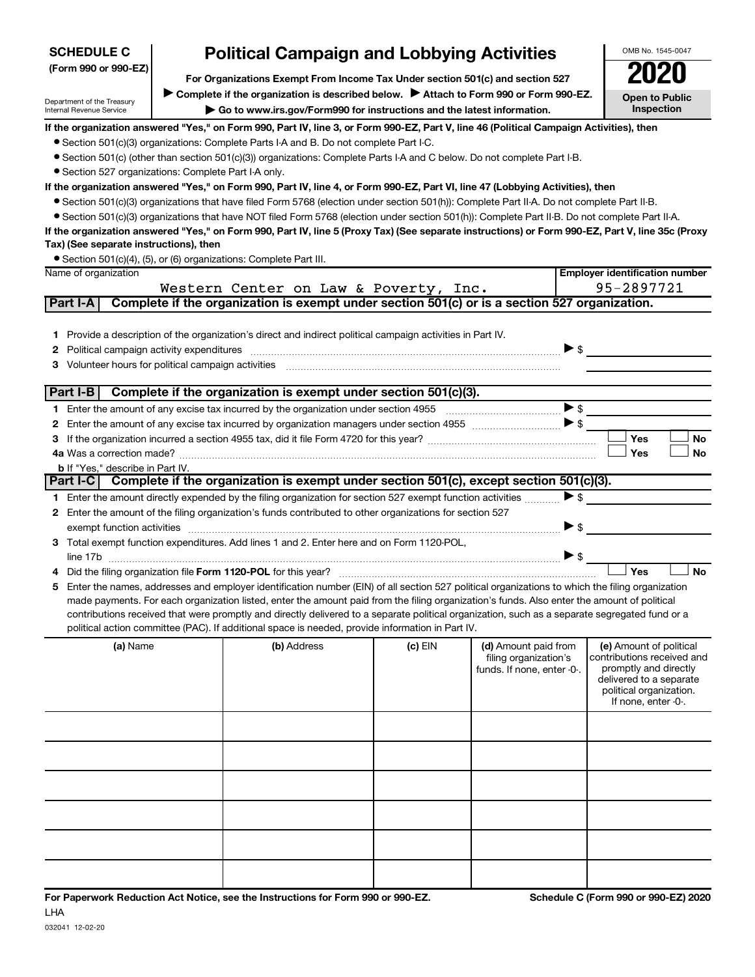| <b>SCHEDULE C</b>                                    | <b>Political Campaign and Lobbying Activities</b>                                                                                                |         |                            |                          | OMB No. 1545-0047                                  |
|------------------------------------------------------|--------------------------------------------------------------------------------------------------------------------------------------------------|---------|----------------------------|--------------------------|----------------------------------------------------|
| (Form 990 or 990-EZ)                                 |                                                                                                                                                  |         |                            |                          |                                                    |
|                                                      | For Organizations Exempt From Income Tax Under section 501(c) and section 527                                                                    |         |                            |                          |                                                    |
| Department of the Treasury                           | Complete if the organization is described below. Attach to Form 990 or Form 990-EZ.                                                              |         |                            |                          | <b>Open to Public</b>                              |
| Internal Revenue Service                             | Go to www.irs.gov/Form990 for instructions and the latest information.                                                                           |         |                            |                          | <b>Inspection</b>                                  |
|                                                      | If the organization answered "Yes," on Form 990, Part IV, line 3, or Form 990-EZ, Part V, line 46 (Political Campaign Activities), then          |         |                            |                          |                                                    |
|                                                      | • Section 501(c)(3) organizations: Complete Parts I-A and B. Do not complete Part I-C.                                                           |         |                            |                          |                                                    |
|                                                      | • Section 501(c) (other than section 501(c)(3)) organizations: Complete Parts I-A and C below. Do not complete Part I-B.                         |         |                            |                          |                                                    |
| • Section 527 organizations: Complete Part I-A only. |                                                                                                                                                  |         |                            |                          |                                                    |
|                                                      | If the organization answered "Yes," on Form 990, Part IV, line 4, or Form 990-EZ, Part VI, line 47 (Lobbying Activities), then                   |         |                            |                          |                                                    |
|                                                      | ● Section 501(c)(3) organizations that have filed Form 5768 (election under section 501(h)): Complete Part II-A. Do not complete Part II-B.      |         |                            |                          |                                                    |
|                                                      | • Section 501(c)(3) organizations that have NOT filed Form 5768 (election under section 501(h)): Complete Part II-B. Do not complete Part II-A.  |         |                            |                          |                                                    |
| Tax) (See separate instructions), then               | If the organization answered "Yes," on Form 990, Part IV, line 5 (Proxy Tax) (See separate instructions) or Form 990-EZ, Part V, line 35c (Proxy |         |                            |                          |                                                    |
|                                                      | • Section 501(c)(4), (5), or (6) organizations: Complete Part III.                                                                               |         |                            |                          |                                                    |
| Name of organization                                 |                                                                                                                                                  |         |                            |                          | <b>Employer identification number</b>              |
|                                                      | Western Center on Law & Poverty, Inc.                                                                                                            |         |                            |                          | 95-2897721                                         |
| Part I-A                                             | Complete if the organization is exempt under section 501(c) or is a section 527 organization.                                                    |         |                            |                          |                                                    |
|                                                      |                                                                                                                                                  |         |                            |                          |                                                    |
|                                                      | 1 Provide a description of the organization's direct and indirect political campaign activities in Part IV.                                      |         |                            |                          |                                                    |
| 2                                                    |                                                                                                                                                  |         |                            | $\triangleright$ s       |                                                    |
|                                                      | 3 Volunteer hours for political campaign activities [11, 11] with the content of the content of the content of                                   |         |                            |                          |                                                    |
|                                                      |                                                                                                                                                  |         |                            |                          |                                                    |
|                                                      | Part I-B $\vert$ Complete if the organization is exempt under section 501(c)(3).                                                                 |         |                            |                          |                                                    |
|                                                      |                                                                                                                                                  |         |                            | $\blacktriangleright$ \$ |                                                    |
| 2                                                    |                                                                                                                                                  |         |                            |                          |                                                    |
| 3.                                                   |                                                                                                                                                  |         |                            |                          | Yes<br><b>No</b>                                   |
|                                                      |                                                                                                                                                  |         |                            |                          | Yes<br><b>No</b>                                   |
| <b>b</b> If "Yes," describe in Part IV.              |                                                                                                                                                  |         |                            |                          |                                                    |
|                                                      | Part I-C Complete if the organization is exempt under section 501(c), except section 501(c)(3).                                                  |         |                            |                          |                                                    |
|                                                      | 1 Enter the amount directly expended by the filing organization for section 527 exempt function activities                                       |         |                            | $\blacktriangleright$ \$ |                                                    |
|                                                      | 2 Enter the amount of the filing organization's funds contributed to other organizations for section 527                                         |         |                            |                          |                                                    |
| exempt function activities                           |                                                                                                                                                  |         |                            | $\blacktriangleright$ \$ |                                                    |
| 3                                                    | Total exempt function expenditures. Add lines 1 and 2. Enter here and on Form 1120-POL,                                                          |         |                            | $\triangleright$ \$      |                                                    |
|                                                      |                                                                                                                                                  |         |                            |                          | Yes<br><b>No</b>                                   |
|                                                      | Enter the names, addresses and employer identification number (EIN) of all section 527 political organizations to which the filing organization  |         |                            |                          |                                                    |
| 5                                                    | made payments. For each organization listed, enter the amount paid from the filing organization's funds. Also enter the amount of political      |         |                            |                          |                                                    |
|                                                      | contributions received that were promptly and directly delivered to a separate political organization, such as a separate segregated fund or a   |         |                            |                          |                                                    |
|                                                      | political action committee (PAC). If additional space is needed, provide information in Part IV.                                                 |         |                            |                          |                                                    |
| (a) Name                                             | (b) Address                                                                                                                                      | (c) EIN | (d) Amount paid from       |                          | (e) Amount of political                            |
|                                                      |                                                                                                                                                  |         | filing organization's      |                          | contributions received and                         |
|                                                      |                                                                                                                                                  |         | funds. If none, enter -0-. |                          | promptly and directly                              |
|                                                      |                                                                                                                                                  |         |                            |                          | delivered to a separate<br>political organization. |
|                                                      |                                                                                                                                                  |         |                            |                          | If none, enter -0-.                                |
|                                                      |                                                                                                                                                  |         |                            |                          |                                                    |
|                                                      |                                                                                                                                                  |         |                            |                          |                                                    |
|                                                      |                                                                                                                                                  |         |                            |                          |                                                    |
|                                                      |                                                                                                                                                  |         |                            |                          |                                                    |
|                                                      |                                                                                                                                                  |         |                            |                          |                                                    |
|                                                      |                                                                                                                                                  |         |                            |                          |                                                    |
|                                                      |                                                                                                                                                  |         |                            |                          |                                                    |
|                                                      |                                                                                                                                                  |         |                            |                          |                                                    |
|                                                      |                                                                                                                                                  |         |                            |                          |                                                    |
|                                                      |                                                                                                                                                  |         |                            |                          |                                                    |
|                                                      |                                                                                                                                                  |         |                            |                          |                                                    |

OMB No. 1545-0047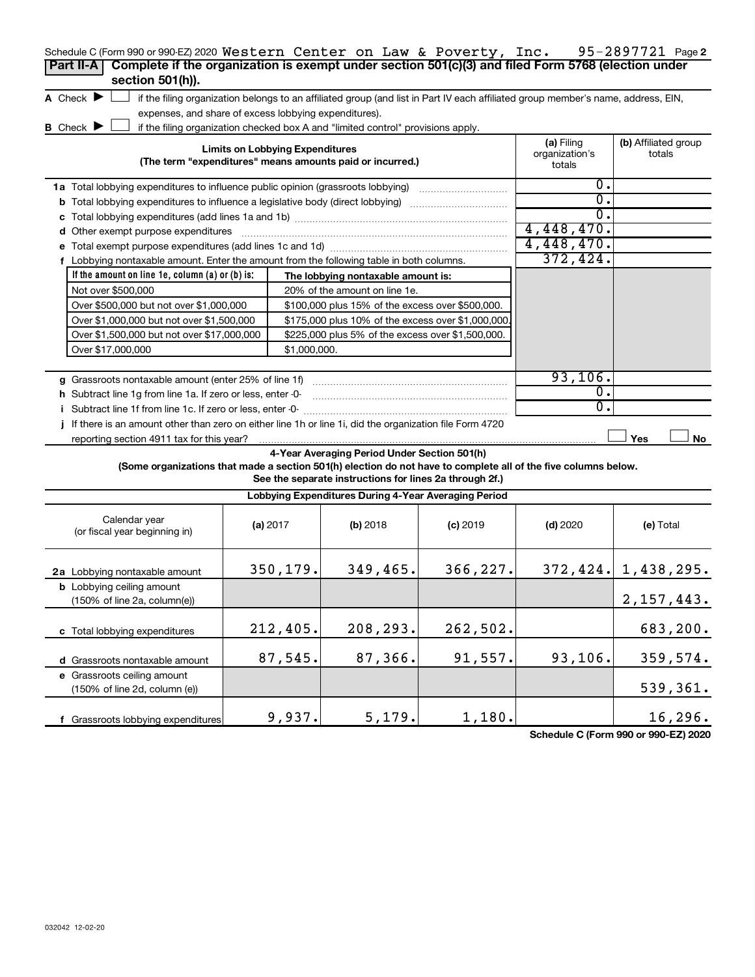| Schedule C (Form 990 or 990-EZ) 2020 Western Center on Law & Poverty, Inc.<br>Complete if the organization is exempt under section 501(c)(3) and filed Form 5768 (election under<br>Part II-A<br>section 501(h)). |                                        |                                                                                                         |                                                                                                                                   |                                        | 95-2897721 Page 2              |
|-------------------------------------------------------------------------------------------------------------------------------------------------------------------------------------------------------------------|----------------------------------------|---------------------------------------------------------------------------------------------------------|-----------------------------------------------------------------------------------------------------------------------------------|----------------------------------------|--------------------------------|
| A Check $\blacktriangleright$                                                                                                                                                                                     |                                        |                                                                                                         | if the filing organization belongs to an affiliated group (and list in Part IV each affiliated group member's name, address, EIN, |                                        |                                |
| expenses, and share of excess lobbying expenditures).                                                                                                                                                             |                                        |                                                                                                         |                                                                                                                                   |                                        |                                |
| B Check $\blacktriangleright$                                                                                                                                                                                     |                                        | if the filing organization checked box A and "limited control" provisions apply.                        |                                                                                                                                   |                                        |                                |
|                                                                                                                                                                                                                   | <b>Limits on Lobbying Expenditures</b> | (The term "expenditures" means amounts paid or incurred.)                                               |                                                                                                                                   | (a) Filing<br>organization's<br>totals | (b) Affiliated group<br>totals |
|                                                                                                                                                                                                                   |                                        |                                                                                                         |                                                                                                                                   | О.                                     |                                |
| <b>b</b> Total lobbying expenditures to influence a legislative body (direct lobbying) <i>manumumumum</i>                                                                                                         |                                        |                                                                                                         |                                                                                                                                   | 0.                                     |                                |
|                                                                                                                                                                                                                   |                                        |                                                                                                         |                                                                                                                                   | $\overline{0}$ .                       |                                |
| d Other exempt purpose expenditures                                                                                                                                                                               |                                        |                                                                                                         |                                                                                                                                   | 4,448,470.                             |                                |
|                                                                                                                                                                                                                   |                                        |                                                                                                         |                                                                                                                                   | 4,448,470.                             |                                |
| f Lobbying nontaxable amount. Enter the amount from the following table in both columns.                                                                                                                          |                                        |                                                                                                         |                                                                                                                                   | 372,424.                               |                                |
| If the amount on line 1e, column $(a)$ or $(b)$ is:                                                                                                                                                               |                                        | The lobbying nontaxable amount is:                                                                      |                                                                                                                                   |                                        |                                |
| Not over \$500,000                                                                                                                                                                                                |                                        | 20% of the amount on line 1e.                                                                           |                                                                                                                                   |                                        |                                |
| Over \$500,000 but not over \$1,000,000                                                                                                                                                                           |                                        | \$100,000 plus 15% of the excess over \$500,000.                                                        |                                                                                                                                   |                                        |                                |
| Over \$1,000,000 but not over \$1,500,000                                                                                                                                                                         |                                        | \$175,000 plus 10% of the excess over \$1,000,000                                                       |                                                                                                                                   |                                        |                                |
| Over \$1,500,000 but not over \$17,000,000                                                                                                                                                                        |                                        | \$225,000 plus 5% of the excess over \$1,500,000.                                                       |                                                                                                                                   |                                        |                                |
|                                                                                                                                                                                                                   |                                        |                                                                                                         |                                                                                                                                   |                                        |                                |
| Over \$17,000,000                                                                                                                                                                                                 | \$1,000,000.                           |                                                                                                         |                                                                                                                                   |                                        |                                |
|                                                                                                                                                                                                                   |                                        |                                                                                                         |                                                                                                                                   | 93, 106.                               |                                |
| g Grassroots nontaxable amount (enter 25% of line 1f)                                                                                                                                                             |                                        |                                                                                                         |                                                                                                                                   | 0.                                     |                                |
| h Subtract line 1g from line 1a. If zero or less, enter -0-                                                                                                                                                       |                                        |                                                                                                         |                                                                                                                                   | 0.                                     |                                |
|                                                                                                                                                                                                                   |                                        |                                                                                                         |                                                                                                                                   |                                        |                                |
| If there is an amount other than zero on either line 1h or line 1i, did the organization file Form 4720<br>reporting section 4911 tax for this year?                                                              |                                        |                                                                                                         |                                                                                                                                   |                                        | Yes<br>No.                     |
| (Some organizations that made a section 501(h) election do not have to complete all of the five columns below.                                                                                                    |                                        | 4-Year Averaging Period Under Section 501(h)<br>See the separate instructions for lines 2a through 2f.) |                                                                                                                                   |                                        |                                |
|                                                                                                                                                                                                                   |                                        | Lobbying Expenditures During 4-Year Averaging Period                                                    |                                                                                                                                   |                                        |                                |
| Calendar year<br>(or fiscal year beginning in)                                                                                                                                                                    | (a) 2017                               | (b) 2018                                                                                                | $(c)$ 2019                                                                                                                        | $(d)$ 2020                             | (e) Total                      |
| 2a Lobbying nontaxable amount                                                                                                                                                                                     | 350,179.                               | 349,465.                                                                                                | 366,227.                                                                                                                          |                                        | $372, 424.$   1,438,295.       |
| <b>b</b> Lobbying ceiling amount<br>(150% of line 2a, column(e))                                                                                                                                                  |                                        |                                                                                                         |                                                                                                                                   |                                        | 2, 157, 443.                   |
| c Total lobbying expenditures                                                                                                                                                                                     | 212,405.                               | 208,293.                                                                                                | 262,502.                                                                                                                          |                                        | 683,200.                       |
| d Grassroots nontaxable amount                                                                                                                                                                                    | 87,545.                                | 87,366.                                                                                                 | 91,557.                                                                                                                           | 93,106.                                | 359,574.                       |
| e Grassroots ceiling amount                                                                                                                                                                                       |                                        |                                                                                                         |                                                                                                                                   |                                        |                                |
| (150% of line 2d, column (e))                                                                                                                                                                                     |                                        |                                                                                                         |                                                                                                                                   |                                        | 539,361.                       |
|                                                                                                                                                                                                                   |                                        |                                                                                                         |                                                                                                                                   |                                        |                                |

**Schedule C (Form 990 or 990-EZ) 2020**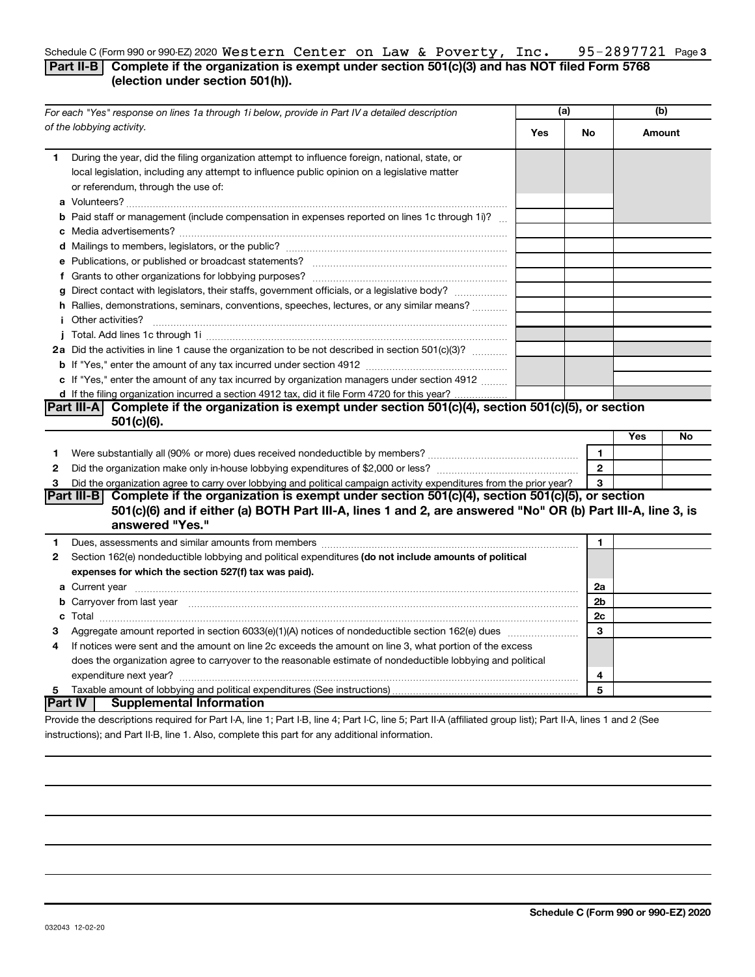#### 95-2897721 Page 3 Schedule C (Form 990 or 990-EZ) 2020  $\texttt{Western Center on Law & \texttt{Powerty, Inc.} \quad 95-2897721 \quad \texttt{Page}$ **Part II-B Complete if the organization is exempt under section 501(c)(3) and has NOT filed Form 5768 (election under section 501(h)).**

### **(a) (b) Yes No Amount 1 a** Volunteers? ~~~~~~~~~~~~~~~~~~~~~~~~~~~~~~~~~~~~~~~~~~~ **b** Paid staff or management (include compensation in expenses reported on lines 1c through 1i)? ... **c** Media advertisements? ~~~~~~~~~~~~~~~~~~~~~~~~~~~~~~~~~~~~~ **d** Mailings to members, legislators, or the public? ~~~~~~~~~~~~~~~~~~~~~~~~~ **e** Publications, or published or broadcast statements? ~~~~~~~~~~~~~~~~~~~~~~ **f** Grants to other organizations for lobbying purposes? ~~~~~~~~~~~~~~~~~~~~~~ **g** Direct contact with legislators, their staffs, government officials, or a legislative body? ................ **h** Rallies, demonstrations, seminars, conventions, speeches, lectures, or any similar means? ............ **i** Other activities? ~~~~~~~~~~~~~~~~~~~~~~~~~~~~~~~~~~~~~~~~ **j** Total. Add lines 1c through 1i ~~~~~~~~~~~~~~~~~~~~~~~~~~~~~~~~~~ **2a** Did the activities in line 1 cause the organization to be not described in section 501(c)(3)?  $\ldots$   $\ldots$ **b** If "Yes," enter the amount of any tax incurred under section 4912 ~~~~~~~~~~~~~~~~ **c** If "Yes," enter the amount of any tax incurred by organization managers under section 4912  $\ldots$ **d** If the filing organization incurred a section 4912 tax, did it file Form 4720 for this year? **Yes No 1** Were substantially all (90% or more) dues received nondeductible by members? ~~~~~~~~~~~~~~~~~ **2** Did the organization make only in-house lobbying expenditures of \$2,000 or less? ~~~~~~~~~~~~~~~~ **3 1 2 3 1 2** Section 162(e) nondeductible lobbying and political expenditures (do not include amounts of political **3 4 5 expenses for which the section 527(f) tax was paid). 1 2a 2b 2c 3 4 5 a** Current year ~~~~~~~~~~~~~~~~~~~~~~~~~~~~~~~~~~~~~~~~~~~~~~~~~~ **b** Carryover from last year ~~~~~~~~~~~~~~~~~~~~~~~~~~~~~~~~~~~~~~~~~~~~ **c** Total ~~~~~~~~~~~~~~~~~~~~~~~~~~~~~~~~~~~~~~~~~~~~~~~~~~~~~~ *For each "Yes" response on lines 1a through 1i below, provide in Part IV a detailed description of the lobbying activity.*  During the year, did the filing organization attempt to influence foreign, national, state, or local legislation, including any attempt to influence public opinion on a legislative matter or referendum, through the use of: . . . . . . . . . . . . . . . . . Did the organization agree to carry over lobbying and political campaign activity expenditures from the prior year? Dues, assessments and similar amounts from members ~~~~~~~~~~~~~~~~~~~~~~~~~~~~~ Aggregate amount reported in section 6033(e)(1)(A) notices of nondeductible section 162(e) dues www.com.com If notices were sent and the amount on line 2c exceeds the amount on line 3, what portion of the excess does the organization agree to carryover to the reasonable estimate of nondeductible lobbying and political expenditure next year? ~~~~~~~~~~~~~~~~~~~~~~~~~~~~~~~~~~~~~~~~~~~~~ Taxable amount of lobbying and political expenditures (See instructions) **Part III-A Complete if the organization is exempt under section 501(c)(4), section 501(c)(5), or section 501(c)(6). Part III-B Complete if the organization is exempt under section 501(c)(4), section 501(c)(5), or section 501(c)(6) and if either (a) BOTH Part III-A, lines 1 and 2, are answered "No" OR (b) Part III-A, line 3, is answered "Yes." Part IV Supplemental Information**

Provide the descriptions required for Part I-A, line 1; Part I-B, line 4; Part I-C, line 5; Part II-A (affiliated group list); Part II-A, lines 1 and 2 (See instructions); and Part II-B, line 1. Also, complete this part for any additional information.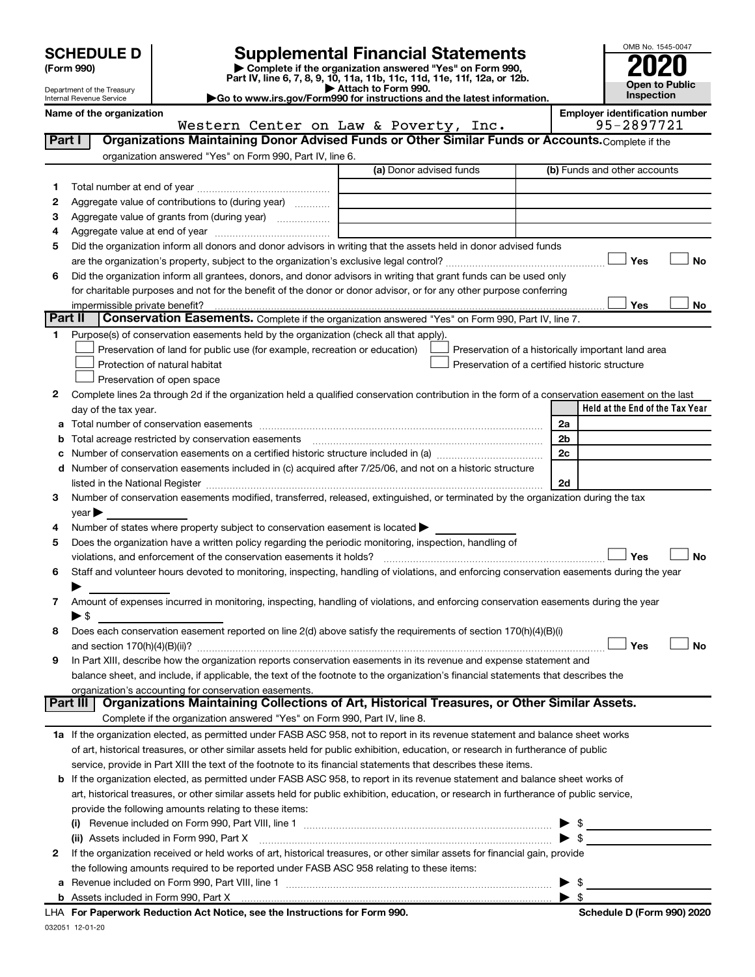| <b>SCHEDULE D</b> |  |  |
|-------------------|--|--|
|                   |  |  |

# **SCHEDULE D Supplemental Financial Statements**<br> **Form 990 2020**<br> **Part IV** line 6.7.8.9.10, 11a, 11b, 11d, 11d, 11d, 11d, 11d, 12a, 0r, 12b

**(Form 990) | Complete if the organization answered "Yes" on Form 990, Part IV, line 6, 7, 8, 9, 10, 11a, 11b, 11c, 11d, 11e, 11f, 12a, or 12b.**

**| Attach to Form 990. |Go to www.irs.gov/Form990 for instructions and the latest information.**



Department of the Treasury Internal Revenue Service

Name of the organization<br>**Western Center on Law & Poverty, Inc.** 95-2897721

|         | Western Center on Law & Poverty, Inc.                                                                                                                                                                                                                                | 95-2897721                                         |
|---------|----------------------------------------------------------------------------------------------------------------------------------------------------------------------------------------------------------------------------------------------------------------------|----------------------------------------------------|
| Part I  | Organizations Maintaining Donor Advised Funds or Other Similar Funds or Accounts. Complete if the                                                                                                                                                                    |                                                    |
|         | organization answered "Yes" on Form 990, Part IV, line 6.                                                                                                                                                                                                            |                                                    |
|         | (a) Donor advised funds                                                                                                                                                                                                                                              | (b) Funds and other accounts                       |
| 1       |                                                                                                                                                                                                                                                                      |                                                    |
| 2       | Aggregate value of contributions to (during year)                                                                                                                                                                                                                    |                                                    |
| З       | Aggregate value of grants from (during year)                                                                                                                                                                                                                         |                                                    |
| 4       |                                                                                                                                                                                                                                                                      |                                                    |
| 5       | Did the organization inform all donors and donor advisors in writing that the assets held in donor advised funds                                                                                                                                                     |                                                    |
|         |                                                                                                                                                                                                                                                                      | Yes<br>No                                          |
| 6       | Did the organization inform all grantees, donors, and donor advisors in writing that grant funds can be used only                                                                                                                                                    |                                                    |
|         | for charitable purposes and not for the benefit of the donor or donor advisor, or for any other purpose conferring                                                                                                                                                   |                                                    |
|         | impermissible private benefit?                                                                                                                                                                                                                                       | Yes<br>No                                          |
| Part II | Conservation Easements. Complete if the organization answered "Yes" on Form 990, Part IV, line 7.                                                                                                                                                                    |                                                    |
|         | Purpose(s) of conservation easements held by the organization (check all that apply).                                                                                                                                                                                |                                                    |
|         | Preservation of land for public use (for example, recreation or education)                                                                                                                                                                                           | Preservation of a historically important land area |
|         | Protection of natural habitat                                                                                                                                                                                                                                        | Preservation of a certified historic structure     |
|         | Preservation of open space                                                                                                                                                                                                                                           |                                                    |
| 2       | Complete lines 2a through 2d if the organization held a qualified conservation contribution in the form of a conservation easement on the last                                                                                                                       |                                                    |
|         | day of the tax year.                                                                                                                                                                                                                                                 | Held at the End of the Tax Year                    |
| а       |                                                                                                                                                                                                                                                                      | 2a                                                 |
|         | Total acreage restricted by conservation easements                                                                                                                                                                                                                   | 2 <sub>b</sub>                                     |
|         |                                                                                                                                                                                                                                                                      | 2c                                                 |
| d       | Number of conservation easements included in (c) acquired after 7/25/06, and not on a historic structure                                                                                                                                                             |                                                    |
|         | listed in the National Register [111] Martin Martin Martin Martin Martin Martin Martin Martin Martin Martin Ma                                                                                                                                                       | 2d                                                 |
| 3       | Number of conservation easements modified, transferred, released, extinguished, or terminated by the organization during the tax                                                                                                                                     |                                                    |
|         | year                                                                                                                                                                                                                                                                 |                                                    |
| 4       | Number of states where property subject to conservation easement is located >                                                                                                                                                                                        |                                                    |
| 5       | Does the organization have a written policy regarding the periodic monitoring, inspection, handling of                                                                                                                                                               |                                                    |
|         | violations, and enforcement of the conservation easements it holds?                                                                                                                                                                                                  | Yes<br>No                                          |
| 6       | Staff and volunteer hours devoted to monitoring, inspecting, handling of violations, and enforcing conservation easements during the year                                                                                                                            |                                                    |
|         |                                                                                                                                                                                                                                                                      |                                                    |
| 7       | Amount of expenses incurred in monitoring, inspecting, handling of violations, and enforcing conservation easements during the year                                                                                                                                  |                                                    |
|         | ► \$                                                                                                                                                                                                                                                                 |                                                    |
| 8       | Does each conservation easement reported on line 2(d) above satisfy the requirements of section 170(h)(4)(B)(i)                                                                                                                                                      |                                                    |
|         |                                                                                                                                                                                                                                                                      | Yes<br>No                                          |
| 9       | In Part XIII, describe how the organization reports conservation easements in its revenue and expense statement and                                                                                                                                                  |                                                    |
|         | balance sheet, and include, if applicable, the text of the footnote to the organization's financial statements that describes the                                                                                                                                    |                                                    |
|         | organization's accounting for conservation easements.<br>Organizations Maintaining Collections of Art, Historical Treasures, or Other Similar Assets.<br>Part III                                                                                                    |                                                    |
|         | Complete if the organization answered "Yes" on Form 990, Part IV, line 8.                                                                                                                                                                                            |                                                    |
|         |                                                                                                                                                                                                                                                                      |                                                    |
|         | 1a If the organization elected, as permitted under FASB ASC 958, not to report in its revenue statement and balance sheet works<br>of art, historical treasures, or other similar assets held for public exhibition, education, or research in furtherance of public |                                                    |
|         | service, provide in Part XIII the text of the footnote to its financial statements that describes these items.                                                                                                                                                       |                                                    |
|         | If the organization elected, as permitted under FASB ASC 958, to report in its revenue statement and balance sheet works of                                                                                                                                          |                                                    |
| b       | art, historical treasures, or other similar assets held for public exhibition, education, or research in furtherance of public service,                                                                                                                              |                                                    |
|         | provide the following amounts relating to these items:                                                                                                                                                                                                               |                                                    |
|         |                                                                                                                                                                                                                                                                      |                                                    |
|         | (i)<br>(ii) Assets included in Form 990, Part X                                                                                                                                                                                                                      | $\frac{1}{2}$<br>$\triangleright$ \$               |
| 2       | If the organization received or held works of art, historical treasures, or other similar assets for financial gain, provide                                                                                                                                         |                                                    |
|         | the following amounts required to be reported under FASB ASC 958 relating to these items:                                                                                                                                                                            |                                                    |
| а       |                                                                                                                                                                                                                                                                      |                                                    |
|         |                                                                                                                                                                                                                                                                      | $\frac{1}{2}$                                      |
|         |                                                                                                                                                                                                                                                                      |                                                    |

| Schedule D (Form 990) 2020 |  |
|----------------------------|--|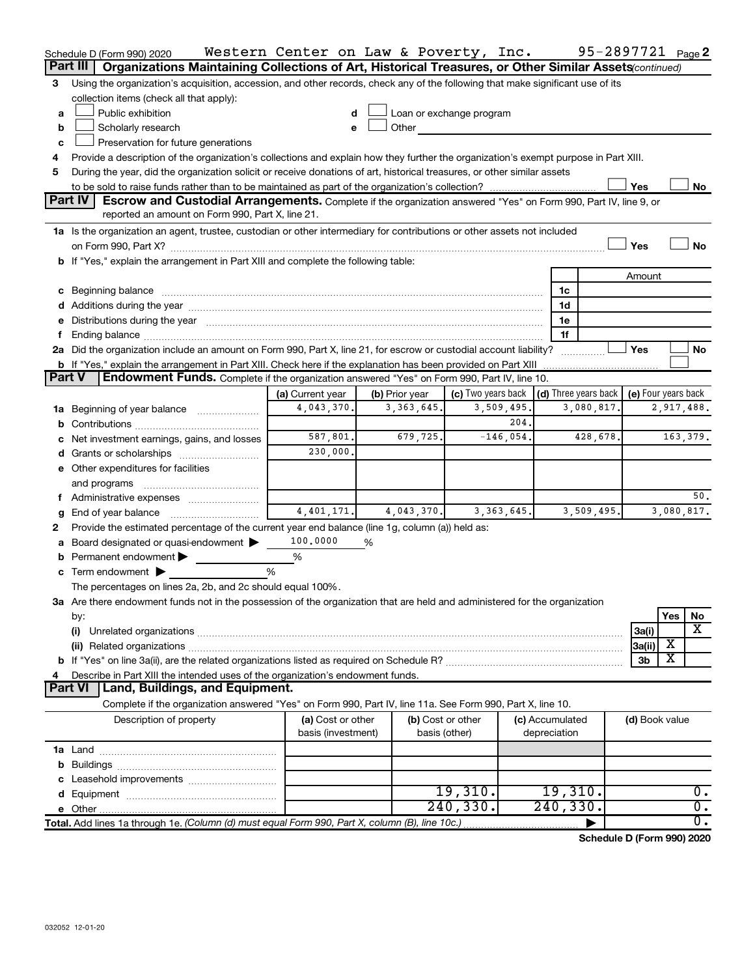| Part III<br>Organizations Maintaining Collections of Art, Historical Treasures, or Other Similar Assets(continued)<br>Using the organization's acquisition, accession, and other records, check any of the following that make significant use of its<br>3<br>collection items (check all that apply):<br>Public exhibition<br>Loan or exchange program<br>a<br>Other<br>Scholarly research<br>b<br>e<br>Preservation for future generations<br>с<br>Provide a description of the organization's collections and explain how they further the organization's exempt purpose in Part XIII.<br>During the year, did the organization solicit or receive donations of art, historical treasures, or other similar assets<br>5<br>Yes<br>No<br><b>Part IV</b><br><b>Escrow and Custodial Arrangements.</b> Complete if the organization answered "Yes" on Form 990, Part IV, line 9, or<br>reported an amount on Form 990, Part X, line 21.<br>1a Is the organization an agent, trustee, custodian or other intermediary for contributions or other assets not included<br>Yes<br>No<br>b If "Yes," explain the arrangement in Part XIII and complete the following table:<br>Amount<br>1c<br>1d<br>e Distributions during the year manufactured and continuum and contact the year manufactured and contact the year manufactured and contact the year manufactured and contact the year manufactured and contact the year manufa<br>1е<br>1f<br>2a Did the organization include an amount on Form 990, Part X, line 21, for escrow or custodial account liability?<br>Yes<br>No<br><b>b</b> If "Yes," explain the arrangement in Part XIII. Check here if the explanation has been provided on Part XIII<br>Endowment Funds. Complete if the organization answered "Yes" on Form 990, Part IV, line 10.<br>Part V<br>(c) Two years back $\vert$ (d) Three years back $\vert$<br>(e) Four years back<br>(a) Current year<br>(b) Prior year<br>4,043,370.<br>3,509,495.<br>3,363,645.<br>3,080,817.<br>2,917,488.<br><b>1a</b> Beginning of year balance<br>204.<br>587,801.<br>679,725.<br>$-146,054.$<br>428,678.<br>163,379.<br>Net investment earnings, gains, and losses<br>230,000.<br>e Other expenditures for facilities<br>and programs<br>50.<br>f Administrative expenses<br>4,401,171.<br>3, 363, 645.<br>3,080,817.<br>4,043,370.<br>3,509,495.<br>End of year balance<br>g<br>Provide the estimated percentage of the current year end balance (line 1g, column (a)) held as:<br>100,0000<br>Board designated or quasi-endowment<br>%<br><b>b</b> Permanent endowment $\blacktriangleright$<br>%<br>c Term endowment $\blacktriangleright$<br>%<br>The percentages on lines 2a, 2b, and 2c should equal 100%.<br>3a Are there endowment funds not in the possession of the organization that are held and administered for the organization<br>Yes<br>No<br>by:<br>$\overline{\mathbf{X}}$<br>3a(i)<br>(i)<br>х<br>3a(ii)<br>X<br>3b<br>Describe in Part XIII the intended uses of the organization's endowment funds.<br>Land, Buildings, and Equipment.<br><b>Part VI</b><br>Complete if the organization answered "Yes" on Form 990, Part IV, line 11a. See Form 990, Part X, line 10.<br>Description of property<br>(a) Cost or other<br>(b) Cost or other<br>(c) Accumulated<br>(d) Book value<br>basis (investment)<br>basis (other)<br>depreciation<br>19,310.<br>19,310.<br>0.<br>240, 330.<br>240, 330.<br>$\overline{0}$ .<br>$\overline{0}$ .<br>Total. Add lines 1a through 1e. (Column (d) must equal Form 990, Part X, column (B), line 10c.) | Schedule D (Form 990) 2020 | Western Center on Law & Poverty, Inc. |  |  | 95-2897721 Page 2 |  |  |
|-----------------------------------------------------------------------------------------------------------------------------------------------------------------------------------------------------------------------------------------------------------------------------------------------------------------------------------------------------------------------------------------------------------------------------------------------------------------------------------------------------------------------------------------------------------------------------------------------------------------------------------------------------------------------------------------------------------------------------------------------------------------------------------------------------------------------------------------------------------------------------------------------------------------------------------------------------------------------------------------------------------------------------------------------------------------------------------------------------------------------------------------------------------------------------------------------------------------------------------------------------------------------------------------------------------------------------------------------------------------------------------------------------------------------------------------------------------------------------------------------------------------------------------------------------------------------------------------------------------------------------------------------------------------------------------------------------------------------------------------------------------------------------------------------------------------------------------------------------------------------------------------------------------------------------------------------------------------------------------------------------------------------------------------------------------------------------------------------------------------------------------------------------------------------------------------------------------------------------------------------------------------------------------------------------------------------------------------------------------------------------------------------------------------------------------------------------------------------------------------------------------------------------------------------------------------------------------------------------------------------------------------------------------------------------------------------------------------------------------------------------------------------------------------------------------------------------------------------------------------------------------------------------------------------------------------------------------------------------------------------------------------------------------------------------------------------------------------------------------------------------------------------------------------------------------------------------------------------------------------------------------------------------------------------------------------------------------------------------------------------------------------------------------------------------------------------------------------------------------------------------------------------------------------------------------------------|----------------------------|---------------------------------------|--|--|-------------------|--|--|
|                                                                                                                                                                                                                                                                                                                                                                                                                                                                                                                                                                                                                                                                                                                                                                                                                                                                                                                                                                                                                                                                                                                                                                                                                                                                                                                                                                                                                                                                                                                                                                                                                                                                                                                                                                                                                                                                                                                                                                                                                                                                                                                                                                                                                                                                                                                                                                                                                                                                                                                                                                                                                                                                                                                                                                                                                                                                                                                                                                                                                                                                                                                                                                                                                                                                                                                                                                                                                                                                                                                                                                       |                            |                                       |  |  |                   |  |  |
|                                                                                                                                                                                                                                                                                                                                                                                                                                                                                                                                                                                                                                                                                                                                                                                                                                                                                                                                                                                                                                                                                                                                                                                                                                                                                                                                                                                                                                                                                                                                                                                                                                                                                                                                                                                                                                                                                                                                                                                                                                                                                                                                                                                                                                                                                                                                                                                                                                                                                                                                                                                                                                                                                                                                                                                                                                                                                                                                                                                                                                                                                                                                                                                                                                                                                                                                                                                                                                                                                                                                                                       |                            |                                       |  |  |                   |  |  |
|                                                                                                                                                                                                                                                                                                                                                                                                                                                                                                                                                                                                                                                                                                                                                                                                                                                                                                                                                                                                                                                                                                                                                                                                                                                                                                                                                                                                                                                                                                                                                                                                                                                                                                                                                                                                                                                                                                                                                                                                                                                                                                                                                                                                                                                                                                                                                                                                                                                                                                                                                                                                                                                                                                                                                                                                                                                                                                                                                                                                                                                                                                                                                                                                                                                                                                                                                                                                                                                                                                                                                                       |                            |                                       |  |  |                   |  |  |
|                                                                                                                                                                                                                                                                                                                                                                                                                                                                                                                                                                                                                                                                                                                                                                                                                                                                                                                                                                                                                                                                                                                                                                                                                                                                                                                                                                                                                                                                                                                                                                                                                                                                                                                                                                                                                                                                                                                                                                                                                                                                                                                                                                                                                                                                                                                                                                                                                                                                                                                                                                                                                                                                                                                                                                                                                                                                                                                                                                                                                                                                                                                                                                                                                                                                                                                                                                                                                                                                                                                                                                       |                            |                                       |  |  |                   |  |  |
|                                                                                                                                                                                                                                                                                                                                                                                                                                                                                                                                                                                                                                                                                                                                                                                                                                                                                                                                                                                                                                                                                                                                                                                                                                                                                                                                                                                                                                                                                                                                                                                                                                                                                                                                                                                                                                                                                                                                                                                                                                                                                                                                                                                                                                                                                                                                                                                                                                                                                                                                                                                                                                                                                                                                                                                                                                                                                                                                                                                                                                                                                                                                                                                                                                                                                                                                                                                                                                                                                                                                                                       |                            |                                       |  |  |                   |  |  |
|                                                                                                                                                                                                                                                                                                                                                                                                                                                                                                                                                                                                                                                                                                                                                                                                                                                                                                                                                                                                                                                                                                                                                                                                                                                                                                                                                                                                                                                                                                                                                                                                                                                                                                                                                                                                                                                                                                                                                                                                                                                                                                                                                                                                                                                                                                                                                                                                                                                                                                                                                                                                                                                                                                                                                                                                                                                                                                                                                                                                                                                                                                                                                                                                                                                                                                                                                                                                                                                                                                                                                                       |                            |                                       |  |  |                   |  |  |
|                                                                                                                                                                                                                                                                                                                                                                                                                                                                                                                                                                                                                                                                                                                                                                                                                                                                                                                                                                                                                                                                                                                                                                                                                                                                                                                                                                                                                                                                                                                                                                                                                                                                                                                                                                                                                                                                                                                                                                                                                                                                                                                                                                                                                                                                                                                                                                                                                                                                                                                                                                                                                                                                                                                                                                                                                                                                                                                                                                                                                                                                                                                                                                                                                                                                                                                                                                                                                                                                                                                                                                       |                            |                                       |  |  |                   |  |  |
|                                                                                                                                                                                                                                                                                                                                                                                                                                                                                                                                                                                                                                                                                                                                                                                                                                                                                                                                                                                                                                                                                                                                                                                                                                                                                                                                                                                                                                                                                                                                                                                                                                                                                                                                                                                                                                                                                                                                                                                                                                                                                                                                                                                                                                                                                                                                                                                                                                                                                                                                                                                                                                                                                                                                                                                                                                                                                                                                                                                                                                                                                                                                                                                                                                                                                                                                                                                                                                                                                                                                                                       |                            |                                       |  |  |                   |  |  |
|                                                                                                                                                                                                                                                                                                                                                                                                                                                                                                                                                                                                                                                                                                                                                                                                                                                                                                                                                                                                                                                                                                                                                                                                                                                                                                                                                                                                                                                                                                                                                                                                                                                                                                                                                                                                                                                                                                                                                                                                                                                                                                                                                                                                                                                                                                                                                                                                                                                                                                                                                                                                                                                                                                                                                                                                                                                                                                                                                                                                                                                                                                                                                                                                                                                                                                                                                                                                                                                                                                                                                                       |                            |                                       |  |  |                   |  |  |
|                                                                                                                                                                                                                                                                                                                                                                                                                                                                                                                                                                                                                                                                                                                                                                                                                                                                                                                                                                                                                                                                                                                                                                                                                                                                                                                                                                                                                                                                                                                                                                                                                                                                                                                                                                                                                                                                                                                                                                                                                                                                                                                                                                                                                                                                                                                                                                                                                                                                                                                                                                                                                                                                                                                                                                                                                                                                                                                                                                                                                                                                                                                                                                                                                                                                                                                                                                                                                                                                                                                                                                       |                            |                                       |  |  |                   |  |  |
|                                                                                                                                                                                                                                                                                                                                                                                                                                                                                                                                                                                                                                                                                                                                                                                                                                                                                                                                                                                                                                                                                                                                                                                                                                                                                                                                                                                                                                                                                                                                                                                                                                                                                                                                                                                                                                                                                                                                                                                                                                                                                                                                                                                                                                                                                                                                                                                                                                                                                                                                                                                                                                                                                                                                                                                                                                                                                                                                                                                                                                                                                                                                                                                                                                                                                                                                                                                                                                                                                                                                                                       |                            |                                       |  |  |                   |  |  |
|                                                                                                                                                                                                                                                                                                                                                                                                                                                                                                                                                                                                                                                                                                                                                                                                                                                                                                                                                                                                                                                                                                                                                                                                                                                                                                                                                                                                                                                                                                                                                                                                                                                                                                                                                                                                                                                                                                                                                                                                                                                                                                                                                                                                                                                                                                                                                                                                                                                                                                                                                                                                                                                                                                                                                                                                                                                                                                                                                                                                                                                                                                                                                                                                                                                                                                                                                                                                                                                                                                                                                                       |                            |                                       |  |  |                   |  |  |
|                                                                                                                                                                                                                                                                                                                                                                                                                                                                                                                                                                                                                                                                                                                                                                                                                                                                                                                                                                                                                                                                                                                                                                                                                                                                                                                                                                                                                                                                                                                                                                                                                                                                                                                                                                                                                                                                                                                                                                                                                                                                                                                                                                                                                                                                                                                                                                                                                                                                                                                                                                                                                                                                                                                                                                                                                                                                                                                                                                                                                                                                                                                                                                                                                                                                                                                                                                                                                                                                                                                                                                       |                            |                                       |  |  |                   |  |  |
|                                                                                                                                                                                                                                                                                                                                                                                                                                                                                                                                                                                                                                                                                                                                                                                                                                                                                                                                                                                                                                                                                                                                                                                                                                                                                                                                                                                                                                                                                                                                                                                                                                                                                                                                                                                                                                                                                                                                                                                                                                                                                                                                                                                                                                                                                                                                                                                                                                                                                                                                                                                                                                                                                                                                                                                                                                                                                                                                                                                                                                                                                                                                                                                                                                                                                                                                                                                                                                                                                                                                                                       |                            |                                       |  |  |                   |  |  |
|                                                                                                                                                                                                                                                                                                                                                                                                                                                                                                                                                                                                                                                                                                                                                                                                                                                                                                                                                                                                                                                                                                                                                                                                                                                                                                                                                                                                                                                                                                                                                                                                                                                                                                                                                                                                                                                                                                                                                                                                                                                                                                                                                                                                                                                                                                                                                                                                                                                                                                                                                                                                                                                                                                                                                                                                                                                                                                                                                                                                                                                                                                                                                                                                                                                                                                                                                                                                                                                                                                                                                                       |                            |                                       |  |  |                   |  |  |
|                                                                                                                                                                                                                                                                                                                                                                                                                                                                                                                                                                                                                                                                                                                                                                                                                                                                                                                                                                                                                                                                                                                                                                                                                                                                                                                                                                                                                                                                                                                                                                                                                                                                                                                                                                                                                                                                                                                                                                                                                                                                                                                                                                                                                                                                                                                                                                                                                                                                                                                                                                                                                                                                                                                                                                                                                                                                                                                                                                                                                                                                                                                                                                                                                                                                                                                                                                                                                                                                                                                                                                       |                            |                                       |  |  |                   |  |  |
|                                                                                                                                                                                                                                                                                                                                                                                                                                                                                                                                                                                                                                                                                                                                                                                                                                                                                                                                                                                                                                                                                                                                                                                                                                                                                                                                                                                                                                                                                                                                                                                                                                                                                                                                                                                                                                                                                                                                                                                                                                                                                                                                                                                                                                                                                                                                                                                                                                                                                                                                                                                                                                                                                                                                                                                                                                                                                                                                                                                                                                                                                                                                                                                                                                                                                                                                                                                                                                                                                                                                                                       |                            |                                       |  |  |                   |  |  |
|                                                                                                                                                                                                                                                                                                                                                                                                                                                                                                                                                                                                                                                                                                                                                                                                                                                                                                                                                                                                                                                                                                                                                                                                                                                                                                                                                                                                                                                                                                                                                                                                                                                                                                                                                                                                                                                                                                                                                                                                                                                                                                                                                                                                                                                                                                                                                                                                                                                                                                                                                                                                                                                                                                                                                                                                                                                                                                                                                                                                                                                                                                                                                                                                                                                                                                                                                                                                                                                                                                                                                                       |                            |                                       |  |  |                   |  |  |
|                                                                                                                                                                                                                                                                                                                                                                                                                                                                                                                                                                                                                                                                                                                                                                                                                                                                                                                                                                                                                                                                                                                                                                                                                                                                                                                                                                                                                                                                                                                                                                                                                                                                                                                                                                                                                                                                                                                                                                                                                                                                                                                                                                                                                                                                                                                                                                                                                                                                                                                                                                                                                                                                                                                                                                                                                                                                                                                                                                                                                                                                                                                                                                                                                                                                                                                                                                                                                                                                                                                                                                       |                            |                                       |  |  |                   |  |  |
|                                                                                                                                                                                                                                                                                                                                                                                                                                                                                                                                                                                                                                                                                                                                                                                                                                                                                                                                                                                                                                                                                                                                                                                                                                                                                                                                                                                                                                                                                                                                                                                                                                                                                                                                                                                                                                                                                                                                                                                                                                                                                                                                                                                                                                                                                                                                                                                                                                                                                                                                                                                                                                                                                                                                                                                                                                                                                                                                                                                                                                                                                                                                                                                                                                                                                                                                                                                                                                                                                                                                                                       |                            |                                       |  |  |                   |  |  |
|                                                                                                                                                                                                                                                                                                                                                                                                                                                                                                                                                                                                                                                                                                                                                                                                                                                                                                                                                                                                                                                                                                                                                                                                                                                                                                                                                                                                                                                                                                                                                                                                                                                                                                                                                                                                                                                                                                                                                                                                                                                                                                                                                                                                                                                                                                                                                                                                                                                                                                                                                                                                                                                                                                                                                                                                                                                                                                                                                                                                                                                                                                                                                                                                                                                                                                                                                                                                                                                                                                                                                                       |                            |                                       |  |  |                   |  |  |
|                                                                                                                                                                                                                                                                                                                                                                                                                                                                                                                                                                                                                                                                                                                                                                                                                                                                                                                                                                                                                                                                                                                                                                                                                                                                                                                                                                                                                                                                                                                                                                                                                                                                                                                                                                                                                                                                                                                                                                                                                                                                                                                                                                                                                                                                                                                                                                                                                                                                                                                                                                                                                                                                                                                                                                                                                                                                                                                                                                                                                                                                                                                                                                                                                                                                                                                                                                                                                                                                                                                                                                       |                            |                                       |  |  |                   |  |  |
|                                                                                                                                                                                                                                                                                                                                                                                                                                                                                                                                                                                                                                                                                                                                                                                                                                                                                                                                                                                                                                                                                                                                                                                                                                                                                                                                                                                                                                                                                                                                                                                                                                                                                                                                                                                                                                                                                                                                                                                                                                                                                                                                                                                                                                                                                                                                                                                                                                                                                                                                                                                                                                                                                                                                                                                                                                                                                                                                                                                                                                                                                                                                                                                                                                                                                                                                                                                                                                                                                                                                                                       |                            |                                       |  |  |                   |  |  |
|                                                                                                                                                                                                                                                                                                                                                                                                                                                                                                                                                                                                                                                                                                                                                                                                                                                                                                                                                                                                                                                                                                                                                                                                                                                                                                                                                                                                                                                                                                                                                                                                                                                                                                                                                                                                                                                                                                                                                                                                                                                                                                                                                                                                                                                                                                                                                                                                                                                                                                                                                                                                                                                                                                                                                                                                                                                                                                                                                                                                                                                                                                                                                                                                                                                                                                                                                                                                                                                                                                                                                                       |                            |                                       |  |  |                   |  |  |
|                                                                                                                                                                                                                                                                                                                                                                                                                                                                                                                                                                                                                                                                                                                                                                                                                                                                                                                                                                                                                                                                                                                                                                                                                                                                                                                                                                                                                                                                                                                                                                                                                                                                                                                                                                                                                                                                                                                                                                                                                                                                                                                                                                                                                                                                                                                                                                                                                                                                                                                                                                                                                                                                                                                                                                                                                                                                                                                                                                                                                                                                                                                                                                                                                                                                                                                                                                                                                                                                                                                                                                       |                            |                                       |  |  |                   |  |  |
|                                                                                                                                                                                                                                                                                                                                                                                                                                                                                                                                                                                                                                                                                                                                                                                                                                                                                                                                                                                                                                                                                                                                                                                                                                                                                                                                                                                                                                                                                                                                                                                                                                                                                                                                                                                                                                                                                                                                                                                                                                                                                                                                                                                                                                                                                                                                                                                                                                                                                                                                                                                                                                                                                                                                                                                                                                                                                                                                                                                                                                                                                                                                                                                                                                                                                                                                                                                                                                                                                                                                                                       |                            |                                       |  |  |                   |  |  |
|                                                                                                                                                                                                                                                                                                                                                                                                                                                                                                                                                                                                                                                                                                                                                                                                                                                                                                                                                                                                                                                                                                                                                                                                                                                                                                                                                                                                                                                                                                                                                                                                                                                                                                                                                                                                                                                                                                                                                                                                                                                                                                                                                                                                                                                                                                                                                                                                                                                                                                                                                                                                                                                                                                                                                                                                                                                                                                                                                                                                                                                                                                                                                                                                                                                                                                                                                                                                                                                                                                                                                                       |                            |                                       |  |  |                   |  |  |
|                                                                                                                                                                                                                                                                                                                                                                                                                                                                                                                                                                                                                                                                                                                                                                                                                                                                                                                                                                                                                                                                                                                                                                                                                                                                                                                                                                                                                                                                                                                                                                                                                                                                                                                                                                                                                                                                                                                                                                                                                                                                                                                                                                                                                                                                                                                                                                                                                                                                                                                                                                                                                                                                                                                                                                                                                                                                                                                                                                                                                                                                                                                                                                                                                                                                                                                                                                                                                                                                                                                                                                       |                            |                                       |  |  |                   |  |  |
|                                                                                                                                                                                                                                                                                                                                                                                                                                                                                                                                                                                                                                                                                                                                                                                                                                                                                                                                                                                                                                                                                                                                                                                                                                                                                                                                                                                                                                                                                                                                                                                                                                                                                                                                                                                                                                                                                                                                                                                                                                                                                                                                                                                                                                                                                                                                                                                                                                                                                                                                                                                                                                                                                                                                                                                                                                                                                                                                                                                                                                                                                                                                                                                                                                                                                                                                                                                                                                                                                                                                                                       |                            |                                       |  |  |                   |  |  |
|                                                                                                                                                                                                                                                                                                                                                                                                                                                                                                                                                                                                                                                                                                                                                                                                                                                                                                                                                                                                                                                                                                                                                                                                                                                                                                                                                                                                                                                                                                                                                                                                                                                                                                                                                                                                                                                                                                                                                                                                                                                                                                                                                                                                                                                                                                                                                                                                                                                                                                                                                                                                                                                                                                                                                                                                                                                                                                                                                                                                                                                                                                                                                                                                                                                                                                                                                                                                                                                                                                                                                                       |                            |                                       |  |  |                   |  |  |
|                                                                                                                                                                                                                                                                                                                                                                                                                                                                                                                                                                                                                                                                                                                                                                                                                                                                                                                                                                                                                                                                                                                                                                                                                                                                                                                                                                                                                                                                                                                                                                                                                                                                                                                                                                                                                                                                                                                                                                                                                                                                                                                                                                                                                                                                                                                                                                                                                                                                                                                                                                                                                                                                                                                                                                                                                                                                                                                                                                                                                                                                                                                                                                                                                                                                                                                                                                                                                                                                                                                                                                       |                            |                                       |  |  |                   |  |  |
|                                                                                                                                                                                                                                                                                                                                                                                                                                                                                                                                                                                                                                                                                                                                                                                                                                                                                                                                                                                                                                                                                                                                                                                                                                                                                                                                                                                                                                                                                                                                                                                                                                                                                                                                                                                                                                                                                                                                                                                                                                                                                                                                                                                                                                                                                                                                                                                                                                                                                                                                                                                                                                                                                                                                                                                                                                                                                                                                                                                                                                                                                                                                                                                                                                                                                                                                                                                                                                                                                                                                                                       |                            |                                       |  |  |                   |  |  |
|                                                                                                                                                                                                                                                                                                                                                                                                                                                                                                                                                                                                                                                                                                                                                                                                                                                                                                                                                                                                                                                                                                                                                                                                                                                                                                                                                                                                                                                                                                                                                                                                                                                                                                                                                                                                                                                                                                                                                                                                                                                                                                                                                                                                                                                                                                                                                                                                                                                                                                                                                                                                                                                                                                                                                                                                                                                                                                                                                                                                                                                                                                                                                                                                                                                                                                                                                                                                                                                                                                                                                                       |                            |                                       |  |  |                   |  |  |
|                                                                                                                                                                                                                                                                                                                                                                                                                                                                                                                                                                                                                                                                                                                                                                                                                                                                                                                                                                                                                                                                                                                                                                                                                                                                                                                                                                                                                                                                                                                                                                                                                                                                                                                                                                                                                                                                                                                                                                                                                                                                                                                                                                                                                                                                                                                                                                                                                                                                                                                                                                                                                                                                                                                                                                                                                                                                                                                                                                                                                                                                                                                                                                                                                                                                                                                                                                                                                                                                                                                                                                       |                            |                                       |  |  |                   |  |  |
|                                                                                                                                                                                                                                                                                                                                                                                                                                                                                                                                                                                                                                                                                                                                                                                                                                                                                                                                                                                                                                                                                                                                                                                                                                                                                                                                                                                                                                                                                                                                                                                                                                                                                                                                                                                                                                                                                                                                                                                                                                                                                                                                                                                                                                                                                                                                                                                                                                                                                                                                                                                                                                                                                                                                                                                                                                                                                                                                                                                                                                                                                                                                                                                                                                                                                                                                                                                                                                                                                                                                                                       |                            |                                       |  |  |                   |  |  |
|                                                                                                                                                                                                                                                                                                                                                                                                                                                                                                                                                                                                                                                                                                                                                                                                                                                                                                                                                                                                                                                                                                                                                                                                                                                                                                                                                                                                                                                                                                                                                                                                                                                                                                                                                                                                                                                                                                                                                                                                                                                                                                                                                                                                                                                                                                                                                                                                                                                                                                                                                                                                                                                                                                                                                                                                                                                                                                                                                                                                                                                                                                                                                                                                                                                                                                                                                                                                                                                                                                                                                                       |                            |                                       |  |  |                   |  |  |
|                                                                                                                                                                                                                                                                                                                                                                                                                                                                                                                                                                                                                                                                                                                                                                                                                                                                                                                                                                                                                                                                                                                                                                                                                                                                                                                                                                                                                                                                                                                                                                                                                                                                                                                                                                                                                                                                                                                                                                                                                                                                                                                                                                                                                                                                                                                                                                                                                                                                                                                                                                                                                                                                                                                                                                                                                                                                                                                                                                                                                                                                                                                                                                                                                                                                                                                                                                                                                                                                                                                                                                       |                            |                                       |  |  |                   |  |  |
|                                                                                                                                                                                                                                                                                                                                                                                                                                                                                                                                                                                                                                                                                                                                                                                                                                                                                                                                                                                                                                                                                                                                                                                                                                                                                                                                                                                                                                                                                                                                                                                                                                                                                                                                                                                                                                                                                                                                                                                                                                                                                                                                                                                                                                                                                                                                                                                                                                                                                                                                                                                                                                                                                                                                                                                                                                                                                                                                                                                                                                                                                                                                                                                                                                                                                                                                                                                                                                                                                                                                                                       |                            |                                       |  |  |                   |  |  |
|                                                                                                                                                                                                                                                                                                                                                                                                                                                                                                                                                                                                                                                                                                                                                                                                                                                                                                                                                                                                                                                                                                                                                                                                                                                                                                                                                                                                                                                                                                                                                                                                                                                                                                                                                                                                                                                                                                                                                                                                                                                                                                                                                                                                                                                                                                                                                                                                                                                                                                                                                                                                                                                                                                                                                                                                                                                                                                                                                                                                                                                                                                                                                                                                                                                                                                                                                                                                                                                                                                                                                                       |                            |                                       |  |  |                   |  |  |
|                                                                                                                                                                                                                                                                                                                                                                                                                                                                                                                                                                                                                                                                                                                                                                                                                                                                                                                                                                                                                                                                                                                                                                                                                                                                                                                                                                                                                                                                                                                                                                                                                                                                                                                                                                                                                                                                                                                                                                                                                                                                                                                                                                                                                                                                                                                                                                                                                                                                                                                                                                                                                                                                                                                                                                                                                                                                                                                                                                                                                                                                                                                                                                                                                                                                                                                                                                                                                                                                                                                                                                       |                            |                                       |  |  |                   |  |  |
|                                                                                                                                                                                                                                                                                                                                                                                                                                                                                                                                                                                                                                                                                                                                                                                                                                                                                                                                                                                                                                                                                                                                                                                                                                                                                                                                                                                                                                                                                                                                                                                                                                                                                                                                                                                                                                                                                                                                                                                                                                                                                                                                                                                                                                                                                                                                                                                                                                                                                                                                                                                                                                                                                                                                                                                                                                                                                                                                                                                                                                                                                                                                                                                                                                                                                                                                                                                                                                                                                                                                                                       |                            |                                       |  |  |                   |  |  |
|                                                                                                                                                                                                                                                                                                                                                                                                                                                                                                                                                                                                                                                                                                                                                                                                                                                                                                                                                                                                                                                                                                                                                                                                                                                                                                                                                                                                                                                                                                                                                                                                                                                                                                                                                                                                                                                                                                                                                                                                                                                                                                                                                                                                                                                                                                                                                                                                                                                                                                                                                                                                                                                                                                                                                                                                                                                                                                                                                                                                                                                                                                                                                                                                                                                                                                                                                                                                                                                                                                                                                                       |                            |                                       |  |  |                   |  |  |
|                                                                                                                                                                                                                                                                                                                                                                                                                                                                                                                                                                                                                                                                                                                                                                                                                                                                                                                                                                                                                                                                                                                                                                                                                                                                                                                                                                                                                                                                                                                                                                                                                                                                                                                                                                                                                                                                                                                                                                                                                                                                                                                                                                                                                                                                                                                                                                                                                                                                                                                                                                                                                                                                                                                                                                                                                                                                                                                                                                                                                                                                                                                                                                                                                                                                                                                                                                                                                                                                                                                                                                       |                            |                                       |  |  |                   |  |  |
|                                                                                                                                                                                                                                                                                                                                                                                                                                                                                                                                                                                                                                                                                                                                                                                                                                                                                                                                                                                                                                                                                                                                                                                                                                                                                                                                                                                                                                                                                                                                                                                                                                                                                                                                                                                                                                                                                                                                                                                                                                                                                                                                                                                                                                                                                                                                                                                                                                                                                                                                                                                                                                                                                                                                                                                                                                                                                                                                                                                                                                                                                                                                                                                                                                                                                                                                                                                                                                                                                                                                                                       |                            |                                       |  |  |                   |  |  |
|                                                                                                                                                                                                                                                                                                                                                                                                                                                                                                                                                                                                                                                                                                                                                                                                                                                                                                                                                                                                                                                                                                                                                                                                                                                                                                                                                                                                                                                                                                                                                                                                                                                                                                                                                                                                                                                                                                                                                                                                                                                                                                                                                                                                                                                                                                                                                                                                                                                                                                                                                                                                                                                                                                                                                                                                                                                                                                                                                                                                                                                                                                                                                                                                                                                                                                                                                                                                                                                                                                                                                                       |                            |                                       |  |  |                   |  |  |
|                                                                                                                                                                                                                                                                                                                                                                                                                                                                                                                                                                                                                                                                                                                                                                                                                                                                                                                                                                                                                                                                                                                                                                                                                                                                                                                                                                                                                                                                                                                                                                                                                                                                                                                                                                                                                                                                                                                                                                                                                                                                                                                                                                                                                                                                                                                                                                                                                                                                                                                                                                                                                                                                                                                                                                                                                                                                                                                                                                                                                                                                                                                                                                                                                                                                                                                                                                                                                                                                                                                                                                       |                            |                                       |  |  |                   |  |  |
|                                                                                                                                                                                                                                                                                                                                                                                                                                                                                                                                                                                                                                                                                                                                                                                                                                                                                                                                                                                                                                                                                                                                                                                                                                                                                                                                                                                                                                                                                                                                                                                                                                                                                                                                                                                                                                                                                                                                                                                                                                                                                                                                                                                                                                                                                                                                                                                                                                                                                                                                                                                                                                                                                                                                                                                                                                                                                                                                                                                                                                                                                                                                                                                                                                                                                                                                                                                                                                                                                                                                                                       |                            |                                       |  |  |                   |  |  |
|                                                                                                                                                                                                                                                                                                                                                                                                                                                                                                                                                                                                                                                                                                                                                                                                                                                                                                                                                                                                                                                                                                                                                                                                                                                                                                                                                                                                                                                                                                                                                                                                                                                                                                                                                                                                                                                                                                                                                                                                                                                                                                                                                                                                                                                                                                                                                                                                                                                                                                                                                                                                                                                                                                                                                                                                                                                                                                                                                                                                                                                                                                                                                                                                                                                                                                                                                                                                                                                                                                                                                                       |                            |                                       |  |  |                   |  |  |
|                                                                                                                                                                                                                                                                                                                                                                                                                                                                                                                                                                                                                                                                                                                                                                                                                                                                                                                                                                                                                                                                                                                                                                                                                                                                                                                                                                                                                                                                                                                                                                                                                                                                                                                                                                                                                                                                                                                                                                                                                                                                                                                                                                                                                                                                                                                                                                                                                                                                                                                                                                                                                                                                                                                                                                                                                                                                                                                                                                                                                                                                                                                                                                                                                                                                                                                                                                                                                                                                                                                                                                       |                            |                                       |  |  |                   |  |  |
|                                                                                                                                                                                                                                                                                                                                                                                                                                                                                                                                                                                                                                                                                                                                                                                                                                                                                                                                                                                                                                                                                                                                                                                                                                                                                                                                                                                                                                                                                                                                                                                                                                                                                                                                                                                                                                                                                                                                                                                                                                                                                                                                                                                                                                                                                                                                                                                                                                                                                                                                                                                                                                                                                                                                                                                                                                                                                                                                                                                                                                                                                                                                                                                                                                                                                                                                                                                                                                                                                                                                                                       |                            |                                       |  |  |                   |  |  |
|                                                                                                                                                                                                                                                                                                                                                                                                                                                                                                                                                                                                                                                                                                                                                                                                                                                                                                                                                                                                                                                                                                                                                                                                                                                                                                                                                                                                                                                                                                                                                                                                                                                                                                                                                                                                                                                                                                                                                                                                                                                                                                                                                                                                                                                                                                                                                                                                                                                                                                                                                                                                                                                                                                                                                                                                                                                                                                                                                                                                                                                                                                                                                                                                                                                                                                                                                                                                                                                                                                                                                                       |                            |                                       |  |  |                   |  |  |

**Schedule D (Form 990) 2020**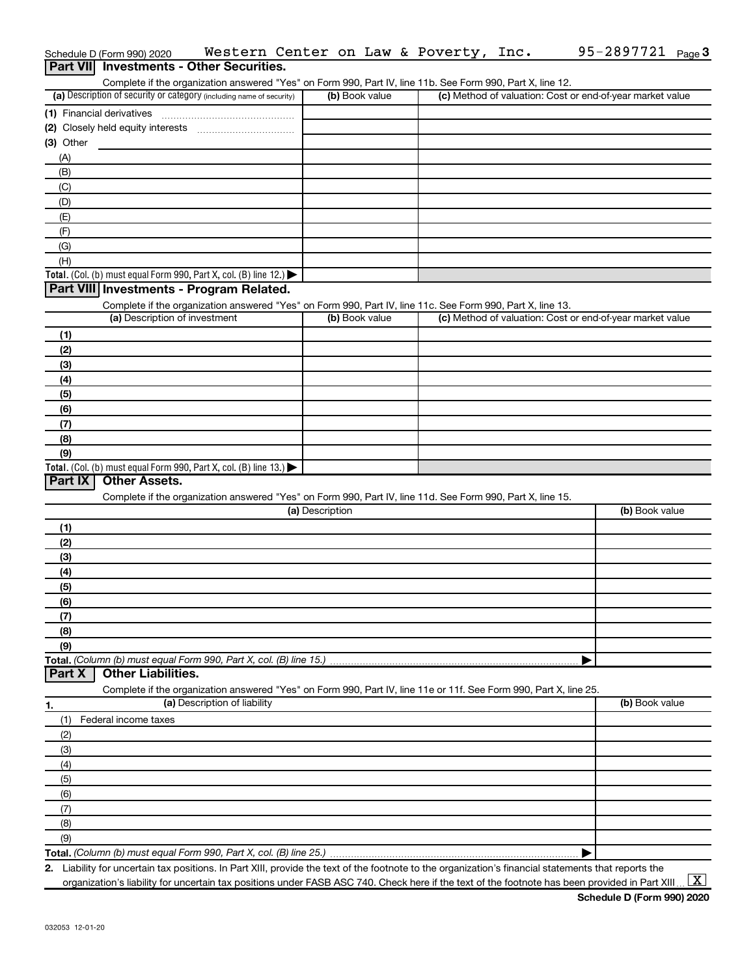|                | Schedule D (Form 990) 2020                                           |                                                                                                                   |                 |                | Western Center on Law & Poverty, Inc. | 95-2897721<br>Page $3$                                                                                                                               |
|----------------|----------------------------------------------------------------------|-------------------------------------------------------------------------------------------------------------------|-----------------|----------------|---------------------------------------|------------------------------------------------------------------------------------------------------------------------------------------------------|
|                | <b>Part VII</b> Investments - Other Securities.                      |                                                                                                                   |                 |                |                                       |                                                                                                                                                      |
|                |                                                                      | Complete if the organization answered "Yes" on Form 990, Part IV, line 11b. See Form 990, Part X, line 12.        |                 |                |                                       |                                                                                                                                                      |
|                | (a) Description of security or category (including name of security) |                                                                                                                   |                 | (b) Book value |                                       | (c) Method of valuation: Cost or end-of-year market value                                                                                            |
|                | (1) Financial derivatives                                            |                                                                                                                   |                 |                |                                       |                                                                                                                                                      |
|                |                                                                      |                                                                                                                   |                 |                |                                       |                                                                                                                                                      |
| $(3)$ Other    |                                                                      |                                                                                                                   |                 |                |                                       |                                                                                                                                                      |
| (A)            |                                                                      |                                                                                                                   |                 |                |                                       |                                                                                                                                                      |
| (B)            |                                                                      |                                                                                                                   |                 |                |                                       |                                                                                                                                                      |
| (C)            |                                                                      |                                                                                                                   |                 |                |                                       |                                                                                                                                                      |
| (D)            |                                                                      |                                                                                                                   |                 |                |                                       |                                                                                                                                                      |
| (E)            |                                                                      |                                                                                                                   |                 |                |                                       |                                                                                                                                                      |
| (F)            |                                                                      |                                                                                                                   |                 |                |                                       |                                                                                                                                                      |
| (G)            |                                                                      |                                                                                                                   |                 |                |                                       |                                                                                                                                                      |
| (H)            |                                                                      |                                                                                                                   |                 |                |                                       |                                                                                                                                                      |
|                | Total. (Col. (b) must equal Form 990, Part X, col. (B) line 12.)     |                                                                                                                   |                 |                |                                       |                                                                                                                                                      |
|                | Part VIII Investments - Program Related.                             |                                                                                                                   |                 |                |                                       |                                                                                                                                                      |
|                |                                                                      | Complete if the organization answered "Yes" on Form 990, Part IV, line 11c. See Form 990, Part X, line 13.        |                 |                |                                       |                                                                                                                                                      |
|                | (a) Description of investment                                        |                                                                                                                   |                 | (b) Book value |                                       | (c) Method of valuation: Cost or end-of-year market value                                                                                            |
| (1)            |                                                                      |                                                                                                                   |                 |                |                                       |                                                                                                                                                      |
| (2)            |                                                                      |                                                                                                                   |                 |                |                                       |                                                                                                                                                      |
| (3)            |                                                                      |                                                                                                                   |                 |                |                                       |                                                                                                                                                      |
| (4)            |                                                                      |                                                                                                                   |                 |                |                                       |                                                                                                                                                      |
| (5)            |                                                                      |                                                                                                                   |                 |                |                                       |                                                                                                                                                      |
| (6)            |                                                                      |                                                                                                                   |                 |                |                                       |                                                                                                                                                      |
| (7)            |                                                                      |                                                                                                                   |                 |                |                                       |                                                                                                                                                      |
| (8)            |                                                                      |                                                                                                                   |                 |                |                                       |                                                                                                                                                      |
| (9)            |                                                                      |                                                                                                                   |                 |                |                                       |                                                                                                                                                      |
|                | Total. (Col. (b) must equal Form 990, Part X, col. (B) line 13.)     |                                                                                                                   |                 |                |                                       |                                                                                                                                                      |
| <b>Part IX</b> | <b>Other Assets.</b>                                                 |                                                                                                                   |                 |                |                                       |                                                                                                                                                      |
|                |                                                                      | Complete if the organization answered "Yes" on Form 990, Part IV, line 11d. See Form 990, Part X, line 15.        |                 |                |                                       |                                                                                                                                                      |
|                |                                                                      |                                                                                                                   | (a) Description |                |                                       | (b) Book value                                                                                                                                       |
| (1)            |                                                                      |                                                                                                                   |                 |                |                                       |                                                                                                                                                      |
| (2)            |                                                                      |                                                                                                                   |                 |                |                                       |                                                                                                                                                      |
| (3)            |                                                                      |                                                                                                                   |                 |                |                                       |                                                                                                                                                      |
| (4)            |                                                                      |                                                                                                                   |                 |                |                                       |                                                                                                                                                      |
| (5)            |                                                                      |                                                                                                                   |                 |                |                                       |                                                                                                                                                      |
| (6)            |                                                                      |                                                                                                                   |                 |                |                                       |                                                                                                                                                      |
| (7)            |                                                                      |                                                                                                                   |                 |                |                                       |                                                                                                                                                      |
| (8)            |                                                                      |                                                                                                                   |                 |                |                                       |                                                                                                                                                      |
| (9)            |                                                                      |                                                                                                                   |                 |                |                                       |                                                                                                                                                      |
|                | Total. (Column (b) must equal Form 990, Part X, col. (B) line 15.)   |                                                                                                                   |                 |                |                                       |                                                                                                                                                      |
| <b>Part X</b>  | <b>Other Liabilities.</b>                                            |                                                                                                                   |                 |                |                                       |                                                                                                                                                      |
|                |                                                                      | Complete if the organization answered "Yes" on Form 990, Part IV, line 11e or 11f. See Form 990, Part X, line 25. |                 |                |                                       |                                                                                                                                                      |
| 1.             |                                                                      | (a) Description of liability                                                                                      |                 |                |                                       | (b) Book value                                                                                                                                       |
| (1)            | Federal income taxes                                                 |                                                                                                                   |                 |                |                                       |                                                                                                                                                      |
| (2)            |                                                                      |                                                                                                                   |                 |                |                                       |                                                                                                                                                      |
| (3)            |                                                                      |                                                                                                                   |                 |                |                                       |                                                                                                                                                      |
| (4)            |                                                                      |                                                                                                                   |                 |                |                                       |                                                                                                                                                      |
| (5)            |                                                                      |                                                                                                                   |                 |                |                                       |                                                                                                                                                      |
| (6)            |                                                                      |                                                                                                                   |                 |                |                                       |                                                                                                                                                      |
| (7)            |                                                                      |                                                                                                                   |                 |                |                                       |                                                                                                                                                      |
| (8)            |                                                                      |                                                                                                                   |                 |                |                                       |                                                                                                                                                      |
| (9)            |                                                                      |                                                                                                                   |                 |                |                                       |                                                                                                                                                      |
|                |                                                                      |                                                                                                                   |                 |                |                                       |                                                                                                                                                      |
|                |                                                                      |                                                                                                                   |                 |                |                                       | 2. Liability for uncertain tax positions. In Part XIII, provide the text of the footnote to the organization's financial statements that reports the |

organization's liability for uncertain tax positions under FASB ASC 740. Check here if the text of the footnote has been provided in Part XIII ...  $\fbox{\bf X}$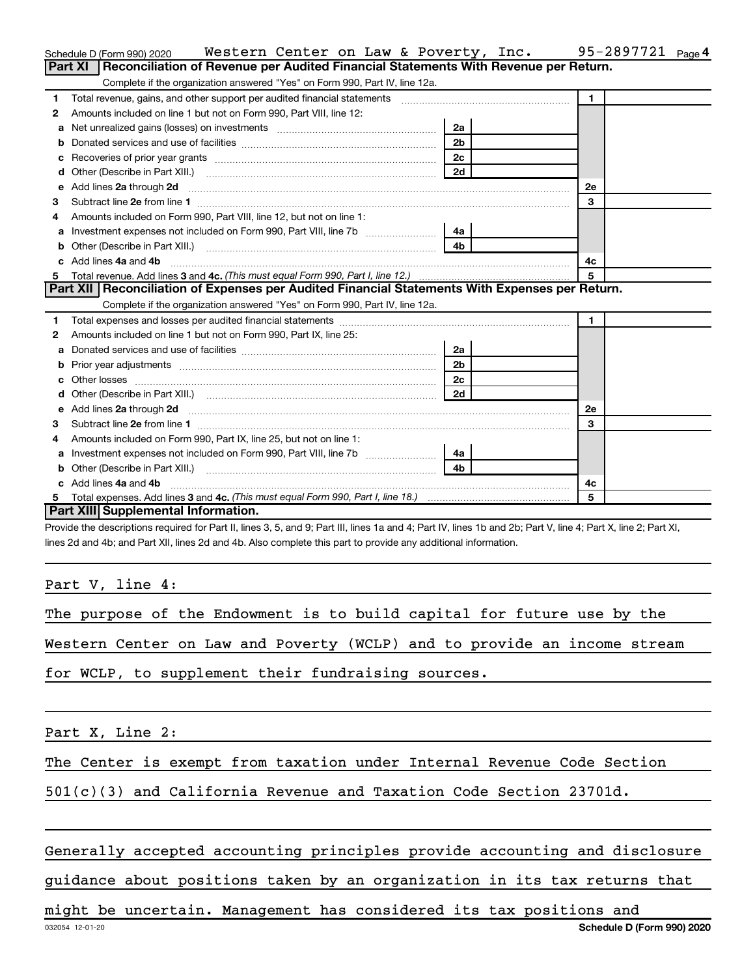|    | Western Center on Law & Poverty, Inc.<br>Schedule D (Form 990) 2020                                                                                                                                                                |                | 95-2897721 Page 4 |
|----|------------------------------------------------------------------------------------------------------------------------------------------------------------------------------------------------------------------------------------|----------------|-------------------|
|    | Part XI   Reconciliation of Revenue per Audited Financial Statements With Revenue per Return.                                                                                                                                      |                |                   |
|    | Complete if the organization answered "Yes" on Form 990, Part IV, line 12a.                                                                                                                                                        |                |                   |
| 1  | Total revenue, gains, and other support per audited financial statements [111] [11] Total revenue, gains, and other support per audited financial statements                                                                       |                | $\blacksquare$    |
| 2  | Amounts included on line 1 but not on Form 990, Part VIII, line 12:                                                                                                                                                                |                |                   |
| a  | Net unrealized gains (losses) on investments [111] [12] matter and the unrealized gains (losses) on investments                                                                                                                    | 2a             |                   |
|    |                                                                                                                                                                                                                                    | 2 <sub>b</sub> |                   |
| с  |                                                                                                                                                                                                                                    | 2 <sub>c</sub> |                   |
| d  |                                                                                                                                                                                                                                    | 2d             |                   |
| e  | Add lines 2a through 2d                                                                                                                                                                                                            |                | 2е                |
| 3  |                                                                                                                                                                                                                                    |                | 3                 |
| 4  | Amounts included on Form 990, Part VIII, line 12, but not on line 1:                                                                                                                                                               |                |                   |
| а  |                                                                                                                                                                                                                                    | 4a             |                   |
| b  | Other (Describe in Part XIII.) <b>Construction (COSET ACTES)</b> (Describe in Part XIII.)                                                                                                                                          | 4 <sub>b</sub> |                   |
| c. | Add lines 4a and 4b                                                                                                                                                                                                                |                | 4c                |
| 5  |                                                                                                                                                                                                                                    |                | 5                 |
|    | Part XII   Reconciliation of Expenses per Audited Financial Statements With Expenses per Return.                                                                                                                                   |                |                   |
|    | Complete if the organization answered "Yes" on Form 990, Part IV, line 12a.                                                                                                                                                        |                |                   |
| 1  |                                                                                                                                                                                                                                    |                | $\mathbf{1}$      |
| 2  | Amounts included on line 1 but not on Form 990, Part IX, line 25:                                                                                                                                                                  |                |                   |
| a  |                                                                                                                                                                                                                                    | 2a             |                   |
| b  |                                                                                                                                                                                                                                    | 2 <sub>b</sub> |                   |
| c  |                                                                                                                                                                                                                                    | 2 <sub>c</sub> |                   |
| d  |                                                                                                                                                                                                                                    | 2d             |                   |
| е  | Add lines 2a through 2d <b>must be a constructed as the constant of the construction</b> and the state of the state of the state of the state of the state of the state of the state of the state of the state of the state of the |                | <b>2e</b>         |
| 3  |                                                                                                                                                                                                                                    |                | 3                 |
| 4  | Amounts included on Form 990, Part IX, line 25, but not on line 1:                                                                                                                                                                 |                |                   |
| a  | Investment expenses not included on Form 990, Part VIII, line 7b [                                                                                                                                                                 | 4a l           |                   |
| b  |                                                                                                                                                                                                                                    | 4 <sub>b</sub> |                   |
| C. | Add lines 4a and 4b                                                                                                                                                                                                                |                | 4c                |
|    |                                                                                                                                                                                                                                    |                | 5                 |
|    | Part XIII Supplemental Information.                                                                                                                                                                                                |                |                   |

Provide the descriptions required for Part II, lines 3, 5, and 9; Part III, lines 1a and 4; Part IV, lines 1b and 2b; Part V, line 4; Part X, line 2; Part XI, lines 2d and 4b; and Part XII, lines 2d and 4b. Also complete this part to provide any additional information.

Part V, line 4:

The purpose of the Endowment is to build capital for future use by the

Western Center on Law and Poverty (WCLP) and to provide an income stream

for WCLP, to supplement their fundraising sources.

Part X, Line 2:

The Center is exempt from taxation under Internal Revenue Code Section

501(c)(3) and California Revenue and Taxation Code Section 23701d.

# Generally accepted accounting principles provide accounting and disclosure

guidance about positions taken by an organization in its tax returns that

might be uncertain. Management has considered its tax positions and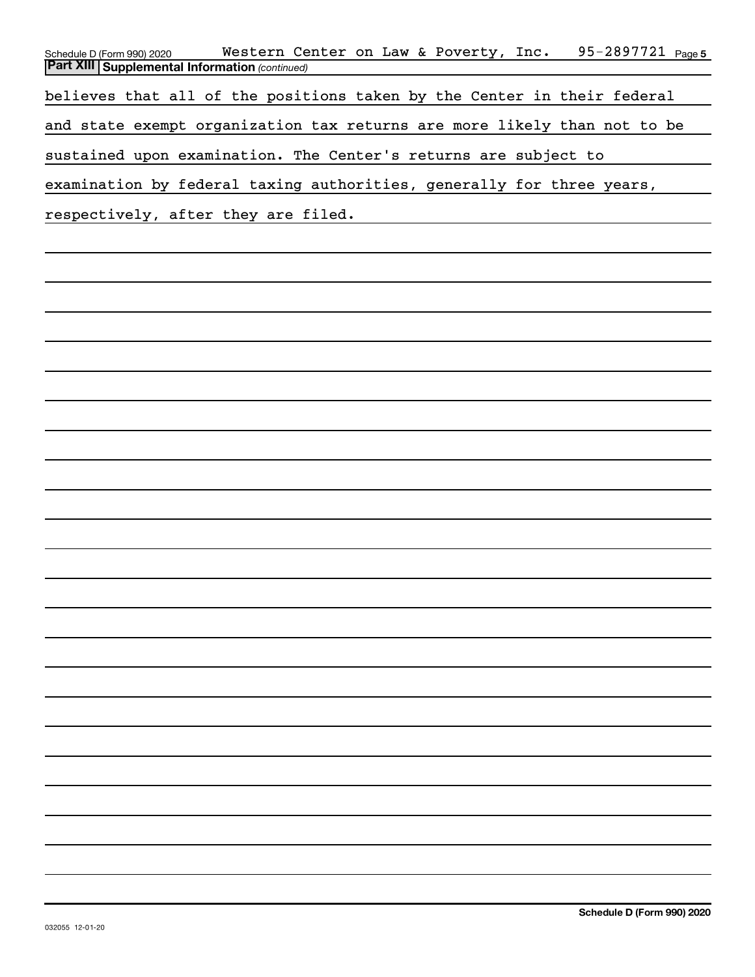| 95-2897721 Page 5<br>Western Center on Law & Poverty, Inc.<br>Schedule D (Form 990) 2020 |
|------------------------------------------------------------------------------------------|
| <b>Part XIII   Supplemental Information (continued)</b>                                  |
| believes that all of the positions taken by the Center in their federal                  |
| and state exempt organization tax returns are more likely than not to be                 |
| sustained upon examination. The Center's returns are subject to                          |
| examination by federal taxing authorities, generally for three years,                    |
| respectively, after they are filed.                                                      |
|                                                                                          |
|                                                                                          |
|                                                                                          |
|                                                                                          |
|                                                                                          |
|                                                                                          |
|                                                                                          |
|                                                                                          |
|                                                                                          |
|                                                                                          |
|                                                                                          |
|                                                                                          |
|                                                                                          |
|                                                                                          |
|                                                                                          |
|                                                                                          |
|                                                                                          |
|                                                                                          |
|                                                                                          |
|                                                                                          |
|                                                                                          |
|                                                                                          |
|                                                                                          |
|                                                                                          |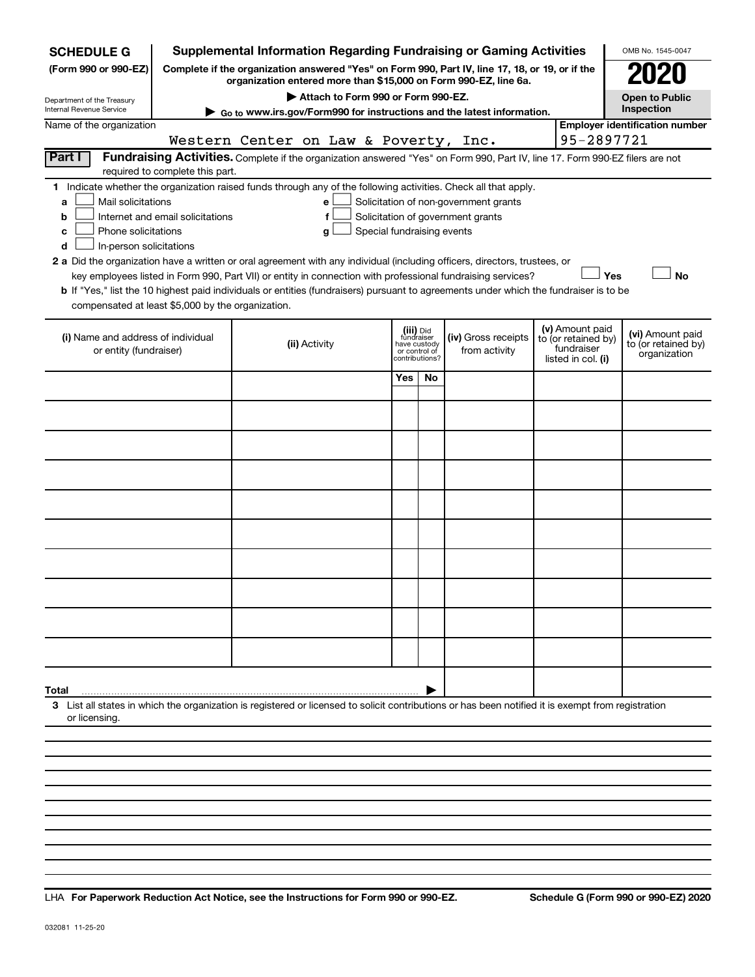| <b>SCHEDULE G</b>                                                                                                                                                                                                                                                                                                                                                                                                                                                                                                                                                                                                                                                                                                                                                                                                                                |                                                                                                                                                                  | <b>Supplemental Information Regarding Fundraising or Gaming Activities</b>                                                                                          |            |                                                                            |                                      |                                                                            | OMB No. 1545-0047                                       |  |  |  |  |  |  |  |
|--------------------------------------------------------------------------------------------------------------------------------------------------------------------------------------------------------------------------------------------------------------------------------------------------------------------------------------------------------------------------------------------------------------------------------------------------------------------------------------------------------------------------------------------------------------------------------------------------------------------------------------------------------------------------------------------------------------------------------------------------------------------------------------------------------------------------------------------------|------------------------------------------------------------------------------------------------------------------------------------------------------------------|---------------------------------------------------------------------------------------------------------------------------------------------------------------------|------------|----------------------------------------------------------------------------|--------------------------------------|----------------------------------------------------------------------------|---------------------------------------------------------|--|--|--|--|--|--|--|
| (Form 990 or 990-EZ)                                                                                                                                                                                                                                                                                                                                                                                                                                                                                                                                                                                                                                                                                                                                                                                                                             |                                                                                                                                                                  | Complete if the organization answered "Yes" on Form 990, Part IV, line 17, 18, or 19, or if the<br>organization entered more than \$15,000 on Form 990-EZ, line 6a. |            |                                                                            |                                      |                                                                            |                                                         |  |  |  |  |  |  |  |
| Department of the Treasury<br><b>Internal Revenue Service</b>                                                                                                                                                                                                                                                                                                                                                                                                                                                                                                                                                                                                                                                                                                                                                                                    |                                                                                                                                                                  | Attach to Form 990 or Form 990-EZ.                                                                                                                                  |            |                                                                            |                                      |                                                                            | <b>Open to Public</b><br>Inspection                     |  |  |  |  |  |  |  |
| Name of the organization                                                                                                                                                                                                                                                                                                                                                                                                                                                                                                                                                                                                                                                                                                                                                                                                                         |                                                                                                                                                                  | Go to www.irs.gov/Form990 for instructions and the latest information.                                                                                              |            |                                                                            |                                      |                                                                            | <b>Employer identification number</b>                   |  |  |  |  |  |  |  |
|                                                                                                                                                                                                                                                                                                                                                                                                                                                                                                                                                                                                                                                                                                                                                                                                                                                  |                                                                                                                                                                  | Western Center on Law & Poverty, Inc.                                                                                                                               |            |                                                                            |                                      |                                                                            | 95-2897721                                              |  |  |  |  |  |  |  |
| Part I                                                                                                                                                                                                                                                                                                                                                                                                                                                                                                                                                                                                                                                                                                                                                                                                                                           | Fundraising Activities. Complete if the organization answered "Yes" on Form 990, Part IV, line 17. Form 990-EZ filers are not<br>required to complete this part. |                                                                                                                                                                     |            |                                                                            |                                      |                                                                            |                                                         |  |  |  |  |  |  |  |
| 1 Indicate whether the organization raised funds through any of the following activities. Check all that apply.<br>Mail solicitations<br>Solicitation of non-government grants<br>a<br>e<br>Solicitation of government grants<br>Internet and email solicitations<br>f<br>b<br>Phone solicitations<br>Special fundraising events<br>g<br>c<br>In-person solicitations<br>d<br>2 a Did the organization have a written or oral agreement with any individual (including officers, directors, trustees, or<br>Yes<br><b>No</b><br>key employees listed in Form 990, Part VII) or entity in connection with professional fundraising services?<br><b>b</b> If "Yes," list the 10 highest paid individuals or entities (fundraisers) pursuant to agreements under which the fundraiser is to be<br>compensated at least \$5,000 by the organization. |                                                                                                                                                                  |                                                                                                                                                                     |            |                                                                            |                                      |                                                                            |                                                         |  |  |  |  |  |  |  |
| (i) Name and address of individual<br>or entity (fundraiser)                                                                                                                                                                                                                                                                                                                                                                                                                                                                                                                                                                                                                                                                                                                                                                                     |                                                                                                                                                                  | (ii) Activity                                                                                                                                                       |            | (iii) Did<br>fundraiser<br>have custody<br>or control of<br>contributions? | (iv) Gross receipts<br>from activity | (v) Amount paid<br>to (or retained by)<br>fundraiser<br>listed in col. (i) | (vi) Amount paid<br>to (or retained by)<br>organization |  |  |  |  |  |  |  |
|                                                                                                                                                                                                                                                                                                                                                                                                                                                                                                                                                                                                                                                                                                                                                                                                                                                  |                                                                                                                                                                  |                                                                                                                                                                     | <b>Yes</b> | No                                                                         |                                      |                                                                            |                                                         |  |  |  |  |  |  |  |
|                                                                                                                                                                                                                                                                                                                                                                                                                                                                                                                                                                                                                                                                                                                                                                                                                                                  |                                                                                                                                                                  |                                                                                                                                                                     |            |                                                                            |                                      |                                                                            |                                                         |  |  |  |  |  |  |  |
|                                                                                                                                                                                                                                                                                                                                                                                                                                                                                                                                                                                                                                                                                                                                                                                                                                                  |                                                                                                                                                                  |                                                                                                                                                                     |            |                                                                            |                                      |                                                                            |                                                         |  |  |  |  |  |  |  |
|                                                                                                                                                                                                                                                                                                                                                                                                                                                                                                                                                                                                                                                                                                                                                                                                                                                  |                                                                                                                                                                  |                                                                                                                                                                     |            |                                                                            |                                      |                                                                            |                                                         |  |  |  |  |  |  |  |
|                                                                                                                                                                                                                                                                                                                                                                                                                                                                                                                                                                                                                                                                                                                                                                                                                                                  |                                                                                                                                                                  |                                                                                                                                                                     |            |                                                                            |                                      |                                                                            |                                                         |  |  |  |  |  |  |  |
|                                                                                                                                                                                                                                                                                                                                                                                                                                                                                                                                                                                                                                                                                                                                                                                                                                                  |                                                                                                                                                                  |                                                                                                                                                                     |            |                                                                            |                                      |                                                                            |                                                         |  |  |  |  |  |  |  |
|                                                                                                                                                                                                                                                                                                                                                                                                                                                                                                                                                                                                                                                                                                                                                                                                                                                  |                                                                                                                                                                  |                                                                                                                                                                     |            |                                                                            |                                      |                                                                            |                                                         |  |  |  |  |  |  |  |
|                                                                                                                                                                                                                                                                                                                                                                                                                                                                                                                                                                                                                                                                                                                                                                                                                                                  |                                                                                                                                                                  |                                                                                                                                                                     |            |                                                                            |                                      |                                                                            |                                                         |  |  |  |  |  |  |  |
|                                                                                                                                                                                                                                                                                                                                                                                                                                                                                                                                                                                                                                                                                                                                                                                                                                                  |                                                                                                                                                                  |                                                                                                                                                                     |            |                                                                            |                                      |                                                                            |                                                         |  |  |  |  |  |  |  |
|                                                                                                                                                                                                                                                                                                                                                                                                                                                                                                                                                                                                                                                                                                                                                                                                                                                  |                                                                                                                                                                  |                                                                                                                                                                     |            |                                                                            |                                      |                                                                            |                                                         |  |  |  |  |  |  |  |
| Total                                                                                                                                                                                                                                                                                                                                                                                                                                                                                                                                                                                                                                                                                                                                                                                                                                            |                                                                                                                                                                  |                                                                                                                                                                     |            |                                                                            |                                      |                                                                            |                                                         |  |  |  |  |  |  |  |
| or licensing.                                                                                                                                                                                                                                                                                                                                                                                                                                                                                                                                                                                                                                                                                                                                                                                                                                    |                                                                                                                                                                  | 3 List all states in which the organization is registered or licensed to solicit contributions or has been notified it is exempt from registration                  |            |                                                                            |                                      |                                                                            |                                                         |  |  |  |  |  |  |  |
|                                                                                                                                                                                                                                                                                                                                                                                                                                                                                                                                                                                                                                                                                                                                                                                                                                                  |                                                                                                                                                                  |                                                                                                                                                                     |            |                                                                            |                                      |                                                                            |                                                         |  |  |  |  |  |  |  |
|                                                                                                                                                                                                                                                                                                                                                                                                                                                                                                                                                                                                                                                                                                                                                                                                                                                  |                                                                                                                                                                  |                                                                                                                                                                     |            |                                                                            |                                      |                                                                            |                                                         |  |  |  |  |  |  |  |
|                                                                                                                                                                                                                                                                                                                                                                                                                                                                                                                                                                                                                                                                                                                                                                                                                                                  |                                                                                                                                                                  |                                                                                                                                                                     |            |                                                                            |                                      |                                                                            |                                                         |  |  |  |  |  |  |  |

**For Paperwork Reduction Act Notice, see the Instructions for Form 990 or 990-EZ. Schedule G (Form 990 or 990-EZ) 2020** LHA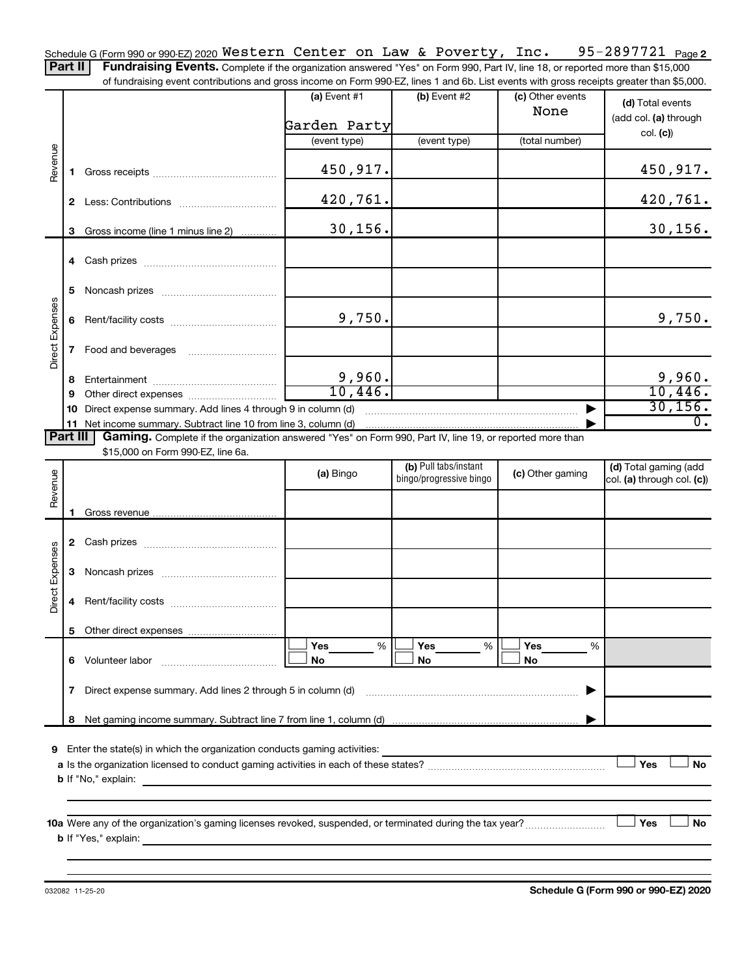95-2897721 Page 2 Schedule G (Form 990 or 990-EZ) 2020  $\,$  <code>Western Center</code> on <code>Law & Poverty, Inc.  $\,$  95-2897721  $\,$  <code>Page</code></code> Part II | Fundraising Events. Complete if the organization answered "Yes" on Form 990, Part IV, line 18, or reported more than \$15,000

of fundraising event contributions and gross income on Form 990-EZ, lines 1 and 6b. List events with gross receipts greater than \$5,000.

|                 |             |                                                                                                          | (a) Event #1                                                               | (b) Event #2                                     | (c) Other events<br>None | (d) Total events<br>(add col. (a) through           |  |  |  |
|-----------------|-------------|----------------------------------------------------------------------------------------------------------|----------------------------------------------------------------------------|--------------------------------------------------|--------------------------|-----------------------------------------------------|--|--|--|
|                 |             |                                                                                                          | Garden Party                                                               |                                                  |                          |                                                     |  |  |  |
|                 |             |                                                                                                          | (event type)                                                               | (event type)                                     | (total number)           | col. (c)                                            |  |  |  |
| Revenue         | $\mathbf 1$ |                                                                                                          | 450,917.                                                                   |                                                  |                          | 450,917.                                            |  |  |  |
|                 |             |                                                                                                          | 420, 761.                                                                  |                                                  |                          | 420,761.                                            |  |  |  |
|                 | 3           | Gross income (line 1 minus line 2)                                                                       | 30, 156.                                                                   |                                                  |                          | 30, 156.                                            |  |  |  |
|                 |             |                                                                                                          |                                                                            |                                                  |                          |                                                     |  |  |  |
|                 | 5           |                                                                                                          |                                                                            |                                                  |                          |                                                     |  |  |  |
|                 | 6           |                                                                                                          | 9,750.                                                                     |                                                  |                          | 9,750.                                              |  |  |  |
| Direct Expenses | 7           | Food and beverages                                                                                       |                                                                            |                                                  |                          |                                                     |  |  |  |
|                 | 8           |                                                                                                          |                                                                            |                                                  |                          |                                                     |  |  |  |
|                 | 9           |                                                                                                          | $\frac{9,960}{10,446}$                                                     |                                                  |                          | $\frac{9,960}{10,446}$                              |  |  |  |
|                 | 10          | Direct expense summary. Add lines 4 through 9 in column (d)                                              |                                                                            |                                                  |                          | 30, 156.                                            |  |  |  |
|                 |             | 11 Net income summary. Subtract line 10 from line 3, column (d)                                          |                                                                            |                                                  |                          | $\overline{0}$ .                                    |  |  |  |
| <b>Part III</b> |             | Gaming. Complete if the organization answered "Yes" on Form 990, Part IV, line 19, or reported more than |                                                                            |                                                  |                          |                                                     |  |  |  |
|                 |             | \$15,000 on Form 990-EZ, line 6a.                                                                        |                                                                            |                                                  |                          |                                                     |  |  |  |
| Revenue         |             |                                                                                                          | (a) Bingo                                                                  | (b) Pull tabs/instant<br>bingo/progressive bingo | (c) Other gaming         | (d) Total gaming (add<br>col. (a) through col. (c)) |  |  |  |
|                 |             |                                                                                                          |                                                                            |                                                  |                          |                                                     |  |  |  |
|                 | 1.          |                                                                                                          |                                                                            |                                                  |                          |                                                     |  |  |  |
|                 |             |                                                                                                          |                                                                            |                                                  |                          |                                                     |  |  |  |
| Direct Expenses | 3           |                                                                                                          |                                                                            |                                                  |                          |                                                     |  |  |  |
|                 | 4           |                                                                                                          |                                                                            |                                                  |                          |                                                     |  |  |  |
|                 |             |                                                                                                          |                                                                            |                                                  |                          |                                                     |  |  |  |
|                 |             |                                                                                                          | Yes<br>%                                                                   | Yes<br>%                                         | Yes<br>%                 |                                                     |  |  |  |
|                 | 6           | Volunteer labor                                                                                          | No                                                                         | No                                               | No                       |                                                     |  |  |  |
|                 | 7           | Direct expense summary. Add lines 2 through 5 in column (d)                                              |                                                                            |                                                  |                          |                                                     |  |  |  |
|                 | 8           |                                                                                                          |                                                                            |                                                  |                          |                                                     |  |  |  |
| 9               |             | Enter the state(s) in which the organization conducts gaming activities:                                 |                                                                            |                                                  |                          |                                                     |  |  |  |
|                 |             |                                                                                                          |                                                                            |                                                  |                          | Yes<br>No                                           |  |  |  |
|                 |             | <b>b</b> If "No," explain:                                                                               | the control of the control of the control of the control of the control of |                                                  |                          |                                                     |  |  |  |
|                 |             |                                                                                                          |                                                                            |                                                  |                          |                                                     |  |  |  |
|                 |             |                                                                                                          |                                                                            |                                                  |                          |                                                     |  |  |  |
|                 |             | <b>b</b> If "Yes," explain:                                                                              |                                                                            |                                                  |                          | Yes<br>No                                           |  |  |  |
|                 |             |                                                                                                          |                                                                            |                                                  |                          |                                                     |  |  |  |

**Schedule G (Form 990 or 990-EZ) 2020**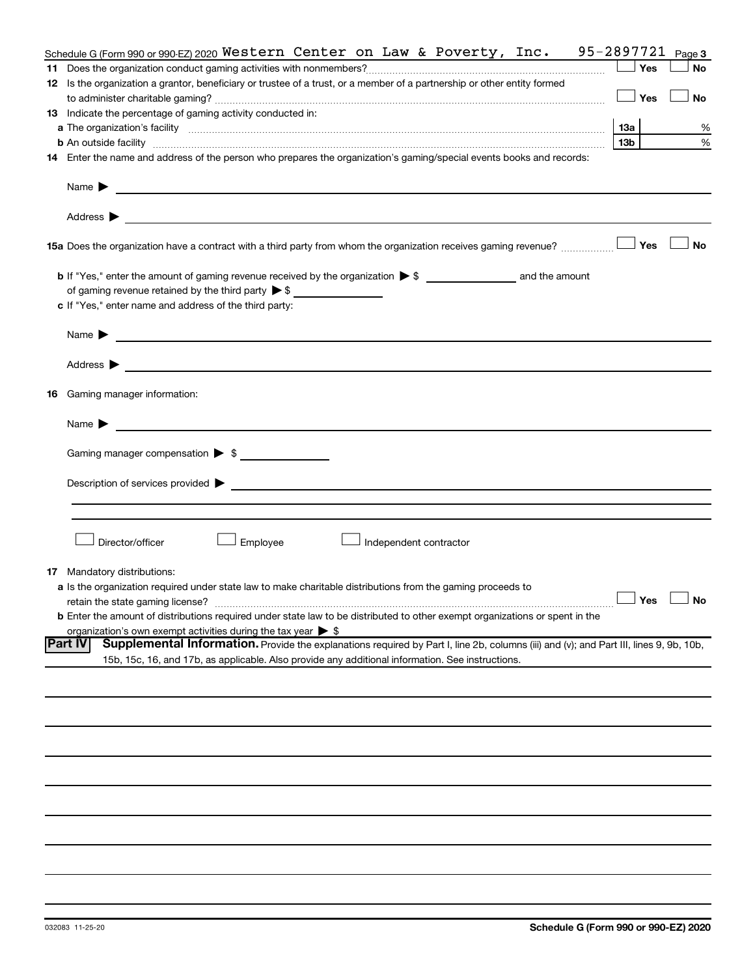| Schedule G (Form 990 or 990-EZ) 2020 Western Center on Law & Poverty, Inc.                                                                                                                                                                                         | 95-2897721      | Page 3               |
|--------------------------------------------------------------------------------------------------------------------------------------------------------------------------------------------------------------------------------------------------------------------|-----------------|----------------------|
|                                                                                                                                                                                                                                                                    | Yes             | <b>No</b>            |
| 12 Is the organization a grantor, beneficiary or trustee of a trust, or a member of a partnership or other entity formed                                                                                                                                           |                 |                      |
|                                                                                                                                                                                                                                                                    | Yes             | No                   |
| 13 Indicate the percentage of gaming activity conducted in:                                                                                                                                                                                                        |                 |                      |
|                                                                                                                                                                                                                                                                    | 13а             | %                    |
| <b>b</b> An outside facility <i>www.communicality communicality communicality communicality communically communically communically communically communically communically communically communically communically communically communi</i>                          | 13 <sub>b</sub> | %                    |
| 14 Enter the name and address of the person who prepares the organization's gaming/special events books and records:                                                                                                                                               |                 |                      |
| Name $\blacktriangleright$<br><u> 1989 - Johann Barn, fransk politik formuler (d. 1989)</u>                                                                                                                                                                        |                 |                      |
| Address $\blacktriangleright$<br><u>and the contract of the contract of the contract of the contract of the contract of the contract of the contract of</u>                                                                                                        |                 |                      |
| 15a Does the organization have a contract with a third party from whom the organization receives gaming revenue?                                                                                                                                                   | Yes             | <b>No</b>            |
|                                                                                                                                                                                                                                                                    |                 |                      |
| of gaming revenue retained by the third party > \$                                                                                                                                                                                                                 |                 |                      |
| c If "Yes," enter name and address of the third party:                                                                                                                                                                                                             |                 |                      |
|                                                                                                                                                                                                                                                                    |                 |                      |
| Name $\blacktriangleright$<br><u>and the contract of the contract of the contract of the contract of the contract of the contract of the contract of</u>                                                                                                           |                 |                      |
| Address $\blacktriangleright$<br><u> 1989 - Andrea Andrew Maria (h. 1989).</u>                                                                                                                                                                                     |                 |                      |
| <b>16</b> Gaming manager information:                                                                                                                                                                                                                              |                 |                      |
| <u>and the state of the state of the state of the state of the state of the state of the state of the state of the state of the state of the state of the state of the state of the state of the state of the state of the state</u><br>Name $\blacktriangleright$ |                 |                      |
| Gaming manager compensation > \$                                                                                                                                                                                                                                   |                 |                      |
|                                                                                                                                                                                                                                                                    |                 |                      |
|                                                                                                                                                                                                                                                                    |                 |                      |
|                                                                                                                                                                                                                                                                    |                 |                      |
|                                                                                                                                                                                                                                                                    |                 |                      |
|                                                                                                                                                                                                                                                                    |                 |                      |
| Director/officer<br>Employee<br>Independent contractor                                                                                                                                                                                                             |                 |                      |
|                                                                                                                                                                                                                                                                    |                 |                      |
| <b>17</b> Mandatory distributions:                                                                                                                                                                                                                                 |                 |                      |
| a Is the organization required under state law to make charitable distributions from the gaming proceeds to                                                                                                                                                        |                 |                      |
| retain the state gaming license?                                                                                                                                                                                                                                   |                 | $\Box$ Yes $\Box$ No |
| <b>b</b> Enter the amount of distributions required under state law to be distributed to other exempt organizations or spent in the                                                                                                                                |                 |                      |
| organization's own exempt activities during the tax year $\triangleright$ \$                                                                                                                                                                                       |                 |                      |
| <b>Part IV</b><br>Supplemental Information. Provide the explanations required by Part I, line 2b, columns (iii) and (v); and Part III, lines 9, 9b, 10b,                                                                                                           |                 |                      |
| 15b, 15c, 16, and 17b, as applicable. Also provide any additional information. See instructions.                                                                                                                                                                   |                 |                      |
|                                                                                                                                                                                                                                                                    |                 |                      |
|                                                                                                                                                                                                                                                                    |                 |                      |
|                                                                                                                                                                                                                                                                    |                 |                      |
|                                                                                                                                                                                                                                                                    |                 |                      |
|                                                                                                                                                                                                                                                                    |                 |                      |
|                                                                                                                                                                                                                                                                    |                 |                      |
|                                                                                                                                                                                                                                                                    |                 |                      |
|                                                                                                                                                                                                                                                                    |                 |                      |
|                                                                                                                                                                                                                                                                    |                 |                      |
|                                                                                                                                                                                                                                                                    |                 |                      |
|                                                                                                                                                                                                                                                                    |                 |                      |
|                                                                                                                                                                                                                                                                    |                 |                      |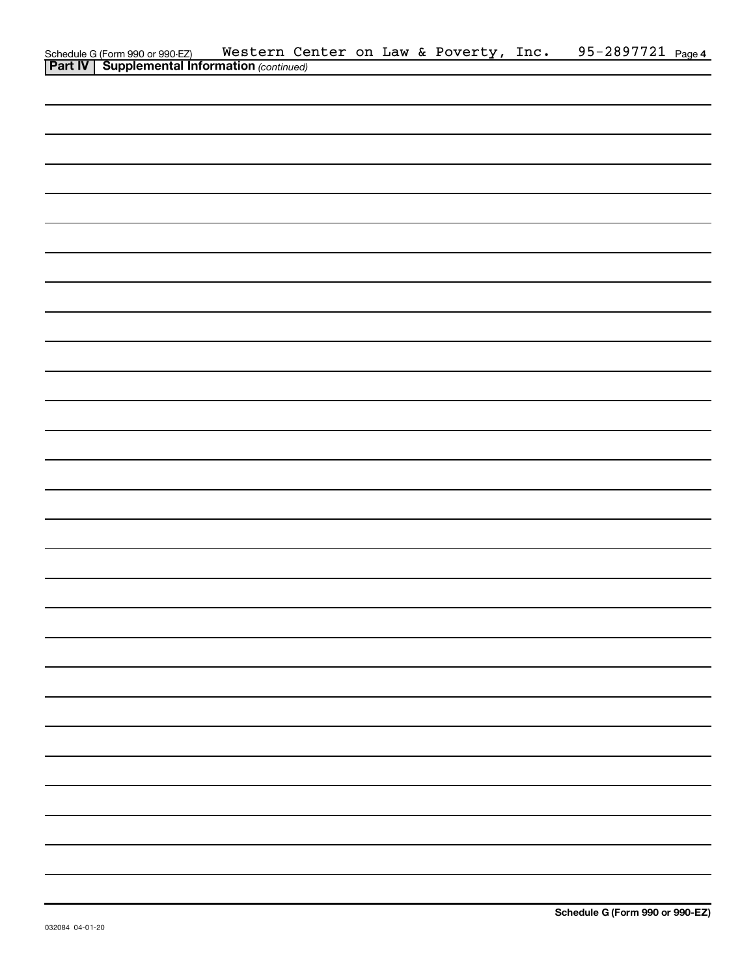| Schedule G (Form 990 or 990-EZ) Western Ce<br><b>Part IV   Supplemental Information</b> (continued) |  |  | Western Center on Law & Poverty, Inc. | 95-2897721 Page 4 |  |
|-----------------------------------------------------------------------------------------------------|--|--|---------------------------------------|-------------------|--|
|                                                                                                     |  |  |                                       |                   |  |
|                                                                                                     |  |  |                                       |                   |  |
|                                                                                                     |  |  |                                       |                   |  |
|                                                                                                     |  |  |                                       |                   |  |
|                                                                                                     |  |  |                                       |                   |  |
|                                                                                                     |  |  |                                       |                   |  |
|                                                                                                     |  |  |                                       |                   |  |
|                                                                                                     |  |  |                                       |                   |  |
|                                                                                                     |  |  |                                       |                   |  |
|                                                                                                     |  |  |                                       |                   |  |
|                                                                                                     |  |  |                                       |                   |  |
|                                                                                                     |  |  |                                       |                   |  |
|                                                                                                     |  |  |                                       |                   |  |
|                                                                                                     |  |  |                                       |                   |  |
|                                                                                                     |  |  |                                       |                   |  |
|                                                                                                     |  |  |                                       |                   |  |
|                                                                                                     |  |  |                                       |                   |  |
|                                                                                                     |  |  |                                       |                   |  |
|                                                                                                     |  |  |                                       |                   |  |
|                                                                                                     |  |  |                                       |                   |  |
|                                                                                                     |  |  |                                       |                   |  |
|                                                                                                     |  |  |                                       |                   |  |
|                                                                                                     |  |  |                                       |                   |  |
|                                                                                                     |  |  |                                       |                   |  |
|                                                                                                     |  |  |                                       |                   |  |
|                                                                                                     |  |  |                                       |                   |  |
|                                                                                                     |  |  |                                       |                   |  |
|                                                                                                     |  |  |                                       |                   |  |
|                                                                                                     |  |  |                                       |                   |  |
|                                                                                                     |  |  |                                       |                   |  |
|                                                                                                     |  |  |                                       |                   |  |
|                                                                                                     |  |  |                                       |                   |  |
|                                                                                                     |  |  |                                       |                   |  |
|                                                                                                     |  |  |                                       |                   |  |
|                                                                                                     |  |  |                                       |                   |  |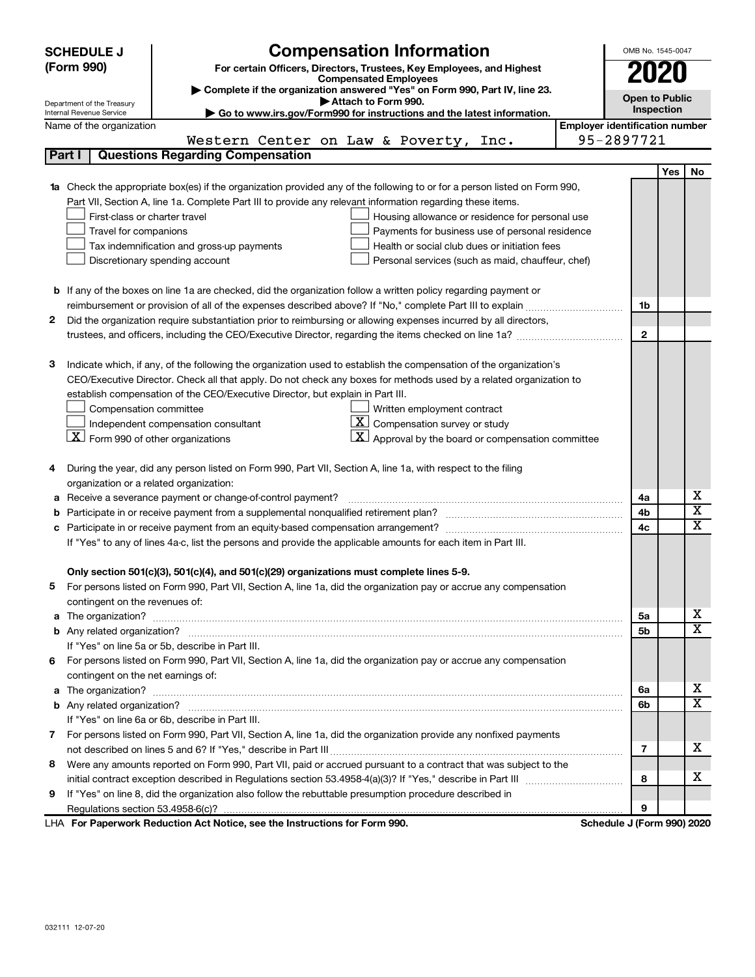|        | <b>Compensation Information</b><br><b>SCHEDULE J</b>                                |                                                                                                                        |                                       |                            |     | OMB No. 1545-0047            |  |
|--------|-------------------------------------------------------------------------------------|------------------------------------------------------------------------------------------------------------------------|---------------------------------------|----------------------------|-----|------------------------------|--|
|        | (Form 990)<br>For certain Officers, Directors, Trustees, Key Employees, and Highest |                                                                                                                        |                                       |                            |     |                              |  |
|        |                                                                                     | <b>Compensated Employees</b><br>Complete if the organization answered "Yes" on Form 990, Part IV, line 23.             |                                       | 2020                       |     |                              |  |
|        | Department of the Treasury                                                          | Attach to Form 990.                                                                                                    |                                       | <b>Open to Public</b>      |     |                              |  |
|        | Internal Revenue Service                                                            | Go to www.irs.gov/Form990 for instructions and the latest information.                                                 |                                       | Inspection                 |     |                              |  |
|        | Name of the organization                                                            |                                                                                                                        | <b>Employer identification number</b> |                            |     |                              |  |
|        |                                                                                     | Western Center on Law & Poverty,<br>Inc.                                                                               |                                       | 95-2897721                 |     |                              |  |
| Part I |                                                                                     | <b>Questions Regarding Compensation</b>                                                                                |                                       |                            |     |                              |  |
|        |                                                                                     |                                                                                                                        |                                       |                            | Yes | No                           |  |
| 1a     |                                                                                     | Check the appropriate box(es) if the organization provided any of the following to or for a person listed on Form 990, |                                       |                            |     |                              |  |
|        |                                                                                     | Part VII, Section A, line 1a. Complete Part III to provide any relevant information regarding these items.             |                                       |                            |     |                              |  |
|        | First-class or charter travel                                                       | Housing allowance or residence for personal use                                                                        |                                       |                            |     |                              |  |
|        | Travel for companions                                                               | Payments for business use of personal residence                                                                        |                                       |                            |     |                              |  |
|        |                                                                                     | Health or social club dues or initiation fees<br>Tax indemnification and gross-up payments                             |                                       |                            |     |                              |  |
|        |                                                                                     | Discretionary spending account<br>Personal services (such as maid, chauffeur, chef)                                    |                                       |                            |     |                              |  |
|        |                                                                                     |                                                                                                                        |                                       |                            |     |                              |  |
|        |                                                                                     | <b>b</b> If any of the boxes on line 1a are checked, did the organization follow a written policy regarding payment or |                                       |                            |     |                              |  |
|        |                                                                                     |                                                                                                                        |                                       | 1b                         |     |                              |  |
| 2      |                                                                                     | Did the organization require substantiation prior to reimbursing or allowing expenses incurred by all directors,       |                                       |                            |     |                              |  |
|        |                                                                                     | trustees, and officers, including the CEO/Executive Director, regarding the items checked on line 1a?                  |                                       | $\mathbf{2}$               |     |                              |  |
|        |                                                                                     |                                                                                                                        |                                       |                            |     |                              |  |
| 3      |                                                                                     | Indicate which, if any, of the following the organization used to establish the compensation of the organization's     |                                       |                            |     |                              |  |
|        |                                                                                     | CEO/Executive Director. Check all that apply. Do not check any boxes for methods used by a related organization to     |                                       |                            |     |                              |  |
|        |                                                                                     | establish compensation of the CEO/Executive Director, but explain in Part III.                                         |                                       |                            |     |                              |  |
|        | Compensation committee                                                              | Written employment contract                                                                                            |                                       |                            |     |                              |  |
|        |                                                                                     | $\lfloor \underline{X} \rfloor$ Compensation survey or study<br>Independent compensation consultant                    |                                       |                            |     |                              |  |
|        | $ \mathbf{X} $ Form 990 of other organizations                                      | $\lfloor \underline{X} \rfloor$ Approval by the board or compensation committee                                        |                                       |                            |     |                              |  |
|        |                                                                                     |                                                                                                                        |                                       |                            |     |                              |  |
| 4      |                                                                                     | During the year, did any person listed on Form 990, Part VII, Section A, line 1a, with respect to the filing           |                                       |                            |     |                              |  |
|        | organization or a related organization:                                             |                                                                                                                        |                                       |                            |     |                              |  |
| а      |                                                                                     | Receive a severance payment or change-of-control payment?                                                              |                                       | 4a                         |     | x<br>$\overline{\textbf{x}}$ |  |
| b      |                                                                                     |                                                                                                                        |                                       | 4b                         |     | X                            |  |
| c      |                                                                                     |                                                                                                                        |                                       | 4c                         |     |                              |  |
|        |                                                                                     | If "Yes" to any of lines 4a-c, list the persons and provide the applicable amounts for each item in Part III.          |                                       |                            |     |                              |  |
|        |                                                                                     |                                                                                                                        |                                       |                            |     |                              |  |
|        |                                                                                     | Only section 501(c)(3), 501(c)(4), and 501(c)(29) organizations must complete lines 5-9.                               |                                       |                            |     |                              |  |
|        |                                                                                     | For persons listed on Form 990, Part VII, Section A, line 1a, did the organization pay or accrue any compensation      |                                       |                            |     |                              |  |
|        | contingent on the revenues of:                                                      |                                                                                                                        |                                       |                            |     | х                            |  |
|        |                                                                                     | a The organization? <b>Entitation</b> 2008 Communication of the organization of the organization?                      |                                       | 5a                         |     | х                            |  |
|        |                                                                                     |                                                                                                                        |                                       | 5b                         |     |                              |  |
|        |                                                                                     | If "Yes" on line 5a or 5b, describe in Part III.                                                                       |                                       |                            |     |                              |  |
|        |                                                                                     | 6 For persons listed on Form 990, Part VII, Section A, line 1a, did the organization pay or accrue any compensation    |                                       |                            |     |                              |  |
|        | contingent on the net earnings of:                                                  |                                                                                                                        |                                       |                            |     |                              |  |
|        |                                                                                     | a The organization? <b>Process and Construction Construction</b> and The organization?                                 |                                       | 6a                         |     | х<br>х                       |  |
|        |                                                                                     |                                                                                                                        |                                       | 6b                         |     |                              |  |
|        |                                                                                     | If "Yes" on line 6a or 6b, describe in Part III.                                                                       |                                       |                            |     |                              |  |
|        |                                                                                     | 7 For persons listed on Form 990, Part VII, Section A, line 1a, did the organization provide any nonfixed payments     |                                       |                            |     |                              |  |
|        |                                                                                     |                                                                                                                        |                                       | 7                          |     | х                            |  |
|        |                                                                                     | 8 Were any amounts reported on Form 990, Part VII, paid or accrued pursuant to a contract that was subject to the      |                                       |                            |     |                              |  |
|        |                                                                                     |                                                                                                                        |                                       | 8                          |     | х                            |  |
| 9      |                                                                                     | If "Yes" on line 8, did the organization also follow the rebuttable presumption procedure described in                 |                                       |                            |     |                              |  |
|        |                                                                                     |                                                                                                                        |                                       | 9                          |     |                              |  |
|        |                                                                                     | LHA For Paperwork Reduction Act Notice, see the Instructions for Form 990.                                             |                                       | Schedule J (Form 990) 2020 |     |                              |  |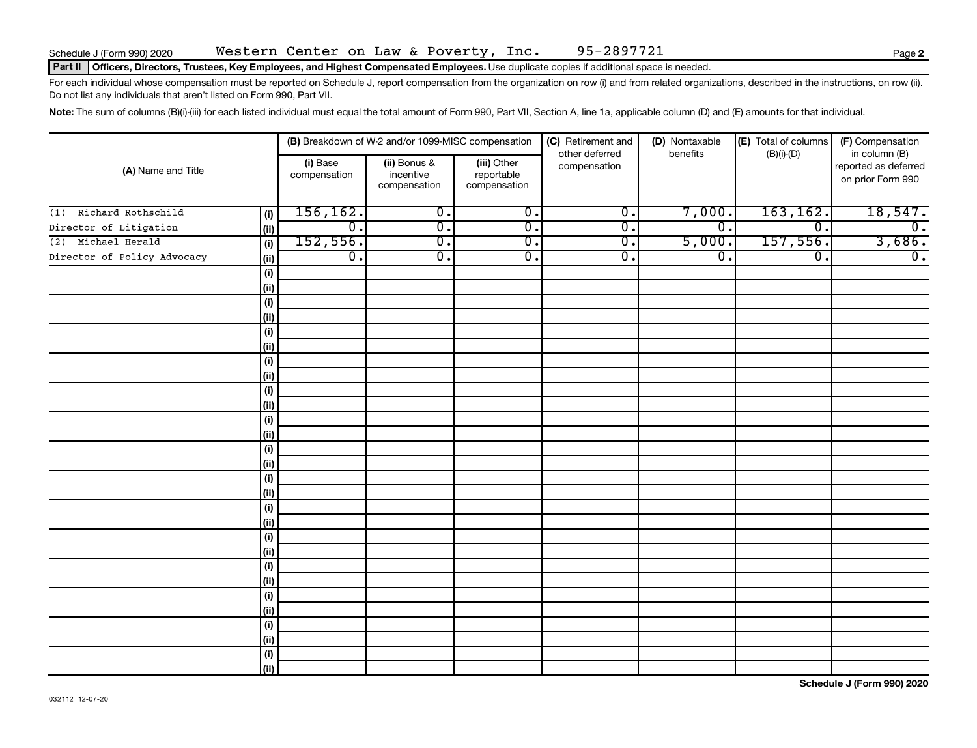## Part II | Officers, Directors, Trustees, Key Employees, and Highest Compensated Employees. Use duplicate copies if additional space is needed.

For each individual whose compensation must be reported on Schedule J, report compensation from the organization on row (i) and from related organizations, described in the instructions, on row (ii). Do not list any individuals that aren't listed on Form 990, Part VII.

Note: The sum of columns (B)(i)-(iii) for each listed individual must equal the total amount of Form 990, Part VII, Section A, line 1a, applicable column (D) and (E) amounts for that individual.

| (A) Name and Title          |                              |                          | (B) Breakdown of W-2 and/or 1099-MISC compensation |                                           | (C) Retirement and             | (D) Nontaxable              | (E) Total of columns | (F) Compensation                                           |  |  |
|-----------------------------|------------------------------|--------------------------|----------------------------------------------------|-------------------------------------------|--------------------------------|-----------------------------|----------------------|------------------------------------------------------------|--|--|
|                             |                              | (i) Base<br>compensation | (ii) Bonus &<br>incentive<br>compensation          | (iii) Other<br>reportable<br>compensation | other deferred<br>compensation | benefits                    | $(B)(i)-(D)$         | in column (B)<br>reported as deferred<br>on prior Form 990 |  |  |
| Richard Rothschild<br>(1)   | (i)                          | 156, 162.                | $\overline{0}$ .                                   | $\overline{0}$ .                          | $\overline{\mathfrak{o}}$ .    | 7,000.                      | 163, 162.            | 18,547.                                                    |  |  |
| Director of Litigation      | (ii)                         | $\overline{0}$ .         | $\overline{0}$ .                                   | $\overline{\mathfrak{o}}$ .               | σ.                             | $\overline{0}$ .            | $\overline{0}$ .     | $\overline{0}$ .                                           |  |  |
| Michael Herald<br>(2)       | (i)                          | 152, 556.                | $\overline{0}$ .                                   | σ.                                        | $\overline{0}$ .               | 5,000.                      | 157,556.             | 3,686.                                                     |  |  |
| Director of Policy Advocacy | (ii)                         | $\overline{0}$ .         | σ.                                                 | $\overline{\mathfrak{o}}$ .               | $\overline{0}$ .               | $\overline{\mathfrak{o}}$ . | $\overline{0}$ .     | $\overline{0}$ .                                           |  |  |
|                             | $\qquad \qquad \textbf{(i)}$ |                          |                                                    |                                           |                                |                             |                      |                                                            |  |  |
|                             | (ii)                         |                          |                                                    |                                           |                                |                             |                      |                                                            |  |  |
|                             | $\qquad \qquad \textbf{(i)}$ |                          |                                                    |                                           |                                |                             |                      |                                                            |  |  |
|                             | (i)                          |                          |                                                    |                                           |                                |                             |                      |                                                            |  |  |
|                             | (i)                          |                          |                                                    |                                           |                                |                             |                      |                                                            |  |  |
|                             | (i)                          |                          |                                                    |                                           |                                |                             |                      |                                                            |  |  |
|                             | $\qquad \qquad \textbf{(i)}$ |                          |                                                    |                                           |                                |                             |                      |                                                            |  |  |
|                             | (ii)                         |                          |                                                    |                                           |                                |                             |                      |                                                            |  |  |
|                             | $\qquad \qquad \textbf{(i)}$ |                          |                                                    |                                           |                                |                             |                      |                                                            |  |  |
|                             | (ii)                         |                          |                                                    |                                           |                                |                             |                      |                                                            |  |  |
|                             | (i)                          |                          |                                                    |                                           |                                |                             |                      |                                                            |  |  |
|                             | (ii)                         |                          |                                                    |                                           |                                |                             |                      |                                                            |  |  |
|                             | $(\sf{i})$                   |                          |                                                    |                                           |                                |                             |                      |                                                            |  |  |
|                             | (ii)                         |                          |                                                    |                                           |                                |                             |                      |                                                            |  |  |
|                             | $(\sf{i})$<br>(ii)           |                          |                                                    |                                           |                                |                             |                      |                                                            |  |  |
|                             | (i)                          |                          |                                                    |                                           |                                |                             |                      |                                                            |  |  |
|                             | (ii)                         |                          |                                                    |                                           |                                |                             |                      |                                                            |  |  |
|                             | $(\sf{i})$                   |                          |                                                    |                                           |                                |                             |                      |                                                            |  |  |
|                             | (ii)                         |                          |                                                    |                                           |                                |                             |                      |                                                            |  |  |
|                             | $(\sf{i})$                   |                          |                                                    |                                           |                                |                             |                      |                                                            |  |  |
|                             | (i)                          |                          |                                                    |                                           |                                |                             |                      |                                                            |  |  |
|                             | (i)                          |                          |                                                    |                                           |                                |                             |                      |                                                            |  |  |
|                             | (ii)                         |                          |                                                    |                                           |                                |                             |                      |                                                            |  |  |
|                             | (i)                          |                          |                                                    |                                           |                                |                             |                      |                                                            |  |  |
|                             | (ii)                         |                          |                                                    |                                           |                                |                             |                      |                                                            |  |  |
|                             | $(\sf{i})$                   |                          |                                                    |                                           |                                |                             |                      |                                                            |  |  |
|                             | (ii)                         |                          |                                                    |                                           |                                |                             |                      |                                                            |  |  |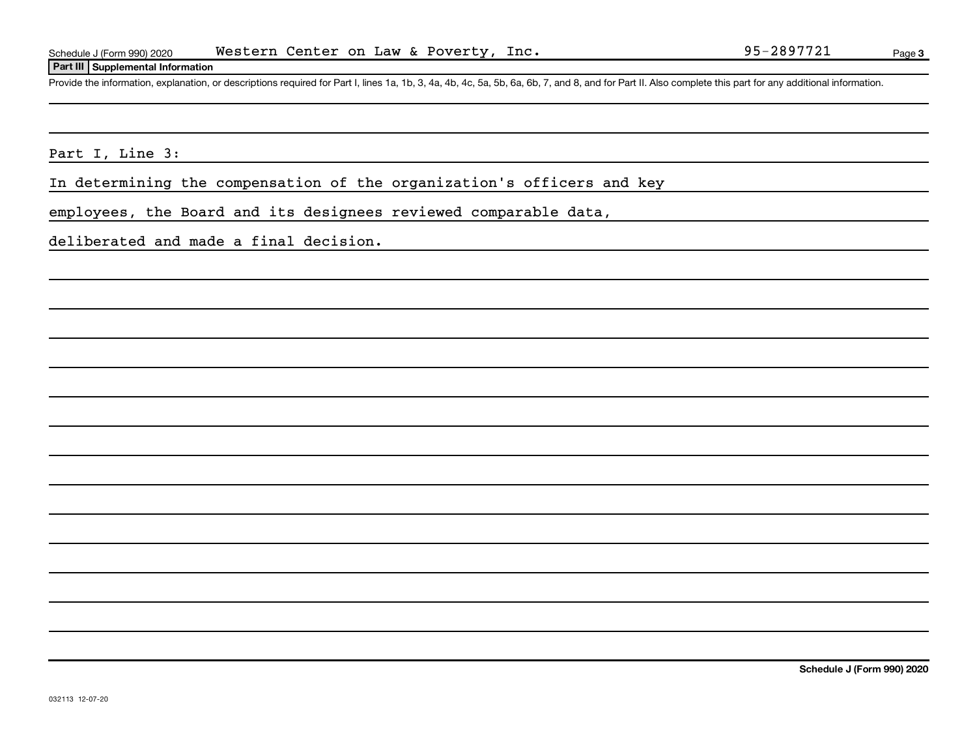## **Part III Supplemental Information**

Provide the information, explanation, or descriptions required for Part I, lines 1a, 1b, 3, 4a, 4b, 4c, 5a, 5b, 6a, 6b, 7, and 8, and for Part II. Also complete this part for any additional information.

Part I, Line 3:

In determining the compensation of the organization's officers and key

employees, the Board and its designees reviewed comparable data,

deliberated and made a final decision.

**Schedule J (Form 990) 2020**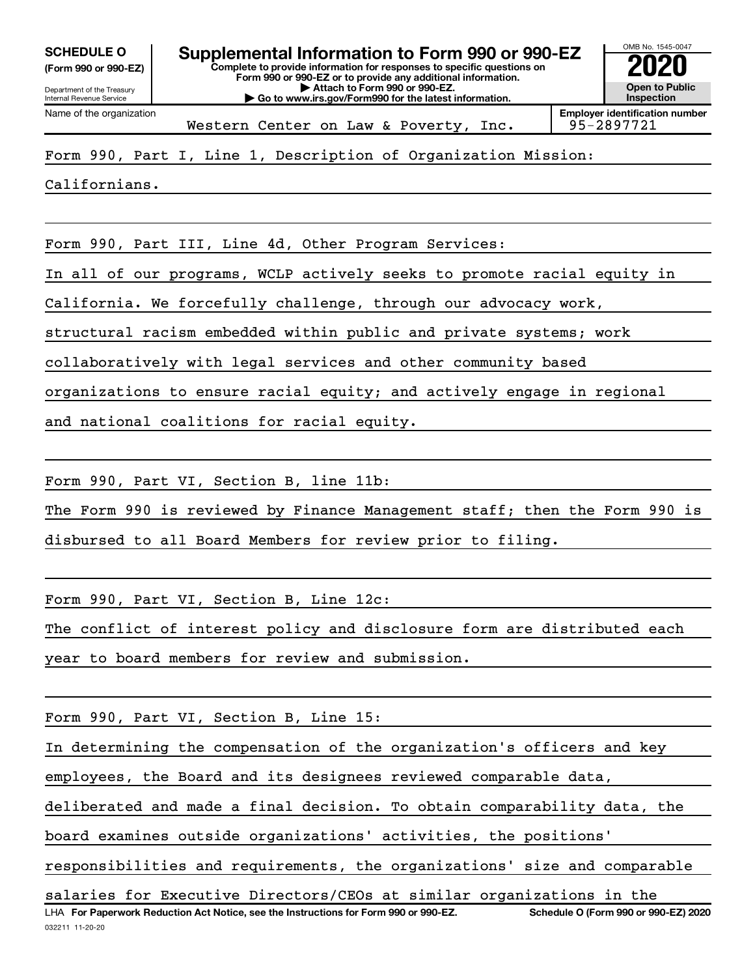**(Form 990 or 990-EZ)**

Department of the Treasury Internal Revenue Service Name of the organization

**Complete to provide information for responses to specific questions on Form 990 or 990-EZ or to provide any additional information. | Attach to Form 990 or 990-EZ. | Go to www.irs.gov/Form990 for the latest information. SCHEDULE O Supplemental Information to Form 990 or 990-EZ 2020**<br>(Form 990 or 990-EZ) Complete to provide information for responses to specific questions on



Western Center on Law & Poverty, Inc. | 95-2897721

# Form 990, Part I, Line 1, Description of Organization Mission:

Californians.

Form 990, Part III, Line 4d, Other Program Services:

In all of our programs, WCLP actively seeks to promote racial equity in

California. We forcefully challenge, through our advocacy work,

structural racism embedded within public and private systems; work

collaboratively with legal services and other community based

organizations to ensure racial equity; and actively engage in regional

and national coalitions for racial equity.

Form 990, Part VI, Section B, line 11b:

The Form 990 is reviewed by Finance Management staff; then the Form 990 is disbursed to all Board Members for review prior to filing.

Form 990, Part VI, Section B, Line 12c:

The conflict of interest policy and disclosure form are distributed each

year to board members for review and submission.

Form 990, Part VI, Section B, Line 15:

In determining the compensation of the organization's officers and key

employees, the Board and its designees reviewed comparable data,

deliberated and made a final decision. To obtain comparability data, the

board examines outside organizations' activities, the positions'

responsibilities and requirements, the organizations' size and comparable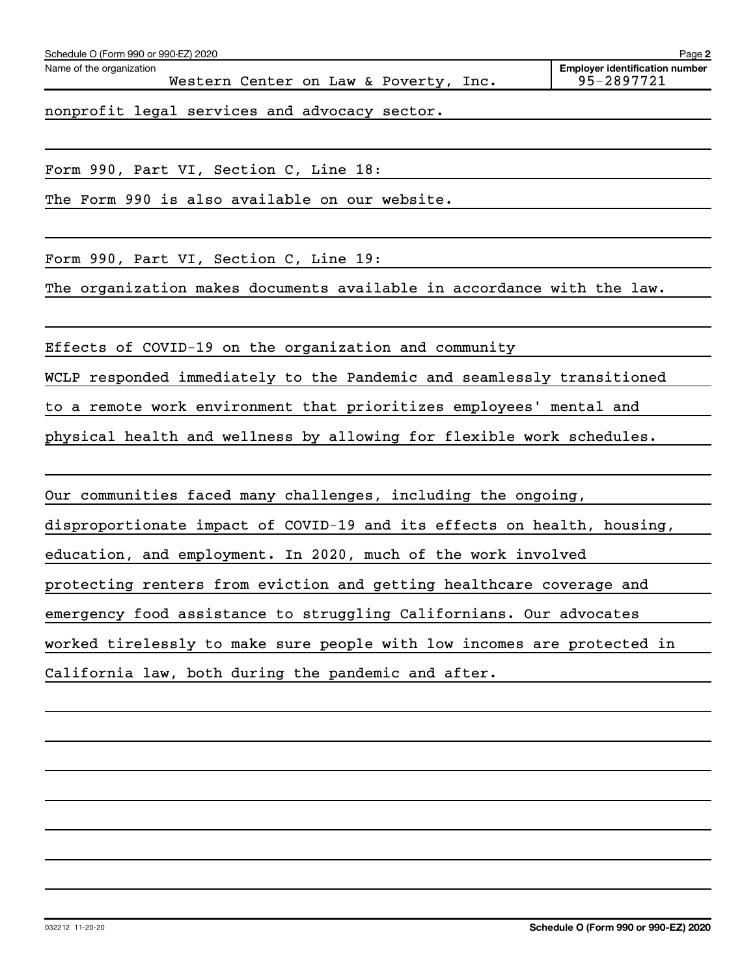| Schedule O (Form 990 or 990-EZ) 2020                                                                                                                                                                                              | Page 2                                |
|-----------------------------------------------------------------------------------------------------------------------------------------------------------------------------------------------------------------------------------|---------------------------------------|
| Name of the organization                                                                                                                                                                                                          | <b>Employer identification number</b> |
| Western Center on Law & Poverty, Inc.                                                                                                                                                                                             | 95-2897721                            |
| $\mathcal{C}$ , and the set of the set of the set of the set of the set of the set of the set of the set of the set of the set of the set of the set of the set of the set of the set of the set of the set of the set of the set |                                       |

nonprofit legal services and advocacy sector.

Form 990, Part VI, Section C, Line 18:

The Form 990 is also available on our website.

Form 990, Part VI, Section C, Line 19:

The organization makes documents available in accordance with the law.

Effects of COVID-19 on the organization and community

WCLP responded immediately to the Pandemic and seamlessly transitioned

to a remote work environment that prioritizes employees' mental and

physical health and wellness by allowing for flexible work schedules.

Our communities faced many challenges, including the ongoing,

disproportionate impact of COVID-19 and its effects on health, housing,

education, and employment. In 2020, much of the work involved

protecting renters from eviction and getting healthcare coverage and

emergency food assistance to struggling Californians. Our advocates

worked tirelessly to make sure people with low incomes are protected in

California law, both during the pandemic and after.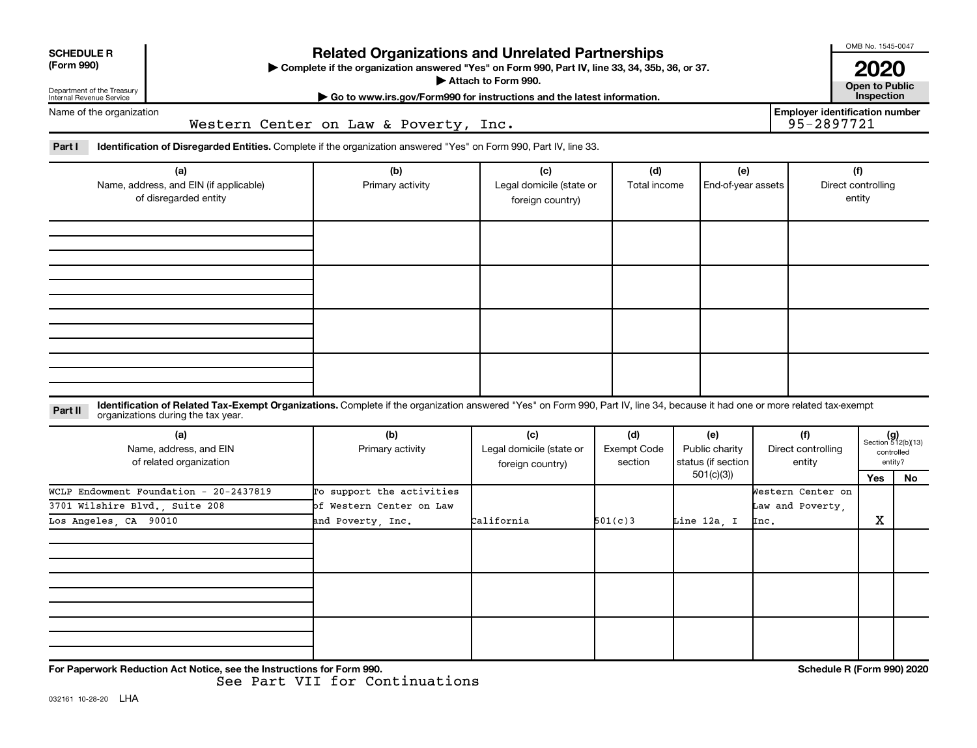| <b>SCHEDULE R</b><br>(Form 990)<br>Department of the Treasury<br>Internal Revenue Service | <b>Related Organizations and Unrelated Partnerships</b><br>Complete if the organization answered "Yes" on Form 990, Part IV, line 33, 34, 35b, 36, or 37.<br>Attach to Form 990.<br>Go to www.irs.gov/Form990 for instructions and the latest information. |                                                                                                                                                                              |                                                     |                                      |                                                          |                                               |                                                     |                                                            |  |  |
|-------------------------------------------------------------------------------------------|------------------------------------------------------------------------------------------------------------------------------------------------------------------------------------------------------------------------------------------------------------|------------------------------------------------------------------------------------------------------------------------------------------------------------------------------|-----------------------------------------------------|--------------------------------------|----------------------------------------------------------|-----------------------------------------------|-----------------------------------------------------|------------------------------------------------------------|--|--|
| Name of the organization                                                                  |                                                                                                                                                                                                                                                            | Western Center on Law & Poverty, Inc.                                                                                                                                        |                                                     |                                      |                                                          |                                               | <b>Employer identification number</b><br>95-2897721 |                                                            |  |  |
| Part I                                                                                    |                                                                                                                                                                                                                                                            | <b>Identification of Disregarded Entities.</b> Complete if the organization answered "Yes" on Form 990, Part IV, line 33.                                                    |                                                     |                                      |                                                          |                                               |                                                     |                                                            |  |  |
| (a)<br>Name, address, and EIN (if applicable)<br>of disregarded entity                    |                                                                                                                                                                                                                                                            | (b)<br>Primary activity                                                                                                                                                      | (c)<br>Legal domicile (state or<br>foreign country) | (d)<br>Total income                  | (e)<br>End-of-year assets                                |                                               | (f)<br>Direct controlling<br>entity                 |                                                            |  |  |
|                                                                                           |                                                                                                                                                                                                                                                            |                                                                                                                                                                              |                                                     |                                      |                                                          |                                               |                                                     |                                                            |  |  |
| Part II                                                                                   | organizations during the tax year.                                                                                                                                                                                                                         | Identification of Related Tax-Exempt Organizations. Complete if the organization answered "Yes" on Form 990, Part IV, line 34, because it had one or more related tax-exempt |                                                     |                                      |                                                          |                                               |                                                     |                                                            |  |  |
| (a)<br>Name, address, and EIN<br>of related organization                                  |                                                                                                                                                                                                                                                            | (b)<br>Primary activity                                                                                                                                                      | (c)<br>Legal domicile (state or<br>foreign country) | (d)<br><b>Exempt Code</b><br>section | (e)<br>Public charity<br>status (if section<br>501(c)(3) | (f)<br>Direct controlling<br>entity           | Yes                                                 | $(g)$<br>Section 512(b)(13)<br>controlled<br>entity?<br>No |  |  |
| Los Angeles, CA 90010                                                                     | WCLP Endowment Foundation - 20-2437819<br>3701 Wilshire Blvd., Suite 208                                                                                                                                                                                   | To support the activities<br>of Western Center on Law<br>and Poverty, Inc.                                                                                                   | California                                          | 501(c)3                              | Line 12a, I                                              | Western Center on<br>Law and Poverty,<br>Inc. | X                                                   |                                                            |  |  |
|                                                                                           |                                                                                                                                                                                                                                                            |                                                                                                                                                                              |                                                     |                                      |                                                          |                                               |                                                     |                                                            |  |  |
|                                                                                           | For Paperwork Reduction Act Notice, see the Instructions for Form 990.                                                                                                                                                                                     |                                                                                                                                                                              |                                                     |                                      |                                                          |                                               | Schedule R (Form 990) 2020                          |                                                            |  |  |

See Part VII for Continuations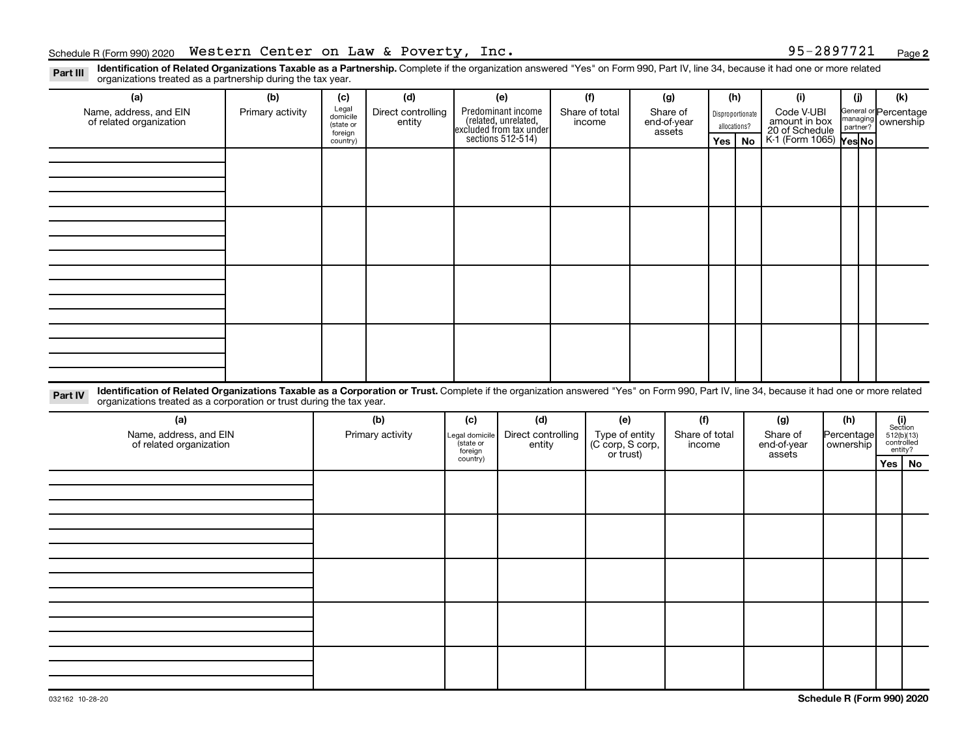**2**

Part III Identification of Related Organizations Taxable as a Partnership. Complete if the organization answered "Yes" on Form 990, Part IV, line 34, because it had one or more related<br>Read to the organizations tracted as organizations treated as a partnership during the tax year.

| organizations troated as a partnership dannig the tax year.                                                                                                                                                                                                                 |                  |                      |                              |                      |                                                                                            |  | (f)                                                 |        |                |                  |    |                                                                           |            |                       |                                                                                                                                   |  |
|-----------------------------------------------------------------------------------------------------------------------------------------------------------------------------------------------------------------------------------------------------------------------------|------------------|----------------------|------------------------------|----------------------|--------------------------------------------------------------------------------------------|--|-----------------------------------------------------|--------|----------------|------------------|----|---------------------------------------------------------------------------|------------|-----------------------|-----------------------------------------------------------------------------------------------------------------------------------|--|
| (a)<br>(b)                                                                                                                                                                                                                                                                  |                  | (d)<br>(c)           |                              |                      | (e)                                                                                        |  |                                                     | (g)    |                | (h)              |    | (i)                                                                       |            | (j)                   | (k)                                                                                                                               |  |
| Name, address, and EIN<br>of related organization                                                                                                                                                                                                                           | Primary activity | Legal<br>domicile    | Direct controlling<br>entity |                      |                                                                                            |  | Share of total<br>Share of<br>income<br>end-of-year |        |                | Disproportionate |    | Code V-UBI                                                                |            | General or Percentage |                                                                                                                                   |  |
|                                                                                                                                                                                                                                                                             |                  | (state or<br>foreign |                              |                      | Predominant income<br>(related, unrelated,<br>excluded from tax under<br>sections 512-514) |  |                                                     | assets |                |                  |    | amount in box<br>20 of Schedule<br>K-1 (Form 1065) Yes No<br>allocations? |            | managing ownership    |                                                                                                                                   |  |
|                                                                                                                                                                                                                                                                             |                  | country)             |                              |                      |                                                                                            |  |                                                     |        |                | Yes              | No |                                                                           |            |                       |                                                                                                                                   |  |
|                                                                                                                                                                                                                                                                             |                  |                      |                              |                      |                                                                                            |  |                                                     |        |                |                  |    |                                                                           |            |                       |                                                                                                                                   |  |
|                                                                                                                                                                                                                                                                             |                  |                      |                              |                      |                                                                                            |  |                                                     |        |                |                  |    |                                                                           |            |                       |                                                                                                                                   |  |
|                                                                                                                                                                                                                                                                             |                  |                      |                              |                      |                                                                                            |  |                                                     |        |                |                  |    |                                                                           |            |                       |                                                                                                                                   |  |
|                                                                                                                                                                                                                                                                             |                  |                      |                              |                      |                                                                                            |  |                                                     |        |                |                  |    |                                                                           |            |                       |                                                                                                                                   |  |
|                                                                                                                                                                                                                                                                             |                  |                      |                              |                      |                                                                                            |  |                                                     |        |                |                  |    |                                                                           |            |                       |                                                                                                                                   |  |
|                                                                                                                                                                                                                                                                             |                  |                      |                              |                      |                                                                                            |  |                                                     |        |                |                  |    |                                                                           |            |                       |                                                                                                                                   |  |
|                                                                                                                                                                                                                                                                             |                  |                      |                              |                      |                                                                                            |  |                                                     |        |                |                  |    |                                                                           |            |                       |                                                                                                                                   |  |
|                                                                                                                                                                                                                                                                             |                  |                      |                              |                      |                                                                                            |  |                                                     |        |                |                  |    |                                                                           |            |                       |                                                                                                                                   |  |
|                                                                                                                                                                                                                                                                             |                  |                      |                              |                      |                                                                                            |  |                                                     |        |                |                  |    |                                                                           |            |                       |                                                                                                                                   |  |
|                                                                                                                                                                                                                                                                             |                  |                      |                              |                      |                                                                                            |  |                                                     |        |                |                  |    |                                                                           |            |                       |                                                                                                                                   |  |
|                                                                                                                                                                                                                                                                             |                  |                      |                              |                      |                                                                                            |  |                                                     |        |                |                  |    |                                                                           |            |                       |                                                                                                                                   |  |
|                                                                                                                                                                                                                                                                             |                  |                      |                              |                      |                                                                                            |  |                                                     |        |                |                  |    |                                                                           |            |                       |                                                                                                                                   |  |
|                                                                                                                                                                                                                                                                             |                  |                      |                              |                      |                                                                                            |  |                                                     |        |                |                  |    |                                                                           |            |                       |                                                                                                                                   |  |
|                                                                                                                                                                                                                                                                             |                  |                      |                              |                      |                                                                                            |  |                                                     |        |                |                  |    |                                                                           |            |                       |                                                                                                                                   |  |
|                                                                                                                                                                                                                                                                             |                  |                      |                              |                      |                                                                                            |  |                                                     |        |                |                  |    |                                                                           |            |                       |                                                                                                                                   |  |
|                                                                                                                                                                                                                                                                             |                  |                      |                              |                      |                                                                                            |  |                                                     |        |                |                  |    |                                                                           |            |                       |                                                                                                                                   |  |
| Identification of Related Organizations Taxable as a Corporation or Trust. Complete if the organization answered "Yes" on Form 990, Part IV, line 34, because it had one or more related<br>Part IV<br>organizations treated as a corporation or trust during the tax year. |                  |                      |                              |                      |                                                                                            |  |                                                     |        |                |                  |    |                                                                           |            |                       |                                                                                                                                   |  |
| (a)                                                                                                                                                                                                                                                                         |                  |                      | (b)                          | (c)                  | (d)                                                                                        |  | (e)                                                 |        | (f)            |                  |    | (g)                                                                       |            | (h)                   |                                                                                                                                   |  |
| Name, address, and EIN                                                                                                                                                                                                                                                      |                  | Primary activity     |                              | egal domicile        | Direct controlling                                                                         |  | Type of entity                                      |        | Share of total |                  |    | Share of                                                                  | Percentage |                       | $\begin{array}{c} \textbf{(i)}\\ \text{Section}\\ 5\,12 \text{(b)} \text{(13)}\\ \text{controlled} \\ \text{entity?} \end{array}$ |  |
| of related organization                                                                                                                                                                                                                                                     |                  |                      |                              | (state or<br>foreign | entity                                                                                     |  | (C corp, S corp,                                    |        | income         |                  |    | end-of-year                                                               |            | ownership             |                                                                                                                                   |  |
|                                                                                                                                                                                                                                                                             |                  |                      |                              | country)             |                                                                                            |  | or trust)                                           |        |                |                  |    | assets                                                                    |            |                       | $Yes \mid No$                                                                                                                     |  |
|                                                                                                                                                                                                                                                                             |                  |                      |                              |                      |                                                                                            |  |                                                     |        |                |                  |    |                                                                           |            |                       |                                                                                                                                   |  |
|                                                                                                                                                                                                                                                                             |                  |                      |                              |                      |                                                                                            |  |                                                     |        |                |                  |    |                                                                           |            |                       |                                                                                                                                   |  |
|                                                                                                                                                                                                                                                                             |                  |                      |                              |                      |                                                                                            |  |                                                     |        |                |                  |    |                                                                           |            |                       |                                                                                                                                   |  |
|                                                                                                                                                                                                                                                                             |                  |                      |                              |                      |                                                                                            |  |                                                     |        |                |                  |    |                                                                           |            |                       |                                                                                                                                   |  |
|                                                                                                                                                                                                                                                                             |                  |                      |                              |                      |                                                                                            |  |                                                     |        |                |                  |    |                                                                           |            |                       |                                                                                                                                   |  |
|                                                                                                                                                                                                                                                                             |                  |                      |                              |                      |                                                                                            |  |                                                     |        |                |                  |    |                                                                           |            |                       |                                                                                                                                   |  |
|                                                                                                                                                                                                                                                                             |                  |                      |                              |                      |                                                                                            |  |                                                     |        |                |                  |    |                                                                           |            |                       |                                                                                                                                   |  |
|                                                                                                                                                                                                                                                                             |                  |                      |                              |                      |                                                                                            |  |                                                     |        |                |                  |    |                                                                           |            |                       |                                                                                                                                   |  |
|                                                                                                                                                                                                                                                                             |                  |                      |                              |                      |                                                                                            |  |                                                     |        |                |                  |    |                                                                           |            |                       |                                                                                                                                   |  |
|                                                                                                                                                                                                                                                                             |                  |                      |                              |                      |                                                                                            |  |                                                     |        |                |                  |    |                                                                           |            |                       |                                                                                                                                   |  |
|                                                                                                                                                                                                                                                                             |                  |                      |                              |                      |                                                                                            |  |                                                     |        |                |                  |    |                                                                           |            |                       |                                                                                                                                   |  |
|                                                                                                                                                                                                                                                                             |                  |                      |                              |                      |                                                                                            |  |                                                     |        |                |                  |    |                                                                           |            |                       |                                                                                                                                   |  |
|                                                                                                                                                                                                                                                                             |                  |                      |                              |                      |                                                                                            |  |                                                     |        |                |                  |    |                                                                           |            |                       |                                                                                                                                   |  |
|                                                                                                                                                                                                                                                                             |                  |                      |                              |                      |                                                                                            |  |                                                     |        |                |                  |    |                                                                           |            |                       |                                                                                                                                   |  |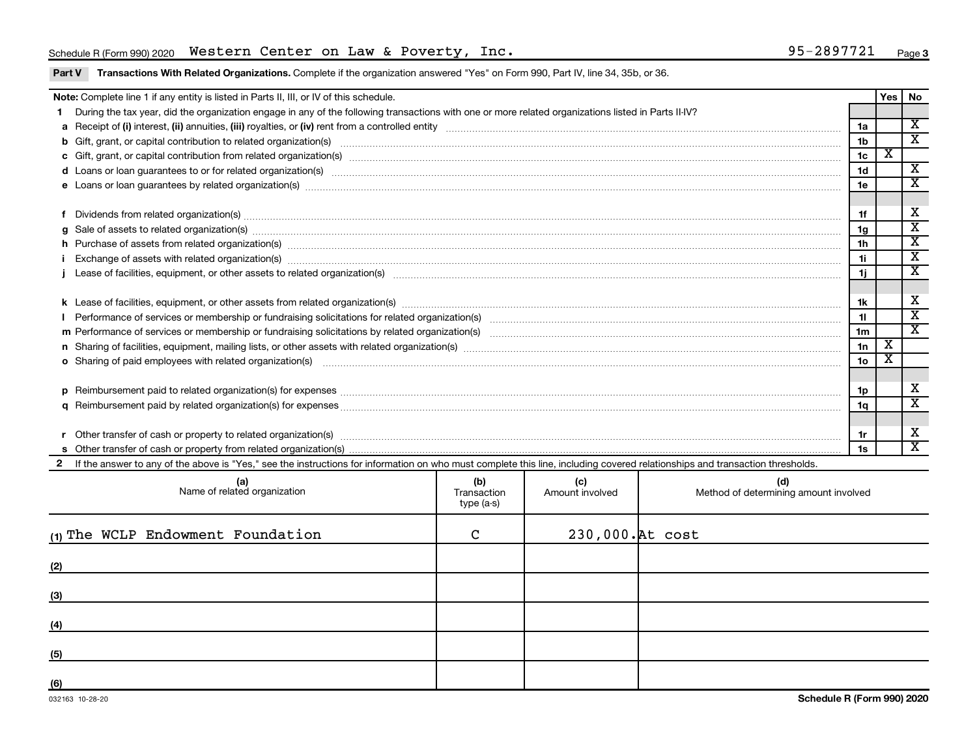# Schedule R (Form 990) 2020 Page Western Center on Law & Poverty, Inc. 95-2897721

Part V Transactions With Related Organizations. Complete if the organization answered "Yes" on Form 990, Part IV, line 34, 35b, or 36.

|                                                                                                                                                                                                                               | Note: Complete line 1 if any entity is listed in Parts II, III, or IV of this schedule.                                                                                                                                        |   |                  |  |                 | Yes                     | No                                                 |  |  |
|-------------------------------------------------------------------------------------------------------------------------------------------------------------------------------------------------------------------------------|--------------------------------------------------------------------------------------------------------------------------------------------------------------------------------------------------------------------------------|---|------------------|--|-----------------|-------------------------|----------------------------------------------------|--|--|
|                                                                                                                                                                                                                               | During the tax year, did the organization engage in any of the following transactions with one or more related organizations listed in Parts II-IV?                                                                            |   |                  |  |                 |                         |                                                    |  |  |
|                                                                                                                                                                                                                               |                                                                                                                                                                                                                                |   |                  |  | 1a              |                         | $\overline{\mathbf{X}}$<br>$\overline{\mathbf{x}}$ |  |  |
|                                                                                                                                                                                                                               |                                                                                                                                                                                                                                |   |                  |  |                 |                         |                                                    |  |  |
|                                                                                                                                                                                                                               |                                                                                                                                                                                                                                |   |                  |  |                 |                         |                                                    |  |  |
|                                                                                                                                                                                                                               |                                                                                                                                                                                                                                |   |                  |  |                 |                         |                                                    |  |  |
| e Loans or loan guarantees by related organization(s) manufaction contracts and an account of the contract of the contract or contract or contract or contract or contract or contract or contract or contract or contract or |                                                                                                                                                                                                                                |   |                  |  |                 |                         |                                                    |  |  |
|                                                                                                                                                                                                                               |                                                                                                                                                                                                                                |   |                  |  |                 |                         |                                                    |  |  |
|                                                                                                                                                                                                                               | Dividends from related organization(s) [111] manufactured contracts and all the contracts are contracted as a contract of the contract of the contract of the contract of the contract of the contract of the contract of the  |   |                  |  | 1f              |                         | X                                                  |  |  |
|                                                                                                                                                                                                                               | Sale of assets to related organization(s) www.assettion.com/www.assettion.com/www.assettion.com/www.assettion.com/www.assettion.com/www.assettion.com/www.assettion.com/www.assettion.com/www.assettion.com/www.assettion.com/ |   |                  |  | 1g              |                         | $\overline{\texttt{x}}$<br>$\overline{\texttt{x}}$ |  |  |
|                                                                                                                                                                                                                               | h Purchase of assets from related organization(s) manufactured content to content the content of the content of the content of the content of the content of the content of the content of the content of the content of the c |   |                  |  |                 |                         |                                                    |  |  |
|                                                                                                                                                                                                                               | Exchange of assets with related organization(s) www.array.com/www.array.com/www.array.com/www.array.com/www.array.com/www.array.com/www.array.com/www.array.com/www.array.com/www.array.com/www.array.com/www.array.com/www.ar |   |                  |  |                 |                         |                                                    |  |  |
|                                                                                                                                                                                                                               |                                                                                                                                                                                                                                |   |                  |  |                 |                         | $\overline{\mathbf{x}}$                            |  |  |
|                                                                                                                                                                                                                               |                                                                                                                                                                                                                                |   |                  |  |                 |                         | X                                                  |  |  |
|                                                                                                                                                                                                                               |                                                                                                                                                                                                                                |   |                  |  |                 |                         |                                                    |  |  |
|                                                                                                                                                                                                                               |                                                                                                                                                                                                                                |   |                  |  |                 |                         |                                                    |  |  |
|                                                                                                                                                                                                                               |                                                                                                                                                                                                                                |   |                  |  |                 |                         |                                                    |  |  |
|                                                                                                                                                                                                                               | n Sharing of facilities, equipment, mailing lists, or other assets with related organization(s) marror manufactured material contents and the state of facilities, equipment, mailing lists, or other assets with related orga |   |                  |  |                 |                         |                                                    |  |  |
|                                                                                                                                                                                                                               | o Sharing of paid employees with related organization(s) manufactured content to the content of the content of the content of the content of the content of the content of the content of the content of the content of the co |   |                  |  | 10 <sub>o</sub> | $\overline{\textbf{X}}$ |                                                    |  |  |
|                                                                                                                                                                                                                               |                                                                                                                                                                                                                                |   |                  |  |                 |                         |                                                    |  |  |
|                                                                                                                                                                                                                               |                                                                                                                                                                                                                                |   |                  |  | 1p              |                         | X                                                  |  |  |
|                                                                                                                                                                                                                               |                                                                                                                                                                                                                                |   |                  |  | 1q              |                         | $\overline{\textbf{x}}$                            |  |  |
|                                                                                                                                                                                                                               |                                                                                                                                                                                                                                |   |                  |  |                 |                         |                                                    |  |  |
|                                                                                                                                                                                                                               |                                                                                                                                                                                                                                |   |                  |  | 1r              |                         | х                                                  |  |  |
|                                                                                                                                                                                                                               |                                                                                                                                                                                                                                |   |                  |  | 1s              |                         | $\overline{\texttt{x}}$                            |  |  |
|                                                                                                                                                                                                                               | If the answer to any of the above is "Yes," see the instructions for information on who must complete this line, including covered relationships and transaction thresholds.                                                   |   |                  |  |                 |                         |                                                    |  |  |
|                                                                                                                                                                                                                               | (b)<br>(d)<br>(a)<br>Name of related organization<br>(c)<br>Transaction<br>Amount involved<br>Method of determining amount involved<br>type (a-s)                                                                              |   |                  |  |                 |                         |                                                    |  |  |
|                                                                                                                                                                                                                               | (1) The WCLP Endowment Foundation                                                                                                                                                                                              | C | 230,000. At cost |  |                 |                         |                                                    |  |  |

| $\cdot$ $\cdot$ |  |  |
|-----------------|--|--|
| (2)             |  |  |
| (3)             |  |  |
| (4)             |  |  |
| (5)             |  |  |
| (6)             |  |  |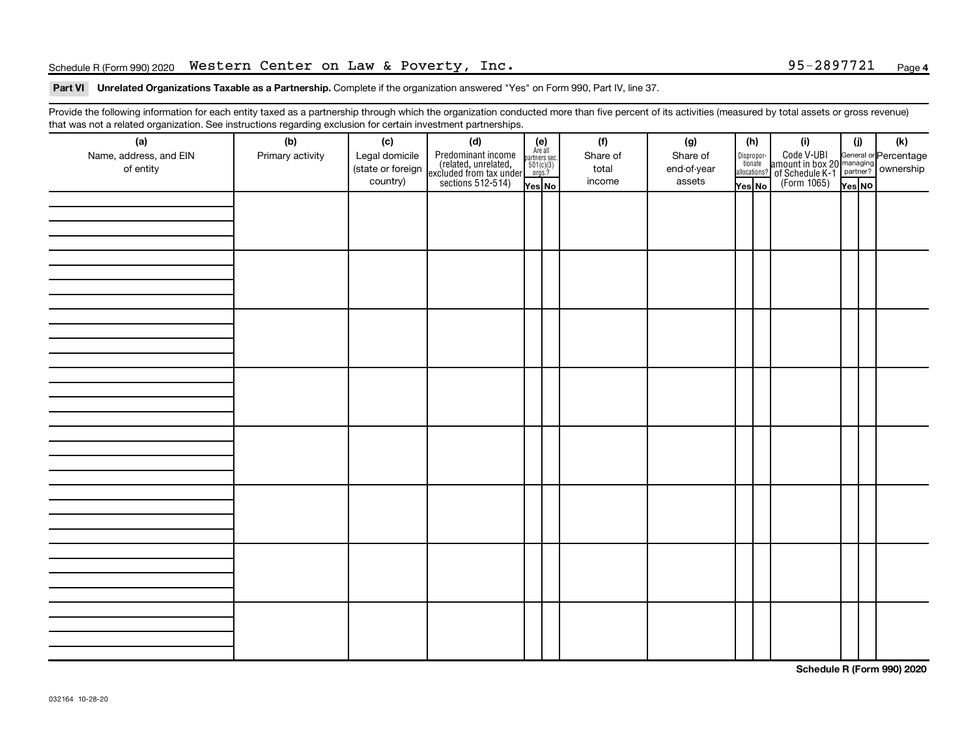# Schedule R (Form 990) 2020 Page Western Center on Law & Poverty, Inc. 95-2897721

### Part VI Unrelated Organizations Taxable as a Partnership. Complete if the organization answered "Yes" on Form 990, Part IV, line 37.

Provide the following information for each entity taxed as a partnership through which the organization conducted more than five percent of its activities (measured by total assets or gross revenue) that was not a related organization. See instructions regarding exclusion for certain investment partnerships.

| (a)<br>Name, address, and EIN<br>of entity | . ت<br>(b)<br>Primary activity | (c)<br>Legal domicile<br>(state or foreign<br>country) | (d)<br>Predominant income<br>(related, unrelated,<br>excluded from tax under<br>sections 512-514) | (e)<br>Are all<br>partners sec.<br>$501(c)(3)$<br>orgs.?<br>Yes No | (f)<br>Share of<br>total<br>income | (g)<br>Share of<br>end-of-year<br>assets | (h)<br>Dispropor-<br>tionate<br>allocations?<br>Yes No | (i)<br>Code V-UBI<br>amount in box 20 managing<br>of Schedule K-1<br>(Form 1065)<br>$\overline{V}$ ves No | (i)<br>Yes NO | $(\mathsf{k})$ |
|--------------------------------------------|--------------------------------|--------------------------------------------------------|---------------------------------------------------------------------------------------------------|--------------------------------------------------------------------|------------------------------------|------------------------------------------|--------------------------------------------------------|-----------------------------------------------------------------------------------------------------------|---------------|----------------|
|                                            |                                |                                                        |                                                                                                   |                                                                    |                                    |                                          |                                                        |                                                                                                           |               |                |
|                                            |                                |                                                        |                                                                                                   |                                                                    |                                    |                                          |                                                        |                                                                                                           |               |                |
|                                            |                                |                                                        |                                                                                                   |                                                                    |                                    |                                          |                                                        |                                                                                                           |               |                |
|                                            |                                |                                                        |                                                                                                   |                                                                    |                                    |                                          |                                                        |                                                                                                           |               |                |
|                                            |                                |                                                        |                                                                                                   |                                                                    |                                    |                                          |                                                        |                                                                                                           |               |                |
|                                            |                                |                                                        |                                                                                                   |                                                                    |                                    |                                          |                                                        |                                                                                                           |               |                |
|                                            |                                |                                                        |                                                                                                   |                                                                    |                                    |                                          |                                                        |                                                                                                           |               |                |
|                                            |                                |                                                        |                                                                                                   |                                                                    |                                    |                                          |                                                        |                                                                                                           |               |                |

**Schedule R (Form 990) 2020**